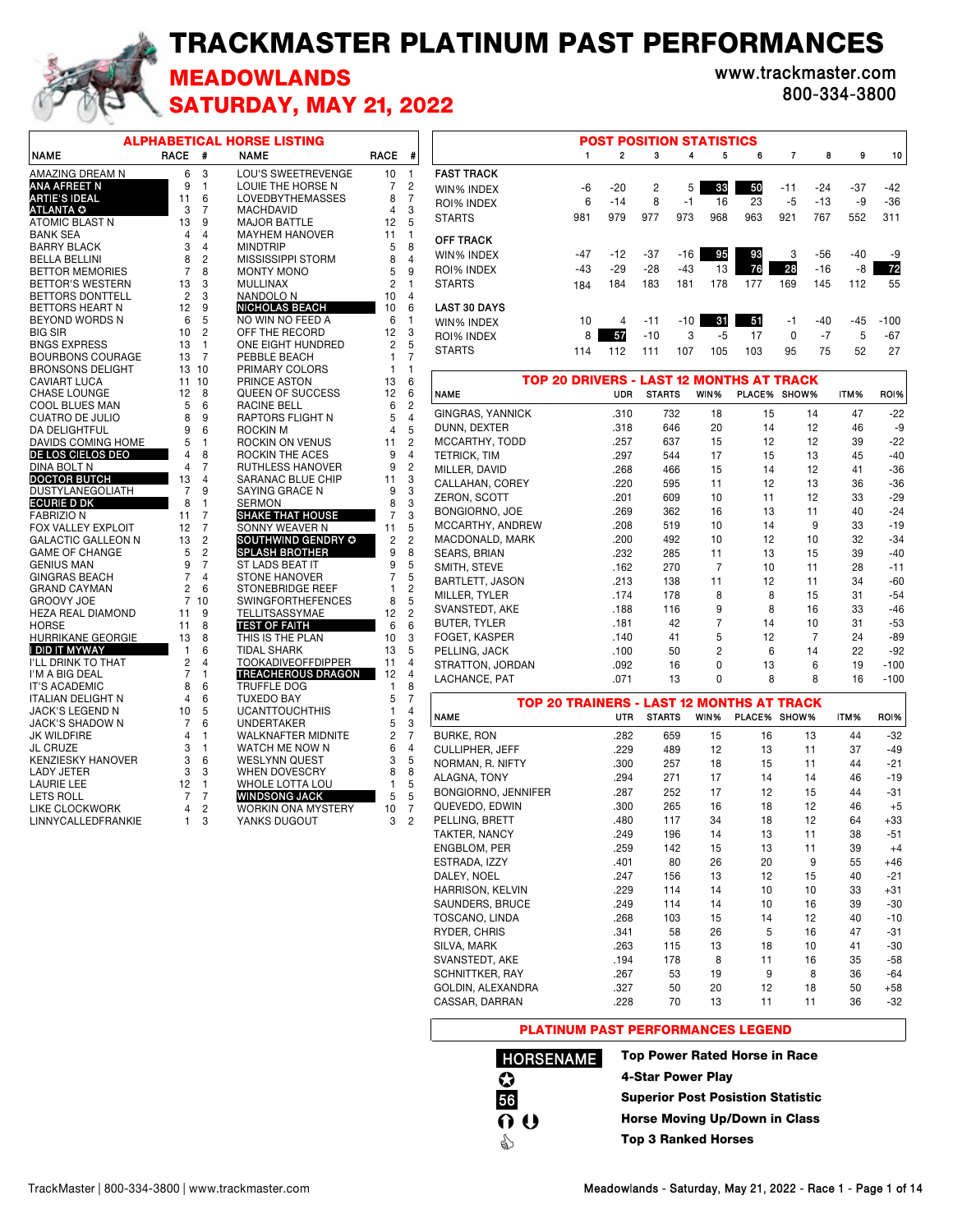## TRACKMASTER PLATINUM PAST PERFORMANCES



## MEADOWLANDS **www.trackmaster.com** SATURDAY, MAY 21, 2022

**800-334-3800**

|                                                  |                |                | <b>ALPHABETICAL HORSE LISTING</b>             |                |                         |
|--------------------------------------------------|----------------|----------------|-----------------------------------------------|----------------|-------------------------|
| <b>NAME</b>                                      | <b>RACE</b>    | #              | <b>NAME</b>                                   | <b>RACE</b>    | #                       |
| AMAZING DREAM N                                  | 6              | 3              | LOU'S SWEETREVENGE                            | 10             | 1                       |
| <b>ANA AFREET N</b>                              | 9              | 1              | LOUIE THE HORSE N                             | 7              | 2                       |
| ARTIE'S IDEAL                                    | 11             | 6              | <b>LOVEDBYTHEMASSES</b>                       | 8              | $\overline{7}$          |
| <b>ATLANTA O</b>                                 | 3              | 7              | <b>MACHDAVID</b>                              | 4              | 3                       |
| ATOMIC BLAST N                                   | 13             | 9              | <b>MAJOR BATTLE</b>                           | 12             | 5                       |
| <b>BANK SEA</b>                                  | $\overline{4}$ | 4              | <b>MAYHEM HANOVER</b>                         | 11             | 1                       |
| <b>BARRY BLACK</b>                               | 3              | 4              | <b>MINDTRIP</b>                               | 5              | 8                       |
| <b>BELLA BELLINI</b>                             | 8              | $\overline{c}$ | <b>MISSISSIPPI STORM</b>                      | 8              | 4                       |
| <b>BETTOR MEMORIES</b>                           | 7              | 8              | <b>MONTY MONO</b>                             | 5              | 9                       |
| <b>BETTOR'S WESTERN</b>                          | 13             | 3              | <b>MULLINAX</b>                               | $\overline{2}$ | 1                       |
| <b>BETTORS DONTTELL</b>                          | $\overline{c}$ | 3              | NANDOLO N                                     | 10             | 4                       |
| <b>BETTORS HEART N</b>                           | 12             | 9              | <b>NICHOLAS BEACH</b>                         | 10             | 6                       |
| <b>BEYOND WORDS N</b>                            | 6              | 5              | NO WIN NO FEED A                              | 6              | 1                       |
| <b>BIG SIR</b>                                   | 10             | 2              | OFF THE RECORD                                | 12             | 3                       |
| <b>BNGS EXPRESS</b>                              | 13             | 1              | ONE EIGHT HUNDRED                             | $\overline{2}$ | 5                       |
| <b>BOURBONS COURAGE</b>                          | 13             | 7              | PEBBLE BEACH                                  | 1              | $\overline{7}$          |
| <b>BRONSONS DELIGHT</b>                          | 13             | 10             | PRIMARY COLORS                                | 1              | 1                       |
| <b>CAVIART LUCA</b>                              | 11             | 10             | PRINCE ASTON                                  | 13             | 6                       |
| <b>CHASE LOUNGE</b>                              | 12             | 8              | QUEEN OF SUCCESS                              | 12             | 6<br>$\overline{c}$     |
| COOL BLUES MAN<br><b>CUATRO DE JULIO</b>         | 5<br>8         | 6<br>9         | <b>RACINE BELL</b><br><b>RAPTORS FLIGHT N</b> | 6<br>5         | $\overline{4}$          |
| DA DELIGHTFUL                                    | 9              | 6              | <b>ROCKIN M</b>                               | $\overline{4}$ | 5                       |
| DAVIDS COMING HOME                               | 5              | 1              | ROCKIN ON VENUS                               | 11             | $\overline{c}$          |
| DE LOS CIELOS DEO                                | 4              | 8              | ROCKIN THE ACES                               | 9              | 4                       |
| <b>DINA BOLT N</b>                               | 4              | 7              | RUTHLESS HANOVER                              | 9              | $\overline{c}$          |
| <b>DOCTOR BUTCH</b>                              | 13             | 4              | <b>SARANAC BLUE CHIP</b>                      | 11             | 3                       |
| DUSTYLANEGOLIATH                                 | 7              | 9              | SAYING GRACE N                                | 9              | 3                       |
| <b>ECURIE D DK</b>                               | 8              | 1              | <b>SERMON</b>                                 | 8              | 3                       |
| <b>FABRIZION</b>                                 | 11             | 7              | <b>SHAKE THAT HOUSE</b>                       | 7              | 3                       |
| FOX VALLEY EXPLOIT                               | 12             | 7              | SONNY WEAVER N                                | 11             | 5                       |
| <b>GALACTIC GALLEON N</b>                        | 13             | $\overline{c}$ | SOUTHWIND GENDRY O                            | 2              | $\overline{c}$          |
| <b>GAME OF CHANGE</b>                            | 5              | $\overline{2}$ | <b>SPLASH BROTHER</b>                         | 9              | 8                       |
| <b>GENIUS MAN</b>                                | 9              | 7              | ST LADS BEAT IT                               | 9              | 5                       |
| <b>GINGRAS BEACH</b>                             | $\overline{7}$ | 4              | <b>STONE HANOVER</b>                          | $\overline{7}$ | $\overline{5}$          |
| <b>GRAND CAYMAN</b>                              | $\overline{2}$ | 6              | <b>STONEBRIDGE REEF</b>                       | 1              | $\overline{\mathbf{c}}$ |
| <b>GROOVY JOE</b>                                | 7              | 10             | <b>SWINGFORTHEFENCES</b>                      | 8              | 5                       |
| <b>HEZA REAL DIAMOND</b>                         | 11             | 9              | TELLITSASSYMAE                                | 12             | $\overline{c}$          |
| <b>HORSE</b>                                     | 11             | 8              | <b>TEST OF FAITH</b>                          | 6              | 6                       |
| <b>HURRIKANE GEORGIE</b>                         | 13             | 8              | THIS IS THE PLAN                              | 10             | 3                       |
| I DID IT MYWAY                                   | 1              | 6              | <b>TIDAL SHARK</b>                            | 13             | 5                       |
| I'LL DRINK TO THAT                               | 2              | 4              | <b>TOOKADIVEOFFDIPPER</b>                     | 11             | 4                       |
| I'M A BIG DEAL                                   | 7<br>8         | 1              | <b>TREACHEROUS DRAGON</b>                     | 12             | 4                       |
| <b>IT'S ACADEMIC</b><br><b>ITALIAN DELIGHT N</b> | $\overline{4}$ | 6<br>6         | <b>TRUFFLE DOG</b><br><b>TUXEDO BAY</b>       | 1<br>5         | 8<br>7                  |
| JACK'S LEGEND N                                  | 10             | 5              | <b>UCANTTOUCHTHIS</b>                         | 1              | 4                       |
| <b>JACK'S SHADOW N</b>                           | 7              | 6              | <b>UNDERTAKER</b>                             | 5              | 3                       |
| <b>JK WILDFIRE</b>                               | 4              | 1              | <b>WALKNAFTER MIDNITE</b>                     | $\overline{c}$ | 7                       |
| <b>JL CRUZE</b>                                  | 3              | 1              | WATCH ME NOW N                                | 6              | 4                       |
| <b>KENZIESKY HANOVER</b>                         | 3              | 6              | <b>WESLYNN QUEST</b>                          | 3              | 5                       |
| LADY JETER                                       | 3              | 3              | WHEN DOVESCRY                                 | 8              | 8                       |
| <b>LAURIE LEE</b>                                | 12             | 1              | <b>WHOLE LOTTA LOU</b>                        | 1              | 5                       |
| <b>LETS ROLL</b>                                 | $\overline{7}$ | 7              | <b>WINDSONG JACK</b>                          | 5              | 5                       |
| <b>LIKE CLOCKWORK</b>                            | $\overline{4}$ | $\overline{c}$ | <b>WORKIN ONA MYSTERY</b>                     | 10             | 7                       |
| LINNYCALLEDFRANKIE                               | 1              | 3              | YANKS DUGOUT                                  | 3              | 2                       |

|                     |       |                |       |       | <b>POST POSITION STATISTICS</b> |     |                |       |       |        |
|---------------------|-------|----------------|-------|-------|---------------------------------|-----|----------------|-------|-------|--------|
|                     | 1     | $\overline{2}$ | 3     | 4     | 5                               | 6   | $\overline{7}$ | 8     | 9     | 10     |
| <b>FAST TRACK</b>   |       |                |       |       |                                 |     |                |       |       |        |
| WIN% INDEX          | -6    | $-20$          | 2     | 5     | 33                              | 50  | $-11$          | $-24$ | $-37$ | $-42$  |
| <b>ROI% INDEX</b>   | 6     | $-14$          | 8     | -1    | 16                              | 23  | -5             | $-13$ | -9    | $-36$  |
| <b>STARTS</b>       | 981   | 979            | 977   | 973   | 968                             | 963 | 921            | 767   | 552   | 311    |
| <b>OFF TRACK</b>    |       |                |       |       |                                 |     |                |       |       |        |
| WIN% INDEX          | $-47$ | $-12$          | $-37$ | $-16$ | 95                              | 93  | 3              | $-56$ | $-40$ | -9     |
| ROI% INDEX          | $-43$ | $-29$          | $-28$ | $-43$ | 13                              | 76  | 28             | $-16$ | -8    | 72     |
| <b>STARTS</b>       | 184   | 184            | 183   | 181   | 178                             | 177 | 169            | 145   | 112   | 55     |
| <b>LAST 30 DAYS</b> |       |                |       |       |                                 |     |                |       |       |        |
| WIN% INDEX          | 10    | 4              | -11   | $-10$ | 31                              | 51  | -1             | $-40$ | $-45$ | $-100$ |
| <b>ROI% INDEX</b>   | 8     | 57             | $-10$ | 3     | -5                              | 17  | $\Omega$       | $-7$  | 5     | $-67$  |
| <b>STARTS</b>       | 114   | 112            | 111   | 107   | 105                             | 103 | 95             | 75    | 52    | 27     |

| TOP 20 DRIVERS - LAST 12 MONTHS AT TRACK         |            |               |                |        |              |      |        |
|--------------------------------------------------|------------|---------------|----------------|--------|--------------|------|--------|
| <b>NAME</b>                                      | <b>UDR</b> | <b>STARTS</b> | WIN%           |        | PLACE% SHOW% | ITM% | ROI%   |
| GINGRAS, YANNICK                                 | .310       | 732           | 18             | 15     | 14           | 47   | $-22$  |
| DUNN, DEXTER                                     | .318       | 646           | 20             | 14     | 12           | 46   | -9     |
| MCCARTHY, TODD                                   | .257       | 637           | 15             | 12     | 12           | 39   | $-22$  |
| TETRICK, TIM                                     | .297       | 544           | 17             | 15     | 13           | 45   | $-40$  |
| MILLER, DAVID                                    | .268       | 466           | 15             | 14     | 12           | 41   | $-36$  |
| CALLAHAN, COREY                                  | .220       | 595           | 11             | 12     | 13           | 36   | $-36$  |
| ZERON, SCOTT                                     | .201       | 609           | 10             | 11     | 12           | 33   | $-29$  |
| <b>BONGIORNO, JOE</b>                            | .269       | 362           | 16             | 13     | 11           | 40   | $-24$  |
| MCCARTHY, ANDREW                                 | .208       | 519           | 10             | 14     | 9            | 33   | -19    |
| MACDONALD, MARK                                  | .200       | 492           | 10             | 12     | 10           | 32   | $-34$  |
| SEARS, BRIAN                                     | .232       | 285           | 11             | 13     | 15           | 39   | -40    |
| SMITH, STEVE                                     | .162       | 270           | $\overline{7}$ | 10     | 11           | 28   | $-11$  |
| <b>BARTLETT, JASON</b>                           | .213       | 138           | 11             | 12     | 11           | 34   | $-60$  |
| MILLER, TYLER                                    | .174       | 178           | 8              | 8      | 15           | 31   | -54    |
| SVANSTEDT, AKE                                   | .188       | 116           | 9              | 8      | 16           | 33   | $-46$  |
| <b>BUTER, TYLER</b>                              | .181       | 42            | 7              | 14     | 10           | 31   | -53    |
| FOGET, KASPER                                    | .140       | 41            | 5              | 12     | 7            | 24   | $-89$  |
| PELLING, JACK                                    | .100       | 50            | $\overline{2}$ | 6      | 14           | 22   | $-92$  |
| STRATTON, JORDAN                                 | .092       | 16            | 0              | 13     | 6            | 19   | $-100$ |
| LACHANCE, PAT                                    | .071       | 13            | 0              | 8      | 8            | 16   | $-100$ |
| <b>TOP 20 TRAINERS - LAST 12 MONTHS AT TRACK</b> |            |               |                |        |              |      |        |
| <b>NAME</b>                                      | <b>UTR</b> | <b>STARTS</b> | WIN%           | PLACE% | SHOW%        | ITM% | ROI%   |
| <b>BURKE, RON</b>                                | .282       | 659           | 15             | 16     | 13           | 44   | -32    |
| <b>CULLIPHER, JEFF</b>                           | .229       | 489           | 12             | 13     | 11           | 37   | $-49$  |
| NORMAN, R. NIFTY                                 | .300       | 257           | 18             | 15     | 11           | 44   | $-21$  |
| ALAGNA, TONY                                     | .294       | 271           | 17             | 14     | 14           | 46   | $-19$  |
| <b>BONGIORNO, JENNIFER</b>                       | .287       | 252           | 17             | 12     | 15           | 44   | $-31$  |
| QUEVEDO, EDWIN                                   | .300       | 265           | 16             | 18     | 12           | 46   | $+5$   |
| PELLING, BRETT                                   | .480       | 117           | 34             | 18     | 12           | 64   | $+33$  |
| TAKTER, NANCY                                    | .249       | 196           | 14             | 13     | 11           | 38   | $-51$  |
|                                                  |            |               |                |        |              |      |        |
| <b>ENGBLOM, PER</b>                              | .259       | 142           | 15             | 13     | 11           | 39   | $+4$   |
| ESTRADA, IZZY                                    | .401       | 80            | 26             | 20     | 9            | 55   | $+46$  |
| DALEY, NOEL                                      | .247       | 156           | 13             | 12     | 15           | 40   | $-21$  |
| <b>HARRISON, KELVIN</b>                          | .229       | 114           | 14             | 10     | 10           | 33   | $+31$  |
| SAUNDERS, BRUCE                                  | .249       | 114           | 14             | 10     | 16           | 39   | $-30$  |
| TOSCANO, LINDA                                   | .268       | 103           | 15             | 14     | 12           | 40   | $-10$  |
| RYDER, CHRIS                                     | .341       | 58            | 26             | 5      | 16           | 47   | $-31$  |
| SILVA, MARK                                      | .263       | 115           | 13             | 18     | 10           | 41   | $-30$  |
| SVANSTEDT, AKE                                   | .194       | 178           | 8              | 11     | 16           | 35   | -58    |
| <b>SCHNITTKER, RAY</b>                           | .267       | 53            | 19             | 9      | 8            | 36   | -64    |
| GOLDIN, ALEXANDRA                                | .327       | 50            | 20             | 12     | 18           | 50   | $+58$  |

## PLATINUM PAST PERFORMANCES LEGEND

**HORSENAME 56** i<br>O  $\bf Q$  $\overline{0}$  O

Top Power Rated Horse in Race 4-Star Power Play Superior Post Posistion Statistic Horse Moving Up/Down in Class Top 3 Ranked Horses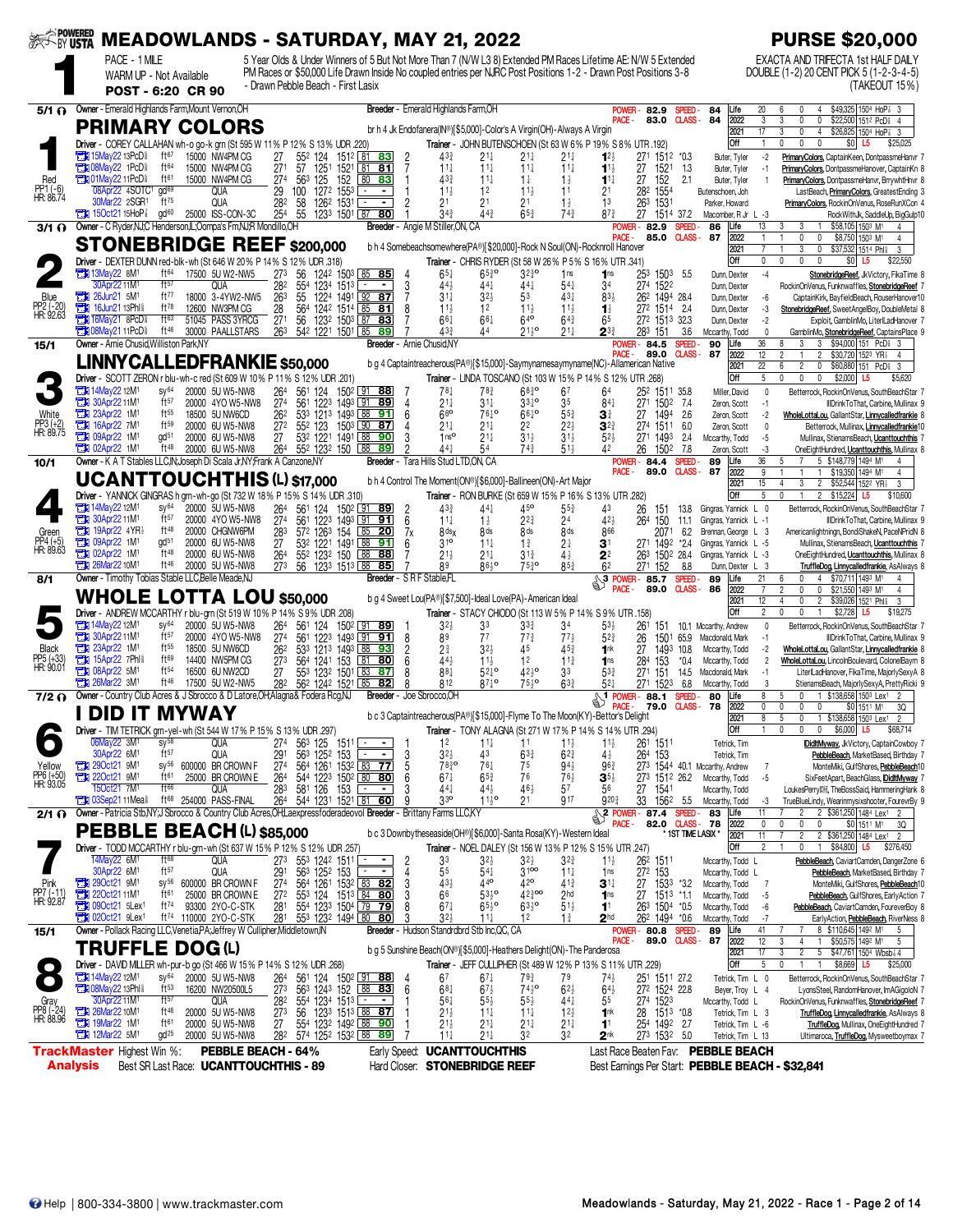|                                   |                                                                      |                                              |                               |                                                                       |                                                                                                                      |                                             |                                      |                                    | SERINGTHE MEADOWLANDS - SATURDAY, MAY 21, 2022                                                                                                                                                                                    |                                                    |                                    |                                             |                                                      |                                |                                                                        | <b>PURSE \$20,000</b>                                                                                                       |
|-----------------------------------|----------------------------------------------------------------------|----------------------------------------------|-------------------------------|-----------------------------------------------------------------------|----------------------------------------------------------------------------------------------------------------------|---------------------------------------------|--------------------------------------|------------------------------------|-----------------------------------------------------------------------------------------------------------------------------------------------------------------------------------------------------------------------------------|----------------------------------------------------|------------------------------------|---------------------------------------------|------------------------------------------------------|--------------------------------|------------------------------------------------------------------------|-----------------------------------------------------------------------------------------------------------------------------|
|                                   |                                                                      | PACE - 1 MILE                                |                               |                                                                       |                                                                                                                      |                                             |                                      |                                    | 5 Year Olds & Under Winners of 5 But Not More Than 7 (N/W L3 8) Extended PM Races Lifetime AE: N/W 5 Extended<br>PM Races or \$50,000 Life Drawn Inside No coupled entries per NJRC Post Positions 1-2 - Drawn Post Positions 3-8 |                                                    |                                    |                                             |                                                      |                                |                                                                        | EXACTA AND TRIFECTA 1st HALF DAILY<br>DOUBLE (1-2) 20 CENT PICK 5 (1-2-3-4-5)                                               |
|                                   |                                                                      | WARM UP - Not Available<br>POST - 6:20 CR 90 |                               |                                                                       | - Drawn Pebble Beach - First Lasix                                                                                   |                                             |                                      |                                    |                                                                                                                                                                                                                                   |                                                    |                                    |                                             |                                                      |                                |                                                                        | (TAKEOUT 15%)                                                                                                               |
| 5/1 N                             |                                                                      |                                              |                               | Owner - Emerald Highlands Farm, Mount Vernon, OH                      |                                                                                                                      |                                             |                                      |                                    | Breeder - Emerald Highlands Farm, OH                                                                                                                                                                                              |                                                    |                                    | POWER-                                      | 82.9                                                 | SPEED-                         | 84<br>20<br>Life                                                       | \$49,325 1504 HoP 3 3<br><sup>0</sup><br>4                                                                                  |
|                                   |                                                                      |                                              |                               | <b>PRIMARY COLORS</b>                                                 |                                                                                                                      |                                             |                                      |                                    | br h 4 Jk Endofanera(IN®)[\$5,000]-Color's A Virgin(OH)-Always A Virgin                                                                                                                                                           |                                                    |                                    | PACE -                                      | 83.0                                                 | <b>CLASS-</b>                  | 84<br>2022<br>3<br>$\overline{17}$<br>2021                             | \$22,500 1512 PcD 4<br>3<br>0<br>0<br>$\overline{3}$<br>\$26,825 1504 HoP 3 3<br>0<br>$\overline{4}$                        |
|                                   |                                                                      |                                              |                               |                                                                       | Driver - COREY CALLAHAN wh-o go-k grn (St 595 W 11% P 12% S 13% UDR .220)                                            |                                             |                                      |                                    | Trainer - JOHN BUTENSCHOEN (St 63 W 6% P 19% S 8% UTR .192)                                                                                                                                                                       |                                                    |                                    |                                             |                                                      |                                | Off<br>$\mathbf{1}$                                                    | $\mathbf{0}$<br>0<br>0<br>\$0<br>L <sub>5</sub><br>\$25,025                                                                 |
|                                   | <b>The 15May22 13PcD<sup>§</sup></b>                                 |                                              | ft67                          | 15000 NW4PM CG                                                        | 27<br>552 124                                                                                                        |                                             | 151 <sup>2</sup> 81 83<br>2          | 433                                | 21‡                                                                                                                                                                                                                               | $21\frac{1}{4}$                                    | $21\frac{1}{4}$                    | $12\frac{1}{2}$                             | 271 1512 *0.3                                        |                                | Buter, Tyler                                                           | $-2$<br>PrimaryColors, CaptainKeen, DontpassmeHanvr 7                                                                       |
| Red                               | <b>THI 08May22 1PcD</b><br><b>THI 01May22 11PcD</b>                  |                                              | ft64<br>ft61                  | 15000 NW4PM CG<br>15000 NW4PM CG                                      | 271<br>57 1251<br>274<br>563 125                                                                                     | 1521                                        | $81$ 81<br>80 83                     | $11\frac{1}{4}$<br>433             | $11\frac{1}{4}$<br>$11\frac{1}{4}$                                                                                                                                                                                                | $11\frac{1}{4}$<br>$1\frac{1}{4}$                  | $11\frac{1}{4}$<br>$1\frac{1}{2}$  | $11\frac{1}{2}$<br>$11\frac{1}{4}$          | 27<br>1521<br>27<br>152                              | -1.3<br>2.1                    | Buter, Tyler<br>$-1$<br>Buter, Tyler<br>$\overline{1}$                 | PrimaryColors, DontpassmeHanover, CaptainKn &<br>PrimaryColors, DontpassmeHanvr, BrrywhtHnvr 8                              |
| PP1 (-6)<br>HR: 86.74             |                                                                      | 08Apr22 4SOTC1 gd69<br>30Mar22 2SGR1         | $ft^{75}$                     | QUA<br>QUA                                                            | 29<br>100<br>282                                                                                                     | $125$ $152$<br>$127^2$ $155^3$<br>1262 1531 | $\sim$<br>$\blacksquare$<br>2        | $11\frac{1}{2}$<br>21              | 1 <sup>2</sup><br>21                                                                                                                                                                                                              | $11\frac{1}{2}$<br>2 <sup>1</sup>                  | 11                                 | 13                                          | 1554<br>282                                          |                                | Butenschoen, Joh                                                       | LastBeach, PrimaryColors, GreatestEnding 3                                                                                  |
|                                   | 150ct2115HoP <sub>8</sub>                                            |                                              | gd <sup>60</sup>              | 25000 ISS-CON-3C                                                      | 58<br>254<br>55                                                                                                      | 1233 1501 87 80                             |                                      | $34\frac{3}{4}$                    | 44 <sup>3</sup>                                                                                                                                                                                                                   | $65\frac{3}{4}$                                    | $1\frac{1}{2}$<br>$74\frac{3}{4}$  | $8^{7.3}$                                   | 263<br>1531<br>27<br>1514 37.2                       |                                | Parker, Howard<br>Macomber, R Jr L -3                                  | PrimaryColors, RockinOnVenus, RoseRunXCon 4<br>RockWithJk, SaddleUp, BigGulp10                                              |
| 3/1 റ                             |                                                                      |                                              |                               | Owner - C Ryder, NJ; C Henderson, IL; Oompa's Fm, NJ; R Mondillo, OH  |                                                                                                                      |                                             | Breeder - Angie M Stiller,ON, CA     |                                    |                                                                                                                                                                                                                                   |                                                    |                                    | PACE -                                      | <b>POWER-82.9</b><br>85.0                            | <b>SPEED</b><br><b>CLASS-</b>  | 13<br>86<br>Life<br>87<br>2022                                         | \$58,105 1503 M1<br>3<br>3<br>4<br>0<br>0<br>\$8,750 1503 M1<br>$\overline{4}$                                              |
|                                   |                                                                      |                                              |                               |                                                                       | <b>STONEBRIDGE REEF \$200,000</b>                                                                                    |                                             |                                      |                                    | b h 4 Somebeachsomewhere(PA®)[\$20,000]-Rock N Soul(ON)-Rocknroll Hanover                                                                                                                                                         |                                                    |                                    |                                             |                                                      |                                | 2021                                                                   | 3<br>0<br>\$37,532 1514 Phil<br>3                                                                                           |
|                                   | $713$ May22 8M <sup>1</sup>                                          |                                              | ft64                          | 17500 5U W2-NW5                                                       | Driver - DEXTER DUNN red-blk-wh (St 646 W 20% P 14% S 12% UDR .318)<br>273<br>56                                     | 1242 1503 85 85                             |                                      | $65\frac{1}{4}$                    | Trainer - CHRIS RYDER (St 58 W 26% P 5% S 16% UTR .341)<br>$65\frac{3}{4}$ <sup>o</sup>                                                                                                                                           | $3^{230}$                                          | 1ns                                | 1 <sub>ns</sub>                             | 253 1503                                             | 5.5                            | Off<br>$\mathbf 0$<br>$-4$<br>Dunn, Dexter                             | $\mathbf{0}$<br>$\mathbf{0}$<br>$\mathbf{0}$<br>\$0<br>L <sub>5</sub><br>\$22,550<br>StonebridgeReef, JkVictory, FikaTime 8 |
|                                   |                                                                      | 30Apr2211M                                   | ft57                          | <b>QUA</b>                                                            | 282                                                                                                                  | 554 1234 1513                               | 3                                    | $44\frac{1}{2}$                    | 44                                                                                                                                                                                                                                | 441                                                | $54\frac{1}{4}$                    | 34                                          | 274 1522                                             |                                | Dunn, Dexter                                                           | RockinOnVenus, Funknwaffles, StonebridgeReef                                                                                |
| Blue<br>PP2 (-20)<br>HR: 92.63    | $26$ Jun21 5M <sup>1</sup><br><b>The 16Jun21 13Phls</b>              |                                              | ft77<br>$ft^{78}$             | 18000 3-4YW2-NW5<br>12600 NW3PM CG                                    | 263<br>55<br>28                                                                                                      | 1224 1491 92 87<br>564 1242 1514 85 81      | 8                                    | $31\frac{1}{4}$<br>$11\frac{1}{2}$ | $3^{2}\frac{1}{2}$<br>1 <sup>2</sup>                                                                                                                                                                                              | 53<br>$11\frac{1}{2}$                              | $43+$<br>$11\frac{1}{2}$           | $83\frac{1}{2}$<br>$\mathbf{1}$             | 262 1494 28.4<br>272 1514 2.4                        |                                | Dunn, Dexter<br>-6<br>Dunn, Dexter<br>-3                               | CaptainKirk, BayfieldBeach, RouserHanover10<br>StonebridgeReef, SweetAngelBoy, DoubleMetal 8                                |
|                                   | <b>THE 16May21 8PcD</b>                                              |                                              | ft63                          | 51045 PASS 3YRCG                                                      | 271                                                                                                                  | 56 1232 1503 87 83                          |                                      | $66\frac{1}{4}$                    | $66\frac{1}{4}$                                                                                                                                                                                                                   | 640                                                | $64\frac{3}{4}$                    | 65                                          | 272 1513 32.3                                        |                                | Dunn, Dexter<br>-2                                                     | Exploit, GamblinMo, LiterLadHanover 7                                                                                       |
| 15/1                              | <b>Ext 08May21 11PcD</b><br>Owner - Arnie Chusid, Williston Park, NY |                                              | ft46                          | 30000 PAALLSTARS                                                      | 263                                                                                                                  | 542 1221 1501 85 89                         | <b>Breeder</b> - Arnie Chusid, NY    | 433                                | 44                                                                                                                                                                                                                                | $21^{10}_{14}$                                     | 21}                                | $2^{3}$                                     | 283 151<br>84.5<br>POWER -                           | 3.6<br><b>SPEED</b>            | Mccarthy, Todd<br>36<br>Life<br>90                                     | $\theta$<br>GamblinMo, StonebridgeReef, CaptainsPlace 9<br>3 \$94,000 151 PcD \$ 3<br>8<br>3                                |
|                                   |                                                                      |                                              |                               |                                                                       | <b>LINNY CALLEDFRANKIE \$50,000</b>                                                                                  |                                             |                                      |                                    | b g 4 Captaintreacherous(PA®)[\$15,000]-Saymynamesaymyname(NC)-Allamerican Native                                                                                                                                                 |                                                    |                                    | PACE -                                      | 89.0                                                 | <b>CLASS-</b>                  | 87<br>12<br>2022                                                       | $\overline{2}$<br>$\overline{2}$<br>\$30,720 1523 YR <sub>2</sub><br>$\overline{4}$                                         |
|                                   |                                                                      |                                              |                               |                                                                       | Driver - SCOTT ZERON r blu-wh-c red (St 609 W 10% P 11% S 12% UDR .201)                                              |                                             |                                      |                                    | Trainer - LINDA TOSCANO (St 103 W 15% P 14% S 12% UTR .268)                                                                                                                                                                       |                                                    |                                    |                                             |                                                      |                                | $\overline{22}$<br>2021<br>$5\phantom{.0}$<br>Off                      | \$60,880 151 PcD<br>6<br>2<br>0<br>3<br>$\mathbf{0}$<br>0<br>0<br>\$2,000 L5<br>\$5,620                                     |
|                                   | <b>EN 14May22 12M1</b>                                               |                                              | $SV^{64}$                     | 20000 5U W5-NW8                                                       | 264                                                                                                                  | 561 124 1502 91 88                          |                                      | 78‡                                | 783                                                                                                                                                                                                                               | $68^{30}_{4}$                                      | 67                                 | 64                                          | 252 1511 35.8                                        |                                | Miller, David                                                          | $\mathbf{0}$<br>Betterrock, RockinOnVenus, SouthBeachStar 7                                                                 |
| White                             | 23Apr22 1M1                                                          | 30Apr22 11M <sup>1</sup>                     | ft57<br>$ft^{55}$             | 20000 4YO W5-NW8<br>18500 5U NW6CD                                    | 27 <sup>4</sup><br>262                                                                                               | 561 1223 1493 91 89<br>533 1213 1493 88 91  | 4<br>6                               | $21\frac{1}{4}$<br>$66$ o          | 31‡<br>76 <sup>10</sup>                                                                                                                                                                                                           | $33^{10}$<br>$66^{10}$                             | 35<br>$5^{5^{3}_{4}}$              | $84\frac{1}{4}$<br>31                       | 271 1502<br>1494<br>27                               | 7.4<br>2.6                     | Zeron, Scott<br>$-1$<br>Zeron, Scott<br>$-2$                           | IIIDrinkToThat, Carbine, Mullinax 9<br>WholeLottaLou, GallantStar, Linnycalledfrankie 8                                     |
| PP3 (+2)<br>HR: 89.75             | 16Apr22 7M <sup>1</sup><br>т<br>09Apr22 1M <sup>1</sup>              |                                              | ft59<br>gd <sup>51</sup>      | 20000 6U W5-NW8<br>20000 6U W5-NW8                                    | 27 <sup>2</sup><br>552 123                                                                                           | 1503 90<br>532 1221 1491                    | -87<br>88<br>90                      | $21\frac{1}{4}$<br>1 <sup>0</sup>  | $21\frac{1}{4}$<br>$21\frac{1}{4}$                                                                                                                                                                                                | 2 <sup>2</sup><br>$31\frac{1}{2}$                  | $2^{2}$<br>$31\frac{1}{2}$         | $3^{2}$<br>52 <sub>3</sub>                  | 274 1511                                             | 6.0                            | Zeron, Scott<br>$-5$                                                   | $\mathbf 0$<br>Betterrock, Mullinax, Linnycalledfrankie10                                                                   |
|                                   | <b>THE 02Apr22 1M<sup>1</sup></b>                                    |                                              | ft 48                         | 20000 6U W5-NW8                                                       | 27<br>264                                                                                                            | 552 1232 150                                | 88<br><u>89</u>                      | 441                                | 54                                                                                                                                                                                                                                | $74\frac{3}{4}$                                    | $51\frac{1}{2}$                    |                                             | 271 1493<br>26<br>1502                               | -2.4<br>-7.8                   | Mccarthy, Todd<br>Zeron, Scott<br>-3                                   | Mullinax, StienamsBeach, Ucanttouchthis 7<br>OneEightHundred, Ucanttouchthis, Mullinax 8                                    |
| 10/1                              |                                                                      |                                              |                               |                                                                       | Owner - K A T Stables LLC, IN, Joseph Di Scala Jr, NY, Frank A Canzone, NY                                           |                                             | Breeder - Tara Hills Stud LTD,ON, CA |                                    |                                                                                                                                                                                                                                   |                                                    |                                    | PACE -                                      | <b>POWER-84.4</b><br>89.0 CLASS-                     | <b>SPEED</b>                   | 36<br>Life<br>89<br>87<br>2022<br>9                                    | 5<br>7<br>5 \$148,779 1494 M1<br>$\overline{4}$<br>\$19,350 1494 M1<br>4<br>$\mathbf{1}$                                    |
|                                   |                                                                      |                                              |                               |                                                                       | UCANTTOUCHTHIS (L) \$17,000                                                                                          |                                             |                                      |                                    | b h 4 Control The Moment(ON®)[\$6,000]-Ballineen(ON)-Art Major                                                                                                                                                                    |                                                    |                                    |                                             |                                                      |                                | 2021<br>15                                                             | 3<br>2 \$52,544 1522 YR3<br>$\overline{4}$<br>3                                                                             |
|                                   | <b>External 14May 22 12M<sup>1</sup></b>                             |                                              | $SV^{64}$                     | 20000 5U W5-NW8                                                       | Driver - YANNICK GINGRAS h grn-wh-go (St 732 W 18% P 15% S 14% UDR .310)<br>264                                      | 561 124 1502 91 89                          |                                      | 433                                | Trainer - RON BURKE (St 659 W 15% P 16% S 13% UTR .282)<br>441                                                                                                                                                                    | 45 <sup>o</sup>                                    | $5^{5^{3}}$                        | 43                                          | 26<br>151                                            | 13.8                           | Off<br>5<br>Gingras, Yannick L 0                                       | 2 \$15,224<br>$\mathbf{0}$<br>$\mathbf{1}$<br>\$10,600<br>L5<br>Betterrock, RockinOnVenus, SouthBeachStar 7                 |
|                                   | 30Apr22 11M <sup>1</sup>                                             |                                              | ft57                          | 20000 4YO W5-NW8                                                      | 274                                                                                                                  | 561 1223 1493 91                            | 6<br>91                              | $11\frac{1}{4}$                    | $1\frac{1}{2}$                                                                                                                                                                                                                    | $2^{2^{3}}$                                        | 24                                 | 42}                                         | 264<br>150                                           | 11.1                           | Gingras, Yannick L -1                                                  | IIIDrinkToThat, Carbine, Mullinax 9                                                                                         |
| Green<br>PP4 (+5)<br>HR: 89.63    | <b>EN 19Apr22 4YR</b><br><b>THE 09Apr22 1M1</b>                      |                                              | $ft^{48}$<br>gd <sup>51</sup> | 20000 CHGNW6PM<br>20000 6U W5-NW8                                     | 572 1263 154<br>283<br>27                                                                                            | 532 1221 1491 88                            | 85<br>20<br>7x<br><u>91</u><br>6     | 8ds<br>310                         | 8 ds<br>$11\frac{1}{4}$                                                                                                                                                                                                           | 8 <sub>ds</sub><br>$1\frac{3}{4}$                  | 8ds<br>2‡                          | 866<br>31                                   | 2071<br>271 1492 *2.4                                | 6.2                            | Brennan, George L 3<br>Gingras, Yannick L -5                           | Americanlightningn, BondiShakeN, PaceNPridN 8<br>Mullinax, StienamsBeach, Ucanttouchthis 7                                  |
|                                   | <b>T3 02Apr22 1M1</b>                                                |                                              | ft48                          | 20000 6U W5-NW8                                                       | 552 1232 150<br>264                                                                                                  |                                             | 88 88                                | $21\frac{1}{2}$                    | 21‡                                                                                                                                                                                                                               | $3^{12}$                                           | $4\frac{1}{2}$                     | 2 <sup>2</sup>                              | 263 1502 28.4                                        |                                | Gingras, Yannick L -3                                                  | OneEightHundred, Ucanttouchthis, Mullinax 8                                                                                 |
| 8/1                               | $71126$ Mar22 10 M <sup>1</sup>                                      |                                              | ft 46                         | 20000 5U W5-NW8<br>Owner - Timothy Tobias Stable LLC, Belle Meade, NJ | 273                                                                                                                  | 56 123 <sup>3</sup> 151 <sup>3</sup> 88 85  | <b>Breeder</b> - SRFStable.FL        | 89                                 | 86,00                                                                                                                                                                                                                             | 7530                                               | $85\frac{3}{4}$                    | 6 <sup>2</sup><br>$\mathbb{S}^3$            | 271<br>152<br><b>POWER-85.7</b>                      | 8.8<br>SPEED-                  | Dunn, Dexter L<br>-3<br>Life<br>21<br>89                               | TruffleDog, Linnycalledfrankie, AsAlways 8<br>6<br>$\mathbf{0}$<br>4 \$70,711 1493 M1<br>$\overline{4}$                     |
|                                   |                                                                      |                                              |                               |                                                                       | <b>WHOLE LOTTA LOU \$50,000</b>                                                                                      |                                             |                                      |                                    | b g 4 Sweet Lou(PA®)[\$7,500]-Ideal Love(PA)-American Ideal                                                                                                                                                                       |                                                    |                                    | PACE-                                       | 89.0                                                 | <b>CLASS-</b>                  | 86<br>2022<br>$\overline{7}$<br>2021<br>12                             | \$21,550 1493 M1<br>$\overline{2}$<br>0<br>0<br>4<br>$\overline{4}$<br>0<br>$\overline{c}$<br>\$39,026 1521 Phi<br>3        |
|                                   |                                                                      |                                              |                               |                                                                       | Driver - ANDREW MCCARTHY r blu-grn (St 519 W 10% P 14% S 9% UDR .208)                                                |                                             |                                      |                                    | Trainer - STACY CHIODO (St 113 W 5% P 14% S 9% UTR .158)                                                                                                                                                                          |                                                    |                                    |                                             |                                                      |                                | Off<br>$\overline{2}$                                                  | $\mathbf{0}$<br>0<br>$\mathbf{1}$<br>\$2,728<br>\$19,275<br>L5                                                              |
|                                   | <b>External 14May 22 12M<sup>1</sup></b><br><b>EN 30Apr2211M1</b>    |                                              | $SV^{64}$<br>ft57             | 20000 5U W5-NW8<br>20000 4YO W5-NW8                                   | 264<br>27 <sup>4</sup>                                                                                               | 561 124 1502 91 89<br>561 1223 1493 91 91   | 8                                    | $3^{2}$<br>89                      | 33<br>77                                                                                                                                                                                                                          | $3^{3}$<br>$77\frac{3}{4}$                         | 34<br>$77\frac{1}{2}$              | $53\frac{1}{2}$<br>$5^{2}$                  | 261<br>151<br>26<br>1501                             | 65.9                           | 10.1 Mccarthy, Andrew<br>$\mathbf{0}$<br>Macdonald, Mark<br>-1         | Betterrock, RockinOnVenus, SouthBeachStar 7<br>IIIDrinkToThat, Carbine, Mullinax 9                                          |
| Black                             | <b>EN 23Apr22 1M1</b>                                                |                                              | $ft^{55}$                     | 18500 5U NW6CD                                                        | 262                                                                                                                  | 533 1213 1493 88 93                         | 2                                    | 2 <sup>3</sup>                     | $3^{2}$                                                                                                                                                                                                                           | 45                                                 | $45\frac{3}{4}$                    | 1nk                                         | 27<br>1493 10.8                                      |                                | Mccarthy, Todd<br>-2                                                   | WholeLottaLou, GallantStar, Linnycalledfrankie &                                                                            |
| PP5 (+33)<br>HR: 90.01            | а<br><b>EN 08Apr22 5M1</b>                                           | 15Apr22 7Phl <sup>§</sup>                    | $ft^{69}$<br>$ft^{54}$        | 14400 NW5PM CG<br>16500 6U NW2CD                                      | 273<br>27                                                                                                            | 564 1241 153<br>553 1232 1501               | 81<br>80<br>6<br>83 87<br>8          | $44\frac{1}{2}$<br>881             | $11\frac{1}{2}$<br>$52^{10}$                                                                                                                                                                                                      | 12<br>$42^{10}$                                    | $11\frac{3}{4}$<br>33              | $\blacksquare$<br>53}                       | 153<br>284<br>27 <sup>1</sup><br>151                 | $*0.4$<br>14.5                 | Mccarthy, Todd<br>Macdonald, Mark<br>-1                                | WholeLottaLou, LincolnBoulevard, ColonelBaym 8<br>2<br>LiterILadHanover, FikaTime, MajorlySexyA &                           |
|                                   | $26$ Mar22 3M <sup>1</sup>                                           |                                              | ft46                          | 17500 5U W2-NW5                                                       | 282                                                                                                                  | 562 1242 1521 85                            | 82<br>8                              | 812                                | $87\frac{1}{4}$ <sup>o</sup>                                                                                                                                                                                                      | $75\frac{1}{2}$ <sup>o</sup>                       | $63\frac{3}{4}$                    | 521                                         | 271 1523                                             | 6.8                            | Mccarthy, Todd                                                         | StienamsBeach, MajorlySexyA, PrettyRicki 9<br>3                                                                             |
|                                   |                                                                      |                                              |                               |                                                                       | 7/2 @ Owner - Country Club Acres & J Sbrocco & D Latore, OH; Alagna & Fodera Rcg, NJ                                 |                                             | Breeder - Joe Sbrocco.OH             |                                    |                                                                                                                                                                                                                                   |                                                    |                                    | <b>PACE</b>                                 | <b>ST</b> POWER - 88.1<br>79.0                       | <b>SPEED</b><br><b>CLASS -</b> | Life<br>8<br>80<br>78<br>2022                                          | 1 \$138,658 1503 Lex1<br>$\mathbf{0}$<br>$\overline{2}$<br>0<br>0<br>\$0 1511 M1<br>3Q                                      |
|                                   |                                                                      |                                              |                               | <b>DID IT MYWAY</b>                                                   |                                                                                                                      |                                             |                                      |                                    | b c 3 Captaintreacherous(PA®)[\$15,000]-Flyme To The Moon(KY)-Bettor's Delight                                                                                                                                                    |                                                    |                                    |                                             |                                                      |                                | 2021<br>8                                                              | 1 \$138,658 1503 Lex1 2<br>5<br>0<br>$\mathsf{n}$                                                                           |
| $\bullet$                         |                                                                      | 06May22 3M <sup>1</sup>                      | $\text{SV}^{58}$              | QUA                                                                   | Driver - TIM TETRICK grn-yel-wh (St 544 W 17% P 15% S 13% UDR .297)<br>274                                           | $56^3$ 125 1511 $\equiv$                    |                                      | 1 <sup>2</sup>                     | Trainer - TONY ALAGNA (St 271 W 17% P 14% S 14% UTR .294)<br>$11\frac{1}{4}$                                                                                                                                                      | 11                                                 | $11\frac{1}{2}$                    | $11\frac{1}{2}$                             | 261 1511                                             |                                | Off<br>Tetrick, Tim                                                    | $$6,000$ L5<br>\$68,714<br>DidltMyway, JkVictory, CaptainCowboy 7                                                           |
|                                   |                                                                      | 30Apr22 6M <sup>1</sup>                      | ft57                          | QUA                                                                   | 563 1252 153<br>291                                                                                                  |                                             | 3                                    | $32\frac{1}{2}$                    | 43                                                                                                                                                                                                                                | $63\frac{3}{4}$                                    | $6^{23}$                           | 4½                                          | 264 153                                              |                                | Tetrick, Tim                                                           | PebbleBeach, MarketBased, Birthday 7                                                                                        |
| Yellow<br>PP6 (+50)<br>HR: 93.05  | <b>EN 290ct21 9M1</b><br>$220ct21$ 9M <sup>1</sup>                   |                                              | ft61                          | sy <sup>56</sup> 600000 BR CROWN F<br>25000 BR CROWN E                | 274<br>264                                                                                                           | 564 1261 1532 83 77<br>544 1223 1502 80 80  | 5<br>6                               | 7830<br>$67\frac{1}{4}$            | $76\frac{1}{4}$<br>$65\frac{3}{4}$                                                                                                                                                                                                | 75<br>76                                           | $94\frac{1}{2}$<br>$76\frac{1}{2}$ | $96\frac{3}{4}$<br>$\mathbf{3}^{5\ddagger}$ |                                                      |                                | 273 1544 40.1 Mccarthy, Andrew<br>273 1512 26.2 Mccarthy, Todd<br>$-5$ | MonteMiki, GulfShores, PebbleBeach10<br>SixFeetApart, BeachGlass, DidtMyway 7                                               |
|                                   | <b>THI 03Sep2111Mea</b>                                              | 150ct21 7M <sup>1</sup>                      | ft66                          | QUA<br>ft <sup>68</sup> 254000 PASS-FINAL                             | 283<br>581 126<br>264 544 1231 1521 81 60                                                                            | 153                                         | 3<br>$\sim$<br>9                     | $44\frac{1}{4}$<br>33 <sup>o</sup> | 44}<br>$11\frac{1}{2}$ <sup>o</sup>                                                                                                                                                                                               | $46\frac{1}{2}$<br>21                              | 57<br>917                          | 56<br>9203                                  | 27<br>1541<br>1562 5.5<br>33                         |                                | Mccarthy, Todd<br>Mccarthy, Todd<br>-3                                 | LoukesPerry <sup>[11]</sup> , TheBossSaid, HammeringHank 8<br>TrueBlueLindy, Wearinmysixshooter, FourevrBy 9                |
| 2/1 O                             |                                                                      |                                              |                               |                                                                       | Owner - Patricia Stb, NY; J Sbrocco & Country Club Acres, OH; Laexpressfoderadeovol Breeder - Brittany Farms LLC, KY |                                             |                                      |                                    |                                                                                                                                                                                                                                   |                                                    |                                    |                                             | $\frac{8}{2}$ POWER-87.4                             | <b>SPEED</b>                   | Life<br>11<br>83                                                       | 2 \$361,250 1484 Lex1                                                                                                       |
|                                   |                                                                      |                                              |                               | <b>PEBBLE BEACH (L) \$85,000</b>                                      |                                                                                                                      |                                             |                                      |                                    | b c 3 Downbytheseaside(OH®)[\$6,000]-Santa Rosa(KY)-Western Ideal                                                                                                                                                                 |                                                    |                                    | PACE -                                      | 82.0                                                 | <b>CLASS -</b>                 | 78<br>2022<br>$\pmb{0}$<br>* 1st time lasix *<br>2021<br>11            | \$0 1511 M1<br>0<br>0<br>3Q<br>0<br>$\overline{2}$<br>2 \$361,250 1484 Lex1<br>$\overline{2}$                               |
|                                   |                                                                      |                                              |                               |                                                                       | Driver - TODD MCCARTHY r blu-grn-wh (St 637 W 15% P 12% S 12% UDR 257)                                               |                                             |                                      |                                    | Trainer - NOEL DALEY (St 156 W 13% P 12% S 15% UTR .247)                                                                                                                                                                          |                                                    |                                    |                                             |                                                      |                                | Off<br>$\mathfrak{p}$                                                  | \$84,800 L5<br>0<br>$\overline{1}$<br>\$276,450                                                                             |
|                                   |                                                                      | 14May22 6M <sup>1</sup><br>30Apr22 6M1       | ft <sup>68</sup><br>ft57      | <b>QUA</b><br>QUA                                                     | 273<br>291<br>563 1252 153                                                                                           | 553 1242 1511 L<br>l ÷.                     | 2<br>÷.<br>4                         | 3 <sup>3</sup><br>55               | $32\frac{1}{2}$<br>$54\frac{1}{4}$                                                                                                                                                                                                | $3^{2}\frac{1}{2}$<br>3100                         | $3^{2^{3}}$<br>$11\frac{1}{4}$     | $11\frac{1}{2}$<br>1 <sub>ns</sub>          | 26 <sup>2</sup> 1511<br>272 153                      |                                | Mccarthy, Todd L<br>Mccarthy, Todd L                                   | PebbleBeach, CaviartCamden, DangerZone 6<br>PebbleBeach, MarketBased, Birthday 7                                            |
| Pink                              | <b>EN 290ct21 9M1</b>                                                |                                              |                               | sy <sup>56</sup> 600000 BR CROWN F                                    | 27 <sup>4</sup>                                                                                                      | 564 1261 1532 83 82                         | 3                                    | $43\frac{1}{2}$                    | 440                                                                                                                                                                                                                               | 42 <sup>o</sup>                                    | $41\frac{3}{4}$                    | 3 <sup>1</sup>                              | 27<br>$153^3$ $*3.2$                                 |                                | Mccarthy, Todd<br>-7                                                   | MonteMiki, GulfShores, PebbleBeach10                                                                                        |
| PP7 (-11)<br>HR: 92.87            | Ъ<br>220ct2111M1<br>$\frac{1}{200}$ 090ct21 5Lex <sup>1</sup>        |                                              | ft61<br>ft74                  | 25000 BR CROWN E<br>93300 2YO-C-STK                                   | 27 <sup>2</sup><br>281                                                                                               | 553 124 1513 84 80<br>554 1233 1504 79 79   | 8                                    | 66<br>$67\frac{1}{4}$              | $53\frac{1}{2}$ <sup>o</sup><br>$65\frac{1}{2}$ <sup>o</sup>                                                                                                                                                                      | $42\frac{3}{4}$ 00<br>$63\frac{1}{2}$ <sup>o</sup> | 2 <sub>hd</sub><br>$51\frac{1}{2}$ | 1 <sub>ns</sub><br>1 <sup>1</sup>           | 27<br>1513 *1.1<br>263 1504 *0.5                     |                                | Mccarthy, Todd<br>$-5$<br>Mccarthy, Todd<br>-6                         | PebbleBeach, GulfShores, EarlyAction 7<br>PebbleBeach, CaviartCamden, FoureverBoy 8                                         |
|                                   | <b>THE 02Oct21 9Lex1</b>                                             |                                              | ft74                          | 110000 2YO-C-STK                                                      | 281                                                                                                                  | 553 1232 1494 80 80                         | 3                                    | $3^{2}$                            | $11\frac{1}{4}$                                                                                                                                                                                                                   | 12                                                 | $1\frac{3}{4}$                     | 2 <sup>hd</sup>                             | 262 1494 *0.6                                        |                                | Mccarthy, Todd<br>$-7$                                                 | EarlyAction, PebbleBeach, RiverNess 8                                                                                       |
| 15/1                              |                                                                      |                                              |                               |                                                                       | <b>Owner</b> - Pollack Racing LLC, Venetia, PA; Jeffrey W Cullipher, Middletown, IN                                  |                                             |                                      |                                    | Breeder - Hudson Standrdbrd Stb Inc, QC, CA                                                                                                                                                                                       |                                                    |                                    | PACE -                                      | POWER-80.8 SPEED<br>89.0 CLASS-                      |                                | 41<br>89<br>Life<br>87<br>2022<br>12                                   | 8 \$110,645 1492 M1<br>5<br>\$50,575 1492 M1<br>3<br>$\overline{4}$<br>5<br>$\mathbf{1}$                                    |
|                                   | <b>TRUFFLE</b>                                                       |                                              |                               | DOG(L)                                                                |                                                                                                                      |                                             |                                      |                                    | b g 5 Sunshine Beach(ON®)[\$5,000]-Heathers Delight(ON)-The Panderosa                                                                                                                                                             |                                                    |                                    |                                             |                                                      |                                | 17<br>2021<br>5<br>Off                                                 | 3<br>5 \$47,761 1504 Wbsb 3 4<br>2<br>0<br>$\mathbf{1}$<br>$\overline{1}$<br>L5<br>\$25,000                                 |
|                                   | <b>EDI 14May22 12M<sup>1</sup></b>                                   |                                              | $sy^{64}$                     | 20000 5U W5-NW8                                                       | Driver - DAVID MILLER wh-pur-b go (St 466 W 15% P 14% S 12% UDR .268)                                                | 561 124 150 <sup>2</sup> 191 88             |                                      | 67                                 | Trainer - JEFF CULLIPHER (St 489 W 12% P 13% S 11% UTR .229)<br>67‡                                                                                                                                                               |                                                    | 79                                 | $74\frac{1}{2}$                             |                                                      |                                | Tetrick, Tim L 0                                                       | \$8,669<br>Betterrock, RockinOnVenus, SouthBeachStar 7                                                                      |
|                                   | <b>Eti 08May22 13Phl \$</b>                                          | 30Apr22 11M <sup>1</sup>                     | ft <sup>53</sup><br>$ft^{57}$ | 16200 NW20500L5<br>QUA                                                | 264<br>273<br>282                                                                                                    | 563 1243 152 88 83                          | 6                                    | $68\frac{1}{4}$                    | $67\frac{1}{2}$                                                                                                                                                                                                                   | $79\frac{3}{4}$<br>$74\frac{1}{2}$ <sup>o</sup>    | $62\frac{1}{2}$<br>$44\frac{1}{4}$ | $64\frac{1}{2}$<br>55                       | 251 1511 27.2<br>272 1524 22.8                       |                                | Beyer, Troy L 4                                                        | LyonsSteel, RandomHanover, ImAGigoloN 7<br>RockinOnVenus, Funknwaffles, StonebridgeReef 7                                   |
| Gray<br>PP8 (-24)<br>HR: 88.96    | 26Mar22 10M <sup>1</sup>                                             |                                              | ft <sup>46</sup>              | 20000 5U W5-NW8                                                       | 273                                                                                                                  | 554 1234 1513<br>56 123 151 88 87           |                                      | $56\frac{1}{4}$<br>$21\frac{1}{2}$ | $55\frac{1}{2}$<br>$11\frac{1}{4}$                                                                                                                                                                                                | $55\frac{1}{2}$<br>$11\frac{1}{4}$                 | $12\frac{1}{2}$                    | 1 <sup>nk</sup>                             | 274 1523<br>28 1513 *0.8                             |                                | Mccarthy, Todd L<br>Tetrick, Tim L 3                                   | TruffleDog, Linnycalledfrankie, AsAlways 8                                                                                  |
|                                   | <b>THE 19Mar22 1M1</b><br><b>EN 12Mar22 5M1</b>                      |                                              | ft61<br>$gd^{25}$             | 20000 5U W5-NW8<br>20000 5U W5-NW8                                    | 27<br>282                                                                                                            | 554 1232 1492 88 90<br>574 1252 1532 88 89  |                                      | $21\frac{1}{2}$<br>$11\frac{1}{4}$ | 21‡<br>21‡                                                                                                                                                                                                                        | $21\frac{1}{4}$<br>32                              | $21\frac{1}{4}$<br>32              | 1 <sup>1</sup><br>$2^{\rm nk}$              | 25 <sup>4</sup> 149 <sup>2</sup> 2.7<br>273 1532 5.0 |                                | Tetrick, Tim L -6<br>Tetrick, Tim L 13                                 | TruffleDog, Mullinax, OneEightHundred 7<br>Ultimaroca, TruffleDog, Mysweetboymax 7                                          |
| <b>TrackMaster Highest Win %:</b> |                                                                      |                                              |                               |                                                                       | <b>PEBBLE BEACH - 64%</b>                                                                                            |                                             |                                      |                                    | Early Speed: <b>UCANTTOUCHTHIS</b>                                                                                                                                                                                                |                                                    |                                    |                                             | Last Race Beaten Fav:                                |                                | PEBBLE BEACH                                                           |                                                                                                                             |
|                                   | <b>Analysis</b>                                                      |                                              |                               |                                                                       | Best SR Last Race: UCANTTOUCHTHIS - 89                                                                               |                                             |                                      |                                    | Hard Closer: STONEBRIDGE REEF                                                                                                                                                                                                     |                                                    |                                    |                                             |                                                      |                                | Best Earnings Per Start: PEBBLE BEACH - \$32,841                       |                                                                                                                             |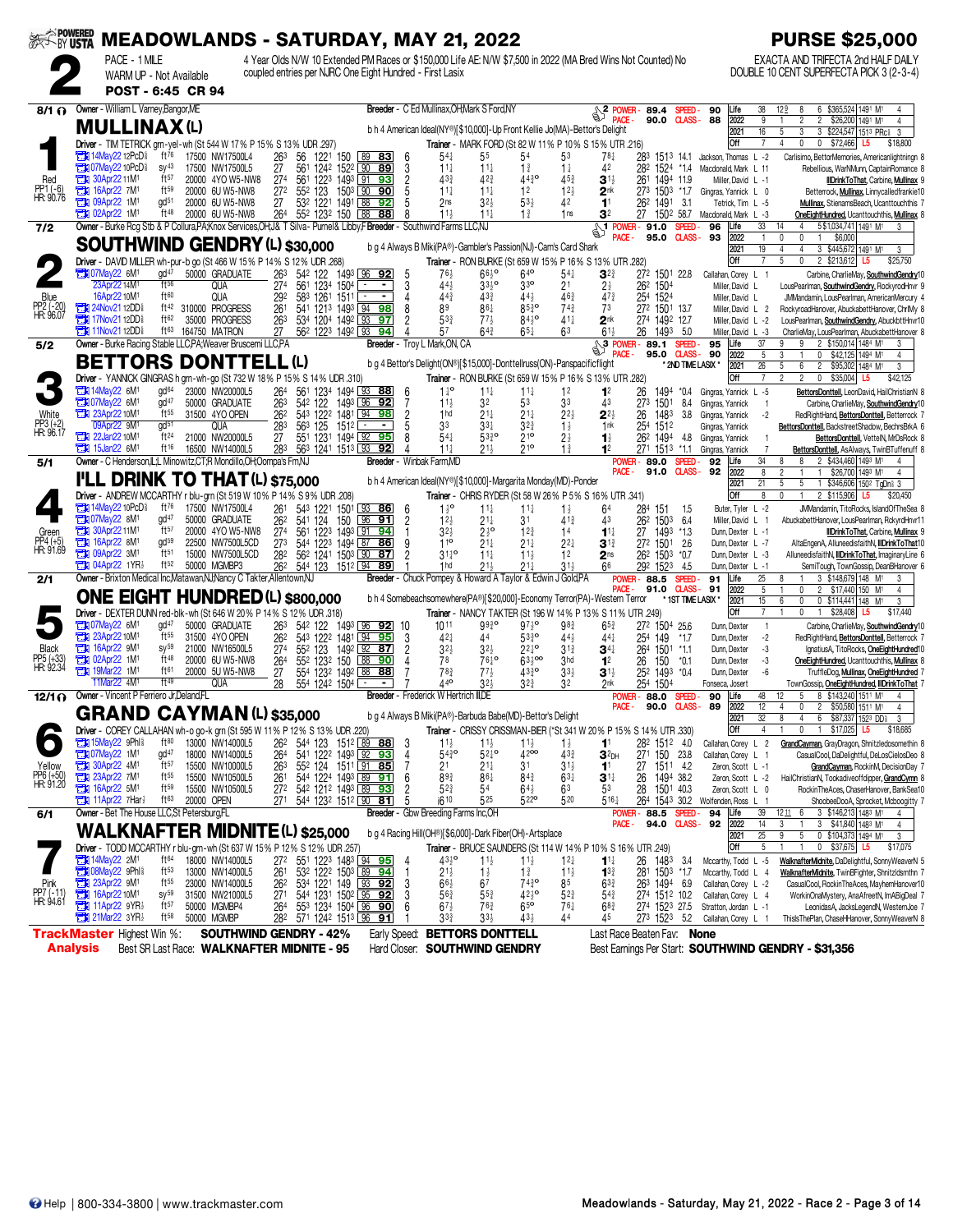|                                |                                                              |                               | ※< ivusta MEADOWLANDS - SATURDAY, MAY 21, 2022                                                                             |                                    |                                                                  |             |                                                          |                |                                    |                                                              |                                                                             |                                    |                                                                                                              |                                      |                         |                                                 |                        | <b>PURSE \$25,000</b>                                                                                                    |
|--------------------------------|--------------------------------------------------------------|-------------------------------|----------------------------------------------------------------------------------------------------------------------------|------------------------------------|------------------------------------------------------------------|-------------|----------------------------------------------------------|----------------|------------------------------------|--------------------------------------------------------------|-----------------------------------------------------------------------------|------------------------------------|--------------------------------------------------------------------------------------------------------------|--------------------------------------|-------------------------|-------------------------------------------------|------------------------|--------------------------------------------------------------------------------------------------------------------------|
|                                |                                                              | PACE - 1 MILE                 |                                                                                                                            |                                    |                                                                  |             |                                                          |                |                                    |                                                              |                                                                             |                                    | 4 Year Olds N/W 10 Extended PM Races or \$150,000 Life AE: N/W \$7,500 in 2022 (MA Bred Wins Not Counted) No |                                      |                         |                                                 |                        | EXACTA AND TRIFECTA 2nd HALF DAILY                                                                                       |
|                                |                                                              | WARM UP - Not Available       |                                                                                                                            |                                    |                                                                  |             | coupled entries per NJRC One Eight Hundred - First Lasix |                |                                    |                                                              |                                                                             |                                    |                                                                                                              |                                      |                         |                                                 |                        | DOUBLE 10 CENT SUPERFECTA PICK 3 (2-3-4)                                                                                 |
|                                |                                                              | POST - 6:45 CR 94             |                                                                                                                            |                                    |                                                                  |             |                                                          |                |                                    |                                                              |                                                                             |                                    |                                                                                                              |                                      |                         |                                                 |                        |                                                                                                                          |
| $8/1 \Omega$                   | Owner - William L Varney, Bangor, ME                         |                               |                                                                                                                            |                                    |                                                                  |             | Breeder - C Ed Mullinax, OH, Mark S Ford, NY             |                |                                    |                                                              |                                                                             |                                    | $\frac{1}{2}$ POWER-89.4                                                                                     |                                      | Speed -                 | Life<br>90                                      | 38                     | 6 \$365,524 1491 M1<br>129<br>8                                                                                          |
|                                | <b>MULLINAX(L)</b>                                           |                               |                                                                                                                            |                                    |                                                                  |             |                                                          |                |                                    |                                                              | b h 4 American Ideal(NY®)[\$10,000]-Up Front Kellie Jo(MA)-Bettor's Delight |                                    |                                                                                                              |                                      | 90.0 CLASS-88           | 2022                                            | 9<br>$\overline{16}$   | 2 \$26,200 1491 M1<br>$\overline{2}$<br>4                                                                                |
|                                |                                                              |                               | Driver - TIM TETRICK grn-yel-wh (St 544 W 17% P 15% S 13% UDR 297)                                                         |                                    |                                                                  |             |                                                          |                |                                    |                                                              |                                                                             |                                    | Trainer - MARK FORD (St 82 W 11% P 10% S 15% UTR 216)                                                        |                                      |                         | 2021<br>Off                                     | $\overline{7}$         | $\overline{3}$<br>3 \$224,547 1513 PRc 3<br>5<br>\$72,466<br>4<br>0<br>0<br>\$18,800<br>L5                               |
|                                | <b>EDI 14May22 12PcD</b>                                     | ft76                          | 17500 NW17500L4                                                                                                            | 263                                | 56                                                               |             | 122 <sup>1</sup> 150 89 83                               | 6              | $54\frac{1}{4}$                    | 55                                                           | 54                                                                          | 53                                 |                                                                                                              | 28 <sup>3</sup> 151 <sup>3</sup> 141 |                         | Jackson, Thomas L -2                            |                        | Carlisimo, BettorMemories, Americanlightningn 8                                                                          |
|                                | <b>EN 07May22 10PcD</b>                                      | $SV^{43}$                     | 17500 NW17500L5                                                                                                            | 27                                 | 561 1242 1522 90 89                                              |             |                                                          | 3              | $11\frac{1}{4}$                    | $11\frac{1}{4}$                                              | $1\frac{3}{4}$                                                              | $1\frac{1}{4}$                     | 42                                                                                                           | 282 1524 *14                         |                         | Macdonald, Mark L 11                            |                        | Rebellious, WarNMunn, CaptainRomance 8                                                                                   |
| Red<br>PP1 (-6)<br>HR: 90.76   | <b>Extra 30Apr22 11M<sup>1</sup></b><br><b>EX 16Apr22 7M</b> | ft <sub>57</sub><br>$ft^{59}$ | 20000 4YO W5-NW8<br>20000 6U W5-NW8                                                                                        | 27 <sup>4</sup><br>27 <sup>2</sup> | 561 1223 1493 91 93<br>552 123                                   |             | 1503 90 90                                               | $\frac{2}{5}$  | 433<br>$11\frac{1}{4}$             | $42\frac{3}{4}$<br>$11\frac{1}{4}$                           | 4430<br>1 <sup>2</sup>                                                      | $45\frac{3}{4}$<br>12 <sub>3</sub> | $3^{11}$<br>2 <sup>nk</sup>                                                                                  | 261<br>1494 11.9<br>273 1503 *1.7    |                         | Miller, David L -1<br>Gingras, Yannick L 0      |                        | IIDrinkToThat, Carbine, Mullinax 9<br>Betterrock, Mullinax, Linnycalledfrankie10                                         |
|                                | 7 to 09Apr22 1M                                              | gd <sup>51</sup>              | 20000 6U W5-NW8                                                                                                            | 27                                 | 532 1221 1491 88                                                 |             | 92                                                       |                | 2 <sub>ns</sub>                    | $32\frac{1}{2}$                                              | $53\frac{1}{2}$                                                             | 42                                 | 11                                                                                                           | 26 <sup>2</sup> 1491 3.1             |                         | Tetrick, Tim L -5                               |                        | Mullinax, StienamsBeach, Ucanttouchthis 7                                                                                |
|                                | <b>EN 02Apr22 1M1</b>                                        | $ft^{48}$                     | 20000 6U W5-NW8                                                                                                            | 264                                | 552 1232 150                                                     |             | 88 88                                                    |                | $11\frac{1}{2}$                    | $11\frac{1}{4}$                                              | $1\frac{3}{4}$                                                              | 1 <sub>ns</sub>                    | 3 <sup>2</sup>                                                                                               | 1502 58.7<br>27                      |                         | Macdonald, Mark L -3                            |                        | OneEightHundred, Ucanttouchthis, Mullinax 8                                                                              |
| 7/2                            |                                                              |                               | Owner - Burke Rcg Stb & P Collura, PA; Knox Services, OH; J& T Silva - Purnel & Libby, F Breeder - Southwind Farms LLC, NJ |                                    |                                                                  |             |                                                          |                |                                    |                                                              |                                                                             |                                    | <b>S1</b> POWER - 91.0<br>PACE -                                                                             | 95.0                                 | SPEED-<br>$QASS - 93$   | 96<br>Life<br>2022                              | 33<br>$\mathbf{1}$     | 14<br>$\overline{4}$<br>5\$1,034,741 1491 M1<br>$\mathbf{0}$<br>$\mathbf 0$<br>\$6,000                                   |
|                                |                                                              |                               | <b>SOUTHWIND GENDRY (L) \$30,000</b>                                                                                       |                                    |                                                                  |             |                                                          |                |                                    |                                                              | b g 4 Always B Miki(PA®)-Gambler's Passion(NJ)-Cam's Card Shark             |                                    |                                                                                                              |                                      |                         | 2021                                            | 19                     | $\overline{4}$<br>4<br>3 \$445,672 1491 M1<br>3                                                                          |
|                                | <b>EX 07May22 6M1</b>                                        | gd <sup>47</sup>              | Driver - DAVID MILLER wh-pur-b go (St 466 W 15% P 14% S 12% UDR .268)<br>50000 GRADUATE                                    |                                    |                                                                  |             |                                                          |                | 764                                |                                                              | $64^{\circ}$                                                                |                                    | Trainer - RON BURKE (St 659 W 15% P 16% S 13% UTR .282)                                                      |                                      |                         | Off                                             |                        | $\mathbf 0$<br>2 \$213,612<br>5<br>\$25,750<br>L5                                                                        |
|                                | 23Apr22 14M                                                  | ft56                          | QUA                                                                                                                        | 263<br>274                         | 542 122 1493 96 92<br>561 1234 1504                              |             |                                                          | 5<br>3         | $44\frac{1}{2}$                    | $66\frac{1}{2}$ <sup>o</sup><br>$33\frac{1}{2}$ <sup>o</sup> | $3^{30}$                                                                    | $54\frac{1}{4}$<br>21              | $3^{2}$<br>$2\frac{1}{2}$                                                                                    | 272 1501 228<br>262 1504             |                         | Callahan, Corey L 1<br>Miller, David L          |                        | Carbine, CharlieMay, SouthwindGendry10<br>LousPearlman, SouthwindGendry, RockyrodHnvr 9                                  |
|                                | 16Apr22 10M <sup>1</sup>                                     | ft60                          | QUA                                                                                                                        | 292                                | 583 1261                                                         | 1511 ⊡      |                                                          |                | $44\frac{3}{4}$                    | 433                                                          | 44}                                                                         | 463                                | $47\frac{3}{4}$                                                                                              | 254 1524                             |                         | Miller, David L                                 |                        | JMMandamin, LousPearlman, AmericanMercury 4                                                                              |
| Blue<br>PP2 (-20)<br>HR: 96.07 | <b>EDI</b> 24Nov21 12DD<br><b>EDI</b> 17Nov21 12DD           | ft42<br>ft62                  | 310000 PROGRESS<br>35000 PROGRESS                                                                                          | 261<br>263                         | 541 1213 1493 94 98<br>534 1204 1492 93                          |             | 97                                                       | 8              | 89<br>533                          | $86\frac{1}{4}$<br>$77\frac{1}{2}$                           | $85^{30}$<br>$84^{10}$                                                      | $74\frac{3}{4}$<br>$41\frac{1}{4}$ | 73<br>2 <sup>nk</sup>                                                                                        | 272 1501 13.7<br>274 1492 12.7       |                         | Miller, David L 2<br>Miller, David L -2         |                        | RockyroadHanover, AbuckabettHanover, ChrlMy 8<br>LousPearlman, SouthwindGendry, AbuckbttHnvr10                           |
|                                | <b>EN 11Nov2112DD</b>                                        | ft63                          | 164750 MATRON                                                                                                              | 27                                 | 56 <sup>2</sup> 122 <sup>3</sup> 149 <sup>2</sup> 93 94          |             |                                                          |                | 57                                 | $64\frac{3}{4}$                                              | $65\frac{1}{4}$                                                             | 63                                 | $61\frac{1}{2}$                                                                                              | 26 1493                              | - 5.0                   | Miller, David L -3                              |                        | CharlieMay, LousPearlman, AbuckabettHanover 8                                                                            |
| 5/2                            |                                                              |                               | Owner - Burke Racing Stable LLC, PA; Weaver Bruscemi LLC, PA                                                               |                                    |                                                                  |             | Breeder - Troy L Mark, ON, CA                            |                |                                    |                                                              |                                                                             |                                    | $\frac{1}{2}$ <sup>3</sup> POWER-89.1                                                                        |                                      | SPEED-                  | 95<br>Life                                      | 37                     | 2 \$150,014 1484 M1<br>9<br>9                                                                                            |
|                                |                                                              |                               | <b>BETTORS DONTTELL (L)</b>                                                                                                |                                    |                                                                  |             |                                                          |                |                                    |                                                              | b g 4 Bettor's Delight(ON®)[\$15,000]-Donttellruss(ON)-Panspacificflight    |                                    | PACE -                                                                                                       | 95.0 CLASS-                          | * 2ND TIME LASIX *      | 90<br>2022<br>2021                              | 5<br>26                | 3<br>$\mathbf{1}$<br>$\mathbf{0}$<br>\$42,125 1494 M1<br>4<br>5<br>6<br>$\overline{\mathbf{2}}$<br>\$95,302 1484 M1<br>3 |
|                                |                                                              |                               | Driver - YANNICK GINGRAS h grn-wh-go (St 732 W 18% P 15% S 14% UDR 310)                                                    |                                    |                                                                  |             |                                                          |                |                                    |                                                              |                                                                             |                                    | Trainer - RON BURKE (St 659 W 15% P 16% S 13% UTR .282)                                                      |                                      |                         | Off                                             |                        | $\overline{2}$<br>$\overline{2}$<br>$\mathbf 0$<br>\$35,004 L5<br>\$42,125                                               |
|                                | <b>EN 14May22 6M1</b>                                        | gd <sup>64</sup>              | 23000 NW20000L5                                                                                                            | 264                                | 561 1234 1494 93 88                                              |             |                                                          | 6              | $1^{10}$                           | $11\frac{1}{4}$                                              | $11\frac{1}{4}$                                                             | 1 <sup>2</sup>                     | 1 <sup>2</sup>                                                                                               | 26<br>1494                           | *0.4                    | Gingras, Yannick L -5                           |                        | BettorsDonttell, LeonDavid, HailChristianN 8                                                                             |
| White                          | <b>EN 07May22 6M1</b><br>23Apr22 10M1                        | gd <sup>47</sup><br>$ft^{55}$ | 50000 GRADUATE<br>31500 4YO OPEN                                                                                           | 263<br>262                         | 542 122<br>543 1222 1481 94 98                                   |             | 1493 96 92                                               | 7              | $11\frac{1}{2}$<br>1 <sub>hd</sub> | 32<br>$21\frac{1}{4}$                                        | 53<br>21‡                                                                   | 33<br>$2^{2}$                      | 43<br>$2^{2}$                                                                                                | 273 1501<br>1483<br>26               | 84<br>3.8               | Gingras, Yannick<br>Gingras, Yannick            | -1<br>$-2$             | Carbine, CharlieMay, SouthwindGendry10<br>RedRightHand, BettorsDonttell, Betterrock 7                                    |
| PP3 (+2)<br>HR: 96.17          | 09Apr22 9M1                                                  | gd <sup>51</sup>              | QUA                                                                                                                        | 283                                | 563 125                                                          | $151^2$ $-$ | $\sim$                                                   | $\frac{2}{5}$  | 33                                 | $3^{3+}$                                                     | $3^{2^{3}}$                                                                 | $1\frac{1}{2}$                     | 1 <sub>nk</sub>                                                                                              | 25 <sup>4</sup><br>1512              |                         | Gingras, Yannick                                |                        | BettorsDonttell, BackstreetShadow, BechrsBrkA 6                                                                          |
|                                | <b>TEM</b> 22Jan22 10M <sup>1</sup>                          | ft <sup>24</sup>              | 21000 NW20000L5                                                                                                            | 27                                 | 551 1231 1494 92                                                 |             | 95                                                       |                | 54 <sup>1</sup>                    | 5330                                                         | 210<br>210                                                                  | $2\frac{1}{2}$                     | $\mathbf{1}$                                                                                                 | 262 1494                             | 4.8                     | Gingras, Yannick                                |                        | BettorsDonttell, VettelN, MrDsRock 8                                                                                     |
| 5/1                            | $15$ Jan22 6M <sup>1</sup>                                   | $ft^{16}$                     | 16500 NW14000L5<br>Owner - C Henderson, L.L Minowitz, CT, R Mondillo, OH, Oompa's Fm, NJ                                   | 283                                | 563 1241 1513 93                                                 |             | 92<br>Breeder - Winbak Farm, MD                          |                | $11\frac{1}{4}$                    | $21\frac{1}{2}$                                              |                                                                             | $1\frac{3}{4}$                     |                                                                                                              | 271 1513<br><b>POWER-89.0</b>        | *11<br>SPEED-           | Gingras, Yannick<br>92<br>Life                  | 34                     | BettorsDonttell, AsAlways, TwinBTuffenuff 8<br>2 \$434,460 1493 M1<br>8<br>4                                             |
|                                |                                                              |                               | <b>I'LL DRINK TO THAT (L) \$75,000</b>                                                                                     |                                    |                                                                  |             |                                                          |                |                                    |                                                              |                                                                             |                                    | PACE -                                                                                                       |                                      | 91.0 CLASS-92           | 2022                                            | 8                      | $\mathfrak{p}$<br>\$26,700 1493 M1<br>$\mathbf{1}$<br>4                                                                  |
|                                |                                                              |                               | Driver - ANDREW MCCARTHY r blu-grn (St 519 W 10% P 14% S 9% UDR .208)                                                      |                                    |                                                                  |             |                                                          |                |                                    |                                                              | b h 4 American Ideal(NY®)[\$10,000]-Margarita Monday(MD)-Ponder             |                                    | Trainer - CHRIS RYDER (St 58 W 26% P 5% S 16% UTR .341)                                                      |                                      |                         | 2021<br>Off                                     | 21<br>8                | 5<br>5<br>1 \$346,606 1502 TgDn 3<br>2 \$115,906 L5<br>0<br>$\mathbf{1}$<br>\$20,450                                     |
|                                | <b>The 14May22 10PcD</b>                                     | ft <sup>76</sup>              | 17500 NW17500L4                                                                                                            | 261                                | 543 1221 1501 93 86                                              |             |                                                          | 6              | $1\frac{1}{2}$ <sup>o</sup>        | $11\frac{1}{4}$                                              | $11\frac{1}{4}$                                                             | $1\frac{1}{2}$                     | 64                                                                                                           | 284 151                              | 1.5                     | Buter, Tyler L -2                               |                        | JMMandamin, TitoRocks, IslandOfTheSea 8                                                                                  |
|                                | <b>EX 07May22 8M1</b>                                        | gd <sup>47</sup>              | 50000 GRADUATE                                                                                                             | 262                                | 541 124                                                          | 150         | 96<br>91                                                 | $\overline{2}$ | $12\frac{1}{2}$                    | 21‡                                                          | 31                                                                          | $41\frac{3}{4}$                    | 43                                                                                                           | 262 1503                             | -6.4                    | Miller, David L 1                               |                        | AbuckabettHanover, LousPearlman, RckyrdHnvr11                                                                            |
| Green                          | <b>THE 30Apr2211M1</b><br>16Apr22 8M <sup>1</sup>            | ft57<br>gd <sup>59</sup>      | 20000 4YO W5-NW8<br>22500 NW7500L5CD                                                                                       | 274<br>273                         | 561 1223 1493 91 94<br>544 1223 1494 87 86                       |             |                                                          | 9              | $32\frac{1}{2}$<br>110             | $2\frac{1}{2}$ <sup>o</sup><br>$21\frac{1}{4}$               | $12\frac{3}{4}$<br>$21\frac{1}{4}$                                          | 14<br>$2^{2}$                      | $1^{11}$<br>$3^{13}$                                                                                         | 27 1493 *1.3<br>272 1501 2.6         |                         | Dunn, Dexter L -1<br>Dunn, Dexter L -7          |                        | IIDrinkToThat, Carbine, Mullinax 9<br>AltaEngenA, AlluneedisfaithN, IIDrinkToThat10                                      |
| PP4 (+5)<br>HR: 91.69          | <b>THE 09Apr22 3M1</b>                                       | $ft^{51}$                     | 15000 NW7500L5CD                                                                                                           | 282                                | 562 1241 1503 90 87                                              |             |                                                          | $\overline{2}$ | $31^{10}_{4}$                      | $11\frac{1}{4}$                                              | $11\frac{1}{2}$                                                             | 12                                 | 2 <sub>ns</sub>                                                                                              | 262 1503                             | $*0.7$                  | Dunn, Dexter L -3                               |                        | AlluneedisfaithN, IIIDrinkToThat, ImaginaryLine 6                                                                        |
|                                | <b>THE 04Apr22 1YR3</b>                                      | ft52                          | 50000 MGMBP3                                                                                                               | 262                                | 544 123 1512 94 89                                               |             |                                                          |                | 1 <sub>hd</sub>                    | 21}                                                          | $21\frac{1}{4}$                                                             | $31\frac{1}{2}$                    | 66                                                                                                           | 292 1523                             | - 4.5                   | Dunn, Dexter L -1                               |                        | SemiTough, TownGossip, DeanBHanover 6                                                                                    |
| 2/1                            |                                                              |                               | Owner - Brixton Medical Inc, Matawan, NJ; Nancy C Takter, Allentown, NJ                                                    |                                    |                                                                  |             |                                                          |                |                                    |                                                              | Breeder - Chuck Pompey & Howard A Taylor & Edwin J Gold, PA                 |                                    |                                                                                                              | <b>POWER-88.5</b><br>91.0            | SPEED-<br><b>CLASS-</b> | 91<br>Life<br>2022<br>91                        | 25<br>5                | 3 \$148,679 148 M1<br>8<br>3<br>$\overline{c}$<br>\$17,440 150 M <sup>1</sup><br>0<br>4                                  |
|                                |                                                              |                               | <b>ONE EIGHT HUNDRED (L) \$800,000</b>                                                                                     |                                    |                                                                  |             |                                                          |                |                                    |                                                              |                                                                             |                                    | b h 4 Somebeachsomewhere(PA®)[\$20,000]-Economy Terror(PA)-Western Terror                                    |                                      | * 1ST TIME LASIX *      | 2021                                            | 15                     | 6<br>0<br>0 \$114,441 148 M <sup>1</sup><br>3                                                                            |
|                                |                                                              |                               | Driver - DEXTER DUNN red-blk-wh (St 646 W 20% P 14% S 12% UDR .318)                                                        |                                    |                                                                  |             |                                                          |                |                                    |                                                              |                                                                             |                                    | Trainer - NANCY TAKTER (St 196 W 14% P 13% S 11% UTR 249)                                                    |                                      |                         | Off                                             | $\overline{7}$         | $\mathbf{0}$<br>\$28,408<br>$\mathbf{1}$<br>L5<br>\$17,440                                                               |
|                                | <b>EN 07May22 6M1</b><br><b>EN 23Apr22 10M1</b>              | gd <sup>47</sup><br>$ft^{55}$ | 50000 GRADUATE<br>31500 4YO OPEN                                                                                           | 263<br>262                         | 54 <sup>2</sup> 122 1493 96 92<br>543 1222 1481 94 95            |             | 10                                                       | 3              | 1011<br>421                        | 9930<br>44                                                   | $97\frac{1}{2}$ <sup>o</sup><br>$53^{30}_{4}$                               | 98 <sub>3</sub><br>$44\frac{1}{2}$ | $65^{3}$<br>441                                                                                              | 272 1504 25.6<br>254 149             | $*1.7$                  | Dunn, Dexter<br>Dunn, Dexter                    | $\overline{1}$<br>$-2$ | Carbine, CharlieMay, SouthwindGendry10<br>RedRightHand, BettorsDonttell, Betterrock 7                                    |
| Black                          | <b>EN 16Apr22 9M</b>                                         | $SV^{59}$                     | 21000 NW16500L5                                                                                                            | 27 <sup>4</sup>                    | 552 123                                                          |             | 1492 92 87                                               | $\overline{2}$ | $32\frac{1}{2}$                    | $32\frac{1}{2}$                                              | $22^{10}$                                                                   | $31\frac{3}{4}$                    | $34\frac{1}{4}$                                                                                              | 264 1501 *1.1                        |                         | Dunn, Dexter                                    | -3                     | IgnatiusA, TitoRocks, OneEightHundred10                                                                                  |
| PP5 (+33)<br>HR: 92.34         | <b>THE 02Apr22 1M</b><br><b>EN 19Mar22 1M1</b>               | ft48<br>ft61                  | 20000 6U W5-NW8                                                                                                            | 264                                | 552 1232 150<br>554 1232 1492 88 88                              |             | 88<br>90                                                 |                | 78<br>$78\frac{3}{4}$              | $76\frac{1}{4}$ <sup>o</sup><br>$77\frac{1}{2}$              | $63\frac{1}{2}$ 00<br>$43^{30}_{4}$                                         | 3hd<br>$33\frac{1}{2}$             | 1 <sup>2</sup>                                                                                               | 26<br>150                            | $*0.1$                  | Dunn, Dexter                                    | -3<br>-6               | OneEightHundred. Ucanttouchthis. Mullinax 8                                                                              |
|                                | 11Mar22 4M <sup>1</sup>                                      | ft49                          | 20000 5U W5-NW8<br>qua                                                                                                     | 27<br>28                           | 554 1242 1504 ∟                                                  |             |                                                          |                | 440                                | 323                                                          | $3^{2^{3}}$                                                                 | 32                                 | 3 <sup>1</sup><br>2nk                                                                                        | 252 1493 *0.4<br>254 1504            |                         | Dunn, Dexter<br>Fonseca, Josert                 |                        | TruffleDog, Mullinax, OneEightHundred 7<br>TownGossip, OneEightHundred, IIIDrinkToThat 7                                 |
|                                | 12/1 @ Owner - Vincent P Ferriero Jr, Deland, FL             |                               |                                                                                                                            |                                    |                                                                  |             | Breeder - Frederick W Hertrich III,DE                    |                |                                    |                                                              |                                                                             |                                    |                                                                                                              | <b>POWER-88.0</b>                    | SPEED-                  | 90<br>Life                                      | 48                     | 8 \$143,240 1511 M1<br>5                                                                                                 |
|                                |                                                              |                               | <b>GRAND CAYMAN (L) \$35,000</b>                                                                                           |                                    |                                                                  |             |                                                          |                |                                    |                                                              | b g 4 Always B Miki(PA®)-Barbuda Babe(MD)-Bettor's Delight                  |                                    | PACE -                                                                                                       | 90.0                                 | <b>CLASS</b> -          | 89<br>2022<br>2021                              | 12<br>32               | $\overline{c}$<br>\$50,580 1511 M1<br>4<br>$\mathbf{0}$<br>4<br>8<br>$\overline{4}$<br>6 \$87,337 1523 DD<br>3           |
|                                |                                                              |                               | Driver - COREY CALLAHAN wh-o go-k grn (St 595 W 11% P 12% S 13% UDR .220)                                                  |                                    |                                                                  |             |                                                          |                |                                    |                                                              |                                                                             |                                    | Trainer - CRISSY CRISSMAN-BIER (*St 341 W 20% P 15% S 14% UTR .330)                                          |                                      |                         | Off                                             | 4                      | $\mathbf 0$<br>1 \$17,025 L5<br>\$18,685                                                                                 |
|                                | <b>EN 15May22 9Phl&amp;</b>                                  | $ft^{80}$                     | 13000 NW14000L5                                                                                                            | 262                                | 544 123 1512 89 88                                               |             |                                                          | 3              | $11\frac{1}{2}$                    | $11\frac{1}{2}$                                              | $11\frac{1}{2}$                                                             | $1\frac{1}{2}$                     | 11                                                                                                           | 282 1512 4.0                         |                         | Callahan, Corey L 2                             |                        | GrandCayman, GrayDragon, Shnitzledosomethin 8                                                                            |
| Yellow                         | <b>Extra 07May22</b> 1M <sup>1</sup>                         | gd <sup>47</sup><br>ft57      | 18000 NW14000L5<br>15500 NW10000L5                                                                                         | 264<br>263                         | 541 1222 1493 92 93<br>552 124 1511 91 85                        |             |                                                          | 4              | $54^{30}_{4}$<br>2 <sup>1</sup>    | $52^{10}$<br>$21\frac{1}{4}$                                 | 4200<br>31                                                                  | $43\frac{3}{4}$<br>$31\frac{1}{2}$ | $32$ DH<br>1 <sup>1</sup>                                                                                    | 271 150 23.8<br>27 1511 4.2          |                         | Callahan, Corey L 1<br>Zeron, Scott L -1        |                        | CasualCool, DaDelightful, DeLosCielosDeo 8<br>GrandCayman, RockinM, DecisionDay 7                                        |
| PP6 (+50)<br>HR: 91.20         | 30Apr22 4M1<br>23Apr22 7M1                                   | $ft^{55}$                     | 15500 NW10500L5                                                                                                            | 261<br>272                         | 544 1224 1493 89 91                                              |             |                                                          | 6              | 893                                | $86\frac{1}{4}$                                              | $84\frac{3}{4}$                                                             | $63\frac{1}{4}$                    | $3^{11}$                                                                                                     | 1494 38.2<br>26                      |                         | Zeron, Scott L -2                               |                        | HailChristianN, Tookadiveoffdipper, GrandCymn 8                                                                          |
|                                | <b>EX 16Apr22 5M1</b>                                        | ft <sub>59</sub>              | 15500 NW10500L5                                                                                                            |                                    | 542 1212 1493 89 93                                              |             |                                                          |                | $5^{2^{3}}$                        | 54                                                           | $64\frac{1}{2}$                                                             | 63                                 | 53                                                                                                           | 28<br>1501 40.3                      |                         | Zeron, Scott L 0                                |                        | RockinTheAces, ChaserHanover, BankSea10                                                                                  |
|                                | 7Har?<br>Owner - Bet The House LLC, St Petersburg, FL        | ft63                          | 20000 OPEN                                                                                                                 | 271                                | 544 1232 1512 90 81                                              |             | Breeder - Gbw Breeding Farms Inc, OH                     |                | i610                               | 525                                                          | 5220                                                                        | 520                                | $5^{16}$                                                                                                     | POWER-88.5                           | SPEED-                  | 264 1543 30.2 Wolfenden, Ross L 1<br>94<br>Life | 39                     | ShoobeeDooA, Sprocket, Mcboogitty 7<br>12116<br>3 \$146,213 1483 M1<br>4                                                 |
| 6/1                            |                                                              |                               |                                                                                                                            |                                    |                                                                  |             |                                                          |                |                                    |                                                              |                                                                             |                                    | PACE -                                                                                                       | 94.0                                 | <b>CLASS-</b>           | 92<br>2022                                      | 14                     | 3<br>3 \$41,840 1483 M1<br>$\mathbf{1}$<br>4                                                                             |
|                                |                                                              |                               | <b>WALKNAFTER MIDNITE(L) \$25,000</b>                                                                                      |                                    |                                                                  |             |                                                          |                |                                    |                                                              | b g 4 Racing Hill(OH®)[\$6,000]-Dark Fiber(OH)-Artsplace                    |                                    |                                                                                                              |                                      |                         | 2021                                            | 25<br>5                | 0 \$104,373 1494 M1<br>9<br>5<br>3                                                                                       |
|                                | 2M1 14May22 2M1                                              | ft64                          | Driver - TODD MCCARTHY r blu-grn-wh (St 637 W 15% P 12% S 12% UDR .257)<br>18000 NW14000L5                                 | 272                                | 551 1223 1483 94 95                                              |             |                                                          | 4              | $43\frac{1}{2}$ <sup>o</sup>       | $11\frac{1}{2}$                                              | $11\frac{1}{2}$                                                             | $12\frac{1}{4}$                    | Trainer - BRUCE SAUNDERS (St 114 W 14% P 10% S 16% UTR .249)<br>$11\frac{1}{4}$                              | 26<br>1483                           | - 3.4                   | Off<br>Mccarthy, Todd L -5                      |                        | $0$ \$37,675<br>L5<br>\$17,075<br>WalknafterMidnite, DaDelightful, SonnyWeaverN 5                                        |
|                                | <b>TH</b> 08May22 9Phl <sup>§</sup>                          | $ft^{53}$                     | 13000 NW14000L5                                                                                                            | 261                                | $53^2$ 122 <sup>2</sup> 150 <sup>3</sup> 89 94                   |             |                                                          |                | $21\frac{1}{2}$                    | $1\frac{1}{2}$                                               | $1\frac{3}{4}$                                                              | $11\frac{1}{2}$                    | $13\frac{3}{4}$                                                                                              | 281 1503 *1.7                        |                         | Mccarthy, Todd L 4                              |                        | WalknafterMidnite, TwinBFighter, Shnitzldsmthn 7                                                                         |
|                                | 23Apr22 9M1<br>23 16Apr22 10M1                               | ft <sub>55</sub>              | 23000 NW14000L5                                                                                                            | $\frac{26^2}{27^1}$                |                                                                  |             |                                                          | 3              | $66\frac{1}{2}$                    | 67                                                           | 7439                                                                        | 85                                 | $63\frac{3}{4}$                                                                                              | 263 1494 6.9                         |                         | Callahan, Corey L -2                            |                        | CasualCool, RockinTheAces, MayhemHanover10                                                                               |
| PP7 (-11)<br>HR: 94.61         | <b>The 11Apr22 9YR</b>                                       | sy 59<br>$ft^{57}$            | 31500 NW21000L5<br>50000 MGMBP4                                                                                            | 264                                | 534 1221 149 93 92<br>544 1231 1502 95 92<br>553 1234 1504 96 90 |             |                                                          | 3<br>6         | $56\frac{3}{4}$<br>$67\frac{1}{2}$ | $5^{5^{3}_{4}}$<br>$76\frac{3}{4}$                           | $42\frac{1}{2}$ <sup>o</sup><br>$65\overline{0}$                            | $5^{2}$<br>$76\frac{1}{4}$         | $54\frac{3}{4}$<br>68 <sup>3</sup>                                                                           | 274 1512 10.2<br>274 1523 27.5       |                         | Callahan, Corey L 4<br>Stratton, Jordan L -1    |                        | WorkinOnaMystery, AnaAfreetN, ImABigDeal 7<br>LeonidasA, JacksLegendN, WesternJoe 7                                      |
|                                | <b>Extra 21Mar22 3YR</b>                                     | $ft^{58}$                     | 50000 MGMBP                                                                                                                | 282                                | 571 1242 1513 96 91                                              |             |                                                          |                | $3^{3^{3}_{4}}$                    | $33\frac{1}{2}$                                              | 43}                                                                         | 44                                 | 45                                                                                                           | 273 1523 5.2                         |                         | Callahan, Corey L 1                             |                        | ThislsThePlan, ChaseHHanover, SonnyWeaverN 8                                                                             |
|                                | <b>TrackMaster</b> Highest Win %:                            |                               | <b>SOUTHWIND GENDRY - 42%</b>                                                                                              |                                    |                                                                  |             | Early Speed:                                             |                |                                    | <b>BETTORS DONTTELL</b>                                      |                                                                             |                                    | Last Race Beaten Fav: None                                                                                   |                                      |                         |                                                 |                        |                                                                                                                          |
|                                | <b>Analysis</b>                                              |                               | Best SR Last Race: WALKNAFTER MIDNITE - 95                                                                                 |                                    |                                                                  |             |                                                          |                |                                    | Hard Closer: SOUTHWIND GENDRY                                |                                                                             |                                    |                                                                                                              |                                      |                         |                                                 |                        | Best Earnings Per Start: SOUTHWIND GENDRY - \$31,356                                                                     |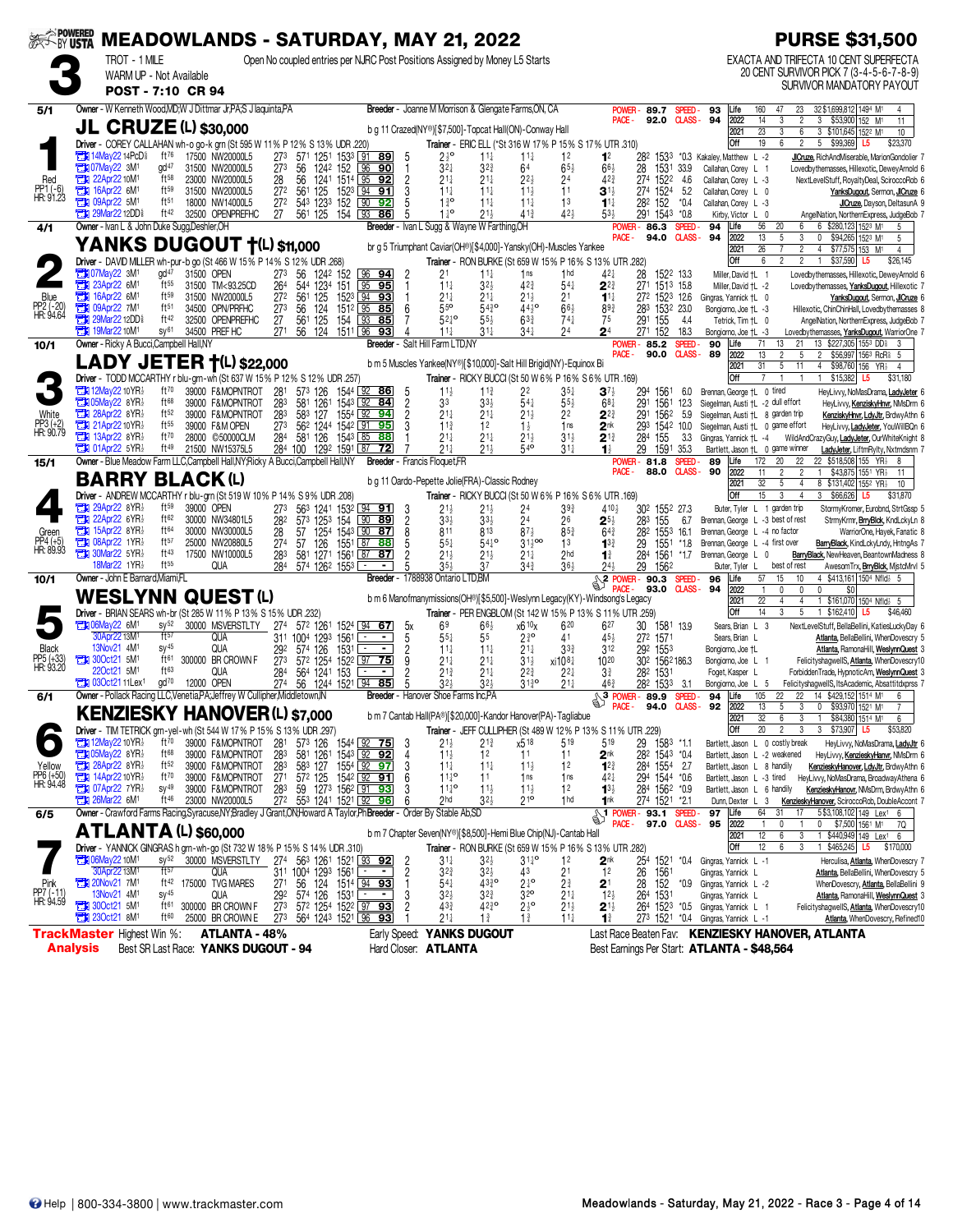| <b>EXAMPOWERED</b>             |                 |                                                                                |                                               | <b>MEADOWLANDS - SATURDAY, MAY 21, 2022</b>                                                                            |                                    |                                                       |                                                        |                     |                                           |                                                                             |                                                |                                                 |                                                                                                                                         |                                       |                         |                                                                           |                                              | <b>PURSE \$31,500</b>                                                                                      |
|--------------------------------|-----------------|--------------------------------------------------------------------------------|-----------------------------------------------|------------------------------------------------------------------------------------------------------------------------|------------------------------------|-------------------------------------------------------|--------------------------------------------------------|---------------------|-------------------------------------------|-----------------------------------------------------------------------------|------------------------------------------------|-------------------------------------------------|-----------------------------------------------------------------------------------------------------------------------------------------|---------------------------------------|-------------------------|---------------------------------------------------------------------------|----------------------------------------------|------------------------------------------------------------------------------------------------------------|
|                                |                 | TROT - 1 MILE                                                                  |                                               |                                                                                                                        |                                    |                                                       |                                                        |                     |                                           | Open No coupled entries per NJRC Post Positions Assigned by Money L5 Starts |                                                |                                                 |                                                                                                                                         |                                       |                         |                                                                           |                                              | EXACTA AND TRIFECTA 10 CENT SUPERFECTA                                                                     |
|                                |                 |                                                                                | WARM UP - Not Available<br>POST - 7:10 CR 94  |                                                                                                                        |                                    |                                                       |                                                        |                     |                                           |                                                                             |                                                |                                                 |                                                                                                                                         |                                       |                         |                                                                           |                                              | 20 CENT SURVIVOR PICK 7 (3-4-5-6-7-8-9)<br>SURVIVOR MANDATORY PAYOUT                                       |
| 5/1                            |                 |                                                                                |                                               | Owner - W Kenneth Wood, MD; W J Dittmar Jr, PA; S J laquinta, PA                                                       |                                    |                                                       |                                                        |                     |                                           | Breeder - Joanne M Morrison & Glengate Farms, ON, CA                        |                                                |                                                 | POWER-                                                                                                                                  | 89.7                                  | SPEED-                  | 160<br>93<br>Life                                                         | 47<br>23                                     | 32 \$1,699,812 1494 M1<br>4                                                                                |
|                                |                 |                                                                                |                                               | <b>JL CRUZE (L) \$30,000</b>                                                                                           |                                    |                                                       |                                                        |                     |                                           | b q 11 Crazed(NY®)[\$7,500]-Topcat Hall(ON)-Conway Hall                     |                                                |                                                 | PACE -                                                                                                                                  | 92.0                                  | <b>CLASS-</b>           | 94<br>2022<br>14<br>$\overline{23}$<br>2021                               | $\overline{c}$<br>3<br>$\overline{3}$<br>6   | 3 \$53,900 152 M1<br>11<br>3 \$101,645 1522 M1<br>10                                                       |
|                                |                 |                                                                                |                                               | Driver - COREY CALLAHAN wh-o go-k grn (St 595 W 11% P 12% S 13% UDR .220)                                              |                                    |                                                       |                                                        |                     |                                           |                                                                             |                                                |                                                 | Trainer - ERIC ELL (*St 316 W 17% P 15% S 17% UTR .310)                                                                                 |                                       |                         | Off<br>19                                                                 | 6<br>$\overline{\mathbf{c}}$                 | 5 \$99,369<br>\$23,370<br>L5                                                                               |
|                                |                 | <b>The 14May 22 14PcD</b> $\frac{5}{8}$<br><b>EX 07May22 3M1</b>               | ft76<br>qd <sup>47</sup>                      | 17500 NW20000L5<br>31500 NW20000L5                                                                                     | 273<br>56<br>273                   | 571 1251 1533 91 89<br>1242 152                       | 96<br>90                                               | 5<br>$\mathbf{1}$   | $2\frac{1}{2}$ <sup>o</sup><br>$3^{2+}$   | $11\frac{1}{4}$<br>$3^{2^{3}}$                                              | $11\frac{1}{4}$<br>64                          | 1 <sup>2</sup><br>$65\frac{1}{2}$               | 1 <sup>2</sup><br>$66\frac{1}{2}$                                                                                                       | 1533<br>282<br>28<br>1531             | 33.9                    | *0.3 Kakaley, Matthew L -2<br>Callahan, Corey L 1                         |                                              | JICruze, RichAndMiserable, MarionGondolier 7<br>Lovedbythemasses, Hillexotic, DeweyArnold 6                |
| Red                            | а               | 22Apr22 10M <sup>1</sup><br><b>Ext 16Apr22 6M1</b>                             | $ft^{58}$<br>ft59                             | 23000 NW20000L5<br>31500 NW20000L5                                                                                     | 56<br>28<br>272                    | 1241<br>561 125                                       | 1514 95 92<br>152 <sup>3</sup> 94 91                   | $\overline{c}$<br>3 | $21\frac{1}{4}$<br>$11\frac{1}{4}$        | $21\frac{1}{4}$<br>$11\frac{1}{4}$                                          | 2 <sup>2</sup><br>$11\frac{1}{2}$              | 24<br>11                                        | 42 <sup>3</sup><br>$3^{1}$                                                                                                              | 274<br>1522<br>274 1524               | 4.6<br>5.2              | Callahan, Corev L -3<br>Callahan, Corey L 0                               |                                              | NextLevelStuff, RoyaltyDeal, SciroccoRob 6<br>YanksDugout, Sermon, JICruze 6                               |
| PP1 (-6)<br>HR: 91.23          | а               | 09Apr22 5M1                                                                    | $ft^{51}$                                     | 18000 NW14000L5                                                                                                        | 272                                | 543 1233<br>152                                       | 90<br>92                                               | 5                   | $1\frac{3}{4}$ <sup>o</sup>               | $11\frac{1}{2}$                                                             | $11\frac{1}{4}$                                | 1 <sup>3</sup>                                  | $11\frac{1}{4}$                                                                                                                         | 282 152                               | $*0.4$                  | Callahan, Corey L -3                                                      |                                              | JICruze, Dayson, DeltasunA 9                                                                               |
| 4/1                            |                 | <b>TEM 29Mar22 12DD&amp;</b><br>Owner - Ivan L & John Duke Sugg, Deshler, OH   | ft42                                          | 32500 OPENPREFHC                                                                                                       | 27                                 | 561 125                                               | 154 93 86                                              | 5                   | $1\frac{1}{4}$ <sup>o</sup>               | $21\frac{1}{2}$<br>Breeder - Ivan L Sugg & Wayne W Farthing, OH             | 41 <sup>3</sup>                                | 424                                             | $53\frac{1}{2}$<br>POWER-                                                                                                               | 291 1543<br>86.3                      | $*0.8$<br>SPEED-        | Kirby, Victor L 0<br>56<br>94<br>Life                                     | 20<br>6                                      | AngelNation, NorthernExpress, JudgeBob 7<br>6 \$280,123 1523 M1<br>5                                       |
|                                |                 |                                                                                |                                               | <b>YANKS DUGOUT †(L) \$11,000</b>                                                                                      |                                    |                                                       |                                                        |                     |                                           | br g 5 Triumphant Caviar(OH®)[\$4,000]-Yansky(OH)-Muscles Yankee            |                                                |                                                 | PACE -                                                                                                                                  | 94.0                                  | <b>CLASS-</b>           | 94<br>2022<br>13<br>2021<br>26                                            | 5<br>3<br>$\overline{2}$                     | $\mathbf{0}$<br>\$94,265 1523 M1<br>5<br>4<br>$$77,575$ 153 M <sup>1</sup><br>$\overline{4}$               |
|                                |                 |                                                                                |                                               | Driver - DAVID MILLER wh-pur-b go (St 466 W 15% P 14% S 12% UDR .268)                                                  |                                    |                                                       |                                                        |                     |                                           |                                                                             |                                                |                                                 | Trainer - RON BURKE (St 659 W 15% P 16% S 13% UTR .282)                                                                                 |                                       |                         | Off<br>6                                                                  | $\overline{2}$<br>$\overline{2}$             | $\mathbf{1}$<br>\$37,590 L5<br>\$26,145                                                                    |
|                                |                 | <b>Et 07May22 3M1</b><br>23Apr22 6M1                                           | gd <sup>47</sup><br>ft55                      | 31500 OPEN<br>31500 TM<93.25CD                                                                                         | 27 <sup>3</sup><br>26 <sup>4</sup> | 56 1242 152<br>544 1234 151                           | $96$ <b>94</b><br>$95$ 95                              | -2<br>-1            | 21<br>$11\frac{1}{4}$                     | $11\frac{1}{4}$<br>$3^{2}\frac{1}{2}$                                       | 1 <sub>ns</sub><br>423                         | 1 <sub>hd</sub><br>$54\frac{1}{4}$              | $42\frac{1}{4}$<br>$2^{2}$                                                                                                              | 28<br>1522 13.3<br>271 1513 15.8      |                         | Miller, David +L 1<br>Miller, David +L -2                                 |                                              | Lovedbythemasses, Hillexotic, DeweyArnold 6<br>Lovedbythemasses, YanksDugout, Hillexotic 7                 |
| Blue                           | a               | 16Apr22 6M <sup>1</sup>                                                        | $ft^{59}$                                     | 31500 NW20000L5                                                                                                        | 561<br>27 <sup>2</sup>             | 125                                                   | 1523 94 93                                             |                     | $21\frac{1}{4}$                           | 21‡                                                                         | 21                                             | 21                                              | $1^{1}$                                                                                                                                 | 272 1523 12.6                         |                         | Gingras, Yannick †L 0                                                     |                                              | YanksDugout, Sermon, JICruze 6                                                                             |
| PP2 (-20)<br>HR: 94.64         | а<br>П          | 09Apr22 7M1<br>29Mar22 12DD                                                    | ft <sub>51</sub><br>ft42                      | 34500 OPN/PRFHC<br>32500 OPENPREFHC                                                                                    | 56<br>273<br>27<br>561             | 124<br>125<br>154                                     | $151^2$ 35<br>85<br>93<br>85                           | 6<br>7              | 55 <sup>o</sup><br>$52^{10}$              | $54^{30}_{4}$<br>$55\frac{1}{2}$                                            | $44^{10}_{2}$<br>$63\frac{3}{4}$               | $66\frac{1}{2}$<br>$74\frac{1}{4}$              | $89\frac{3}{4}$<br>75                                                                                                                   | 283 1532 23.0<br>291<br>155           | 4.4                     | Bongiorno, Joe +L -3<br>Tetrick, Tim +L 0                                 |                                              | Hillexotic, ChinChinHall, Lovedbythemasses 8<br>AngelNation, NorthernExpress, JudgeBob 7                   |
| 10/1                           |                 | <b>TH</b> 19Mar22 10M <sup>1</sup><br>Owner - Ricky A Bucci, Campbell Hall, NY | SV <sup>61</sup>                              | 34500 PREF HC                                                                                                          | 271                                | 56 124                                                | 1511 96<br>93<br>Breeder -                             |                     | $11\frac{1}{4}$<br>Salt Hill Farm LTD, NY | $31\frac{1}{4}$                                                             | $34\frac{1}{4}$                                | 24                                              | 2 <sup>4</sup>                                                                                                                          | 271 152<br><b>POWER-85.2</b>          | 18.3<br>SPEED-          | Bongiorno, Joe †L -3<br>71<br>90<br>Life                                  | 21<br>13                                     | Lovedbythemasses, YanksDugout, WarriorOne 7<br>13 \$227,305 1553 DD<br>3                                   |
|                                |                 |                                                                                |                                               | LADY JETER +(L) \$22,000                                                                                               |                                    |                                                       |                                                        |                     |                                           | b m 5 Muscles Yankee(NY®)[\$10,000]-Salt Hill Brigid(NY)-Equinox Bi         |                                                |                                                 | PACE -                                                                                                                                  | 90.0                                  | CLASS-                  | 89<br>2022<br>13                                                          | 5                                            | \$56,997 1563 RcR \$5<br>$\overline{2}$                                                                    |
|                                |                 |                                                                                |                                               | Driver - TODD MCCARTHY r blu-grn-wh (St 637 W 15% P 12% S 12% UDR .257)                                                |                                    |                                                       |                                                        |                     |                                           |                                                                             |                                                |                                                 | Trainer - RICKY BUCCI (St 50 W 6% P 16% S 6% UTR .169)                                                                                  |                                       |                         | 2021<br>31<br>Off                                                         | 5<br>11                                      | 4 \$98,760 156 YR<br>$\overline{4}$<br>\$15,382<br>$\mathbf{1}$<br>\$31,180<br>L5                          |
|                                |                 | <b>TEX 12May22 10 YR</b><br><b>THI 05May22 8YR3</b>                            | ft70<br>ft68                                  | 39000 F&MOPNTROT<br>39000 F&MOPNTROT                                                                                   | 281                                | 573 126                                               | 1544 92 86                                             | 5                   | $11\frac{1}{2}$                           | $11\frac{3}{4}$                                                             | 22                                             | $35\frac{1}{4}$                                 | $3^{7}$                                                                                                                                 | 294<br>1561                           | 6.0                     | Brennan, George +L 0 tired                                                |                                              | HeyLivvy, NoMasDrama, LadyJeter 6                                                                          |
| White                          |                 | 28Apr22 8YR                                                                    | ft52                                          | 39000 F&MOPNTROT                                                                                                       | 283<br>283                         | 581 1261<br>583 127                                   | $1543$ $92$<br>84<br>1554 92 94                        | 2<br>2              | 33<br>$21\frac{1}{4}$                     | $33\frac{1}{2}$<br>$21\frac{1}{4}$                                          | $54\frac{1}{4}$<br>$21\frac{1}{2}$             | $55\frac{1}{2}$<br>22                           | 68 <sub>1</sub><br>$2^{2}$                                                                                                              | 291<br>1561<br>291<br>1562            | 12.3<br>5.9             | Siegelman, Austi +L -2 dull effort<br>Siegelman, Austi +L 8 garden trip   |                                              | HeyLivvy, KenziskyHnvr, NMsDrm 6<br>KenziskyHnvr, LdyJtr, BrdwyAthn 6                                      |
| PP3 (+2)<br>HR: 90.79          |                 | $21$ Apr22 10 YR $\frac{1}{2}$<br><b>THE 13Apr22 8YR</b>                       | ft55<br>ft70                                  | 39000 F&M OPEN<br>28000 ©50000CLM                                                                                      | 273<br>284                         | 56 <sup>2</sup> 1244 1542 91 95<br>581 126            | $154^3$ $85$ <b>88</b>                                 | 3                   | $11\frac{3}{4}$<br>$21\frac{1}{4}$        | 1 <sup>2</sup><br>$21\frac{1}{4}$                                           | $1\frac{1}{2}$<br>21                           | 1 <sub>ns</sub><br>$31\frac{1}{2}$              | 2 <sup>nk</sup><br>$2^{13}$                                                                                                             | 293<br>1542 10.0<br>284<br>155        | 3.3                     | Siegelman, Austi +L 0 game effort<br>Gingras, Yannick †L -4               | WildAndC                                     | HeyLivvy, LadyJeter, YouWillBQn 6<br>azyGuy <b>, <u>LadyJeter</u>,</b> OurWhiteKnight 8                    |
|                                |                 | $14$ 01Apr22 5YR                                                               | ft49                                          | 21500 NW15375L5                                                                                                        |                                    | 284 100 1292 1591 87 72                               |                                                        |                     | $21\frac{1}{4}$                           | $21\frac{1}{2}$                                                             | 540                                            | $31\frac{1}{4}$                                 | $\mathbf{1}^{\frac{1}{2}}$                                                                                                              | 29<br>1591                            | 35.3                    | Bartlett, Jason +L 0 game winner                                          |                                              | LadyJeter, LiftmRylty, Nxtrndsnm 7                                                                         |
| 15/1                           |                 |                                                                                |                                               | Owner - Blue Meadow Farm LLC,Campbell Hall,NY;Ricky A Bucci,Campbell Hall,NY                                           |                                    |                                                       |                                                        |                     | <b>Breeder</b> - Francis Floquet, FR      |                                                                             |                                                |                                                 | POWER-<br>PACE -                                                                                                                        | 81.8<br>88.0                          | SPEED-<br><b>CLASS-</b> | 172<br>89<br>Life<br>90<br>2022<br>11                                     | 22<br>20<br>$\overline{c}$<br>$\overline{2}$ | 22 \$518,508 155 YR} 8<br>\$43,875 1551 YR <sub>2</sub><br>$\overline{1}$<br>11                            |
|                                |                 |                                                                                |                                               | <b>BARRY BLACK(L)</b><br>Driver - ANDREW MCCARTHY r blu-grn (St 519 W 10% P 14% S 9% UDR .208)                         |                                    |                                                       |                                                        |                     |                                           | b g 11 Oardo-Pepette Jolie (FRA) - Classic Rodney                           |                                                |                                                 | Trainer - RICKY BUCCI (St 50 W 6% P 16% S 6% UTR .169)                                                                                  |                                       |                         | 32<br>2021<br>Off<br>15                                                   | 5<br>4<br>3<br>4                             | 8 \$131,402 1552 YR<br>10<br>3 \$66,626<br>\$31,870<br>L5                                                  |
|                                | О               | 29Apr22 8YR}                                                                   | ft59                                          | 39000 OPEN                                                                                                             | 273                                | 563 1241 1532 94 91                                   |                                                        | -3                  | $21\frac{1}{2}$                           | $21\frac{1}{2}$                                                             | 24                                             | 39 <sub>3</sub>                                 | 4104                                                                                                                                    | 30 <sup>2</sup> 155 <sup>2</sup> 27.3 |                         | Buter, Tyler L 1 garden trip                                              |                                              | StormyKromer, Eurobnd, StrtGssp 5                                                                          |
| Green                          |                 | 22Apr22 $6YR\frac{1}{2}$<br><b>EN 15Apr22 8YR</b>                              | ft62<br>ft64                                  | 30000 NW34801L5<br>30000 NW30000L5                                                                                     | 282<br>28                          | 573 1253<br>154<br>57 1254 1543 90 87                 | 90 89                                                  | $\frac{2}{8}$       | $3^{3}$<br>811                            | $3^{3}\frac{1}{2}$<br>813                                                   | 24<br>$87\frac{1}{2}$                          | 26<br>$85\frac{3}{4}$                           | $2^{5}$<br>$64\frac{3}{4}$                                                                                                              | 283<br>155<br>282<br>1553             | 6.7<br>16.1             | Brennan, George L -3 best of rest<br>Brennan, George L -4 no factor       |                                              | StrmyKrmr, <b>BrryBlck</b> , KndLckyLn 8<br>WarriorOne, Hayek, Fanatic 8                                   |
| PP4 (+5)<br>HR: 89.93          | О               | 08Apr22 1YR}<br>$\mathbb{T}$ 30Mar22 5YR}                                      | ft57<br>ft43                                  | 25000 NW20880L5<br>17500 NW10000L5                                                                                     | 274<br>57<br>283                   | 126<br>1551<br>581 1271 1561 87                       | 87<br>88<br> 87                                        | 5<br>2              | $55\frac{1}{4}$<br>$21\frac{1}{2}$        | $54^{10}$<br>$21\frac{1}{2}$                                                | $31\frac{1}{2}$ 00<br>$21\frac{1}{4}$          | 1 <sup>3</sup><br>2 <sub>hd</sub>               | $13^{3}_{4}$<br>$1\frac{3}{4}$                                                                                                          | 29<br>1551<br>284<br>1561             | $*1.8$<br>$*1.7$        | Brennan, George L -4 first over<br>Brennan, George L 0                    |                                              | BarryBlack, KindLckyLndy, HntngAs 7<br>BarryBlack, NewHeaven, BeantownMadness 8                            |
|                                |                 | 18Mar22 1YR}                                                                   | ft55                                          | QUA                                                                                                                    | 284                                | 574 1262 1553 L±                                      |                                                        | 5                   | $35\frac{1}{2}$                           | 37                                                                          | $34\frac{3}{4}$                                | 364                                             | 244                                                                                                                                     | 29<br>1562                            |                         | Buter, Tyler L                                                            | best of rest                                 | AwesomTrx, BrryBlck, MistcMrvl 5                                                                           |
| 10/1                           |                 | Owner - John E Barnard, Miami, FL                                              |                                               |                                                                                                                        |                                    |                                                       |                                                        |                     | Breeder - 1788938 Ontario LTD, BM         |                                                                             |                                                |                                                 | <b>EXAMPLE 20.3 SPEED</b><br>PACE -                                                                                                     | 93.0                                  | <b>CLASS-</b>           | 57<br>96<br>Life<br>2022<br>94<br>$\mathbf{1}$                            | 10<br>15<br>$\theta$<br>$\mathbf{0}$         | \$413,161 1504 Nfld} 5<br>4<br>$\theta$<br>\$0                                                             |
|                                |                 |                                                                                |                                               | <b>WESLYNN QUEST (L)</b><br>Driver - BRIAN SEARS wh-br (St 285 W 11% P 13% S 15% UDR .232)                             |                                    |                                                       |                                                        |                     |                                           |                                                                             |                                                |                                                 | b m 6 Manofmanymissions(OH®)[\$5,500]-Weslynn Legacy(KY)-Windsong's Legacy<br>Trainer - PER ENGBLOM (St 142 W 15% P 13% S 11% UTR .259) |                                       |                         | 2021<br>22<br>Off<br>14                                                   | 4<br>4<br>5<br>3                             | 1 \$161,070 1504 Nfld } 5<br>1 \$162,410<br>L5<br>\$46,460                                                 |
|                                |                 | <b>THE OGMay22 6M<sup>1</sup></b>                                              | SV <sup>52</sup>                              | 30000 MSVERSTLTY                                                                                                       | 27 <sup>4</sup>                    | 572 1261 1524 94                                      | <u>67 </u>                                             | 5x                  | 6 <sup>9</sup>                            | $66\frac{1}{2}$                                                             | x6 10x                                         | 620                                             | 627                                                                                                                                     | 30<br>1581 13.9                       |                         | Sears, Brian L 3                                                          |                                              | NextLevelStuff, BellaBellini, KatiesLuckyDay 6                                                             |
| Black                          |                 | 30Apr22 13M <sup>1</sup><br>13Nov21 4M <sup>1</sup>                            | ft57<br>$SV^{45}$                             | QUA<br><b>QUA</b>                                                                                                      | 311 1004 1293<br>292               | 1561<br>574 126                                       | $\overline{\phantom{0}}$<br>$1531 -$<br>$\blacksquare$ | 5<br>$\overline{c}$ | $55\frac{1}{4}$<br>$11\frac{1}{4}$        | 55<br>$11\frac{1}{4}$                                                       | 2 <sup>3</sup> °<br>21‡                        | 41<br>$3^{3}$                                   | 454<br>312                                                                                                                              | 272 1571<br>292 1553                  |                         | Sears, Brian L<br>Bongiorno, Joe +L                                       |                                              | Atlanta, BellaBellini, WhenDovescry 5<br>Atlanta, RamonaHill, WeslynnQuest 3                               |
| PP5 (+33)<br>HR: 93.20         |                 | $200ct21$ 5M <sup>1</sup>                                                      | ft61<br>ft63                                  | 300000 BR CROWN F                                                                                                      | 273                                | 572 1254                                              | 1522 97 75                                             | 9                   | $21\frac{1}{4}$                           | $21\frac{1}{4}$                                                             | $31\frac{1}{2}$                                | xi1081                                          | 1020                                                                                                                                    | 302 1562186.3                         |                         | Bongiorno, Joe L 1                                                        |                                              | FelicityshagwellS, Atlanta, WhenDovescry10                                                                 |
|                                |                 | 22Oct21 5M <sup>1</sup><br>$71030$ ct21 11 Lex <sup>1</sup>                    | $\mathrm{d} \mathrm{d} \mathrm{d} \mathrm{d}$ | <b>QUA</b><br>12000 OPEN                                                                                               | 284<br>274                         | 564 1241 153<br>56 1244 1521 94 85                    | $\blacksquare$                                         | 2                   | $21\frac{3}{4}$<br>32 <sub>7</sub>        | $21\frac{1}{4}$<br>$32\frac{1}{2}$                                          | $2^{2^{3}}$<br>3130                            | $2^{2}$<br>$21\frac{1}{4}$                      | $3\frac{3}{4}$<br>46 <sub>3</sub>                                                                                                       | 282<br>1531<br>282 1533               | -31                     | Foget, Kasper L<br>Bongiorno, Joe L 5                                     |                                              | ForbiddenTrade, HypnoticAm, WeslynnQuest 3<br>FelicityshagwellS, ItsAcademic, Absattitdxprss 7             |
| 6/1                            |                 |                                                                                |                                               | Owner - Pollack Racing LLC.Venetia.PA:Jeffrey W Cullipher.Middletown.IN                                                |                                    |                                                       |                                                        |                     | Breeder - Hanover Shoe Farms Inc.PA       |                                                                             |                                                |                                                 | PACE -                                                                                                                                  | 94.0                                  | SPEED.<br><b>CLASS-</b> | 105<br>94<br>Life<br>92<br>13<br>2022                                     | 22<br>22<br>5<br>3                           | 14 \$429,152 1514 M1<br>6<br>\$93,970 1521 M1<br>0                                                         |
|                                |                 |                                                                                |                                               | <b>KENZIESKY HANOVER (L) \$7,000</b>                                                                                   |                                    |                                                       |                                                        |                     |                                           | b m 7 Cantab Hall(PA®)[\$20,000]-Kandor Hanover(PA)-Tagliabue               |                                                |                                                 |                                                                                                                                         |                                       |                         | 2021<br>32                                                                | 6<br>3                                       | \$84,380 1514 M1<br>$\mathbf{1}$<br>6                                                                      |
|                                |                 | <b>2014 12May22 10 YR</b> 3                                                    | ft70                                          | Driver - TIM TETRICK grn-yel-wh (St 544 W 17% P 15% S 13% UDR .297)<br>39000 F&MOPNTROT                                | 28 <sup>1</sup>                    |                                                       |                                                        | 3                   | $21\frac{1}{2}$                           | 21}                                                                         | x518                                           | 519                                             | Trainer - JEFF CULLIPHER (St 489 W 12% P 13% S 11% UTR .229)<br>519                                                                     | 29<br>1583 *1.1                       |                         | Off<br>20<br>Bartlett, Jason L 0 costly break                             | $\overline{\mathbf{c}}$<br>3                 | 3 \$73,907 L5<br>\$53,820<br>HeyLivvy, NoMasDrama, LadyJtr 6                                               |
| Yellow                         |                 | <b>105May22 8YR</b><br>28Apr22 8YR                                             | $ft^{68}$<br>ft52                             | 39000 F&MOPNTROT                                                                                                       | 283<br>283                         | 57 <sup>3</sup> 126 1544 92 75<br>581 1261 1543 92 92 |                                                        | 4<br>3              | $11\frac{1}{2}$<br>$11\frac{1}{4}$        | 12<br>$11\frac{1}{4}$                                                       | 11                                             | 11<br>1 <sup>2</sup>                            | 2 <sup>nk</sup>                                                                                                                         | 282 1543 *0.4<br>284 1554 2.7         |                         | Bartlett, Jason L -2 weakened<br>Bartlett, Jason L 8 handily              |                                              | HeyLivvy, KenzieskyHanvr, NMsDrm 6                                                                         |
| PP6 (+50)<br>HR: 94.48         |                 | 14Apr22 10YR2                                                                  | $ft^{70}$                                     | 39000 F&MOPNTROT<br>39000 F&MOPNTROT                                                                                   | $\frac{27}{1}$                     | 583 127<br>$57^2$ 125                                 | 1554 92 97<br>1542 92 91                               | 6                   | $11^{10}_{4}$                             | 11                                                                          | $11\frac{1}{2}$<br>1 <sub>ns</sub>             | 1 <sub>ns</sub>                                 | $1^{2^{3}}$<br>$42\frac{1}{4}$                                                                                                          | 294 1544 *0.6                         |                         |                                                                           |                                              | KenzieskyHanover, LdyJtr, BrdwyAthn 6<br>Bartlett, Jason L -3 tired HeyLivvy, NoMasDrama, BroadwayAthena 6 |
|                                |                 | <b>124 07Apr22 7YR</b><br><b>EX 26Mar22 6M1</b>                                | $sy^{49}$<br>ft 46                            | 39000 F&MOPNTROT<br>23000 NW20000L5                                                                                    | 283                                | 59 1273 1562 91 93<br>272 553 1241 1521 92 96         |                                                        | 3<br>6              | $11^{10}_{4}$<br>2 <sub>hd</sub>          | $11\frac{1}{2}$<br>$32\frac{1}{2}$                                          | $11\frac{1}{2}$<br>210                         | 12<br>1 <sub>hd</sub>                           | $1^{3}\frac{1}{2}$<br>1nk                                                                                                               | 284 1562 *0.9<br>274 1521 *2.1        |                         | Bartlett, Jason L 6 handily<br>Dunn, Dexter L 3                           |                                              | KenzieskyHanovr, NMsDrm, BrdwyAthn 6<br>KenzieskyHanover, SciroccoRob, DoubleAccont 7                      |
| 6/5                            |                 |                                                                                |                                               | Owner - Crawford Farms Racing, Syracuse, NY; Bradley J Grant, ON; Howard A Taylor, Ph Breeder - Order By Stable Ab, SD |                                    |                                                       |                                                        |                     |                                           |                                                                             |                                                |                                                 | DAGE - 93.1 SPEED-<br><b>PACE -</b>                                                                                                     | 97.0 CLASS- 95                        |                         | 64<br>97<br>Life<br>2022<br>$\mathbf{1}$                                  | 31<br>17<br>0                                | 5\$3,108,102 149 Lex1<br>$\mathbf{0}$                                                                      |
|                                |                 |                                                                                |                                               | <b>ATLANTA (L) \$60,000</b>                                                                                            |                                    |                                                       |                                                        |                     |                                           | b m 7 Chapter Seven(NY®)[\$8,500]-Hemi Blue Chip(NJ)-Cantab Hall            |                                                |                                                 |                                                                                                                                         |                                       |                         | 12<br>2021                                                                | 6<br>3                                       | \$7,500 1561 M1 7Q<br>1 \$440,949 149 Lex <sup>1</sup> 6                                                   |
|                                |                 | <b>Extra 06May22 10M1</b>                                                      | $sy^{52}$                                     | Driver - YANNICK GINGRAS h grn-wh-go (St 732 W 18% P 15% S 14% UDR .310)<br>30000 MSVERSTLTY 274 563 1261 1521 93 92   |                                    |                                                       |                                                        |                     | $31\frac{1}{4}$                           | $3^{2}\frac{1}{2}$                                                          | $3^{14}$ °                                     | 1 <sup>2</sup>                                  | Trainer - RON BURKE (St 659 W 15% P 16% S 13% UTR .282)<br>2 <sup>nk</sup>                                                              |                                       |                         | Off<br>12<br>254 1521 *0.4 Gingras, Yannick L -1                          | 6<br>3                                       | 1 \$465,245 L5 \$170,000<br>Herculisa, Atlanta, WhenDovescry 7                                             |
|                                |                 | 30Apr22 13M <sup>1</sup>                                                       | ft57                                          | qua                                                                                                                    |                                    | 311 1004 1293 1561                                    | ł,                                                     | 2                   | $3^{2^{3}}$                               | $32\frac{1}{2}$                                                             | 43                                             | 2 <sup>1</sup>                                  | 1 <sup>2</sup>                                                                                                                          | 26<br>1561                            |                         | Gingras, Yannick L                                                        |                                              | Atlanta, BellaBellini, WhenDovescry 5                                                                      |
| Pink<br>PP7 (-11)<br>HR: 94.59 |                 | <b>EN 20Nov21 7M1</b><br>13Nov21 4M <sup>1</sup>                               | ft 42<br>$SV^{45}$                            | 175000 TVG MARES<br><b>QUA</b>                                                                                         | 27 <sup>1</sup><br>292             | 56 124<br>574 126                                     | 1514 94 93<br>$153^1$<br>$\blacksquare$                | 3                   | $54\frac{1}{4}$<br>$3^{2}$                | $43^{30}_{4}$<br>$3^{2^{3}}$                                                | $2\frac{1}{4}$ <sup>o</sup><br>32 <sup>o</sup> | $2\frac{3}{4}$                                  | 2 <sup>1</sup><br>$12\frac{1}{2}$                                                                                                       | 28<br>152<br>264 1531                 | *0.9                    | Gingras, Yannick L -2<br>Gingras, Yannick L                               |                                              | WhenDovescry, Atlanta, BellaBellini 9<br>Atlanta, RamonaHill, WeslynnQuest 3                               |
|                                |                 | $300ct21$ 5M <sup>1</sup><br><b>EN 230ct21 8M1</b>                             | ft61<br>ft60                                  | 300000 BR CROWN F<br>25000 BR CROWN E                                                                                  | 273<br>273                         | 572 1254 1522 97 93<br>564 1243 1521 96 93            |                                                        | $\overline{c}$      | $43\frac{3}{4}$<br>$21\frac{1}{4}$        | $42^{30}_{4}$<br>$1\frac{3}{4}$                                             | $2\frac{1}{2}$ <sup>o</sup><br>$1\frac{3}{4}$  | $2^{11}_{2}$<br>$2^{11}_{2}$<br>$11\frac{1}{4}$ | $2^{1\frac{1}{2}}$<br>$1\frac{3}{4}$                                                                                                    |                                       |                         | 264 1523 *0.5 Gingras, Yannick L 1<br>273 1521 *0.4 Gingras, Yannick L -1 |                                              | FelicityshagwellS, Atlanta, WhenDovescry10<br>Atlanta, WhenDovescry, Refined10                             |
|                                |                 | <b>TrackMaster Highest Win %:</b>                                              |                                               | ATLANTA - 48%                                                                                                          |                                    |                                                       |                                                        |                     |                                           | Early Speed: YANKS DUGOUT                                                   |                                                |                                                 | Last Race Beaten Fav:                                                                                                                   |                                       |                         | KENZIESKY HANOVER, ATLANTA                                                |                                              |                                                                                                            |
|                                | <b>Analysis</b> |                                                                                |                                               | Best SR Last Race: YANKS DUGOUT - 94                                                                                   |                                    |                                                       |                                                        |                     | Hard Closer: <b>ATLANTA</b>               |                                                                             |                                                |                                                 |                                                                                                                                         |                                       |                         | Best Earnings Per Start: ATLANTA - \$48,564                               |                                              |                                                                                                            |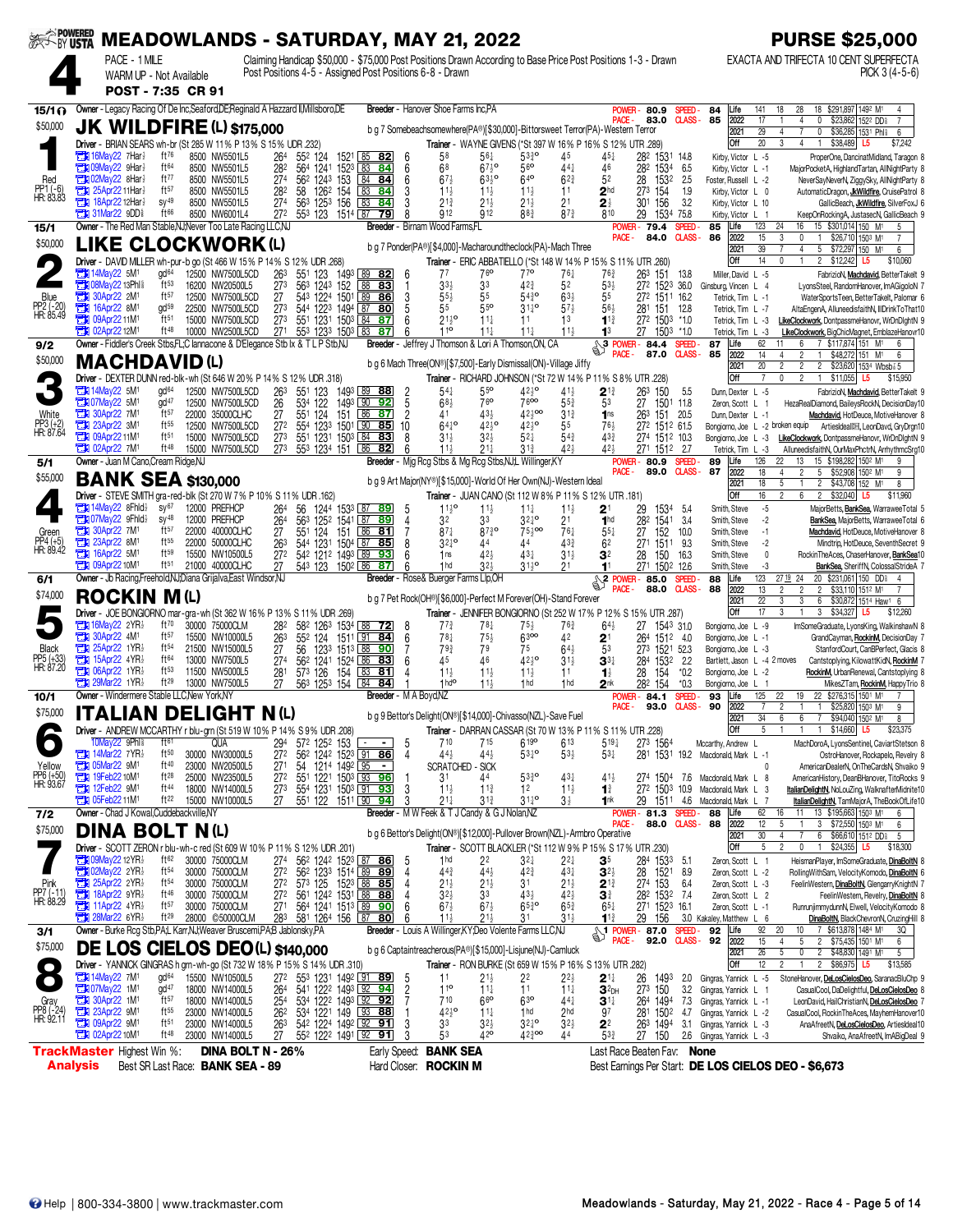|                                   |                                                 |                                                        |                                      | SER POWERED MEADOWLANDS - SATURDAY, MAY 21, 2022                                                     |                              |                                 |          |                                                                                                                    |                                  |                                                                                                                                                                           |                                           |                                                                                |                                    |                                   |                                                                   |                                |                                                   | <b>PURSE \$25,000</b>                                                                                                                                 |
|-----------------------------------|-------------------------------------------------|--------------------------------------------------------|--------------------------------------|------------------------------------------------------------------------------------------------------|------------------------------|---------------------------------|----------|--------------------------------------------------------------------------------------------------------------------|----------------------------------|---------------------------------------------------------------------------------------------------------------------------------------------------------------------------|-------------------------------------------|--------------------------------------------------------------------------------|------------------------------------|-----------------------------------|-------------------------------------------------------------------|--------------------------------|---------------------------------------------------|-------------------------------------------------------------------------------------------------------------------------------------------------------|
|                                   |                                                 | PACE - 1 MILE<br>WARM UP - Not Available               |                                      |                                                                                                      |                              |                                 |          |                                                                                                                    |                                  | Claiming Handicap \$50,000 - \$75,000 Post Positions Drawn According to Base Price Post Positions 1-3 - Drawn<br>Post Positions 4-5 - Assigned Post Positions 6-8 - Drawn |                                           |                                                                                |                                    |                                   |                                                                   |                                |                                                   | EXACTA AND TRIFECTA 10 CENT SUPERFECTA<br>PICK 3 (4-5-6)                                                                                              |
|                                   |                                                 | POST - 7:35 CR 91                                      |                                      | Owner - Legacy Racing Of De Inc, Seaford, DE; Reginald A Hazzard II, Millsboro, DE                   |                              |                                 |          |                                                                                                                    |                                  | <b>Breeder</b> - Hanover Shoe Farms Inc.PA                                                                                                                                |                                           |                                                                                |                                    |                                   | <b>POWER-80.9</b>                                                 | SPEED-                         | 84<br>Life<br>141                                 | 28<br>18 \$291,897 1492 M1<br>18                                                                                                                      |
| 15/1 <sub>0</sub><br>\$50,000     |                                                 |                                                        |                                      | <b>JK WILDFIRE (L) \$175,000</b>                                                                     |                              |                                 |          |                                                                                                                    |                                  | b g 7 Somebeachsomewhere(PA®)[\$30,000]-Bittorsweet Terror(PA)-Western Terror                                                                                             |                                           |                                                                                |                                    | PACE -                            | 83.0                                                              | <b>CLASS-</b>                  | 2022<br>85<br>17                                  | $\overline{4}$<br>0<br>\$23,862 1522 DD                                                                                                               |
|                                   |                                                 |                                                        |                                      | Driver - BRIAN SEARS wh-br (St 285 W 11% P 13% S 15% UDR .232)                                       |                              |                                 |          |                                                                                                                    |                                  |                                                                                                                                                                           |                                           | Trainer - WAYNE GIVENS (*St 397 W 16% P 16% S 12% UTR 289)                     |                                    |                                   |                                                                   |                                | 2021<br>29<br><b>Off</b><br>$20\,$                | $\overline{\mathbf{0}}$<br>\$36,285 1531 Phil<br>4<br>6<br>$\overline{4}$<br>\$38,489<br>3<br>$\overline{1}$<br>\$7,242<br>L5                         |
|                                   |                                                 | $\frac{1}{2}$ 16May22 7Har                             | ft76                                 | 8500 NW5501L5                                                                                        | 264                          | 552 124                         |          | 1521 85 82                                                                                                         | 6                                | 58                                                                                                                                                                        | 561                                       | $53^{30}_{4}$                                                                  | 45                                 |                                   | 282 1531 148                                                      |                                | Kirby, Victor L -5                                | ProperOne, DancinatMidland, Taragon 8                                                                                                                 |
| Red                               | т                                               | 09Mav22 9Har}<br><b>Eth 02May22 8Har</b> }             | ft64<br>ft77                         | 8500 NW5501L5<br>8500 NW5501L5                                                                       | 282<br>27 <sup>4</sup>       | 564 1241<br>562 1243 153        | 1523     | 83<br>-84<br>84 84                                                                                                 | 6<br>6                           | 68<br>$67\frac{1}{2}$                                                                                                                                                     | $67\frac{1}{2}$ <sup>o</sup><br>$63^{10}$ | 56 <sup>o</sup><br>640                                                         | 441<br>$62\frac{3}{4}$             | 46<br>52                          | 282 1534<br>28<br>1532                                            | 6.5<br>- 2.5                   | Kirby, Victor L -1<br>Foster, Russell L -2        | MajorPocketA, HighlandTartan, AllNightParty 8<br>NeverSavNeverN, ZiggvSkv, AllNightParty 8                                                            |
| PP1 (-6)<br>HR: 83.83             |                                                 | 25Apr22 11Har}                                         | ft57                                 | 8500 NW5501L5                                                                                        | 282                          | 58                              | 1262 154 | 83<br>84                                                                                                           | 3                                | $11\frac{1}{2}$                                                                                                                                                           | $11\frac{1}{2}$                           | $11\frac{1}{2}$                                                                | 11                                 | 2 <sup>hd</sup>                   | 273 154                                                           | 1.9                            | Kirby, Victor L 0                                 | AutomaticDragon, JkWildfire, CruisePatrol 8                                                                                                           |
|                                   | ъ<br><b>The 31Mar22 9DD&amp;</b>                | 18Apr22 12Har}                                         | $SV^{49}$<br>ft66                    | 8500 NW5501L5<br>8500 NW6001L4                                                                       | 27 <sup>4</sup><br>272       | 563 1253 156<br>553 123 1514 87 |          | 83<br>84<br>79                                                                                                     | 3<br>8                           | $21\frac{3}{4}$<br>912                                                                                                                                                    | $21\frac{1}{2}$<br><b>912</b>             | $21\frac{1}{2}$<br>88 <sup>3</sup>                                             | 2 <sup>1</sup><br>$87\frac{3}{4}$  | $2\frac{1}{2}$<br>810             | 30 <sup>1</sup><br>156<br>29                                      | 3.2<br>1534 75.8               | Kirby, Victor L 10<br>Kirby, Victor L 1           | GallicBeach, JkWildfire, SilverFoxJ 6<br>KeepOnRockingA, JustasecN, GallicBeach 9                                                                     |
| 15/1                              |                                                 |                                                        |                                      | Owner - The Red Man Stable, NJ; Never Too Late Racing LLC, NJ                                        |                              |                                 |          |                                                                                                                    |                                  | Breeder - Birnam Wood Farms.FL                                                                                                                                            |                                           |                                                                                |                                    |                                   | <b>POWER-79.4</b>                                                 | SPEED-                         | 123<br>85<br>Life                                 | 24<br>16<br>15 \$301,014 150 M <sup>1</sup><br>5                                                                                                      |
| \$50,000                          |                                                 |                                                        |                                      | LIKE CLOCKWORK(L)                                                                                    |                              |                                 |          |                                                                                                                    |                                  | b g 7 Ponder(PA®)[\$4,000]-Macharoundtheclock(PA)-Mach Three                                                                                                              |                                           |                                                                                |                                    | PACE -                            | 84.0                                                              | <b>CLASS-</b>                  | 86<br>2022<br>15<br>2021<br>39                    | 3<br>0<br>$\overline{1}$<br>\$26,710 1503 M1<br>7<br>4<br>5 \$72,297 150 M <sup>1</sup><br>6                                                          |
|                                   |                                                 |                                                        |                                      | Driver - DAVID MILLER wh-pur-b go (St 466 W 15% P 14% S 12% UDR .268)                                |                              |                                 |          |                                                                                                                    |                                  |                                                                                                                                                                           | 76 <sup>o</sup>                           | Trainer - ERIC ABBATIELLO (*St 148 W 14% P 15% S 11% UTR .260)                 |                                    |                                   |                                                                   |                                | Off<br>14                                         | $\mathbf{1}$<br>2 \$12,242 L5<br>$\mathbf{0}$<br>\$10,060                                                                                             |
|                                   | <b>The 14May22 5M1</b>                          | <b>THE O8May22 13Phl?</b>                              | gd <sup>64</sup><br>ft <sub>53</sub> | 12500 NW7500L5CD<br>16200 NW20500L5                                                                  | 263<br>273                   | 551 123<br>563 1243 152         |          | 1493 89 82<br>88<br>83                                                                                             | -6<br>-1                         | 77<br>$33\frac{1}{2}$                                                                                                                                                     | 33                                        | 77 <sup>o</sup><br>42 <sup>3</sup>                                             | 761<br>52                          | 763<br>$53\frac{1}{2}$            | 263<br>151<br>272 1523 36.0                                       | 13.8                           | Miller, David L -5<br>Ginsburg, Vincen L 4        | FabrizioN, Machdavid, BetterTakelt 9<br>LyonsSteel, RandomHanover, ImAGigoloN 7                                                                       |
| Blue                              | <b>2M1</b> 30Apr22 2M1<br>Ъ                     | 16Apr22 8M <sup>1</sup>                                | ft57<br>gd <sup>59</sup>             | 12500 NW7500L5CD<br>22500 NW7500L5CD                                                                 | 27<br>273                    |                                 |          | 543 1224 1501 89 86<br>544 1223 1494 87 80                                                                         | 3<br>5                           | $55\frac{1}{2}$<br>55                                                                                                                                                     | 55<br>55 <sup>o</sup>                     | $54^{30}_{4}$<br>$31\frac{1}{4}$ <sup>o</sup>                                  | $63\frac{1}{2}$<br>$57\frac{1}{2}$ | 55<br>$56\frac{1}{2}$             | 272 1511 16.2<br>281                                              | 151 12.8                       | Tetrick, Tim L -1                                 | WaterSportsTeen, BetterTakelt, Palomar 6                                                                                                              |
| PP2 (-20)<br>HR: 85.49            | П                                               | 09Apr22 11M <sup>1</sup>                               | ft <sub>51</sub>                     | 15000 NW7500L5CD                                                                                     | 273                          |                                 |          | 551 1231 1503 84 87                                                                                                |                                  | $21^{10}_{2}$                                                                                                                                                             | $11\frac{1}{4}$                           | 11                                                                             | 13                                 | $11\frac{3}{4}$                   | 272 1503 *1.0                                                     |                                | Tetrick, Tim L -7<br>Tetrick, Tim L -3            | AltaEngenA, AlluneedisfaithN, IIIDrinkToThat10<br>LikeClockwork, DontpassmeHanovr, WrDnDlghtN 9                                                       |
|                                   | <b>CH 02Apr22 12M1</b>                          |                                                        | ft 48                                | 10000 NW2500L5CD<br>Owner - Fiddler's Creek Stbs, FL;C lannacone & D'Elegance Stb Ix & T L P Stb, NJ | 271                          | 553 1233 1503 83                |          | 87                                                                                                                 |                                  | 110<br>Breeder - Jeffrey J Thomson & Lori A Thomson, ON, CA                                                                                                               | $11\frac{1}{4}$                           | $11\frac{1}{4}$                                                                | $11\frac{1}{2}$                    | 1 <sup>3</sup>                    | 27                                                                | 1503 *1.0<br><b>SPEED</b>      | Tetrick, Tim L -3<br>62<br>Life<br>87             | LikeClockwork, BigChicMagnet, EmblazeHanovr10<br>7 \$117.874 151 M1<br>6<br>6                                                                         |
| 9/2<br>\$50,000                   |                                                 | <b>MACHDAVID(L)</b>                                    |                                      |                                                                                                      |                              |                                 |          |                                                                                                                    |                                  |                                                                                                                                                                           |                                           |                                                                                |                                    | PACE -                            | 87.0                                                              | <b>CLASS-</b>                  | 85<br>2022<br>14                                  | $\overline{2}$<br>$\overline{1}$<br>\$48,272 151 M <sup>1</sup><br>6<br>4                                                                             |
|                                   |                                                 |                                                        |                                      | Driver - DEXTER DUNN red-blk-wh (St 646 W 20% P 14% S 12% UDR .318)                                  |                              |                                 |          |                                                                                                                    |                                  | b g 6 Mach Three(ON®)[\$7,500]-Early Dismissal(ON)-Village Jiffy                                                                                                          |                                           | Trainer - RICHARD JOHNSON (*St 72 W 14% P 11% S 8% UTR .228)                   |                                    |                                   |                                                                   |                                | 2021<br>20<br>Off                                 | $\overline{2}$<br>2<br>$\overline{2}$<br>\$23,620 1534 Wbsb 3 5<br>$\overline{7}$<br>$\overline{2}$<br>\$11,055 L5<br>0<br>$\overline{1}$<br>\$15,950 |
|                                   | <b>EX 14May22 5M1</b>                           |                                                        | gd <sup>64</sup>                     | 12500 NW7500L5CD                                                                                     | 263                          | 551<br>123                      |          | 1493 89 88                                                                                                         |                                  | $54\frac{1}{4}$                                                                                                                                                           | 55°                                       | $42\frac{1}{2}$                                                                | $41\frac{1}{2}$                    | $2^{13}$                          | 263<br>150                                                        | 5.5                            | Dunn, Dexter L -5                                 | FabrizioN, Machdavid, BetterTakelt 9                                                                                                                  |
| White                             | <b>ET 07May22 5M1</b><br><b>Et 30Apr22 7M1</b>  |                                                        | gd <sup>47</sup><br>ft57             | 12500 NW7500L5CD<br>22000 35000CLHC                                                                  | 26<br>27                     | 534 122<br>551 124              | 151      | 1493 90 92<br>$86$ 87                                                                                              | $\overline{5}$<br>$\overline{2}$ | $68\frac{1}{2}$<br>41                                                                                                                                                     | 76 <sup>o</sup><br>43}                    | 7600<br>$42\frac{1}{2}$ 00                                                     | 55}<br>$3^{13}$                    | 53<br>1 <sub>ns</sub>             | 27<br>263                                                         | 1501 11.8<br>151 20.5          | Zeron, Scott L 1<br>Dunn, Dexter L -1             | HezaRealDiamond, BaileysRockN, DecisionDay10<br>Machdavid, HotDeuce, MotiveHanover 8                                                                  |
| PP3 (+2)<br>HR: 87.64             | 23Apr22 3M1                                     |                                                        | $ft^{55}$                            | 12500 NW7500L5CD                                                                                     | $\overline{27}$ <sup>2</sup> |                                 |          | 554 1233 1501 90 85                                                                                                | 10                               | $64^{10}_{4}$                                                                                                                                                             | $42^{10}_{2}$                             | 4210                                                                           | 55                                 | 76}                               | 272 1512 61.5                                                     |                                |                                                   | Bongiorno, Joe L -2 broken equip ArtiesIdeal [11], LeonDavd, GryDrgn10                                                                                |
|                                   | <b>THE 09Apr2211M1</b><br><b>EX 02Apr22 7M1</b> |                                                        | ft <sub>51</sub><br>ft48             | 15000 NW7500L5CD<br>15000 NW7500L5CD                                                                 | 273<br>27 <sup>3</sup>       | 551 1231 1503 84                |          | 83<br>553 1234 151 86 82                                                                                           | 8<br>ĥ                           | $31\frac{1}{2}$<br>$11\frac{1}{2}$                                                                                                                                        | $32\frac{1}{2}$<br>$21\frac{1}{4}$        | $5^{2}$<br>$3^{13}$                                                            | $54\frac{3}{4}$<br>421             | 433<br>424                        | 274 1512 10.3<br>271 1512 2.7                                     |                                | Bongiorno, Joe L -3<br>Tetrick, Tim L -3          | LikeClockwork, DontpassmeHanovr, WrDnDlghtN 9<br>AlluneedisfaithN, OurMaxPhctrN, ArrhythmcSrq10                                                       |
| 5/1                               |                                                 | Owner - Juan M Cano, Cream Ridge, NJ                   |                                      |                                                                                                      |                              |                                 |          |                                                                                                                    |                                  | Breeder - Mig Rcg Stbs & Mg Rcg Stbs, NJ,L Willinger, KY                                                                                                                  |                                           |                                                                                |                                    | PACE -                            | <b>POWER-80.9</b><br>89.0                                         | <b>SPEED</b><br><b>CLASS-</b>  | 126<br>89<br>Life<br>87                           | 22<br>13<br>15 \$198,282 1502 M1<br>9                                                                                                                 |
| \$55,000                          |                                                 | <b>BANK SEA \$130,000</b>                              |                                      |                                                                                                      |                              |                                 |          |                                                                                                                    |                                  | b g 9 Art Major(NY®)[\$15,000]-World Of Her Own(NJ)-Western Ideal                                                                                                         |                                           |                                                                                |                                    |                                   |                                                                   |                                | 2022<br>18<br>2021<br>18                          | 5 \$52,908 1502 M1<br>$\overline{2}$<br>4<br>9<br>5<br>2 \$43,708 152 M1<br>8                                                                         |
|                                   |                                                 |                                                        |                                      | Driver - STEVE SMITH gra-red-blk (St 270 W 7 % P 10 % S 11 % UDR .162)                               |                              |                                 |          |                                                                                                                    |                                  |                                                                                                                                                                           |                                           | Trainer - JUAN CANO (St 112 W 8% P 11% S 12% UTR .181)                         |                                    |                                   |                                                                   |                                | Off<br>16                                         | 6<br>$\overline{c}$<br>2 \$32,040<br>L5<br>\$11,960                                                                                                   |
|                                   |                                                 | <b>The 14May22 8Fhld</b><br><b>THE O7May22 9Fhld</b> } | $\mathsf{sv}^{67}$<br>$SV^{48}$      | 12000 PREFHCP<br>12000 PREFHCP                                                                       | 264<br>264                   | 56                              |          | 1244 1533 87 89<br>563 1252 1541 87 89                                                                             | 5<br>4                           | $11\frac{1}{2}$ <sup>o</sup><br>32                                                                                                                                        | $11\frac{1}{2}$<br>33                     | $11\frac{1}{4}$<br>$32^{10}$                                                   | $11\frac{1}{2}$<br>21              | 2 <sup>1</sup><br>1 <sub>hd</sub> | 29<br>1534<br>282 1541                                            | -54<br>- 3.4                   | Smith, Steve<br>Smith, Steve                      | $-5$<br>MajorBetts, BankSea, WarraweeTotal 5<br>$-2$<br>BankSea, MajorBetts, WarraweeTotal 6                                                          |
| Green                             | ъ<br>о                                          | 30Apr22 7M <sup>1</sup><br>23Apr22 8M <sup>1</sup>     | ft57<br>ft55                         | 22000 40000CLHC<br>22000 50000CLHC                                                                   | 27<br>263                    | 551<br>124                      | 151      | 86<br>81<br>544 1231 1504 87 85                                                                                    | 8                                | $87\frac{1}{4}$<br>$32^{10}$                                                                                                                                              | $8^{730}$<br>44                           | $75\frac{1}{2}$ 00<br>44                                                       | $76\frac{1}{4}$<br>433             | $55\frac{1}{4}$<br>6 <sup>2</sup> | 152<br>27<br>271 1511 9.3                                         | 10.0                           | Smith, Steve                                      | $-1$<br>Machdavid, HotDeuce, MotiveHanover 8<br>$-2$                                                                                                  |
| PP4 (+5)<br>HR: 89.42             | П                                               | 16Apr22 5M1                                            | ft59                                 | 15500 NW10500L5                                                                                      | 272                          | 542 1212 1493 89                |          | 93                                                                                                                 | 6                                | 1 <sub>ns</sub>                                                                                                                                                           | 42 <sub>3</sub>                           | 43}                                                                            | $31\frac{1}{2}$                    | 3 <sup>2</sup>                    | 28                                                                | 150 16.3                       | Smith, Steve<br>Smith, Steve                      | Mindtrip, HotDeuce, SeventhSecret 9<br>$\mathbf{0}$<br>RockinTheAces, ChaserHanover, BankSea10                                                        |
| 6/1                               | <b>CH3</b> 09Apr22 10M <sup>1</sup>             |                                                        | ft <sub>51</sub>                     | 21000 40000CLHC<br>Owner - Jb Racing, Freehold, NJ, Diana Grijalva, East Windsor, NJ                 | 27                           | 543 123 1502 86                 |          | 87                                                                                                                 |                                  | 1 <sub>hd</sub><br>Breeder - Rose & Buerger Farms Llp, OH                                                                                                                 | $32\frac{1}{2}$                           | $31^{10}_{2}$                                                                  | 2 <sup>1</sup>                     | 11                                | 271 1502 12.6                                                     | <b>SPEED</b>                   | Smith, Steve<br>123<br>Life<br>88                 | -3<br>BankSea, SheriffN, ColossalStrideA 7<br>20 \$231,061 150 DD\$<br>27 19 24<br>4                                                                  |
| \$74,000                          |                                                 | <b>ROCKIN M(L)</b>                                     |                                      |                                                                                                      |                              |                                 |          |                                                                                                                    |                                  |                                                                                                                                                                           |                                           |                                                                                |                                    | PACE -                            | $\frac{1}{2}$ POWER-85.0<br>88.0                                  | <b>CLASS-</b>                  | 2022<br>88<br>13                                  | $\overline{2}$<br>$\overline{2}$<br>\$33,110 1512 M1<br>$\overline{2}$                                                                                |
|                                   |                                                 |                                                        |                                      | Driver - JOE BONGIORNO mar-gra-wh (St 362 W 16% P 13% S 11% UDR 269)                                 |                              |                                 |          |                                                                                                                    |                                  | b g 7 Pet Rock(OH®)[\$6,000]-Perfect M Forever(OH)-Stand Forever                                                                                                          |                                           | Trainer - JENNIFER BONGIORNO (St 252 W 17% P 12% S 15% UTR .287)               |                                    |                                   |                                                                   |                                | 2021<br>22<br>17<br>Off                           | 3<br>3<br>6<br>\$30,872 1514 Haw1 6<br>3<br>3 \$34,327 L5<br>\$12,260                                                                                 |
|                                   |                                                 | $\frac{1}{2}$ 16May22 2YR                              | $ft^{70}$                            | 30000 75000CLM                                                                                       | 282                          |                                 |          | 582 1263 1534 88 72                                                                                                | 8                                | $77\frac{3}{4}$                                                                                                                                                           | 78 <sup>1</sup>                           | $75\frac{1}{2}$                                                                | $76\frac{3}{4}$                    | $64\frac{1}{2}$                   | 27<br>1543 31.0                                                   |                                | Bongiorno, Joe L -9                               | ImSomeGraduate, LyonsKing, WalkinshawN 8                                                                                                              |
| Black                             | о<br>о                                          | 30Apr22 4M <sup>1</sup><br>25Apr22 1YR}                | ft57<br>$ft^{54}$                    | 15500 NW10000L5<br>21500 NW15000L5                                                                   | 263<br>27                    | 552 124<br>56                   |          | 1511 91 84<br>1233 1513 88 90                                                                                      | 6<br>7                           | $78\frac{1}{4}$<br>$79\frac{3}{4}$                                                                                                                                        | $75\frac{1}{2}$<br>79                     | 6300<br>75                                                                     | 42<br>$64\frac{1}{2}$              | 2 <sup>1</sup><br>53              | 264 1512 4.0<br>273 1521 52.3                                     |                                | Bongiorno, Joe L -1<br>Bongiorno, Joe L -3        | GrandCayman, RockinM, DecisionDay 7<br>StanfordCourt, CanBPerfect, Glacis 8                                                                           |
| PP5 (+33)<br>HR: 87.20            | о<br>П                                          | 15Apr22 $4YR\frac{1}{2}$<br>06Apr22 1YR}               | $ft^{64}$<br>ft53                    | 13000 NW7500L5<br>11500 NW5000L5                                                                     | 274                          |                                 |          | 562 1241 1524 86 83<br>81                                                                                          |                                  | 45<br>$11\frac{1}{2}$                                                                                                                                                     | 46<br>$11\frac{1}{2}$                     | $42^{10}$                                                                      | $31\frac{1}{2}$                    | $3^{3+}$                          | 284<br>1532                                                       | 2.2                            | Bartlett, Jason L -4 2 moves                      | Cantstoplying, KilowattKidN, RockinM 7                                                                                                                |
|                                   |                                                 | <b>The 29Mar22 1YR!</b>                                | ft29                                 | 13000 NW7500L5                                                                                       | 281                          | 573 126<br>563 1253 154 84      | 154      | 83<br>84                                                                                                           |                                  | 1 <sup>h</sup>                                                                                                                                                            | $11\frac{1}{2}$                           | $11\frac{1}{2}$<br>1 <sub>hd</sub>                                             | 11<br>1 <sub>hd</sub>              | $\mathbf{1}$<br>2 <sup>nk</sup>   | 28<br>154<br>282<br>154                                           | $*0.2$<br>$*0.3$               | Bongiorno, Joe L -2<br>Bongiorno, Joe L 1         | RockinM, UrbanRenewal, Cantstoplying 8<br>MikesZTam, RockinM, HappyTrio 8                                                                             |
| 10/1                              |                                                 | Owner - Windermere Stable LLC.New York.NY              |                                      |                                                                                                      |                              |                                 |          | Breeder - M A Boyd, NZ                                                                                             |                                  |                                                                                                                                                                           |                                           |                                                                                |                                    | POWER-<br>PACE -                  | 84.1<br>93.0                                                      | <b>SPEED</b><br><b>CLASS -</b> | 125<br>93<br>Life<br>90<br>2022<br>7              | 22 \$276,315 1501 M1<br>22<br>19<br>$\overline{7}$<br>\$25,820 1503 M1<br>2<br>$\mathbf{1}$<br>9                                                      |
| \$75,000                          |                                                 |                                                        |                                      | <b>ITALIAN DELIGHT N(L)</b>                                                                          |                              |                                 |          |                                                                                                                    |                                  | b q 9 Bettor's Delight(ON®)[\$14,000]-Chivasso(NZL)-Save Fuel                                                                                                             |                                           |                                                                                |                                    |                                   |                                                                   |                                | 34<br>2021                                        | \$94,040 1502 M<br>6<br>6<br>$\overline{7}$<br>R                                                                                                      |
|                                   |                                                 | 10May22 9Phl <sup>§</sup>                              | $f$ t <sup>61</sup>                  | Driver - ANDREW MCCARTHY r blu-grn (St 519 W 10% P 14% S 9% UDR .208)<br>QUA                         | 294                          | 572 1252 153                    |          | $\blacksquare$                                                                                                     | 5                                | 710                                                                                                                                                                       | 715                                       | Trainer - DARRAN CASSAR (St 70 W 13% P 11% S 11% UTR .228)<br>619 <sup>o</sup> | 613                                | $5^{19}$                          | 273 1564                                                          |                                | Off<br>Mccarthy, Andrew L                         | 1 1 \$14,660 L5<br>5<br>\$23,375<br>$\overline{1}$<br>MachDoroA, LyonsSentinel, CaviartStetson 8                                                      |
|                                   | <b>TEM</b> 14Mar22 7YR!                         |                                                        | ft50                                 | 30000 NW30000L5                                                                                      | 27 <sup>2</sup>              | 562 1242 1523 91                |          | <u>86</u>                                                                                                          | $\overline{4}$                   | 44}                                                                                                                                                                       | 44}                                       | $53^{10}$                                                                      | $53\frac{1}{2}$                    | $5^{3}$                           |                                                                   |                                | 281 1531 19.2 Macdonald, Mark L -1                | OstroHanover, Rockapelo, Revelry 8                                                                                                                    |
| Yellow<br>PP6 (+50)<br>HR: 93.67  | <b>EN 05Mar22 9M1</b><br><b>EN 19Feb22 10M1</b> |                                                        | ft <sup>40</sup><br>$ft^{28}$        | 23000 NW20500L5<br>25000 NW23500L5                                                                   | 271<br>272                   | 54 1214 1492 95                 |          | $\sim$<br>551 1221 1503 33 96                                                                                      |                                  | SCRATCHED - SICK<br>31                                                                                                                                                    | 44                                        | $53\frac{3}{4}$ <sup>o</sup>                                                   | 431                                | 41}                               |                                                                   |                                | 274 1504 7.6 Macdonald, Mark L 8                  | AmericanDealerN, OnTheCardsN, Shvaiko 9<br>$\mathbf{0}$<br>AmericanHistory, DeanBHanover, TitoRocks 9                                                 |
|                                   | 12Feb22 9M1                                     |                                                        | ft 44                                | 18000 NW14000L5                                                                                      | $\bar{2}7^3$                 |                                 |          | 554 1231 1503 91 93                                                                                                | 3<br>3                           | $11\frac{1}{2}$                                                                                                                                                           | $11\frac{3}{4}$                           | 1 <sup>2</sup>                                                                 | $11\frac{1}{2}$                    | $1\frac{3}{4}$                    |                                                                   |                                | 272 1503 10.9 Macdonald, Mark L 3                 | ItalianDelightN, NoLouZing, WalknafterMidnite10                                                                                                       |
| 7/2                               | <b>TEM 05Feb22 11M1</b>                         | Owner - Chad J Kowal, Cuddebackville, NY               | ft $22$                              | 15000 NW10000L5                                                                                      | 27                           |                                 |          | 551 122 1511 90 94                                                                                                 |                                  | $21\frac{1}{4}$<br>Breeder - M W Feek & T J Candy & G J Nolan, NZ                                                                                                         | $3^{13}$                                  | $31^{10}_{4}$                                                                  | $3\frac{1}{2}$                     | 1nk                               | POWER-81.3 SPEED-                                                 |                                | 29 1511 4.6 Macdonald, Mark L<br>62<br>88<br>Life | ItalianDelightN, TamMajorA, TheBookOfLife10<br>11 13 \$195,663 1503 M1<br>16<br>6                                                                     |
| \$75,000                          |                                                 | <b>DINA BOLT N(L)</b>                                  |                                      |                                                                                                      |                              |                                 |          |                                                                                                                    |                                  | b g 6 Bettor's Delight(ON®)[\$12,000]-Pullover Brown(NZL)-Armbro Operative                                                                                                |                                           |                                                                                |                                    | PACE -                            | 88.0 CLASS-                                                       |                                | 88<br>2022<br>12<br>2021<br>30                    | 5<br>$\mathbf{3}$<br>\$72,550 1503 M1<br>6<br>4<br>6<br>\$66,610 1512 DD\$<br>5                                                                       |
|                                   |                                                 |                                                        |                                      | Driver - SCOTT ZERON r blu-wh-c red (St 609 W 10% P 11% S 12% UDR .201)                              |                              |                                 |          |                                                                                                                    |                                  |                                                                                                                                                                           |                                           | Trainer - SCOTT BLACKLER (*St 112 W 9% P 15% S 17% UTR .230)                   |                                    |                                   |                                                                   |                                | Off                                               | 5<br>$\overline{2}$<br>0<br>$$24,355$ L5<br>$\mathbf{1}$<br>\$18,300                                                                                  |
|                                   |                                                 | <b>Extra 09May22 12YR</b><br>2YR2                      | ft62<br>$ft^{54}$                    | 30000 75000CLM<br>30000 75000CLM                                                                     | 274                          |                                 |          | 56 <sup>2</sup> 124 <sup>2</sup> 152 <sup>3</sup> 87 86                                                            |                                  | 1 <sub>hd</sub>                                                                                                                                                           | 22<br>$44\frac{1}{2}$                     | $3^{2}$<br>$42\frac{3}{4}$                                                     | $2^{2}$<br>$43\frac{1}{4}$         | 35                                | 284 1533 5.1                                                      |                                | Zeron, Scott L 1                                  | HeismanPlayer, ImSomeGraduate, DinaBoltN 8<br>RollingWithSam, VelocityKomodo, DinaBoltN 6                                                             |
|                                   | 25Apr22 2YR                                     |                                                        | $ft^{54}$                            | 30000 75000CLM                                                                                       | 272<br>272                   |                                 |          | 56 <sup>2</sup> 123 <sup>3</sup> 1514 89 89<br>57 <sup>3</sup> 125 152 <sup>3</sup> 88 85                          | 4                                | $44\frac{3}{4}$<br>$21\frac{1}{2}$                                                                                                                                        | $21\frac{1}{2}$                           | 31                                                                             | $21\frac{1}{2}$                    | $3^{2}$<br>$2^{13}$               | 28<br>152 <sup>1</sup><br>274 153                                 | 8.9<br>6.4                     | Zeron, Scott L -2<br>Zeron, Scott L -3            | FeelinWestern, DinaBoltN, GlengarryKnightN 7                                                                                                          |
| Pink<br>PP7 (-11)<br>HR: 88.29    | О<br>ъ                                          | 18Apr22 9YR}<br>11Apr22 4YR}                           | ft46<br>$ft^{57}$                    | 30000 75000CLM<br>30000 75000CLM                                                                     | $\frac{272}{271}$            |                                 |          | 56 <sup>1</sup> 124 <sup>2</sup> 153 <sup>1</sup> 88 88<br>56 <sup>4</sup> 124 <sup>1</sup> 151 <sup>3</sup> 89 90 | 4<br>6                           | 3 <sup>2</sup><br>$67\frac{1}{2}$                                                                                                                                         | 33<br>$67\frac{1}{2}$                     | $43\frac{1}{2}$<br>$65\frac{3}{4}$ o                                           | $42\frac{1}{2}$<br>$65\frac{3}{4}$ | 31<br>$65\frac{1}{4}$             | 28 <sup>2</sup> 153 <sup>2</sup> 7.4<br>271 152 <sup>3</sup> 16.1 |                                | Zeron, Scott L 2<br>Zeron, Scott L -1             | FeelinWestern, Revelry, DinaBoltN 8<br>RunrunjimmydunnN, Elwell, VelocityKomodo 8                                                                     |
|                                   |                                                 | <b>Extra 28Mar22 6YR</b>                               | ft29                                 | 28000 ©50000CLM                                                                                      | 283                          |                                 |          | 581 1264 156 87 80                                                                                                 |                                  | $11\frac{1}{2}$                                                                                                                                                           | $21\frac{1}{2}$                           | 3 <sup>1</sup>                                                                 | $31\frac{1}{2}$                    | $11\frac{3}{4}$                   | 29<br>156                                                         |                                | 3.0 Kakaley, Matthew L 6                          | DinaBoltN, BlackChevronN, CruzingHill 8                                                                                                               |
| 3/1                               |                                                 |                                                        |                                      | Owner - Burke Rcg Stb, PA,L Karr, NJ; Weaver Bruscemi, PA,B Jablonsky, PA                            |                              |                                 |          |                                                                                                                    |                                  | Breeder - Louis A Willinger, KY; Deo Volente Farms LLC, NJ                                                                                                                |                                           |                                                                                |                                    | PACE -                            | $\frac{1}{2}$ POWER - 87.0<br>92.0                                | SPEED-                         | 92<br>92<br>Life<br><b>CLASS-92</b><br>2022<br>15 | 7 \$613,878 1484 M1<br>20<br>10<br>3Q<br>5<br>2 \$75,435 1501 M1<br>4<br>6                                                                            |
| \$75,000                          |                                                 |                                                        |                                      | <b>DE LOS CIELOS DEO (L) \$140,000</b>                                                               |                              |                                 |          |                                                                                                                    |                                  | b g 6 Captaintreacherous(PA®)[\$15,000]-Lisjune(NJ)-Camluck                                                                                                               |                                           |                                                                                |                                    |                                   |                                                                   |                                | 26<br>2021                                        | 2 \$48,830 1491 M1<br>5<br>$\pmb{0}$<br>5                                                                                                             |
| $\bullet$                         | <b>TEM</b> 14May22 7M <sup>1</sup>              |                                                        | gd <sup>64</sup>                     | Driver - YANNICK GINGRAS h grn-wh-go (St 732 W 18% P 15% S 14% UDR 310)<br>15500 NW10500L5           | 272                          |                                 |          | 553 1231 1492 91 89                                                                                                |                                  | 11                                                                                                                                                                        | 21                                        | Trainer - RON BURKE (St 659 W 15% P 16% S 13% UTR 282)<br>22                   | $2^{2}$                            | $2^{11}$                          | 1493<br>26                                                        | 2.0                            | Off<br>12<br>Gingras, Yannick L -5                | $\overline{c}$<br>2 \$86,975 L5<br>$\mathbf{1}$<br>\$13,585<br>StoneHanover, DeLosCielosDeo, SaranacBluChp 9                                          |
|                                   | 1M1                                             |                                                        | gd <sup>47</sup>                     | 18000 NW14000L5                                                                                      | 264                          |                                 |          | 541 1222 1493 92 94                                                                                                | $\frac{2}{7}$                    | $11^{\circ}$                                                                                                                                                              | $11\frac{1}{4}$                           | 11                                                                             | $11\frac{1}{4}$                    | 3 <sub>0H</sub>                   | 273 150                                                           | 3.2                            | Gingras, Yannick L 1                              | CasualCool, DaDelightful, DeLosCielosDeo 8                                                                                                            |
| Gray<br>PP8 (-24)<br>HR: 92.11    | 30Apr22 1M1<br>23Apr22 9M1<br>23Apr22 9M1       |                                                        | ft57<br>$ft^{55}$                    | 18000 NW14000L5<br>23000 NW14000L5                                                                   | 254<br>262                   | 534 1222 1493 92 92             |          |                                                                                                                    |                                  | 710<br>$42\frac{1}{2}$ <sup>o</sup>                                                                                                                                       | $66$ o<br>$11\frac{1}{4}$                 | 63 <sup>o</sup><br>1 <sub>hd</sub>                                             | $44\frac{1}{4}$<br>2 <sub>hd</sub> | 3 <sup>1</sup><br>97              | 264 1494<br>281 1502                                              | 7.3<br>4.7                     | Gingras, Yannick L -1<br>Gingras, Yannick L -2    | LeonDavid, HailChristianN, DeLosCielosDeo 7<br>CasualCool, RockinTheAces, MayhemHanover10                                                             |
|                                   | <b>Extra 02Apr22 10M1</b>                       |                                                        | $ft^{51}$<br>$ft^{48}$               | 23000 NW14000L5                                                                                      | 263                          |                                 |          | 534 1221 149 93 88<br>542 1224 1492 92 91                                                                          | 3                                | 33<br>53                                                                                                                                                                  | $3^{21}$<br>420                           | $3^{24}$ °<br>$42\frac{3}{4}$ 00                                               | $32\frac{1}{2}$<br>44              | 2 <sup>2</sup><br>$53\frac{3}{4}$ | 263 1494                                                          | 3.1                            | Gingras, Yannick L -3                             | AnaAfreetN, DeLosCielosDeo, ArtiesIdeal10                                                                                                             |
| <b>TrackMaster Highest Win %:</b> |                                                 |                                                        |                                      | 23000 NW14000L5<br><b>DINA BOLT N - 26%</b>                                                          | 27                           |                                 |          | 55 <sup>2</sup> 122 <sup>2</sup> 149 <sup>1</sup> 92 <b>91</b><br>Early Speed:                                     | 3                                | <b>BANK SEA</b>                                                                                                                                                           |                                           |                                                                                |                                    |                                   | 27 150<br>Last Race Beaten Fav:                                   | 2.6                            | Gingras, Yannick L -3<br>None                     | Shvaiko, AnaAfreetN, ImABigDeal 9                                                                                                                     |
|                                   | <b>Analysis</b>                                 |                                                        |                                      | Best SR Last Race: <b>BANK SEA - 89</b>                                                              |                              |                                 |          |                                                                                                                    |                                  | Hard Closer: <b>ROCKIN M</b>                                                                                                                                              |                                           |                                                                                |                                    |                                   |                                                                   |                                |                                                   | Best Earnings Per Start: DE LOS CIELOS DEO - \$6,673                                                                                                  |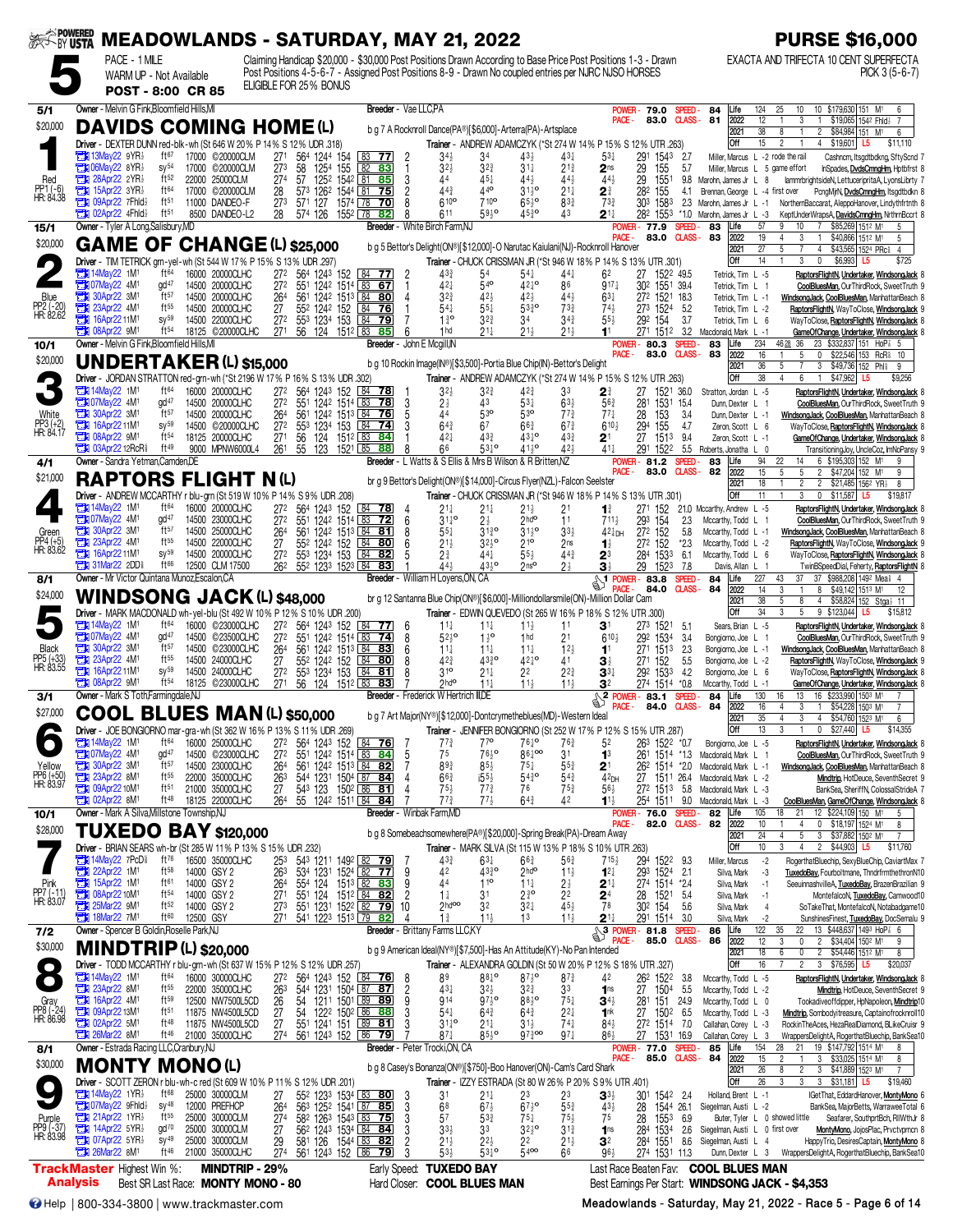| <b>SEEK-BY USTA</b>                    |                                                                                                                  |                                      |           | <b>MEADOWLANDS - SATURDAY, MAY 21, 2022</b> |                                    |                        |                                                                                                                             |                                                                                                      |                     |                                                 |                                                 |                                                                                    |                                             |                                                  |                                                                                                               |                   |                                                          | <b>PURSE \$16,000</b>                                                                                                           |
|----------------------------------------|------------------------------------------------------------------------------------------------------------------|--------------------------------------|-----------|---------------------------------------------|------------------------------------|------------------------|-----------------------------------------------------------------------------------------------------------------------------|------------------------------------------------------------------------------------------------------|---------------------|-------------------------------------------------|-------------------------------------------------|------------------------------------------------------------------------------------|---------------------------------------------|--------------------------------------------------|---------------------------------------------------------------------------------------------------------------|-------------------|----------------------------------------------------------|---------------------------------------------------------------------------------------------------------------------------------|
|                                        | PACE - 1 MILE                                                                                                    | WARM UP - Not Available              |           |                                             |                                    |                        |                                                                                                                             | Post Positions 4-5-6-7 - Assigned Post Positions 8-9 - Drawn No coupled entries per NJRC NJSO HORSES |                     |                                                 |                                                 |                                                                                    |                                             |                                                  | Claiming Handicap \$20,000 - \$30,000 Post Positions Drawn According to Base Price Post Positions 1-3 - Drawn |                   |                                                          | EXACTA AND TRIFECTA 10 CENT SUPERFECTA<br>$PICK 3 (5-6-7)$                                                                      |
|                                        |                                                                                                                  | <b>POST - 8:00 CR 85</b>             |           |                                             |                                    | ELIGIBLE FOR 25% BONUS |                                                                                                                             |                                                                                                      |                     |                                                 |                                                 |                                                                                    |                                             |                                                  |                                                                                                               |                   |                                                          |                                                                                                                                 |
| 5/1                                    | Owner - Melvin G Fink, Bloomfield Hills, MI                                                                      |                                      |           |                                             |                                    |                        |                                                                                                                             | Breeder - Vae LLC.PA                                                                                 |                     |                                                 |                                                 |                                                                                    |                                             |                                                  | <b>POWER</b><br>79.0                                                                                          | SPEED-            | 84<br>Life                                               | 10<br>10 \$179,630 151 M <sup>1</sup><br>124<br>25                                                                              |
| \$20,000                               | <b>DAVIDS COMING HOME (L)</b>                                                                                    |                                      |           |                                             |                                    |                        |                                                                                                                             |                                                                                                      |                     |                                                 |                                                 | b g 7 A Rocknroll Dance(PA®)[\$6,000]-Arterra(PA)-Artsplace                        |                                             | PACE -                                           | 83.0                                                                                                          |                   | $C LASS - B1$<br>2022<br>2021                            | 12<br>3<br>\$19,065 1542 Fhid}<br>$\mathbf{1}$<br>38<br>\$84,984 151 M <sup>1</sup><br>8<br>$\overline{2}$<br>6                 |
|                                        | Driver - DEXTER DUNN red-blk-wh (St 646 W 20% P 14% S 12% UDR 318)<br><b>TEX 13May22 9YR</b>                     | ft67                                 |           | 17000 ©20000CLM                             |                                    |                        |                                                                                                                             |                                                                                                      |                     |                                                 |                                                 |                                                                                    |                                             |                                                  | Trainer - ANDREW ADAMCZYK (*St 274 W 14% P 15% S 12% UTR .263)                                                |                   | Off                                                      | 15<br>$\overline{2}$<br>4 \$19,601 L5<br>\$11,110<br>Miller, Marcus L -2 rode the rail                                          |
|                                        | $\Box$ 06May22 8YR}                                                                                              | SV <sup>54</sup>                     |           | 17000 ©20000CLM                             | 27 <sup>1</sup><br>273             | 58                     | 564 1244 154<br>1254 155                                                                                                    | $83$ 77 2<br>82 83                                                                                   | -1                  | 34}<br>$3^{2}\frac{1}{2}$                       | 34<br>$3^{2^{3}}$                               | $4^{3}\frac{1}{2}$<br>$31\frac{1}{4}$                                              | $43\frac{1}{4}$<br>$2^{13}$                 | $5^{3+}$<br>2 <sub>ns</sub>                      | 291<br>1543<br>29<br>155                                                                                      | 2.7<br>5.7        |                                                          | Cashnom, Itsgdtbdkng, SftyScnd<br>Miller, Marcus L 5 game effort<br>InSpades, DvdsCmngHm, Hptbfrst 8                            |
| Red<br>PP1 (-6)<br>HR: 84.38           | $28$ Apr22 2YR <sup>1</sup><br>$T$ 15Apr22 3YR                                                                   | ft <sup>52</sup><br>ft64             |           | 22000 25000CLM<br>17000 ©20000CLM           | 274<br>28                          |                        | 57 1252 1542 81 85<br>573 1262 1544 81 75                                                                                   |                                                                                                      | 3<br>$\overline{2}$ | 44<br>443                                       | $45\frac{1}{4}$<br>440                          | $44\frac{1}{2}$<br>$3^{11}$ <sup>o</sup>                                           | 443<br>$21\frac{1}{4}$                      | $44\frac{1}{2}$<br>2∛                            | 29<br>1551<br>282<br>155                                                                                      | 9.8<br>4.1        | Marohn, James Jr L<br>Brennan, George L -4 first over    | lammrbrightsideN, LettuceripritaA, LyonsLibrty<br>8<br>PcngMirN, DvdsCmngHm, Itsgdtbdkn 8                                       |
|                                        | <b>THE 09Apr22 7Fhld</b><br><b>TEM 02Apr22 4Fhld</b> }                                                           | ft <sup>51</sup><br>ft51             |           | 11000 DANDEO-F<br>8500 DANDEO-L2            | 273                                | 571 127                |                                                                                                                             | 1574 78 70                                                                                           | 8<br>8              | 610 <sup>o</sup><br>611                         | 710 <sup>o</sup><br>5910                        | $65\frac{1}{2}$ <sup>o</sup><br>$45\frac{3}{7}$                                    | $8^{3}$<br>43                               | 733                                              | 303 1583                                                                                                      | 2.3               | Marohn, James Jr L -1                                    | NorthernBaccarat, AleppoHanover, Lindythfrtnth 8                                                                                |
| 15/1                                   | Owner - Tyler A Long, Salisbury, MD                                                                              |                                      |           |                                             | 28                                 |                        | 574 126 1552 78 82                                                                                                          | Breeder - White Birch Farm, NJ                                                                       |                     |                                                 |                                                 |                                                                                    |                                             | $2^{11}$                                         | 282 1553<br><b>POWER - 77.9</b>                                                                               | $^*1.0$<br>SPEED- | Marohn, James Jr L -3<br>83<br>Life                      | KeptUnderWrapsA, DavidsOmngHm, NrthmBccrt 8<br>57<br>\$85,269 1512 M1<br>9<br>10<br>$7^{\circ}$<br>5                            |
| \$20,000                               | <b>GAME OF CHANGE (L) \$25,000</b>                                                                               |                                      |           |                                             |                                    |                        |                                                                                                                             |                                                                                                      |                     |                                                 |                                                 | b g 5 Bettor's Delight(ON®)[\$12,000]-O Narutac Kaiulani(NJ)-Rocknroll Hanover     |                                             | PACE -                                           | 83.0                                                                                                          |                   | 2022<br><b>CLASS-83</b><br>2021                          | 19<br>3<br>\$40,866 1512 M1<br>$\overline{4}$<br>$\mathbf{1}$<br>5<br>27<br>5<br>4 \$43,565 1524 PRc<br>$\overline{4}$          |
|                                        | Driver - TIM TETRICK grn-yel-wh (St 544 W 17% P 15% S 13% UDR .297)<br><b>EN 14May22 1M1</b>                     | ft64                                 |           | 16000 20000CLHC                             |                                    |                        |                                                                                                                             |                                                                                                      |                     |                                                 |                                                 |                                                                                    |                                             |                                                  | Trainer - CHUCK CRISSMAN JR (*St 946 W 18% P 14% S 13% UTR .301)                                              |                   | Off                                                      | 14<br>3<br>$\mathbf{0}$<br>\$6,993<br>\$725<br>L5                                                                               |
|                                        | <b>EN 07May22 4M</b>                                                                                             | qd <sup>47</sup>                     |           | 14500 20000CLHC                             | 272<br>27 <sup>2</sup>             |                        | 564 1243 152 84 77<br>551 1242 1514 83 67                                                                                   |                                                                                                      | 2                   | 433<br>421                                      | 54<br>$54$ <sup>o</sup>                         | $54\frac{1}{4}$<br>$42\frac{1}{4}$ <sup>o</sup>                                    | 441<br>86                                   | 62<br>$917\frac{1}{4}$                           | 27 1522 49.5<br>302 1551 39.4                                                                                 |                   | Tetrick, Tim L -5<br>Tetrick, Tim L 1                    | RaptorsFlightN, Undertaker, WindsongJack<br>CoolBluesMan, OurThirdRock, SweetTruth 9                                            |
| Blue<br>PP2 (-20)<br>HR: 82.62         | <b>EM</b> 30Apr22 3M <sup>1</sup><br>23Apr22 4M1                                                                 | ft57<br>$ft^{55}$                    |           | 14500 20000CLHC<br>14500 20000CLHC          | 264<br>27                          |                        | 561 1242 1513 84 80<br>55 <sup>2</sup> 124 <sup>2</sup> 152 84 76                                                           |                                                                                                      | 4                   | $3^{2^{3}}$<br>$54\frac{1}{4}$                  | $42\frac{1}{2}$<br>$55\frac{1}{4}$              | $42\frac{1}{2}$<br>$53\frac{3}{4}$ <sup>o</sup>                                    | 443<br>$73\frac{3}{4}$                      | $63\frac{1}{4}$<br>$74\frac{1}{2}$               | 272 1521 18.3<br>273 1524                                                                                     | 5.2               | Tetrick, Tim L -1<br>Tetrick, Tim L -2                   | WindsongJack, CoolBluesMan, ManhattanBeach &<br>RaptorsFlightN, WayToClose, WindsongJack 9                                      |
|                                        | 16Apr22 11M1<br>$108$ Apr22 $9M$                                                                                 | $SV^{59}$<br>ft <sup>54</sup>        |           | 14500 22000CLHC<br>18125 ©20000CLHC         | 27 <sup>2</sup>                    |                        | 553 1234 153 84 79                                                                                                          |                                                                                                      |                     | $1\frac{3}{4}$ <sup>o</sup><br>1 hd             | $3^{2^{3}}$                                     | 34<br>$21\frac{1}{2}$                                                              | $34\frac{3}{4}$                             | $55\frac{1}{2}$                                  | 292 154                                                                                                       | 3.7               | Tetrick, Tim L 6                                         | WayToClose, RaptorsFlightN, WindsongJack                                                                                        |
| 10/1                                   | Owner - Melvin G Fink, Bloomfield Hills, MI                                                                      |                                      |           |                                             | 271                                |                        | 56 124 1512 83                                                                                                              | 85<br>Breeder - John E Mcgill, IN                                                                    | 6                   |                                                 | $21\frac{1}{4}$                                 |                                                                                    | $21\frac{1}{2}$                             |                                                  | 271 1512 3.2<br><b>POWER-80.3</b>                                                                             | SPEED-            | Macdonald, Mark L -1<br>83<br>Life                       | GameOfChange, Undertaker, WindsongJack 8<br>234<br>4628 36<br>23 \$332,837 151 HoP 3 5                                          |
| \$20,000                               | <b>UNDERTAKER (L) \$15,000</b>                                                                                   |                                      |           |                                             |                                    |                        |                                                                                                                             |                                                                                                      |                     |                                                 |                                                 | b g 10 Rockin Image(IN®)[\$3,500]-Portia Blue Chip(IN)-Bettor's Delight            |                                             | PACE -                                           | 83.0                                                                                                          | <b>CLASS-</b>     | 83<br>2022<br>2021                                       | 16<br>\$22,546 153 RcR 10<br>5<br>0<br>36<br>5<br>3<br>$\sqrt{$49,736}$ 152 Phis<br>9                                           |
|                                        | Driver - JORDAN STRATTON red-grn-wh (*St 2196 W 17% P 16% S 13% UDR .302)                                        |                                      |           |                                             |                                    |                        |                                                                                                                             |                                                                                                      |                     |                                                 |                                                 |                                                                                    |                                             |                                                  | Trainer - ANDREW ADAMCZYK (*St 274 W 14% P 15% S 12% UTR .263)                                                |                   | Off                                                      | 38<br>\$47,962 L5<br>4<br>6<br>$\mathbf{1}$<br>\$9,256                                                                          |
|                                        | <b>External 14May22 1M<sup>1</sup></b><br>24M1                                                                   | ft64<br>gd <sup>47</sup>             |           | 16000 20000CLHC<br>14500 20000CLHC          | 27 <sup>2</sup><br>27 <sup>2</sup> |                        | 564 1243 152<br>551 1242 1514 83 78                                                                                         | 84 78                                                                                                | 3                   | $3^{2}$<br>$2\frac{1}{2}$                       | $3^{2^{3}}$<br>43                               | 42 <sub>2</sub><br>$53\frac{1}{4}$                                                 | 33<br>$63\frac{1}{2}$                       | 21<br>$56\frac{3}{4}$                            | 27<br>1531 154<br>281                                                                                         | 1521 36.0         | Stratton, Jordan L -5<br>Dunn Dexter L 1                 | RaptorsFlightN, Undertaker, WindsongJack<br>CoolBluesMan, OurThirdRock, SweetTruth 9                                            |
| White<br>PP3 (+2)<br>HR: 84.17         | <b>EM</b> 30Apr22 3M <sup>1</sup><br><b>THE 16Apr22 11M1</b>                                                     | $ft^{57}$<br>$sy^{59}$               |           | 14500 20000CLHC<br>14500 ©20000CLHC         | 264<br>27 <sup>2</sup>             |                        | 561 1242 1513 84 76<br>553 1234 153 84                                                                                      | -74                                                                                                  | 5<br>3              | 44<br>$64\frac{3}{4}$                           | 53 <sup>o</sup><br>67                           | 53 <sup>o</sup><br>$66\frac{3}{4}$                                                 | $77\frac{3}{4}$<br>$67\frac{3}{4}$          | $77\frac{1}{4}$<br>$6^{10}$                      | 28<br>153<br>294<br>155                                                                                       | 3.4<br>4.7        | Dunn, Dexter L -1<br>Zeron Scott L 6                     | WindsongJack, CoolBluesMan, ManhattanBeach &<br>WayToClose, RaptorsFlightN, WindsongJack &                                      |
|                                        | <b>EM</b> 08Apr22 9M <sup>1</sup><br><b>THE 03Apr22 12RcR</b>                                                    | ft <sub>54</sub><br>ft <sup>49</sup> |           | 18125 20000CLHC                             | 27 <sup>1</sup>                    | 56<br>124              |                                                                                                                             | $151^2$ $83$ <b>84</b>                                                                               |                     | 421                                             | 433                                             | $43\frac{1}{4}$ <sup>o</sup><br>$41\frac{1}{2}$ <sup>o</sup>                       | $43\frac{3}{4}$<br>42 <sub>3</sub>          | $2^1$                                            | 27<br>1513                                                                                                    | 9.4               | Zeron, Scott L -1                                        | GameOfChange, Undertaker, WindsongJack                                                                                          |
| 4/1                                    | Owner - Sandra Yetman, Camden, DE                                                                                |                                      |           | 9000 MPNW6000L4                             |                                    |                        | 261 55 123 1521 85                                                                                                          | 88                                                                                                   | 8                   | 66                                              | $53^{10}$                                       | Breeder - L Watts & S Ellis & Mrs B Wilson & R Britten, NZ                         |                                             | $41\frac{1}{4}$                                  | 291 1522<br><b>POWER-81.2</b>                                                                                 | <b>SPEED</b>      | 5.5 Roberts, Jonatha L 0<br>Life<br>83                   | TransitioningJoy, UncleCoz, ImNoPansy 9<br>94<br>22<br>6 \$195,303 152 M <sup>1</sup><br>g<br>14                                |
| \$21,000                               | <b>RAPTORS FLIGHT N(L)</b>                                                                                       |                                      |           |                                             |                                    |                        |                                                                                                                             |                                                                                                      |                     |                                                 |                                                 | br g 9 Bettor's Delight(ON®)[\$14,000]-Circus Flyer(NZL)-Falcon Seelster           |                                             | PACE -                                           | 83.0                                                                                                          |                   | CLASS-82<br>2022<br>2021                                 | 15<br>5<br>5<br>2 \$47,204 152 M1<br>9<br>18<br>2 \$21,485 1562 YR<br>$\overline{c}$<br>8                                       |
|                                        | Driver - ANDREW MCCARTHY r blu-grn (St 519 W 10% P 14% S 9% UDR .208)                                            |                                      |           |                                             |                                    |                        |                                                                                                                             |                                                                                                      |                     |                                                 |                                                 |                                                                                    |                                             |                                                  | Trainer - CHUCK CRISSMAN JR (*St 946 W 18% P 14% S 13% UTR .301)                                              |                   | Off                                                      | 11<br>0 \$11,587 L5<br>3<br>\$19,817                                                                                            |
|                                        | $7$ 14May22 1M<br><b>EM 07May22 4M<sup>1</sup></b>                                                               | ft <sup>64</sup><br>gd <sup>47</sup> |           | 16000 20000CLHC<br>14500 23000CLHC          | 272<br>27 <sup>2</sup>             |                        | 564 1243 152<br>551 1242 1514 83 72                                                                                         | 84 78                                                                                                | -4<br>6             | 21‡<br>$31^{10}_{1}$                            | 21‡<br>$2\frac{1}{2}$                           | $21\frac{1}{2}$<br>2hd <sup>o</sup>                                                | 21<br>11                                    | $\mathbf{1}^3$<br>$711\frac{1}{2}$               | 271 152<br>293<br>154                                                                                         | 2.3               | 21.0 Mccarthy, Andrew L -5<br>Mccarthy, Todd L 1         | RaptorsFlightN, Undertaker, WindsongJack 8<br>CoolBluesMan, OurThirdRock, SweetTruth 9                                          |
| Green<br>PP4 (+5)<br>HR: 83.62         | <b>EN 30Apr22 3M1</b><br>23Apr22 4M <sup>1</sup>                                                                 | ft57<br>$ft^{55}$                    |           | 14500 25000CLHC<br>14500 22000CLHC          | 264<br>27                          |                        | 561 1242 1513 84 81<br>552 1242 152 84 80                                                                                   |                                                                                                      | 8<br>6              | $55\frac{1}{4}$<br>$21\frac{1}{2}$              | 3130<br>$32^{10}$                               | $31^{10}_{2}$<br>210                                                               | $3^{3}\frac{1}{2}$<br>2 <sub>ns</sub>       | $42\frac{1}{4}$ DH<br>$\mathbf{1}^{\frac{1}{2}}$ | 272 152<br>272 152                                                                                            | 5.8<br>$*2.3$     | Mccarthy, Todd L -1<br>Mccarthy, Todd L -2               | WindsongJack, CoolBluesMan, ManhattanBeach 8<br>RaptorsFlightN, WayToClose, WindsongJack 9                                      |
|                                        | <b>EN 16Apr2211M1</b>                                                                                            | $sy^{59}$                            |           | 14500 20000CLHC                             | 272                                |                        | 553 1234 153                                                                                                                | 84 82                                                                                                | 5                   | 2∛                                              | 441                                             | $55\frac{1}{2}$                                                                    | $44\frac{3}{4}$                             | 23                                               | 284 1533                                                                                                      | 6.1               | Mccarthy, Todd L 6                                       | WayToClose, RaptorsFlightN, WindsongJack                                                                                        |
| 8/1                                    | <b>The 31Mar22 2DDs</b><br>Owner - Mr Victor Quintana Munoz, Escalon, CA                                         | $ft^{66}$                            |           | 12500 CLM 17500                             |                                    |                        | 26 <sup>2</sup> 55 <sup>2</sup> 123 <sup>3</sup> 152 <sup>3</sup> 84 83                                                     | Breeder - William H Loyens, ON, CA                                                                   |                     | $44\frac{1}{2}$                                 | $43\frac{1}{2}$ <sup>o</sup>                    | 2ns <sup>o</sup>                                                                   | 24                                          | 31<br>\$1                                        | 29<br>1523<br><b>POWER-83.8</b>                                                                               | 7.8<br>SPEED      | Davis, Allan L<br>84<br>.ife                             | TwinBSpeedDial, Feherty, RaptorsFlightN 8<br>227<br>37<br>37 \$988,208 1492 Meal 4<br>43                                        |
| \$24,000                               | WINDSONG JACK (L) \$48,000                                                                                       |                                      |           |                                             |                                    |                        |                                                                                                                             |                                                                                                      |                     |                                                 |                                                 | br g 12 Santanna Blue Chip(ON®)[\$6,000]-Milliondollarsmile(ON)-Million Dollar Cam |                                             |                                                  | 84.0                                                                                                          | <b>CLASS-</b>     | 2022<br>84<br>2021                                       | 14<br>3<br>8<br>\$49,142 1513 M1<br>$\mathbf{1}$<br>12<br>38<br>4 \$58,824 152 Stga} 11<br>5<br>8                               |
|                                        | Driver - MARK MACDONALD wh-yel-blu (St 492 W 10% P 12% S 10% UDR .200)                                           |                                      |           |                                             |                                    |                        |                                                                                                                             |                                                                                                      |                     |                                                 |                                                 | Trainer - EDWIN QUEVEDO (St 265 W 16% P 18% S 12% UTR .300)                        |                                             |                                                  |                                                                                                               |                   | Off                                                      | 34<br>3<br>9 \$123,044 L5<br>5<br>\$15,812                                                                                      |
|                                        | <b>EN 14May22 1M1</b><br>22 4M1                                                                                  | ft64<br>gd <sup>47</sup>             |           | 16000 ©23000CLHC<br>14500 ©23500CLHC        | 272<br>27 <sup>2</sup>             |                        | 564 1243 152<br>551 1242 1514 83 74                                                                                         | 84<br>-77                                                                                            | 6<br>8              | $11\frac{1}{4}$<br>$52\frac{1}{2}$ <sup>o</sup> | $11\frac{1}{4}$<br>$1\frac{1}{2}$ <sup>o</sup>  | $11\frac{1}{2}$<br>1 <sub>hd</sub>                                                 | 11<br>2 <sup>1</sup>                        | 31<br>$6^{10}$                                   | 273 1521 5.1<br>292 1534                                                                                      | 3.4               | Sears, Brian L -5<br>Bongiorno, Joe L 1                  | RaptorsFlightN, Undertaker, WindsongJack &<br>CoolBluesMan, OurThirdRock, SweetTruth 9                                          |
| <b>Black</b><br>PP5 (+33)<br>HR: 83.55 | <b>EN 30Apr22 3M</b><br>23Apr22 4M <sup>1</sup>                                                                  | ft57<br>$ft^{55}$                    |           | 14500 ©23000CLHC<br>14500 24000CLHC         | 264<br>27                          |                        | 561 1242 1513 84 83<br>552 1242 152                                                                                         | 8480                                                                                                 | 6<br>8              | $11\frac{1}{4}$<br>423                          | $11\frac{1}{4}$<br>4330                         | $11\frac{1}{4}$<br>$42^{10}$                                                       | $12\frac{1}{2}$<br>41                       | 11<br>31                                         | 271 1513<br>27 <sup>1</sup><br>152                                                                            | -2.3<br>5.5       | Bongiorno, Joe L -1<br>Bongiorno, Joe L -2               | WindsongJack, CoolBluesMan, ManhattanBeach 8<br>RaptorsFlightN, WayToClose, WindsongJack 9                                      |
|                                        | <b>TEM</b> 16Apr22 11M1                                                                                          | $SV^{59}$<br>ft <sup>54</sup>        |           | 14500 24000CLHC                             | 272                                |                        | 553 1234 153                                                                                                                | 84<br>81                                                                                             | 8                   | 310<br>2hd <sup>o</sup>                         | $21\frac{1}{4}$                                 | 2 <sup>2</sup>                                                                     | $2^{2^{3}}$                                 | $\mathbf{3}^{3\ddagger}$                         | 292 1533                                                                                                      | 4.2               | Bongiorno, Joe L 6                                       | WayToClose, RaptorsFlightN, WindsongJack 8                                                                                      |
| 3/1                                    | <b>Et 08Apr22 9M1</b><br>Owner - Mark S Toth, Farmingdale, NJ                                                    |                                      | 18125     | ©23000CLHC                                  | 27 <sup>1</sup>                    |                        | 56 124 1512 83                                                                                                              | 83<br>Breeder - Frederick W Hertrich III.DE                                                          |                     |                                                 | $11\frac{1}{4}$                                 | $11\frac{1}{2}$                                                                    | $11\frac{1}{2}$                             | 32                                               | 274 1514 *0.8<br>$2 \frac{10!}{1000}$                                                                         | <b>SPEED</b>      | Mccarthy, Todd L -1<br>Life<br>84                        | GameOfChange, Undertaker, WindsongJack {<br>130<br>16<br>13<br>16 \$233,990 1503 M1                                             |
| \$27,000                               | COOL BLUES MAN(L) \$50,000                                                                                       |                                      |           |                                             |                                    |                        |                                                                                                                             |                                                                                                      |                     |                                                 |                                                 | b g 7 Art Major(NY®)[\$12,000]-Dontcrymetheblues(MD)-Western Ideal                 |                                             | PACE -                                           | 84.0                                                                                                          | <b>CLASS-</b>     | 84<br>2022<br>2021                                       | 16<br>3<br>\$54,228 1503 M1<br>$\overline{4}$<br>$\overline{1}$<br>35<br>$\mathbf{3}$<br>4 \$54,760 1523 M1<br>4<br>6           |
|                                        | Driver - JOE BONGIORNO mar                                                                                       |                                      |           | -gra-wh (St 362 W 16% P 13% S 11% UDR .269) |                                    |                        |                                                                                                                             |                                                                                                      |                     |                                                 | 77 <sup>o</sup>                                 |                                                                                    |                                             |                                                  | Trainer - JENNIFER BONGIORNO (St 252 W 17% P 12% S 15% UTR .287)                                              |                   | Off                                                      | 13<br>$$27,440$ L5<br>$\mathbf 0$                                                                                               |
|                                        | <b>EN 14May22 1M1</b><br><b>EN 07May22 4M<sup>1</sup></b>                                                        | ft <sup>64</sup><br>gd <sup>47</sup> |           | 16000 25000CLHC<br>14500 ©23000CLHC         | 272<br>27 <sup>2</sup>             |                        | 564 1243 152 84 76<br>551 1242 1514 83 84                                                                                   |                                                                                                      | -7<br>5             | $77\frac{3}{4}$<br>75                           | 7610                                            | $76\frac{1}{4}$ <sup>o</sup><br>$86\frac{1}{4}$ 00                                 | 763<br>31                                   | 52<br>1 <sup>3</sup>                             | 26 <sup>3</sup> 152 <sup>2</sup> *0.7                                                                         |                   | Bongiorno, Joe L -5<br>261 1514 *1.3 Macdonald, Mark L 1 | RaptorsFlightN, Undertaker, WindsongJack {<br>CoolBluesMan, OurThirdRock, SweetTruth 9                                          |
| Yellow<br>PP6 (+50)<br>HR: 83.97       | <b>121</b> 30Apr22 3M <sup>1</sup><br>23Apr22 8M <sup>1</sup>                                                    | $ft^{57}$<br>ft <sup>55</sup>        |           | 14500 23000CLHC<br>22000 35000CLHC          | 264<br>263                         |                        | 561 1242 1513 84 82<br>544 1231 1504 87 84                                                                                  |                                                                                                      |                     | 893<br>$66\frac{3}{4}$                          | $85\frac{1}{2}$<br>$155\frac{1}{2}$             | $75\frac{1}{4}$<br>$54^{30}_{4}$                                                   | $55\frac{3}{4}$<br>$54\frac{3}{4}$          | 2 <sup>1</sup><br>$42$ DH                        | 262 1514 *2.0<br>27                                                                                           | 1511 26.4         | Macdonald, Mark L -1<br>Macdonald, Mark L -2             | WindsongJack, CoolBluesMan, ManhattanBeach 8<br>Mindtrip, HotDeuce, SeventhSecret 9                                             |
|                                        | <b>EX 09Apr22 10M1</b><br><b>EX 02Apr22 8M1</b>                                                                  | ft <sub>51</sub><br>ft <sup>48</sup> |           | 21000 35000CLHC<br>18125 22000CLHC          | 27                                 | 543 123                |                                                                                                                             | $150^2$ 86 81                                                                                        |                     | $75\frac{1}{2}$<br>$77\frac{3}{4}$              | $7^{73}$<br>$77\frac{1}{2}$                     | 76                                                                                 | $75\frac{3}{4}$<br>42                       | $56\frac{1}{2}$                                  | 27 <sup>2</sup> 151 <sup>3</sup> 5.8                                                                          |                   | Macdonald, Mark L -3                                     | BankSea, SheriffN, ColossalStrideA 7                                                                                            |
| 10/1                                   | Owner - Mark A Silva, Millstone Township, NJ                                                                     |                                      |           |                                             | 264                                |                        | 55 1242 1511 84 84                                                                                                          | Breeder - Winbak Farm.MD                                                                             |                     |                                                 |                                                 | $64\frac{3}{4}$                                                                    |                                             | $1^{11}$                                         | 254 1511 9.0<br>POWER-76.0                                                                                    | SPEED-            | Macdonald, Mark L -3<br>82<br>Life                       | CoolBluesMan, GameOfChange, WindsongJack 8<br>12 \$224,109 150 M1<br>105<br>21<br>18<br>5                                       |
| \$28,000                               | <b>TUXEDO BAY \$120,000</b>                                                                                      |                                      |           |                                             |                                    |                        |                                                                                                                             |                                                                                                      |                     |                                                 |                                                 | b g 8 Somebeachsomewhere(PA®)[\$20,000]-Spring Break(PA)-Dream Away                |                                             | <b>PACE</b>                                      | 82.0                                                                                                          | <b>CLASS-</b>     | 82<br>2022<br>2021                                       | 10<br>0 \$18,197 1524 M1<br>$\overline{4}$<br>8<br>24<br>5<br>4<br>3 \$37,882 150 <sup>2</sup> M <sup>1</sup><br>$\overline{7}$ |
|                                        | Driver - BRIAN SEARS wh-br (St 285 W 11% P 13% S 15% UDR .232)<br><b>The 14May22 7PcD<sup>§</sup></b>            |                                      |           |                                             |                                    |                        |                                                                                                                             |                                                                                                      |                     |                                                 |                                                 | Trainer - MARK SILVA (St 115 W 13% P 18% S 10% UTR .263)                           |                                             |                                                  |                                                                                                               |                   | Off                                                      | 3<br>$\boxed{2}$ \$44,903 L5<br>10<br>\$11,760<br>$\overline{4}$                                                                |
|                                        | 22Apr22 1M <sup>1</sup>                                                                                          | ft76<br>$ft^{58}$                    |           | 16500 35000CLHC<br>14000 GSY 2              | 253<br>26 <sup>3</sup>             |                        | 543 1211 1492 82 79<br>534 1231 1524 82 77                                                                                  |                                                                                                      | -7<br>9             | $43\frac{3}{4}$<br>42                           | $63\frac{1}{4}$<br>$43^{30}_{4}$                | $66\frac{3}{4}$<br>$2$ <sub>hd</sub> o                                             | $56\frac{3}{4}$<br>$11\frac{1}{2}$          | $715\frac{1}{2}$<br>$12\frac{1}{4}$              | 294 1522 9.3<br>293 1524 2.1                                                                                  |                   | Miller, Marcus<br>Silva, Mark                            | $-2$<br>RogerthatBluechip, SexyBlueChip, CaviartMax 7<br>-3<br>TuxedoBay, Fourboltmane, ThndrfrmthethronN10                     |
| Pink<br>PP7 (-11)<br>HR: 83.07         | <b>EN 15Apr22 1M1</b><br><b>EN 08Apr22 10M1</b><br><b>EN 25Mar22 9M1</b>                                         | ft61<br>$ft^{54}$                    |           | 14000 GSY 2<br>14000 GSY 2                  | 264<br>271                         | 554 124<br>551 124     |                                                                                                                             | $151^3$ 82 83<br>$151^2$ 84 82                                                                       | 9<br>$\overline{2}$ | 44<br>$1\frac{1}{4}$                            | $11^{\circ}$<br>3 <sup>1</sup>                  | $11\frac{1}{4}$<br>$2^{30}$                                                        | $2\frac{1}{2}$<br>2 <sup>2</sup>            | $2^{11}$                                         | 274 1514 *24<br>28<br>1521 5.4                                                                                |                   | Silva, Mark<br>Silva, Mark                               | SeeuinnashvilleA, TuxedoBay, BrazenBrazilian 9<br>$-1$<br>MontefalcoN, TuxedoBay, Camwood10<br>$-1$                             |
|                                        | <b>EN 18Mar22 7M1</b>                                                                                            | $ft^{52}$<br>ft60                    | 12500 GSY | 14000 GSY 2                                 | 27 <sup>3</sup><br>271             |                        | 551 1231 1522 82 79<br>541 1223 1513 79 82                                                                                  | 10                                                                                                   | 4                   | $2h$ doo<br>$1\frac{3}{4}$                      | 32<br>$11\frac{1}{2}$                           | $3^{2+}$<br>13                                                                     | $45\frac{1}{2}$<br>$11\frac{1}{2}$          | $\frac{2^4}{7^8}$<br>$2^{11}$                    | 30 <sup>2</sup> 154                                                                                           | 5.6               | Silva, Mark<br>Silva, Mark                               | SoTakeThat, MontefalcoN, Notabadgame10<br>$\overline{4}$<br>$-2$<br>SunshinesFinest, TuxedoBay, DocSemalu 9                     |
| 7/2                                    | Owner - Spencer B Goldin, Roselle Park, NJ                                                                       |                                      |           |                                             |                                    |                        |                                                                                                                             | <b>Breeder</b> - Brittany Farms LLC,KY                                                               |                     |                                                 |                                                 |                                                                                    |                                             |                                                  | 291 1514 3.0<br>$\frac{1}{2}$ <sup>3</sup> POWER - 81.8                                                       | SPEED-            | Life<br>86                                               | 122<br>13 \$448,637 1493 HoP 3 6<br>35<br>22                                                                                    |
| \$30,000                               | <b>MINDTRIP (L) \$20,000</b>                                                                                     |                                      |           |                                             |                                    |                        |                                                                                                                             |                                                                                                      |                     |                                                 |                                                 | b g 9 American Ideal(NY®)[\$7,500]-Has An Attitude(KY)-No Pan Intended             |                                             | PACE -                                           | 85.0                                                                                                          | <b>CLASS-</b>     | 86<br>2022<br>2021                                       | 12<br>3<br>$\overline{2}$<br>\$34,404 1502 M1<br>0<br>9<br>18<br>0<br>$\overline{2}$<br>\$54,446 1512 M1<br>6<br>8              |
| $\bullet$                              | Driver - TODD MCCARTHY r blu-grn-wh (St 637 W 15% P 12% S 12% UDR .257)<br><b>EN 14May22 1M1</b>                 | ft64                                 |           | 16000 30000CLHC                             |                                    |                        |                                                                                                                             |                                                                                                      |                     |                                                 |                                                 |                                                                                    |                                             |                                                  | Trainer - ALEXANDRA GOLDIN (St 50 W 20% P 12% S 18% UTR .327)                                                 |                   | Off                                                      | 16<br>$\overline{2}$<br>3 \$76,595 L5<br>\$20,037                                                                               |
|                                        | 23Apr22 8M <sup>1</sup>                                                                                          | ft <sup>55</sup>                     |           | 22000 35000CLHC                             | 272<br>263                         |                        | 544 1231 1504 87 87                                                                                                         | 564 1243 152 84 76 8                                                                                 | $\overline{c}$      | 89<br>431                                       | 88‡°<br>$3^{2}\frac{1}{2}$                      | $87\frac{1}{2}$ <sup>o</sup><br>$3^{2^{3}}$                                        | $8^{7}$<br>33                               | 42<br>1 <sub>ns</sub>                            | 26 <sup>2</sup> 152 <sup>2</sup><br>27<br>1504                                                                | 3.8<br>5.5        | Mccarthy, Todd L -5<br>Mccarthy, Todd L -2               | RaptorsFlightN, Undertaker, WindsongJack 8<br>Mindtrip, HotDeuce, SeventhSecret 9                                               |
| Gray<br>PP8 (-24)<br>HR: 86.98         | 16Apr22 4M <sup>1</sup><br><b>EN 09Apr22 13M1</b>                                                                | $ft^{59}$<br>ft <sub>51</sub>        |           | 12500 NW7500L5CD<br>11875 NW4500L5CD        | 26                                 |                        | 54 1211 1501 89 89                                                                                                          |                                                                                                      | 9<br>3              | 914<br>$54\frac{1}{4}$                          | $97\frac{1}{2}$ <sup>o</sup><br>$6^{43}$        | $88\frac{1}{2}$ <sup>o</sup><br>$64\frac{3}{4}$                                    | $75\frac{1}{4}$<br>$2^{2}$                  | $\mathbf{3}^{4\frac{1}{2}}$<br>1nk               | 281 151 24.9<br>27<br>1502 6.5                                                                                |                   | Mccarthy, Todd L 0<br>Mccarthy, Todd L -3                | Tookadiveoffdipper, HpNapoleon, Mindtrip10<br>Mindtrip, Sombodyitreasure, Captainofrocknroll10                                  |
|                                        | <b>Et 02Apr22 5M1</b><br><b>External 26Mar22 8M<sup>1</sup></b>                                                  | ft <sup>48</sup><br>ft 46            |           | 11875 NW4500L5CD<br>21000 35000CLHC         | $\frac{27}{27}$<br>27 <sup>4</sup> |                        | 54 1222 1502 86 88<br>551 1241 151 89 81<br>561 1243 152 86                                                                 | 79                                                                                                   | 3                   | $31^{10}_{4}$<br>$87\frac{1}{4}$                | $21\frac{1}{4}$<br>$85\frac{1}{2}$ <sup>o</sup> | $31\frac{1}{2}$<br>$97\frac{3}{4}$ 00                                              | $\bar{7}_{4\frac{1}{4}}$<br>$97\frac{1}{4}$ | $84\frac{1}{2}$<br>$86\frac{1}{2}$               | 272 1514 7.0<br>27 1531 16.9                                                                                  |                   | Callahan, Corey L -3<br>Callahan, Corey L 3              | RockinTheAces, HezaRealDiamond, BLikeCruisr 9<br>WrappersDelightA, RogerthatBluechip, BankSea10                                 |
| 8/1                                    | Owner - Estrada Racing LLC, Cranbury, NJ                                                                         |                                      |           |                                             |                                    |                        |                                                                                                                             | Breeder - Peter Trocki, ON, CA                                                                       |                     |                                                 |                                                 |                                                                                    |                                             |                                                  | POWER- 77.0 SPEED-                                                                                            |                   | 85<br>Life                                               | 154<br>21<br>19 \$147,792 1514 M1<br>28<br>8                                                                                    |
| \$30,000                               | <b>MONTY</b>                                                                                                     |                                      |           | <b>MONO(L)</b>                              |                                    |                        |                                                                                                                             |                                                                                                      |                     |                                                 |                                                 | b g 8 Casey's Bonanza(ON®)[\$750]-Boo Hanover(ON)-Cam's Card Shark                 |                                             | PACE -                                           | 85.0 CLASS-                                                                                                   |                   | 84<br>2022<br>2021                                       | 15<br>$\overline{2}$<br>3 \$33,025 1514 M1<br>8<br>26<br>$\overline{2}$<br>3 \$41,889 1523 M1<br>8<br>$\overline{7}$            |
| $\bullet$                              | Driver - SCOTT ZERON r blu-wh-c red (St 609 W 10% P 11% S 12% UDR 201)<br>$\frac{1}{2}$ 14May22 1YR <sup>1</sup> | ft68                                 |           | 25000 30000CLM                              |                                    |                        | 55 <sup>2</sup> 123 <sup>3</sup> 1534 83 80                                                                                 |                                                                                                      |                     | 31                                              |                                                 | Trainer - IZZY ESTRADA (St 80 W 26% P 20% S 9% UTR .401)                           | 23                                          |                                                  | 1542 2.4                                                                                                      |                   | Off<br>Holland, Brent L -1                               | 26<br>3<br>3<br>3 \$31,181 L5<br>\$19,460                                                                                       |
|                                        | <b>TEX 07May22 9Fhld</b> }                                                                                       | $SV^{48}$                            |           | 12000 PREFHCP                               | 27<br>264                          |                        | 563 1252 1541 87 85<br>582 1263 1543 83 75                                                                                  |                                                                                                      | 3<br>3              | 68                                              | $21\frac{1}{4}$<br>$67\frac{1}{2}$              | 23<br>$67\frac{1}{2}$ <sup>o</sup>                                                 | 55}                                         | $3^{3}$<br>$43\frac{1}{2}$                       | 30 <sup>1</sup><br>28<br>1544 26.1                                                                            |                   | Siegelman, Austi L -2                                    | IGetThat, EddardHanover, MontyMono 6<br>BankSea, MajorBetts, WarraweeTotal 6                                                    |
| Purple<br>PP9 (-37)<br>HR: 83.98       | 21Apr22 1YR<br><b>TEM</b> 14Apr22 5YR <sub>2</sub>                                                               | $ft^{55}$<br>gd <sup>70</sup>        |           | 25000 30000CLM<br>25000 30000CLM            | 274<br>27                          |                        |                                                                                                                             |                                                                                                      | 3<br>3              | 57<br>$33\frac{1}{2}$                           | $5^{3}$<br>33                                   | $75\frac{1}{4}$<br>$3^{210}$                                                       | $75\frac{1}{2}$<br>$3^{13}$                 | 75<br>1 <sub>ns</sub>                            | 28<br>$155^3$ 6.9<br>284 1534 2.6                                                                             |                   | Siegelman, Austi L 0 first over                          | Buter, Tyler L 0 showed little<br>Seafarer, SouthprtBch, RIIWthJr 8<br>MontyMono, JojosPlac, Prvctvprncn 8                      |
|                                        | <b>Eti 07Apr22 5YR</b><br><b>EN 26Mar22 8M1</b>                                                                  | $sy^{49}$<br>ft <sup>46</sup>        |           | 25000 30000CLM<br>21000 35000CLHC           | $\frac{29}{274}$                   |                        | 56 <sup>2</sup> 124 <sup>3</sup> 153 <sup>4</sup> 84 84<br>58 <sup>1</sup> 126 154 <sup>4</sup> 83 82<br>561 1243 152 86 79 |                                                                                                      | $\frac{2}{3}$       | $21\frac{1}{2}$<br>$\bar{5}3\bar{1}$            | $2^{2}$<br>$53^{10}_{4}$                        | 2 <sup>2</sup><br>$\overline{5}4$ <sup>00</sup>                                    | $21\frac{1}{2}$<br>66                       | 32<br>$96\frac{1}{2}$                            | 284 1551 8.6<br>274 1531 11.3                                                                                 |                   | Siegelman, Austi L 4<br>Dunn, Dexter L 3                 | HappyTrio, DesiresCaptain, MontyMono 8<br>WrappersDelightA, RogerthatBluechip, BankSea10                                        |
|                                        | <b>TrackMaster Highest Win %:</b>                                                                                |                                      |           | MINDTRIP - 29%                              |                                    |                        |                                                                                                                             | Early Speed:                                                                                         |                     | <b>TUXEDO BAY</b>                               |                                                 |                                                                                    |                                             |                                                  | Last Race Beaten Fav.                                                                                         |                   | <b>COOL BLUES MAN</b>                                    |                                                                                                                                 |
|                                        | <b>Analysis</b>                                                                                                  |                                      |           | Best SR Last Race: <b>MONTY MONO - 80</b>   |                                    |                        |                                                                                                                             |                                                                                                      |                     |                                                 | Hard Closer: COOL BLUES MAN                     |                                                                                    |                                             |                                                  |                                                                                                               |                   |                                                          | Best Earnings Per Start: WINDSONG JACK - \$4,353                                                                                |

[Help](http://info.trackmaster.com/harness/hpl.pdf) | 800-334-3800 | www.trackmaster.com **Meadowlands - Saturday, May 21, 2022 - Race 5 - Page 6 of 14**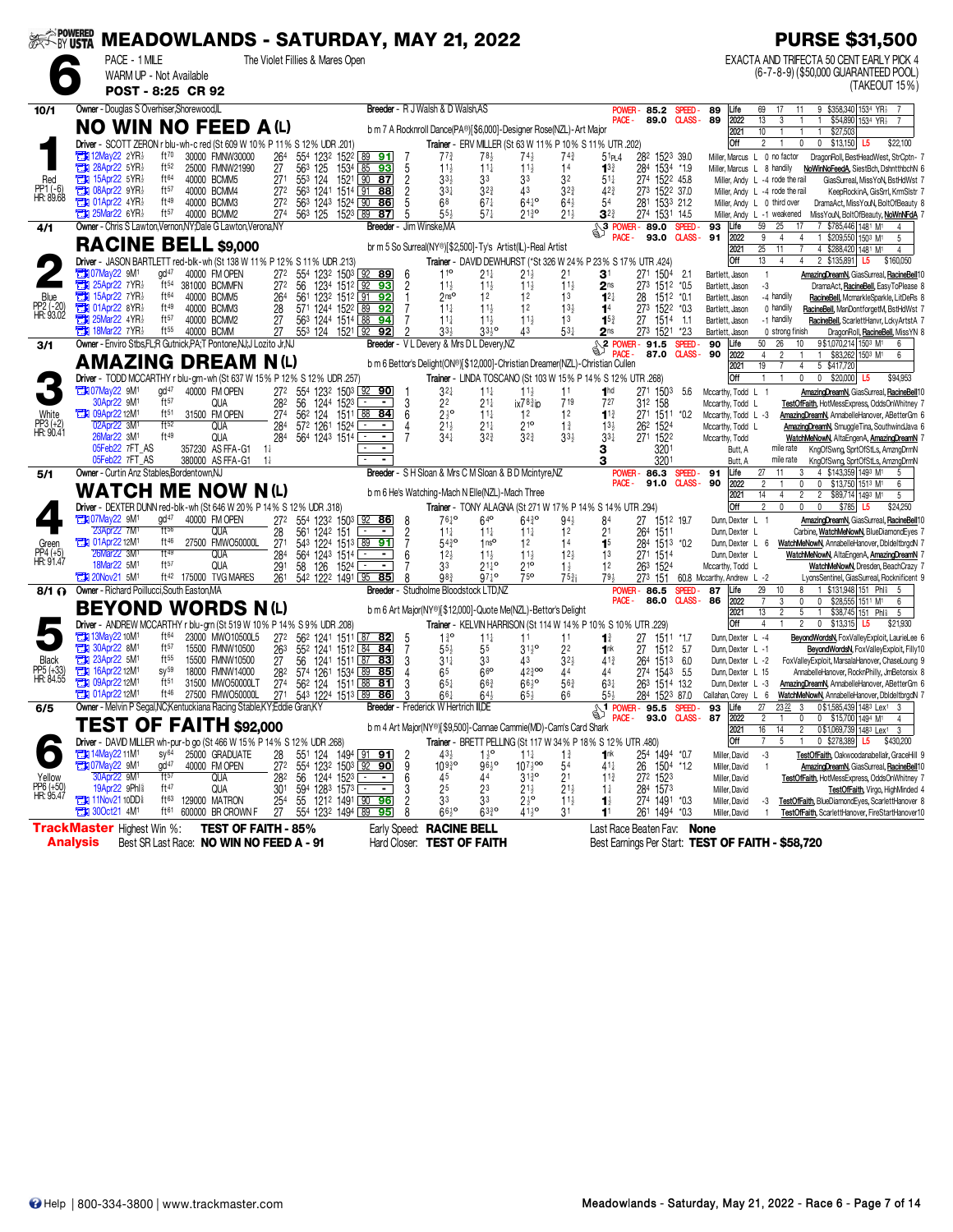| <b><i>SEERS POWERED</i></b><br>SEERS <b>USTA</b> |                                                             |                                      |                                                                               | <b>MEADOWLANDS - SATURDAY, MAY 21, 2022</b>                                                          |                                        |                |                                                                                                               |                                                            |                                            |                                    |                                              |                                         | <b>PURSE \$31,500</b>                                                                                                                       |
|--------------------------------------------------|-------------------------------------------------------------|--------------------------------------|-------------------------------------------------------------------------------|------------------------------------------------------------------------------------------------------|----------------------------------------|----------------|---------------------------------------------------------------------------------------------------------------|------------------------------------------------------------|--------------------------------------------|------------------------------------|----------------------------------------------|-----------------------------------------|---------------------------------------------------------------------------------------------------------------------------------------------|
|                                                  | PACE - 1 MILE                                               | WARM UP - Not Available              |                                                                               | The Violet Fillies & Mares Open                                                                      |                                        |                |                                                                                                               |                                                            |                                            |                                    |                                              |                                         | EXACTA AND TRIFECTA 50 CENT EARLY PICK 4<br>(6-7-8-9) (\$50,000 GUARANTEED POOL)                                                            |
|                                                  |                                                             | POST - 8:25 CR 92                    |                                                                               |                                                                                                      |                                        |                |                                                                                                               |                                                            |                                            |                                    |                                              |                                         | (TAKEOUT 15%)                                                                                                                               |
| 10/1                                             | Owner - Douglas S Overhiser, Shorewood, IL                  |                                      |                                                                               |                                                                                                      |                                        |                | Breeder - R J Walsh & D Walsh AS                                                                              |                                                            |                                            | <b>POWER</b>                       | 85.2<br>SPEED-                               | 89<br>Life                              | 9 \$358,340 1534 YR}<br>69<br>17<br>11                                                                                                      |
|                                                  |                                                             |                                      | <b>NO WIN NO FEED A (L)</b>                                                   |                                                                                                      |                                        |                | b m 7 A Rocknroll Dance(PA®)[\$6,000]-Designer Rose(NZL)-Art Major                                            |                                                            |                                            | PACE -                             | 89.0 CLASS-                                  | 89<br>2022<br>2021                      | 13<br>$\mathbf{1}$<br>\$54,890 1534 YR3<br>3<br>$\overline{1}$<br>$\overline{7}$<br>10<br>\$27,503                                          |
|                                                  |                                                             |                                      |                                                                               | Driver - SCOTT ZERON r blu-wh-c red (St 609 W 10% P 11% S 12% UDR 201)                               |                                        |                | Trainer - ERV MILLER (St 63 W 11% P 10% S 11% UTR .202)                                                       |                                                            |                                            |                                    |                                              | Off                                     | $\overline{2}$<br>$\mathbb O$<br>$0$ \$13,150<br>$\mathbf{1}$<br>\$22,100<br>L5                                                             |
|                                                  | $2N$ 12May 22 2 YR<br><b>EN 28Apr22 5YR</b>                 | ft70<br>ft $52$                      | 30000 FMNW30000<br>25000 FMNW21990                                            | 264<br>554 1232 1522 89 91<br>563 125<br>27                                                          | 1534 85 93                             | 5              | $77\frac{3}{4}$<br>78 <sub>3</sub><br>$11\frac{1}{2}$<br>$11\frac{1}{4}$                                      | $74\frac{1}{2}$<br>$11\frac{1}{2}$                         | 743<br>14                                  | 51P <sub>1</sub> 4<br>$1^{3}$      | 282 1523 39.0<br>284 1534 *1.9               |                                         | Miller, Marcus L 0 no factor<br>DragonRoll, BestHeadWest, StrCptn- 7<br>Miller, Marcus L 8 handily<br>NoWinNoFeedA, SiestBch, DshntthbchN 6 |
| Red                                              | 15Apr22 5YR}<br>о                                           | ft64                                 | 40000 BCMM5                                                                   | 27 <sup>1</sup><br>553 124 1521 90 87<br>563 1241 1514 91 88                                         |                                        | $\overline{2}$ | $33\frac{1}{2}$<br>33                                                                                         | 33                                                         | 32                                         | $51\frac{1}{4}$                    | 274 1522 45.8                                |                                         | Miller, Andy L -4 rode the rail<br>GiasSurreal, MissYoN, BstHdWst 7                                                                         |
| PP1 (-6)<br>HR: 89.68                            | <b>Eti 08Apr22 9YR</b><br><b>EN 01Apr22 4YR</b>             | ft57<br>ft49                         | 40000 BCMM4<br>40000 BCMM3                                                    | 272<br>272<br>563 1243 1524 90                                                                       | 86                                     |                | $3^{3}{}_{4}$<br>$3^{2^{3}}$<br>68<br>$67\frac{1}{4}$                                                         | 43<br>$64^{10}$                                            | $3^{2^{3}}$<br>$64\frac{1}{2}$             | $4^{2^{3}}$<br>54                  | 273 1522 37.0<br>281 1533 21.2               |                                         | Miller, Andy L -4 rode the rail<br>KeepRockinA, GisSrrl, KrmSlstr 7<br>Miller, Andy L 0 third over<br>DramaAct, MissYouN, BoltOfBeauty 8    |
|                                                  | $25$ Mar22 6YR $\frac{1}{2}$                                | ft57                                 | 40000 BCMM2                                                                   | 274<br>563 125 1523 89 87                                                                            |                                        | 5              | $55\frac{1}{2}$<br>$57\frac{1}{4}$                                                                            | $21\frac{3}{4}$ <sup>o</sup>                               | $21\frac{1}{2}$                            | $3^{2}$                            | 274 1531 14.5                                |                                         | Miller, Andy L -1 weakened<br>MissYouN, BoltOfBeauty, NoWnNFdA 7                                                                            |
| 4/1                                              |                                                             |                                      | Owner - Chris S Lawton, Vernon, NY; Dale G Lawton, Verona, NY                 |                                                                                                      |                                        |                | <b>Breeder</b> - Jim Winske,MA                                                                                |                                                            |                                            | 3 POWER-<br>PACE -                 | 89.0<br>SPEED-<br><b>CLASS-</b><br>93.0      | Life<br>93<br>2022<br>91                | 59<br>7 \$785,446 1481 M1<br>25<br>17<br>9<br>1 \$209,550 1503 M1<br>$\overline{4}$<br>$\overline{4}$<br>5                                  |
|                                                  | <b>RACINE</b>                                               |                                      | <b>BELL</b> \$9,000                                                           |                                                                                                      |                                        |                | br m 5 So Surreal(NY®)[\$2,500]-Ty's Artist(IL)-Real Artist                                                   |                                                            |                                            |                                    |                                              | 2021                                    | $\overline{25}$<br>11<br>4 \$288,420 1481 M1<br>4                                                                                           |
|                                                  | <b>TEM</b> 07May22 9M <sup>1</sup>                          | ad <sup>47</sup>                     | 40000 FM OPEN                                                                 | Driver - JASON BARTLETT red-blk-wh (St 138 W 11% P 12% S 11% UDR 213)<br>554 1232 1503 92 89<br>272  |                                        | -6             | Trainer - DAVID DEWHURST (*St 326 W 24% P 23% S 17% UTR .424)<br>110<br>21‡                                   |                                                            |                                            |                                    | 271 1504                                     | Off                                     | 13<br>2 \$135,891 L5<br>$\overline{4}$<br>4<br>\$160,050<br>$\mathbf{1}$                                                                    |
|                                                  | $25$ Apr22 7YR                                              |                                      | ft <sup>54</sup> 381000 BCMMFN                                                | 272<br>56                                                                                            | 1234 1512 92 93                        | $\overline{c}$ | $11\frac{1}{2}$<br>$11\frac{1}{2}$                                                                            | $21\frac{1}{2}$<br>$11\frac{1}{2}$                         | 21<br>$11\frac{1}{2}$                      | 31<br>2 <sub>ns</sub>              | 2.1<br>273 1512 *0.5                         | Bartlett, Jason<br>Bartlett, Jason      | AmazingDreamN, GiasSurreal, RacineBell10<br>-3<br>DramaAct, RacineBell, EasyToPlease 8                                                      |
| Blue                                             | 15Apr22 7YR1<br>о<br>$\frac{1}{200}$ 01Apr22 8YR            | ft <sup>64</sup><br>ft <sup>49</sup> | 40000 BCMM5<br>40000 BCMM3                                                    | 561 1232 1512 91 92<br>264<br>28<br>571 1244 1522 89 92                                              |                                        |                | 2 <sub>ns</sub><br>1 <sup>2</sup><br>$11\frac{1}{4}$<br>$11\frac{1}{2}$                                       | 1 <sup>2</sup><br>1 <sup>2</sup>                           | 13<br>13 <sup>1</sup>                      | $12\frac{1}{4}$                    | 1512 *0.1<br>28                              | Bartlett, Jason<br>Bartlett, Jason      | -4 handily<br>RacineBell, McmarkleSparkle, LitDeRs 8<br>0 handily<br>RacineBell, ManDontforgetM, BstHdWst 7                                 |
| PP2 (-20)<br>HR: 93.02                           | $25$ Mar22 4YR                                              | ft57                                 | 40000 BCMM2                                                                   | 27<br>563 1244 1514 88                                                                               | 94                                     |                | $11\frac{1}{4}$                                                                                               | $11\frac{1}{2}$<br>$11\frac{1}{2}$                         | 1 <sup>3</sup>                             | 1 <sup>4</sup><br>$15\frac{3}{4}$  | 273 1522 *0.3<br>27<br>1514 1.1              | Bartlett, Jason                         | -1 handily<br>RacineBell, ScarlettHanvr, LckyArtstA 7                                                                                       |
|                                                  | <b>THE 18Mar22 7YR</b>                                      | $ft^{55}$                            | 40000 BCMM<br>Owner - Enviro Stbs.FL:R Gutnick.PA:T Pontone.NJ:J Lozito Jr.NJ | 553 124 1521 92<br>27                                                                                | 92                                     |                | 33 <sup>1</sup>                                                                                               | 33 <sub>5</sub> °<br>43                                    | $53\frac{1}{4}$                            | 2 <sub>ns</sub>                    | 273 1521<br>*2.3                             | Bartlett, Jason                         | 0 strong finish<br>DragonRoll, RacineBell, MissYN 8<br>50<br>26<br>9\$1,070,214 1503 M1                                                     |
| 3/1                                              |                                                             |                                      |                                                                               |                                                                                                      |                                        |                | Breeder - V L Devery & Mrs D L Devery, NZ                                                                     |                                                            |                                            | <sup>3</sup> POWER - 91.5<br>PACE. | SPEED-<br>87.0<br><b>CLASS -</b>             | 90<br>Life<br>90<br>2022                | 10<br>6<br>$\overline{4}$<br>$\overline{c}$<br>\$83,262 1503 M1<br>6                                                                        |
|                                                  | AMAZING                                                     |                                      | <b>DREAM N(L)</b>                                                             |                                                                                                      |                                        |                | b m 6 Bettor's Delight(ON®)[\$12,000]-Christian Dreamer(NZL)-Christian Cullen                                 |                                                            |                                            |                                    |                                              | 2021<br>Off                             | 19<br>5 \$417,720<br>7<br>4<br>0<br>\$94,953<br>$\mathbf{1}$<br>$\mathbf{1}$                                                                |
|                                                  | <b>TEM</b> 07May22 9M <sup>1</sup>                          | gd <sup>47</sup>                     | 40000 FM OPEN                                                                 | Driver - TODD MCCARTHY r blu-grn-wh (St 637 W 15% P 12% S 12% UDR 257)<br>272<br>554 1232 1503 92 90 |                                        |                | Trainer - LINDA TOSCANO (St 103 W 15% P 14% S 12% UTR .268)<br>$3^{2+}$                                       | $11\frac{1}{4}$<br>$11\frac{1}{2}$                         | 11                                         | 1 <sup>hd</sup>                    | 271 1503<br>- 5.6                            | Mccarthy, Todd L 1                      | $0$ \$20,000 L5<br>AmazingDreamN, GiasSurreal, RacineBell10                                                                                 |
|                                                  | 30Apr22 9M1                                                 | ft57                                 | <b>QUA</b>                                                                    | 282<br>56<br>1244 1523 ∟_                                                                            | $\sim$                                 | 3              | 22<br>$21\frac{1}{4}$                                                                                         | $ix783$ ip                                                 | 719                                        | 727                                | 312 158                                      | Mccarthv. Todd L                        | TestOfFaith, HotMessExpress, OddsOnWhitney 7                                                                                                |
| White<br>PP3 (+2)<br>HR: 90.41                   | <b>EX 09Apr22 12M1</b><br>02Apr22 3M1                       | $ft^{51}$<br>ft52                    | 31500 FM OPEN<br>QUA                                                          | 274<br>562 124<br>284<br>572 1261 1524 [                                                             | 1511 88 84<br>$\sim$<br>$\blacksquare$ | 6<br>4         | $2\frac{1}{2}$ <sup>o</sup><br>$11\frac{1}{4}$<br>$21\frac{1}{2}$<br>$21\frac{1}{4}$                          | 12<br>210                                                  | 12<br>$1\frac{3}{4}$                       | $1^{13}$<br>$13\frac{1}{2}$        | 271 1511 *0.2<br>262 1524                    | Mccarthy, Todd L -3<br>Mccarthy, Todd L | AmazingDreamN, AnnabelleHanover, ABetterGm 6<br>AmazingDreamN, SmuggleTina, SouthwindJava 6                                                 |
|                                                  | 26Mar22 3M <sup>1</sup>                                     | ft49                                 | QUA                                                                           | 284<br>564 1243 1514                                                                                 |                                        |                | $34\frac{1}{4}$<br>$3^{2^{3}}$                                                                                | $3^{2^{3}}$                                                | $33\frac{1}{2}$                            | $3^{3+}$                           | 271 1522                                     | Mccarthy, Todd                          | WatchMeNowN, AltaEngenA, AmazingDreamN 7                                                                                                    |
|                                                  | 05Feb22 7FT AS<br>05Feb22 7FT_AS                            |                                      | 357230 AS FFA-G1 11<br>380000 AS FFA-G1 11                                    |                                                                                                      |                                        |                |                                                                                                               |                                                            |                                            | з                                  | 3201<br>3201                                 | Butt, A<br>Butt, A                      | mile rate<br>KngOfSwng, SprtOfStLs, AmzngDrmN<br>mile rate<br>KngOfSwng, SprtOfStLs, AmzngDrmN                                              |
| 5/1                                              | Owner - Curtin Anz Stables.Bordentown.NJ                    |                                      |                                                                               |                                                                                                      |                                        |                | Breeder - S H Sloan & Mrs C M Sloan & B D Mcintyre.NZ                                                         |                                                            |                                            | <b>POWER</b>                       | 86.3<br>SPEED-                               | 91<br>Life                              | 27<br>4 \$143,359 1493 M1<br>3<br>5                                                                                                         |
|                                                  |                                                             |                                      | <b>WATCH ME NOW N(L)</b>                                                      |                                                                                                      |                                        |                | b m 6 He's Watching-Mach N Elle(NZL)-Mach Three                                                               |                                                            |                                            | PACE -                             | 91.0 CLASS-                                  | 90<br>2022<br>2021                      | $\overline{c}$<br>0<br>0<br>\$13,750 1513 M1<br>6<br>$\overline{2}$<br>$\overline{2}$<br>14<br>4<br>\$89,714 1493 M1<br>5                   |
|                                                  |                                                             |                                      |                                                                               | Driver - DEXTER DUNN red-blk-wh (St 646 W 20% P 14% S 12% UDR .318)                                  |                                        |                | Trainer - TONY ALAGNA (St 271 W 17% P 14% S 14% UTR .294)                                                     |                                                            |                                            |                                    |                                              | Off                                     | $\overline{2}$<br>$\theta$<br>0<br>$\theta$<br>\$785<br>L5<br>\$24,250                                                                      |
|                                                  | <b>THE O7May22 9M1</b><br>23Apr22 7M <sup>1</sup>           | gd <sup>47</sup><br>ft56             | 40000 FM OPEN<br>QUA                                                          | 272<br>554 1232 1503 92 86<br>561 1242 151<br>28                                                     | ⊡<br>$\sim$                            | - 8            | 7610<br>$11\frac{1}{4}$                                                                                       | $64^{\circ}$<br>6430<br>$11\frac{1}{4}$<br>$11\frac{1}{4}$ | $94\frac{1}{2}$<br>12                      | 84<br>2 <sup>1</sup>               | 27 1512 19.7<br>264 1511                     | Dunn, Dexter L 1<br>Dunn, Dexter L      | AmazingDreamN, GiasSurreal, RacineBell10<br>Carbine, WatchMeNowN, BlueDiamondEyes 7                                                         |
| Green                                            | <b>THE 01Apr22 12M1</b>                                     | ft46                                 | 27500 FMWO50000L                                                              | 271<br>543 1224 1513 89 91                                                                           |                                        | $\frac{2}{7}$  | $54\frac{3}{4}$ <sup>o</sup>                                                                                  | 1 <sup>0</sup><br>12                                       | 14                                         | 1 <sup>5</sup>                     | 284 1513 *0.2                                |                                         | Dunn, Dexter L 6 WatchMeNowN, AnnabelleHanover, DbldeltbrgdN 7                                                                              |
| PP4 (+5)<br>HR: 91.47                            | 26Mar22 3M1<br>18Mar22 5M1                                  | ft49<br>ft57                         | <b>QUA</b><br><b>QUA</b>                                                      | 284<br>564 1243 1514<br>291<br>58 126<br>1524                                                        | $\blacksquare$<br>$\blacksquare$       | 6              | $12\frac{1}{2}$<br>33                                                                                         | $11\frac{1}{2}$<br>$11\frac{1}{2}$<br>$21^{10}_{4}$<br>210 | $12\frac{1}{2}$<br>$1\frac{1}{2}$          | 13<br>1 <sup>2</sup>               | 271 1514<br>263 1524                         | Dunn, Dexter L<br>Mccarthy, Todd L      | WatchMeNowN, AltaEngenA, AmazingDreamN 7<br>WatchMeNowN, Dresden, BeachCrazy 7                                                              |
|                                                  | $20$ Nov21 5M <sup>1</sup>                                  | ft 42                                | 175000 TVG MARES                                                              | 261<br>542 1222 1491 95 85                                                                           |                                        | ጸ              | 98 <sub>3</sub>                                                                                               | 750<br>$97\frac{1}{4}$ o                                   | $75\frac{3}{4}$ i                          | 794                                | 273 151                                      | 60.8 Mccarthy, Andrew L -2              | LyonsSentinel, GiasSurreal, Rocknificent 9                                                                                                  |
| $8/1 \Omega$                                     | Owner - Richard Poillucci, South Easton, MA                 |                                      |                                                                               |                                                                                                      |                                        |                | Breeder - Studholme Bloodstock LTD.NZ                                                                         |                                                            |                                            | <b>POWER</b><br>PACE -             | 86.5<br>SPEED-<br>86.0                       | 87<br>Life<br>2022<br><b>CLASS-86</b>   | 29<br>\$131,948 151 Phl <sup>§</sup><br>10<br>8<br>$\overline{7}$<br>$\mathbf 0$<br>\$28,555 1511 M1<br>3<br>0<br>6                         |
|                                                  |                                                             |                                      | <b>BEYOND WORDS N(L)</b>                                                      |                                                                                                      |                                        |                | b m 6 Art Major(NY®)[\$12,000]-Quote Me(NZL)-Bettor's Delight                                                 |                                                            |                                            |                                    |                                              | 2021                                    | 13<br>$\overline{c}$<br>5<br>\$38,745 151 Phis<br>$\mathbf{1}$<br>-5                                                                        |
|                                                  |                                                             |                                      |                                                                               | Driver - ANDREW MCCARTHY r blu-grn (St 519 W 10% P 14% S 9% UDR .208)                                |                                        |                | Trainer - KELVIN HARRISON (St 114 W 14% P 10% S 10% UTR .229)                                                 |                                                            |                                            |                                    |                                              | Off                                     | 4<br>$\overline{c}$<br>\$13,315<br>0<br>\$21,930<br>L5                                                                                      |
|                                                  | <b>EX 13May22 10M1</b><br><b>EM</b> 30Apr22 8M <sup>1</sup> | ft <sup>64</sup><br>ft57             | 23000 MWO10500L5<br>15500 FMNW10500                                           | 272 562 1241 1511 87 82<br>263<br>552 1241 1512 84 84                                                |                                        | -5<br>7        | $1\frac{3}{4}$ <sup>o</sup><br>$11\frac{1}{4}$<br>$55\frac{1}{2}$<br>55                                       | 11<br>$31\frac{1}{2}$ <sup>o</sup>                         | 11<br>22                                   | $\mathbf{1}^{\frac{3}{4}}$<br>1nk  | 27<br>1511 *17<br>1512 5.7<br>27             | Dunn, Dexter L -4<br>Dunn Dexter L -1   | BeyondWordsN, FoxValleyExploit, LaurieLee 6<br>BeyondWordsN, FoxValleyExploit, Filly10                                                      |
| Black                                            | 23Apr22 5M1<br>Ъ                                            | $ft^{55}$                            | 15500 FMNW10500                                                               | 56 1241 1511 87 83<br>27                                                                             |                                        | 3              | $31\frac{1}{4}$<br>33                                                                                         | 43                                                         | $3^{2}$                                    | $41\frac{3}{4}$                    | 1513 6.0<br>264                              | Dunn, Dexter L -2                       | FoxValleyExploit, MarsalaHanover, ChaseLoung 9                                                                                              |
| PP5 (+33)<br>HR: 84.55                           | 16Apr22 12M1<br><b>TEM 09Apr22 12M1</b>                     | $SV^{59}$<br>ft <sub>51</sub>        | 18000 FMNW14000<br>31500 MWO50000LT                                           | 282<br>574 1261<br>274<br>562 124                                                                    | 1534 89 85<br>1511 88<br><u>81</u>     | 4<br>3         | 66<br>65<br>$66\frac{3}{4}$<br>$65\frac{1}{4}$                                                                | $42\frac{3}{4}$ 00<br>$66^{10}_{2}$                        | 44<br>563                                  | 44<br>$63\frac{1}{4}$              | 274 1543 5.5<br>263 1514 13.2                | Dunn, Dexter L 15<br>Dunn, Dexter L -3  | AnnabelleHanover, RocknPhilly, JmBetonsix 8<br>AmazingDreamN, AnnabelleHanover, ABetterGm 6                                                 |
|                                                  | <b>TH</b> 01Apr22 12M <sup>1</sup>                          | $ft^{46}$                            | 27500 FMWO50000L                                                              | 271<br>543 1224 1513 89 86                                                                           |                                        |                | $66\frac{1}{4}$<br>$64\frac{1}{2}$                                                                            | $65\frac{1}{2}$                                            | 66                                         | 55}                                | 284 1523 87.0                                | Callahan, Corey L 6                     | WatchMeNowN, AnnabelleHanover, DbldeItbrgdN 7                                                                                               |
| 6/5                                              |                                                             |                                      | Owner - Melvin P Segal, NC; Kentuckiana Racing Stable, KY; Eddie Gran, KY     |                                                                                                      |                                        |                | Breeder - Frederick W Hertrich III,DE                                                                         |                                                            |                                            | <b>SI POWER-</b><br>PACE -         | 95.5<br><b>SPEED</b><br>93.0<br><b>CLASS</b> | 93<br>Life<br>87<br>2022                | 0\$1,585,439 1483 Lex1<br>27<br>2322<br>3<br>3<br>$\overline{c}$<br>0<br>0 \$15,700 1494 M <sup>1</sup><br>$\mathbf{1}$<br>4                |
|                                                  |                                                             |                                      | <b>TEST OF FAITH \$92,000</b>                                                 |                                                                                                      |                                        |                | b m 4 Art Major(NY®)[\$9,500]-Cannae Cammie(MD)-Cam's Card Shark                                              |                                                            |                                            |                                    |                                              | 2021                                    | 16<br>14<br>2 0 \$1,069,739   1483 Lex1 3                                                                                                   |
|                                                  | <b>External 14May22 11M<sup>1</sup></b>                     | $sy^{64}$                            | 25000 GRADUATE                                                                | Driver - DAVID MILLER wh-pur-b go (St 466 W 15% P 14% S 12% UDR .268)<br>551 124 1494 91 91<br>28    |                                        | -2             | Trainer - BRETT PELLING (St 117 W 34% P 18% S 12% UTR .480)<br>$43\frac{1}{2}$<br>$1\frac{1}{2}$ <sup>o</sup> | $11\frac{1}{4}$                                            | $1\frac{3}{4}$                             | 1 <sup>nk</sup>                    | 254 1494 *0.7                                | Off<br>Miller, David                    | 5<br>1 0 \$278,389 L5 \$430,200<br>7<br>-3<br>TestOfFaith, Oakwoodanabellalr, GraceHill 9                                                   |
|                                                  | 107May22 9M1                                                | $gd^{47}$                            | 40000 FM OPEN                                                                 | 272<br>554 1232 1503 92 90                                                                           |                                        | 9              | 10930                                                                                                         | $10^{7\frac{1}{2}$ 00<br>$96\frac{1}{2}$                   | 54                                         | 41‡                                | 26 1504 *1.2                                 | Miller, David                           | AmazingDreamN, GiasSurreal, RacineBell10                                                                                                    |
| Yellow<br>PP6 (+50)<br>HR: 95.47                 | 30Apr22 9M <sup>1</sup><br>19Apr22 9Phl <sup>§</sup>        | ft57<br>ft 47                        | QUA<br><b>QUA</b>                                                             | 28 <sup>2</sup> 56 1244 1523 - - -<br>301 594 1283 1573 - - -                                        |                                        | 6<br>3         | 45<br>44<br>25<br>23                                                                                          | $3^{130}$<br>21                                            | 21<br>$\bar{2}$ <sup>1</sup> $\frac{1}{2}$ | $11\frac{3}{4}$<br>$1\frac{1}{4}$  | 272 1523<br>284 1573                         | Miller, David<br>Miller, David          | TestOfFaith, HotMessExpress, OddsOnWhitney 7<br>TestOfFaith, Virgo, HighMinded 4                                                            |
|                                                  | <b>TEM 11Nov2110DD</b>                                      |                                      | ft <sup>63</sup> 129000 MATRON                                                | 254<br>55 1212 1491 90 96                                                                            |                                        | 2              | 33<br>33                                                                                                      | $2\frac{1}{2}$ <sup>o</sup>                                | $11\frac{1}{2}$                            | $\mathbf{1}$                       | 274 1491 *0.3                                | Miller, David                           | TestOfFaith, BlueDiamondEyes, ScarlettHanover 8<br>-3                                                                                       |
|                                                  | <b>EN 300ct21 4M<sup>1</sup></b>                            |                                      | ft <sup>61</sup> 600000 BR CROWN F                                            | 27<br>554 1232 1494 89 95                                                                            |                                        | 8              | $66\frac{1}{2}$ <sup>o</sup>                                                                                  | $63^{30}_{4}$<br>$41\frac{1}{2}$ <sup>o</sup>              | 31                                         | 1 <sup>1</sup>                     | 261 1494 *0.3                                | Miller, David                           | TestOfFaith, ScarlettHanover, FireStartHanover10                                                                                            |
|                                                  | <b>TrackMaster Highest Win %:</b><br>Analysis               |                                      | <b>TEST OF FAITH - 85%</b><br>Best SR Last Race: NO WIN NO FEED A - 91        |                                                                                                      |                                        |                | Early Speed: RACINE BELL<br>Hard Closer: TEST OF FAITH                                                        |                                                            |                                            | Last Race Beaten Fav: None         |                                              |                                         | Best Earnings Per Start: TEST OF FAITH - \$58,720                                                                                           |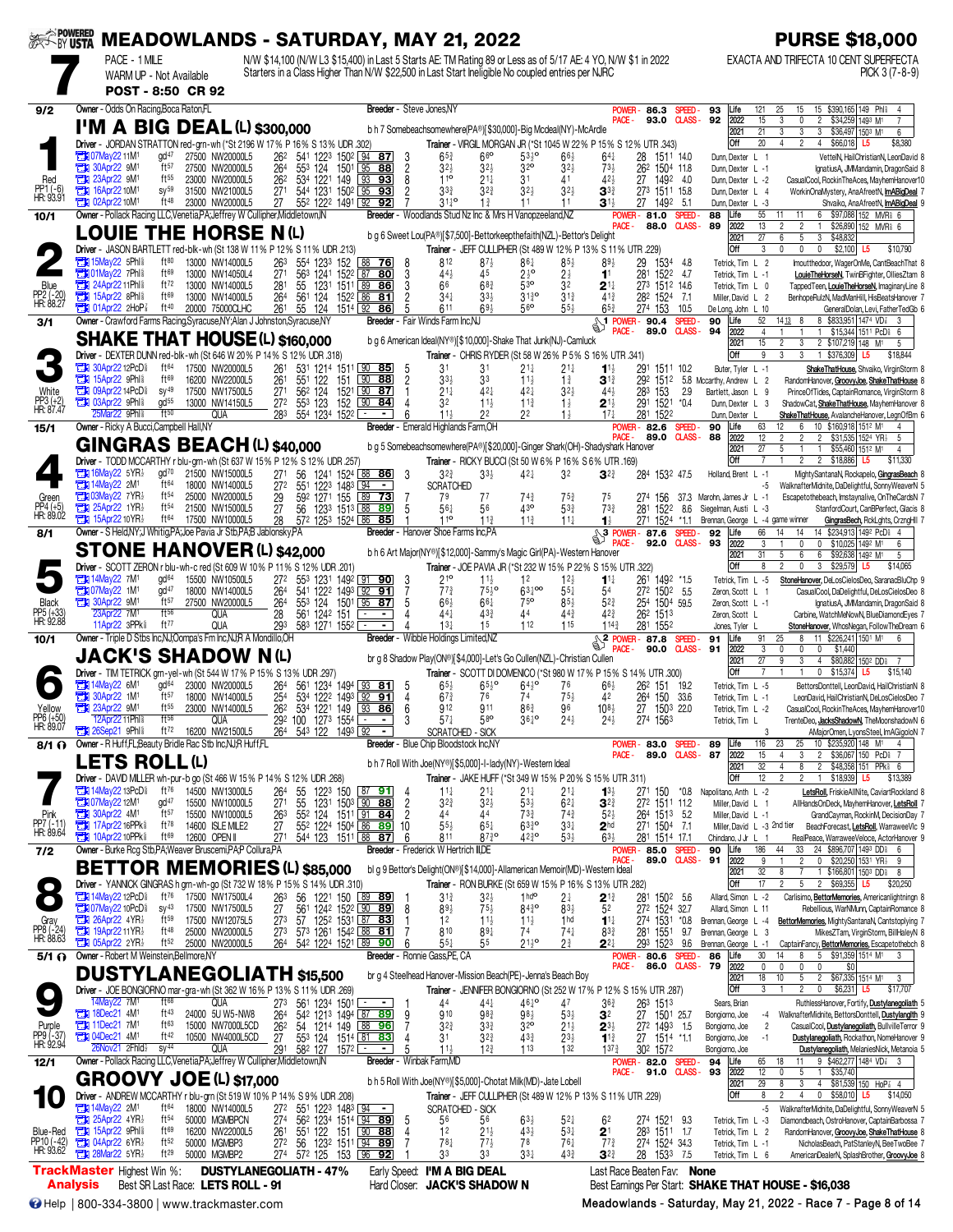| <b>SECOND USTA</b>                  | PACE - 1 MILE                                                                                                               | <b>MEADOWLANDS - SATURDAY, MAY 21, 2022</b>                                |                               | N/W \$14,100 (N/W L3 \$15,400) in Last 5 Starts AE: TM Rating 89 or Less as of 5/17 AE: 4 YO, N/W \$1 in 2022 |                                                                   |                                                                             |                                                                                                 |                                                                    |                                    |                                                         |                         |                                                   | <b>PURSE \$18,000</b><br>EXACTA AND TRIFECTA 10 CENT SUPERFECTA                                                         |
|-------------------------------------|-----------------------------------------------------------------------------------------------------------------------------|----------------------------------------------------------------------------|-------------------------------|---------------------------------------------------------------------------------------------------------------|-------------------------------------------------------------------|-----------------------------------------------------------------------------|-------------------------------------------------------------------------------------------------|--------------------------------------------------------------------|------------------------------------|---------------------------------------------------------|-------------------------|---------------------------------------------------|-------------------------------------------------------------------------------------------------------------------------|
|                                     | WARM UP - Not Available                                                                                                     | POST - 8:50 CR 92                                                          |                               | Starters in a Class Higher Than N/W \$22,500 in Last Start Ineligible No coupled entries per NJRC             |                                                                   |                                                                             |                                                                                                 |                                                                    |                                    |                                                         |                         |                                                   | PICK 3 (7-8-9)                                                                                                          |
| 9/2                                 | Owner - Odds On Racing, Boca Raton, FL                                                                                      |                                                                            |                               |                                                                                                               |                                                                   | Breeder - Steve Jones, NY                                                   |                                                                                                 |                                                                    |                                    | POWER-<br>86.3                                          | SPEED-                  | 93<br>Life                                        | 15 \$390,165 149 Phl<br>121<br>25<br>15                                                                                 |
|                                     | $I'M$ A BIG DEAL(L) \$300,000                                                                                               |                                                                            |                               |                                                                                                               |                                                                   | b h 7 Somebeachsomewhere(PA®)[\$30,000]-Big Mcdeal(NY)-McArdle              |                                                                                                 |                                                                    | PACE -                             | 93.0                                                    | <b>CLASS-</b>           | 92<br>2022<br>2021                                | 15<br>$\overline{2}$<br>\$34,259 1493 M1<br>3<br>0<br>21<br>3<br>3<br>3<br>\$36,497 1503 M1<br>6                        |
|                                     | Driver - JORDAN STRATTON red-grn-wh (*St 2196 W 17% P 16% S 13% UDR .302)<br><b>THE 07May22 11M1</b>                        | gd <sup>47</sup><br>27500 NW20000L5                                        | 262                           | 541 1223 1502 94 87                                                                                           | -3                                                                | $65\frac{3}{4}$                                                             | Trainer - VIRGIL MORGAN JR (*St 1045 W 22% P 15% S 12% UTR 343)<br>$66^{\circ}$                 | $53\frac{1}{2}$ <sup>o</sup><br>$66\frac{1}{2}$                    | 64‡                                | 28<br>1511 140                                          |                         | Off<br>Dunn, Dexter L 1                           | 20<br>$\overline{2}$<br>4 \$66,018<br>\$8,380<br>$\overline{4}$<br>L5<br>VettelN, HailChristianN, LeonDavid &           |
|                                     | ъ<br>30Apr22 9M1<br>23Apr22 9M1<br>ъ                                                                                        | ft57<br>27500 NW20000L5<br>$ft^{55}$<br>23000 NW20000L5                    | 264                           | 553 124<br>534 1221                                                                                           | 1501 95<br>88<br>$\overline{2}$<br>149 93 93<br>8                 | $32\frac{1}{2}$<br>11 <sup>o</sup>                                          | 32 <sup>o</sup><br>$3^{2}\frac{1}{2}$                                                           | $3^{2}$<br>41                                                      | 73}<br>424                         | 262 1504 11.8<br>1492 40                                |                         | Dunn, Dexter L -1                                 | IgnatiusA, JMMandamin, DragonSaid 8                                                                                     |
| Red<br>PP1 (-6)<br>HR: 93.91        | <b>EX 16Apr22 10M1</b><br><b>EX 02Apr22 10M1</b>                                                                            | $SV^{59}$<br>31500 NW21000L5<br>ft48                                       | 262<br>271                    | 544 1231                                                                                                      | 150 <sup>2</sup> 95 93                                            | $3^{3}_{4}$                                                                 | $21\frac{1}{4}$<br>31<br>$3^{2^{3}}$<br>323<br>11                                               | 32 <sub>3</sub>                                                    | $\mathbf{3}^{3\ddagger}$           | 27<br>273<br>1511 15.8                                  |                         | Dunn, Dexter L -2<br>Dunn, Dexter L 4             | CasualCool, RockinTheAces, MayhemHanover10<br>WorkinOnaMystery, AnaAfreetN, ImABigDeal 7                                |
| 10/1                                | Owner - Pollack Racing LLC.Venetia, PA: Jeffrey W Cullipher, Middletown, IN                                                 | 23000 NW20000L5                                                            | 27                            | 552 1222 1491 92 92                                                                                           |                                                                   | $31^{10}_{4}$<br>Breeder - Woodlands Stud Nz Inc & Mrs H Vanopzeeland, NZ   | $1\frac{3}{4}$                                                                                  | 11                                                                 | 31,                                | 27<br>1492 5.1<br>POWER-<br>81.0                        | <b>SPEED</b>            | Dunn, Dexter L -3<br>88<br>.ife                   | Shvaiko, AnaAfreetN, <i>ImABigDeal</i> 9<br>55<br>\$97,088 152 MVR 6<br>11<br>6                                         |
|                                     | LOUIE THE HORSE N(L)                                                                                                        |                                                                            |                               |                                                                                                               |                                                                   | b g 6 Sweet Lou(PA®)[\$7,500]-Bettorkeepthefaith(NZL)-Bettor's Delight      |                                                                                                 |                                                                    | PACE -                             | 88.0                                                    | <b>CLASS-</b>           | 89<br>2022<br>2021                                | 13<br>$\overline{2}$<br>\$26,890 152 MVR 6<br>27<br>6<br>\$48,832<br>5<br>3                                             |
|                                     | Driver - JASON BARTLETT red-blk-wh (St 138 W 11% P 12% S 11% UDR 213)<br><b>The 15May22 5Phl?</b>                           | ft80<br>13000 NW14000L5                                                    | 263                           | 554 1233 152 88 76                                                                                            | 8                                                                 | 812                                                                         | Trainer - JEFF CULLIPHER (St 489 W 12% P 13% S 11% UTR .229)<br>$87\frac{1}{2}$<br>86‡          | $85\frac{1}{2}$                                                    | 89}                                | $\frac{29}{281}$<br>1534 4.8                            |                         | Off<br>Tetrick, Tim L 2                           | 3<br>$\mathbf{0}$<br>0<br>\$2,100<br>0<br>\$10,790<br>L5<br>Imoutthedoor, WagerOnMe, CantBeachThat &                    |
|                                     | <b>TEM 01May22 7Phl?</b><br><b>EN 24Apr2211Phls</b>                                                                         | ft69<br>13000 NW14050L4<br>ft72<br>13000 NW14000L5                         | 271<br>281                    | 563 1241 1522 87 80<br>55                                                                                     | 3<br>3<br>1231 1511 89 86                                         | 443<br>66                                                                   | $2\frac{1}{2}$ <sup>o</sup><br>45<br>53 <sup>o</sup><br>$68\frac{3}{4}$                         | $2\frac{1}{2}$<br>32                                               | 11<br>$2^{11}$                     | 1522 4.7<br>273 1512 14.6                               |                         | Tetrick, Tim L -1<br>Tetrick, Tim L 0             | LouieTheHorseN, TwinBFighter, OlliesZtam 8<br>TappedTeen, LouieTheHorseN, ImaginaryLine 8                               |
| Blue<br>PP2 (-20)<br>HR: 88.27      | <b>TEM</b> 15Apr22 8Phl <sup>§</sup><br><b>The 01Apr22 2HoP</b>                                                             | ft69<br>13000 NW14000L5<br>ft40<br>20000 75000CLHC                         | 264<br>261                    | 561<br>124<br>55<br>124                                                                                       | 1522 86 81<br>$\frac{2}{5}$<br>$1514$ $92$<br>86                  | $34\frac{1}{4}$<br>611                                                      | $3^{3}\frac{1}{2}$<br>560<br>69 <sub>3</sub>                                                    | $31\frac{3}{4}$ <sup>o</sup><br>$3^{13}$<br>$55\frac{1}{2}$        | $41\frac{3}{7}$<br>$65\frac{3}{4}$ | 282 1524 7.1<br>274<br>153                              | 10.5                    | Miller, David L 2<br>De Long, John L 10           | BenhopeRulzN, MadManHill, HisBeatsHanover 7<br>GeneralDolan, Levi, FatherTedGb 6                                        |
| 3/1                                 | Owner - Crawford Farms Racing, Syracuse, NY; Alan J Johnston, Syracuse, NY                                                  |                                                                            |                               |                                                                                                               |                                                                   | Breeder - Fair Winds Farm Inc.NJ                                            |                                                                                                 |                                                                    | PACE -                             | $\otimes$ <sup>1</sup> POWER - 90.4<br>89.0             | SPEED.<br><b>CLASS-</b> | 90<br>Life<br>94<br>2022                          | 52<br>8 \$833,951 1474 VD<br>14 13<br>3<br>8<br>$\overline{4}$<br>\$15,344 1511 PcDi 6<br>$\mathbf{1}$                  |
|                                     | <b>SHAKE THAT HOUSE (L) \$160,000</b><br>Driver - DEXTER DUNN red-blk-wh (St 646 W 20% P 14% S 12% UDR 318)                 |                                                                            |                               |                                                                                                               |                                                                   | b g 6 American Ideal(NY®)[\$10,000]-Shake That Junk(NJ)-Camluck             | Trainer - CHRIS RYDER (St 58 W 26% P 5% S 16% UTR .341)                                         |                                                                    |                                    |                                                         |                         | 2021<br>Off                                       | 15<br>$\overline{2}$<br>2 \$107,219 148 M1<br>3<br>5<br>1 \$376,309<br>\$18,844<br>9<br>3<br>3<br>L5                    |
|                                     | <b>EN 30Apr22 12PcD</b><br>15Apr22 9Phl <sup>§</sup><br>Ъ                                                                   | ft64<br>17500 NW20000L5<br>ft69<br>16200 NW22000L5                         | 26<br>261                     | 531<br>551<br>122<br>151                                                                                      | 1214 1511 90 85<br>$\boxed{90}$<br>$\overline{2}$<br>88           | 3 <sup>1</sup><br>$3^{3}$                                                   | 31<br>$21\frac{1}{4}$<br>33<br>$11\frac{1}{2}$                                                  | $21\frac{1}{4}$<br>$1\frac{3}{4}$                                  | $1^{1}$<br>$\mathbf{3}$ 1}         | 29 <sup>°</sup><br>1511 10.2<br>292<br>151 <sup>2</sup> |                         | Buter, Tyler L -1<br>5.8 Mccarthy, Andrew L       | ShakeThatHouse, Shvaiko, VirginStorm 8<br>RandomHanover, GroovyJoe, ShakeThatHouse 8<br>$\overline{2}$                  |
| White<br>PP3 (+2)<br>HR: 87.47      | <b>THE 09Apr2214PcD</b><br><b>TEM 03Apr22 9Phl</b>                                                                          | $SV^{49}$<br>17500 NW17500L5<br>gd <sup>55</sup><br>13000 NW14150L5        | 271<br>272                    | 562 124<br>1521<br>553 123<br>152                                                                             | $90$ 87<br>90<br>$\frac{84}{ }$                                   | $21\frac{1}{4}$<br>32                                                       | $42\frac{1}{4}$<br>421<br>$11\frac{1}{2}$<br>$11\frac{3}{4}$                                    | $3^{2}$<br>$1\frac{1}{2}$                                          | 44}<br>$2^{11}$                    | 283<br>153<br>1521 *0.4<br>291                          | 2.9                     | Bartlett, Jason L<br>Dunn, Dexter L 3             | PrinceOfTides, CaptainRomance, VirginStorm 8<br>-9<br>ShadowCat, ShakeThatHouse, MayhemHanover 8                        |
|                                     | 25Mar22 9Phl <sup>1</sup><br>Owner - Ricky A Bucci, Campbell Hall, NY                                                       | ft50<br><b>QUA</b>                                                         | 283                           | 554 1234 1522                                                                                                 |                                                                   | $11\frac{1}{2}$<br>Breeder - Emerald Highlands Farm,OH                      | 22<br>22                                                                                        | $1\frac{1}{2}$                                                     | $17\frac{1}{4}$                    | 281<br>1522<br>POWER-82.6                               | <b>SPEED</b>            | Dunn, Dexter L<br>Life<br>90                      | ShakeThatHouse, AvalancheHanover, LegnOfBm 6<br>63<br>12<br>10 \$160,918 1512 M1<br>6                                   |
| 15/1                                | GINGRAS BEACH (L) \$40,000                                                                                                  |                                                                            |                               |                                                                                                               |                                                                   | b g 5 Somebeachsomewhere(PA®)[\$20,000]-Ginger Shark(OH)-Shadyshark Hanover |                                                                                                 |                                                                    |                                    | 89.0                                                    | <b>CLASS-</b>           | 88<br>2022<br>2021                                | 12<br>$\overline{2}$<br>2 \$31,535 1524 YR<br>$\overline{c}$<br>5<br>27<br>5<br>\$55,460 1512 M1<br>4                   |
|                                     | Driver - TODD MCCARTHY r blu-grn-wh (St 637 W 15% P 12% S 12% UDR .257)                                                     |                                                                            |                               |                                                                                                               |                                                                   |                                                                             | Trainer - RICKY BUCCI (St 50 W 6% P 16% S 6% UTR 169)                                           |                                                                    |                                    |                                                         |                         | Off                                               | $\overline{7}$<br>$\overline{c}$<br>2 \$18,886<br>L5<br>\$11,330                                                        |
|                                     | 16May22 5YR}<br><b>ET 14May22 2M1</b>                                                                                       | 21500 NW15000L5<br>gd <sup>70</sup><br>ft64<br>18000 NW14000L5             | 271<br>272                    | 56 1241 1524 88 86<br>551 1223 1483 94                                                                        | -3<br>$\blacksquare$                                              | $3^{2^{3}}$<br><b>SCRATCHED</b>                                             | $3^{3}\frac{1}{2}$<br>421                                                                       | 32                                                                 | 32}                                | 284 1532 47.5                                           |                         | Holland, Brent L -1                               | MightySantanaN, Rockapelo, GingrasBeach &<br>-5<br>WalknafterMidnite, DaDelightful, SonnyWeaverN 5                      |
| Green<br>PP4 (+5)<br>HR: 89.02      | <b>ET 03May22 7YR</b><br><b>ED 25Apr22 1YR</b>                                                                              | $ft^{54}$<br>25000 NW20000L5<br>ft <sup>54</sup><br>21500 NW15000L5        | 29<br>27                      | 592 1271 155 89 73<br>56                                                                                      | 1233 1513 88 89                                                   | 79<br>561                                                                   | 77<br>$74\frac{3}{4}$<br>56<br>430                                                              | $75\frac{3}{4}$<br>533                                             | 75<br>$73\frac{3}{4}$              | 156<br>281<br>1522                                      | 37.3<br>8.6             | Marohn, James Jr L -1<br>Siegelman, Austi L -3    | Escapetothebeach, Imstaynalive, OnTheCardsN 7<br>StanfordCourt, CanBPerfect, Glacis 8                                   |
| 8/1                                 | <b>THE 15Apr22 10 YR3</b><br>Owner - S Held, NY; J Whitig, PA; Joe Pavia Jr Stb, PA; B Jablonsky, PA                        | ft64<br>17500 NW10000L5                                                    | 28                            | 572 1253 1524 86 85                                                                                           |                                                                   | 110<br>Breeder - Hanover Shoe Farms Inc.PA                                  | 11 <sub>3</sub><br>$11\frac{3}{4}$                                                              | $11+$                                                              | $\mathbf{1}$<br>3 POWER-           | 271 1524<br>87.6                                        | $*1.1$<br><b>SPEED</b>  | 92<br>Life                                        | Brennan, George L -4 game winner<br>GingrasBech, RckLghts, CrzngHll 7<br>14 \$234,913 1492 PcD 4<br>66<br>14<br>14      |
|                                     | <b>STONE HANOVER (L) \$42,000</b>                                                                                           |                                                                            |                               |                                                                                                               |                                                                   | b h 6 Art Major(NY®)[\$12,000]-Sammy's Magic Girl(PA)-Western Hanover       |                                                                                                 |                                                                    | PACE -                             | 92.0                                                    | <b>CLASS-</b>           | 93<br>2022<br>2021                                | 3<br>\$10,025 1492 M1<br>$\theta$<br>0<br>6<br>31<br>5<br>6<br>\$92,638 1492 M1<br>6<br>5                               |
|                                     | Driver - SCOTT ZERON r blu-wh-c red (St 609 W 10% P 11% S 12% UDR .201)<br><b>THE 14May22 7M1</b>                           | gd <sup>64</sup><br>15500 NW10500L5                                        | 272                           | 553 1231 1492 91 90                                                                                           |                                                                   | $21^{\circ}$                                                                | Trainer - JOE PAVIA JR (*St 232 W 15% P 22% S 15% UTR .322)<br>12<br>$11\frac{1}{2}$            | $12\frac{1}{2}$                                                    | $1^{11}$                           | 261<br>1492 *1.5                                        |                         | Off<br>Tetrick, Tim L -5                          | 8<br>$\overline{2}$<br>0<br>3 \$29,579<br>\$14,065<br>L5<br>StoneHanover, DeLosCielosDeo, SaranacBluChp 9               |
| Black                               | <b>External O7May22 1M1</b><br><b>EX 30Apr22 9M</b>                                                                         | $\alpha$ d <sup>47</sup><br>18000 NW14000L5<br>ft57<br>27500 NW20000L5     | 264<br>264                    | 541 1222 1493 92 91<br>553 124 1501 95 87                                                                     | 7                                                                 | $77\frac{3}{4}$<br>$66\frac{1}{2}$                                          | $75\frac{1}{2}$ <sup>o</sup><br>75 <sup>o</sup><br>$66\frac{1}{4}$                              | $63^{100}$<br>$55\frac{1}{4}$<br>$85\frac{1}{2}$                   | 54<br>$5^{2}$                      | 272 1502 5.5<br>254 1504 59.5                           |                         | Zeron, Scott L 1<br>Zeron, Scott L -1             | CasualCool, DaDelightful, DeLosCielosDeo 8<br>IgnatiusA, JMMandamin, DragonSaid 8                                       |
| PP5 (+33)<br>HR: 92.88              | 23Apr22 7M1<br>11Apr22 3PPk                                                                                                 | $f$ <sup>156</sup><br><b>QUA</b><br>ft77<br><b>QUA</b>                     | 28<br>293                     | 561 1242 151<br>583 1271 1552 -                                                                               | $\overline{\phantom{a}}$                                          | $44\frac{1}{4}$<br>$13\frac{1}{4}$                                          | $43\frac{3}{4}$<br>44<br>112<br>15                                                              | $44\frac{3}{4}$<br>115                                             | 423<br>$114\frac{3}{4}$            | 262 1513<br>281 1552                                    |                         | Zeron, Scott L<br>Jones, Tyler L                  | Carbine, WatchMeNowN, BlueDiamondEyes 7<br>StoneHanover, WhosNegan, FollowTheDream 6                                    |
| 10/1                                | Owner - Triple D Stbs Inc, NJ; Oompa's Fm Inc, NJ; R A Mondillo, OH                                                         |                                                                            |                               |                                                                                                               |                                                                   | Breeder - Wibble Holdings Limited, NZ                                       |                                                                                                 |                                                                    |                                    | $\frac{8}{2}$ POWER-87.8<br>ACE -<br>90.0               | SPEED-<br><b>CLASS-</b> | 91<br>Life<br>91<br>2022                          | 91<br>25<br>11 \$226,241 1501 M1<br>8<br>6<br>3<br>$\mathbf{0}$<br>0<br>0<br>\$1,440                                    |
|                                     | <b>JACK'S SHADOW N(L)</b><br>Driver - TIM TETRICK grn-yel-wh (St 544 W 17% P 15% S 13% UDR .297)                            |                                                                            |                               |                                                                                                               |                                                                   | br g 8 Shadow Play(ON®)[\$4,000]-Let's Go Cullen(NZL)-Christian Cullen      | Trainer - SCOTT DI DOMENICO (*St 980 W 17% P 15% S 14% UTR .300)                                |                                                                    |                                    |                                                         |                         | 2021<br>Off                                       | $\overline{27}$<br>\$80,882 1502 DD<br>9<br>3<br>4<br>\$15,374<br>7<br>0<br>L5<br>\$15,140                              |
|                                     | <b>EX 14May22 6M1</b><br><b>EN 30Apr22 1M1</b>                                                                              | gd <sup>64</sup><br>23000 NW20000L5<br>ft57<br>18000 NW14000L5             | 264<br>25 <sup>4</sup>        | 561<br>1234<br>534                                                                                            | 1494 93 81<br>122 <sup>2</sup> 149 <sup>3</sup> 92 <b>91</b><br>4 | $65\frac{1}{2}$<br>$67\frac{3}{4}$                                          | $65\frac{1}{2}$ <sup>o</sup><br>76<br>74                                                        | $64\frac{1}{2}$ <sup>o</sup><br>76<br>$75\frac{1}{2}$              | 66 z<br>42                         | 262 151<br>264<br>150                                   | 19.2<br>33.6            | Tetrick. Tim L -5<br>Tetrick. Tim L -1            | BettorsDonttell, LeonDavid, HailChristianN 8<br>LeonDavid, HailChristianN, DeLosCielosDeo 7                             |
| rellow)<br>PP6 (+50)                | <b>EX 23Apr22 9M1</b><br>12Apr22 11Phl <sup>§</sup>                                                                         | ft55<br>23000 NW14000L5<br>ft56<br>QUA                                     | 262                           | 534 1221 149 93 86<br>292 100 1273 1554                                                                       | 6<br>$\blacksquare$                                               | 912<br>$57\frac{1}{4}$                                                      | 911<br>$86\frac{3}{4}$<br>580                                                                   | 96<br>$24\frac{1}{2}$<br>$36\frac{1}{4}$                           | $10^{8}$<br>$24\frac{1}{2}$        | 27<br>1503 22.0<br>274 1563                             |                         | Tetrick, Tim L -2<br>Tetrick, Tim L               | CasualCool, RockinTheAces, MayhemHanover10<br>TrenteDeo, JacksShadowN, TheMoonshadowN 6                                 |
| HR: 89.07                           | 26Sep21 9Phl <sup>5</sup> ft <sup>72</sup> 16200 NW21500L5<br>Owner - R Huff, FL; Beauty Bridle Rac Stb Inc, NJ; R Huff, FL |                                                                            |                               | 264 543 122 1493 92                                                                                           | $\overline{\phantom{a}}$                                          | SCRATCHED - SICK<br>Breeder - Blue Chip Bloodstock Inc, NY                  |                                                                                                 |                                                                    |                                    | POWER -<br>83.0                                         | SPEED-                  | 116                                               | AMajorOmen, LyonsSteel, ImAGigoloN /<br>10 \$235,920 148 M1<br>23<br>25<br>$\overline{4}$                               |
| 8/1 O                               | LETS ROLL(L)                                                                                                                |                                                                            |                               |                                                                                                               |                                                                   | b h 7 Roll With Joe(NY®)[\$5,000]-I-lady(NY)-Western Ideal                  |                                                                                                 |                                                                    | PACE -                             |                                                         | 89.0 CLASS-87           | 89<br>Life<br>2022<br>2021                        | 2 \$36,067 150 PcD ? 7<br>15<br>3<br>32<br>$\overline{c}$<br>\$48,358 151 PPk 6<br>4<br>8                               |
|                                     | Driver - DAVID MILLER wh-pur-b go (St 466 W 15% P 14% S 12% UDR .268)                                                       |                                                                            |                               |                                                                                                               |                                                                   |                                                                             | Trainer - JAKE HUFF (*St 349 W 15% P 20% S 15% UTR 311)                                         |                                                                    |                                    |                                                         |                         | Off                                               | 12<br>$\overline{c}$<br>$\overline{c}$<br>$\overline{1}$<br>\$18,939 L5<br>\$13,389                                     |
|                                     | $714$ 14Mav22 13PcD $\frac{5}{8}$<br><b>EN 07May22 12M1</b>                                                                 | ft76<br>14500 NW13000L5<br>$\text{gd}^{47}$<br>15500 NW10000L5             | 264<br>271                    | 55 122 <sup>3</sup> 150 87 91<br>55 1231 1503 90 88                                                           | - 4<br>$\overline{2}$                                             | $11\frac{1}{4}$<br>$3^{2^{3}}$                                              | $21\frac{1}{4}$<br>$21\frac{1}{4}$<br>$3^{2}\frac{1}{2}$<br>53}                                 | $21\frac{1}{4}$<br>$6^{2}$                                         | $13\frac{1}{2}$<br>$3^{2}$         | 271 150 *0.8<br>272 1511 11.2                           |                         | Napolitano, Anth L -2<br>Miller, David L 1        | LetsRoll, FriskieAllNite, CaviartRockland 8<br>AllHandsOnDeck, MayhemHanover, LetsRoll 7                                |
| Pink<br>PP7 (-11)<br>HR: 89.64      | <b>Et 30Apr22 4M<sup>1</sup></b><br><b>TEM 17Apr22 16PPk</b>                                                                | $ft^{57}$<br>15500 NW10000L5<br>$ft^{78}$<br>14600 ISLE MILE2              | $\frac{26^3}{27}$             | 55 <sup>2</sup> 124 1511 91 84<br>552 1224 1504 86 89                                                         | $\frac{2}{10}$                                                    | 44<br>$55\frac{1}{2}$                                                       | $73\frac{3}{4}$<br>44<br>$65\frac{1}{4}$                                                        | $74\frac{3}{4}$<br>$63^{30}_{4}$<br>$3^{3+}$                       | $5^{2}$<br>2 <sup>hd</sup>         | 264 1513 5.2<br>271 1504 7.1                            |                         | Miller, David L -1<br>Miller, David L -3 2nd tier | GrandCayman, RockinM, DecisionDay 7<br>BeachForecast, LetsRoll, WarraweeVIc 9                                           |
| 7/2                                 | <b>TEM</b> 10Apr22 10PPk<br>Owner - Burke Rcg Stb.PA: Weaver Bruscemi.PA: P Collura.PA                                      | $ft^{69}$<br>12600 OPEN II                                                 |                               | 271 544 123 1511 88 87                                                                                        | 6                                                                 | 811<br>Breeder - Frederick W Hertrich III,DE                                | $87\frac{3}{4}$ <sup>o</sup>                                                                    | $42^{30}_{4}$<br>53 <sup>1</sup>                                   | $63\frac{1}{2}$                    | 281 1514 17.1<br>85.0<br>POWER -                        | <b>SPEED</b>            | Chindano, J Jr L 1<br>90<br>Life                  | RealPeace, WarraweeVeloce, ActorHanover 9<br>33<br>24 \$896,707 1493 DD<br>186<br>44<br>6                               |
|                                     | <b>BETTOR MEMORIES (L) \$85,000</b>                                                                                         |                                                                            |                               |                                                                                                               |                                                                   | bl g 9 Bettor's Delight(ON®)[\$14,000]-Allamerican Memoir(MD)-Western Ideal |                                                                                                 |                                                                    | PACE-                              | 89.0                                                    | <b>CLASS-</b>           | 91<br>2022<br>2021                                | 0 $$20,250$ 1531 YR<br>9<br>2<br>9<br>32<br>8<br>1 \$166,801 1503 DD\$<br>8                                             |
| $\bullet$                           | Driver - YANNICK GINGRAS h grn-wh-go (St 732 W 18% P 15% S 14% UDR .310)<br><b>TEM</b> 14May22 12PcD <sup>§</sup>           | ft76<br>17500 NW17500L4                                                    | 263                           | 56 1221 150 89 89<br>561 1242 1522 90 89                                                                      |                                                                   | $3^{13}$                                                                    | Trainer - RON BURKE (St 659 W 15% P 16% S 13% UTR .282)<br>1 <sup>h</sup><br>$3^{2}\frac{1}{2}$ | $2\frac{1}{4}$                                                     | $2^{13}$                           | 281 1502 5.6                                            |                         | Off<br>Allard, Simon L -2                         | 17<br>$\overline{\phantom{a}}$<br>5<br>2 \$69,355 L5<br>\$20,250<br>Carlisimo, BettorMemories, Americanlightningn 8     |
|                                     | 107May22 10PcD<br><b>EN 26Apr22 4YR</b>                                                                                     | $sy^{43}$<br>17500 NW17500L5<br>ft <sub>59</sub><br>17500 NW12075L5        | 27<br>273                     |                                                                                                               | 8                                                                 | $89\frac{1}{2}$<br>12                                                       | $75\frac{1}{2}$<br>$11\frac{1}{2}$<br>$11\frac{1}{2}$                                           | $84\frac{3}{4}$ <sup>o</sup><br>$83\frac{1}{2}$<br>1 <sub>hd</sub> | 52<br>$1^{11}$                     | 272 1524 32.7<br>274 1531 *0.8                          |                         | Allard, Simon L 11<br>Brennan, George L -4        | Rebellious, WarNMunn, CaptainRomance 8<br>BettorMemories, MightySantanaN, Cantstoplying 7                               |
| Gray<br>PP8 (-24)<br>HR: 88.63      | <b>EN 19Apr2211YR</b><br><b>EN 05Apr22 2YR</b>                                                                              | ft <sup>48</sup><br>25000 NW20000L5<br>ft <sup>52</sup><br>25000 NW20000L5 | 273                           | 57 125 <sup>2</sup> 1531 87 83<br>573 1261 1542 88 81<br>264 542 1224 1521 89                                 | <u>90</u><br>6                                                    | 810<br>$5^{51}$                                                             | $89\frac{1}{4}$<br>74<br>55                                                                     | $74\frac{1}{4}$<br>$21\frac{1}{2}$ <sup>o</sup><br>2∛              | $8^{3}{}_{4}^{3}$<br>$2^{2}$       | 281 1551 9.7<br>293 1523                                | 9.6                     | Brennan, George L 3<br>Brennan, George L -1       | MikesZTam, VirginStorm, BillHaleyN 8<br>CaptainFancy, BettorMemories, Escapetothebch 8                                  |
| 5/1 O                               | Owner - Robert M Weinstein, Bellmore, NY                                                                                    |                                                                            |                               |                                                                                                               |                                                                   | Breeder - Ronnie Gass, PE, CA                                               |                                                                                                 |                                                                    | PACE -                             | POWER-80.6 SPEED-<br>86.0                               | <b>CLASS-79</b>         | 86<br>Life<br>2022                                | 30<br>5 \$91,359 1514 M1<br>14<br>8<br>3<br>$\mathbb O$<br>0<br>0<br>ß۵                                                 |
|                                     | <b>DUSTYLANEGOLIATH \$15,500</b><br>Driver - JOE BONGIORNO mar-gra-wh (St 362 W 16% P 13% S 11% UDR .269)                   |                                                                            |                               |                                                                                                               |                                                                   | br g 4 Steelhead Hanover-Mission Beach(PE)-Jenna's Beach Boy                | Trainer - JENNIFER BONGIORNO (St 252 W 17% P 12% S 15% UTR 287)                                 |                                                                    |                                    |                                                         |                         | 2021<br>Off                                       | 18<br>$\overline{2}$<br>\$67,335 1514 M1<br>10<br>5<br>3<br>3<br>$$6,231$ L5<br>$\overline{c}$<br>0<br>\$17,707         |
|                                     | 14May22 7M <sup>1</sup><br><b>EN 18Dec21 4M<sup>1</sup></b>                                                                 | ft68<br>QUA<br>ft 43<br>24000 5U W5-NW8                                    | 273<br>264                    |                                                                                                               | 9                                                                 | 44<br>910                                                                   | 44<br>983<br>$98\frac{1}{2}$                                                                    | 46 <sup>1</sup> °<br>4<br>$53\frac{1}{2}$                          | 367<br>32                          | 26 <sup>3</sup><br>27<br>151 <sup>3</sup><br>1501 25.7  |                         | Sears, Brian<br>Bongiorno, Joe                    | RuthlessHanover, Fortify, Dustylanegoliath 5<br>WalknafterMidnite, BettorsDonttell, DustylangIth 9<br>-4                |
| Purple<br>PP9 (-37)<br>HR: 92.94    | <b>EX 11Dec21 7M1</b><br><b>EN 04Dec21 4M<sup>1</sup></b>                                                                   | ft63<br>15000 NW7000L5CD<br>ft42<br>10500 NW4000L5CD                       | 262<br>27                     | 54 1214 149 88 96<br>553 124 1514 81 83                                                                       |                                                                   | $3^{2^{3}}$<br>31                                                           | 32 <sup>o</sup><br>$3^{3}_{4}$<br>$43\frac{3}{4}$<br>$3^{2^{3}}$                                | $21\frac{1}{2}$<br>$2^{3}\frac{1}{2}$                              | $2^{3}\frac{1}{2}$<br>$1^{13}$     | 272 1493 1.5<br>27 1514 *1.1                            |                         | Bongiorno, Joe<br>Bongiorno, Joe                  | CasualCool, Dustylanegoliath, BullvilleTerror 9<br>$\overline{2}$<br>Dustylanegoliath, Rockathon, NomeHanover 9<br>$-1$ |
|                                     | 26Nov21 2Fhld}<br>Owner - Pollack Racing LLC, Venetia, PA; Jeffrey W Cullipher, Middletown, IN                              | $sy^{44}$<br><b>QUA</b>                                                    | 291                           | 582 127<br>15721                                                                                              | $\blacksquare$                                                    | $11\frac{1}{2}$<br>Breeder - Winbak Farm,MD                                 | 12 <sup>3</sup> / <sub>4</sub><br>1 1 3                                                         | 132                                                                | $137\frac{3}{4}$                   | 30 <sup>2</sup> 157 <sup>2</sup><br>POWER-82.0 SPEED-   |                         | Bongiorno, Joe<br>94<br>Life                      | Dustylanegoliath, MelaniesNick, Metanoia 5<br>65<br>9 \$462,277 1484 VD <sup>2</sup> 3<br>18<br>11                      |
| 12/1                                | <b>GROOVY JOE (L) \$17,000</b>                                                                                              |                                                                            |                               |                                                                                                               |                                                                   | b h 5 Roll With Joe(NY®)[\$5,000]-Chotat Milk(MD)-Jate Lobell               |                                                                                                 |                                                                    | PACE -                             | 91.0 CLASS-                                             |                         | 2022<br>93<br>2021                                | 12<br>0<br>5<br>$\overline{1}$<br>\$35,740<br>29<br>8<br>4 \$81,539 150 HoP 3 4<br>3                                    |
| 10                                  | Driver - ANDREW MCCARTHY r blu-grn (St 519 W 10% P 14% S 9% UDR .208)                                                       |                                                                            |                               |                                                                                                               |                                                                   |                                                                             | Trainer - JEFF CULLIPHER (St 489 W 12% P 13% S 11% UTR .229)                                    |                                                                    |                                    |                                                         |                         | Off                                               | 8<br>$\overline{2}$<br>4<br>$0$ \$58,010 L5<br>\$14,050                                                                 |
|                                     | <b>External 14May22 2M1</b><br><b>25Apr22 4YR</b>                                                                           | ft <sup>64</sup><br>18000 NW14000L5<br>ft <sup>54</sup><br>50000 MGMBPCN   |                               | 272 551 1223 1483 94 -<br>274 562 1234 1514 94 89                                                             | 5                                                                 | <b>SCRATCHED - SICK</b><br>56                                               | 56<br>$63\frac{1}{2}$                                                                           | $5^{2}$                                                            | 62                                 | 274 1521 9.3                                            |                         | Tetrick, Tim L -3                                 | -5<br>WalknafterMidnite, DaDelightful, SonnyWeaverN 5<br>Diamondbeach, OstroHanover, CaptainBarbossa 7                  |
| Blue-Red<br>PP10 (-42)<br>HR: 93.62 | $12$ 04Apr22 6YR                                                                                                            | ft69<br>16200 NW22000L5<br>ft52<br>50000 MGMBP3                            | 261<br>27 <sup>2</sup>        | 551 122 151 90 88<br>56 123 <sup>2</sup> 151 94 89                                                            |                                                                   | 12<br>$78\frac{1}{4}$                                                       | 43}<br>$21\frac{1}{2}$<br>$77\frac{1}{2}$<br>78                                                 | $53\frac{1}{4}$<br>$76\frac{1}{4}$                                 | 2 <sup>1</sup><br>$7^{73}$         | 283 1511 1.7<br>274 1524 34.3                           |                         | Tetrick, Tim L 2<br>Tetrick, Tim L -1             | RandomHanover, GroovyJoe, ShakeThatHouse 8<br>NicholasBeach, PatStanleyN, BeeTwoBee 7                                   |
|                                     | <b>TEM</b> 28Mar22 5YR <sub>2</sub><br><b>TrackMaster Highest Win %:</b>                                                    | $ft^{29}$<br>50000 MGMBP2                                                  | <b>DUSTYLANEGOLIATH - 47%</b> | 274 572 125 153 96 92                                                                                         |                                                                   | 33<br>Early Speed: I'M A BIG DEAL                                           | 33<br>$33\frac{1}{4}$                                                                           | 433                                                                | $\mathbf{3}^{2\frac{3}{4}}$        | 28 1533<br>Last Race Beaten Fav: None                   | 7.5                     | Tetrick, Tim L 6                                  | AmericanDealerN, SplashBrother, GroovyJoe 8                                                                             |
|                                     | <b>Analysis</b>                                                                                                             | Best SR Last Race: LETS ROLL - 91                                          |                               |                                                                                                               |                                                                   | Hard Closer: JACK'S SHADOW N                                                |                                                                                                 |                                                                    |                                    |                                                         |                         |                                                   | Best Earnings Per Start: SHAKE THAT HOUSE - \$16,038                                                                    |

[Help](http://info.trackmaster.com/harness/hpl.pdf) | 800-334-3800 | www.trackmaster.com **Meadowlands - Saturday, May 21, 2022 - Race 7 - Page 8 of 14**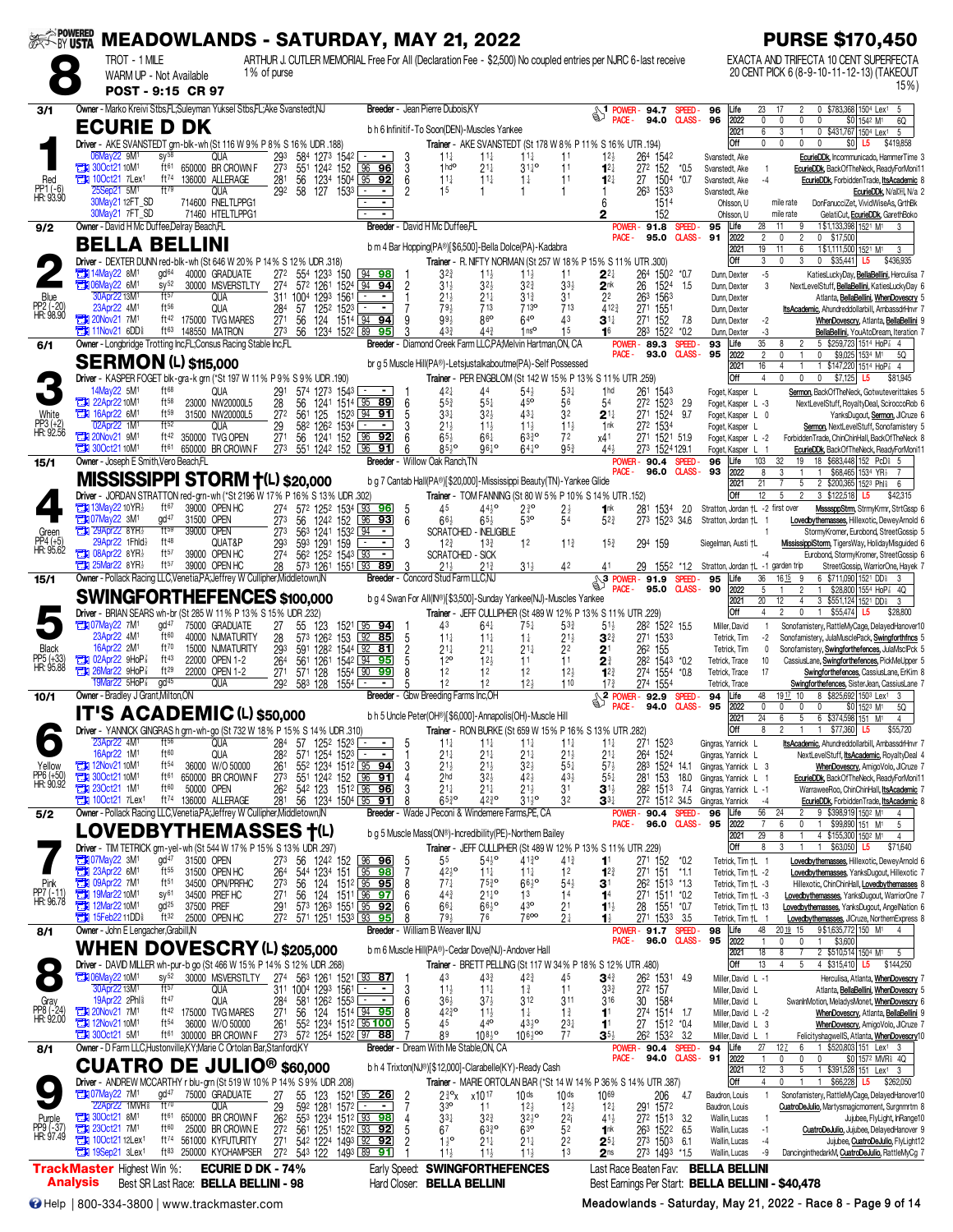| <b>EXTORY USTA</b>               |                                                                                                                      |                                               |                                                                                                                                              |                                                    | <b>MEADOWLANDS - SATURDAY, MAY 21, 2022</b>                                                                                       |                                                                                      |                                                          |                                                                      |                                                            | <b>PURSE \$170,450</b>                                                                                                         |
|----------------------------------|----------------------------------------------------------------------------------------------------------------------|-----------------------------------------------|----------------------------------------------------------------------------------------------------------------------------------------------|----------------------------------------------------|-----------------------------------------------------------------------------------------------------------------------------------|--------------------------------------------------------------------------------------|----------------------------------------------------------|----------------------------------------------------------------------|------------------------------------------------------------|--------------------------------------------------------------------------------------------------------------------------------|
|                                  | TROT - 1 MILE<br>WARM UP - Not Available                                                                             |                                               | 1% of purse                                                                                                                                  |                                                    | ARTHUR J. CUTLER MEMORIAL Free For All (Declaration Fee - \$2,500) No coupled entries per NJRC 6-last receive                     |                                                                                      |                                                          |                                                                      |                                                            | EXACTA AND TRIFECTA 10 CENT SUPERFECTA<br>20 CENT PICK 6 (8-9-10-11-12-13) (TAKEOUT                                            |
|                                  | POST - 9:15 CR 97                                                                                                    |                                               |                                                                                                                                              |                                                    |                                                                                                                                   |                                                                                      |                                                          |                                                                      |                                                            | $15\%$                                                                                                                         |
| 3/1                              | Owner - Marko Kreivi Stbs, FL; Suleyman Yuksel Stbs, FL; Ake Svanstedt, NJ                                           |                                               |                                                                                                                                              |                                                    | Breeder - Jean Pierre Dubois, KY                                                                                                  |                                                                                      | $\frac{1}{2}$ POWER-94.7                                 | SPEED-                                                               | 23<br>96<br>Life                                           | 0 \$783,368 1504 Lex1 5<br>17                                                                                                  |
|                                  | <b>ECURIE D DK</b>                                                                                                   |                                               |                                                                                                                                              |                                                    | b h 6 Infinitif-To Soon(DEN)-Muscles Yankee                                                                                       |                                                                                      |                                                          | <b>CLASS-</b><br>94.0                                                | 96<br>2022<br>$\mathbf{0}$<br>2021<br>6                    | 0<br>0<br>0<br>\$0 1542 M <sup>1</sup><br>6Q<br>0 \$431,767 1504 Lex1<br>3<br>5                                                |
|                                  | Driver - AKE SVANSTEDT grn-blk-wh (St 116 W 9% P 8% S 16% UDR .188)<br>06May22 9M <sup>1</sup><br>$SV^{58}$          | QUA                                           | 584 1273 1542<br>293                                                                                                                         | 3<br>$\blacksquare$                                | Trainer - AKE SVANSTEDT (St 178 W 8% P 11% S 16% UTR .194)<br>$11\frac{1}{4}$<br>$11\frac{1}{4}$                                  | $11\frac{1}{4}$<br>11                                                                | 12 <sub>3</sub>                                          | 264 1542                                                             | Off<br>$\mathbf{0}$<br>Svanstedt, Ake                      | $\mathbf{0}$<br>$\Omega$<br>\$0<br>$\mathbf{0}$<br>\$419,858<br>L5<br>EcurieDDk, Incommunicado, HammerTime 3                   |
| Red                              | <b>THE 300ct2110M1</b><br>ft61<br>ft74<br><b>The 10Oct21 7Lex1</b>                                                   | 650000 BR CROWN F<br>136000 ALLERAGE          | 551 1242 152<br>273<br>281<br>56<br>1504                                                                                                     | 96<br>96<br>3<br>$95$ 92<br>6                      | 1hd <sup>o</sup><br>$21\frac{1}{4}$<br>$11\frac{1}{4}$<br>$11\frac{1}{4}$                                                         | $31^{10}_{4}$<br>11<br>11<br>$1\frac{1}{4}$                                          | $12\frac{1}{4}$<br>$12\frac{1}{4}$                       | 272 152<br>$*0.5$<br>27<br>1504<br>$*0.7$                            | Svanstedt, Ake<br>$\overline{1}$<br>Svanstedt, Ake<br>$-4$ | EcurieDDk, BackOfTheNeck, ReadyForMoni11<br>EcurieDDk, ForbiddenTrade, ItsAcademic 8                                           |
| PP1 (-6)<br>HR: 93.90            | 5M <sup>1</sup><br>ft79                                                                                              | QUA                                           | 123 <sup>4</sup><br>127<br>29 <sup>2</sup><br>58<br>1533                                                                                     | $\overline{2}$                                     | 15                                                                                                                                | 1                                                                                    |                                                          | 263 1533                                                             | Svanstedt, Ake                                             | EcurieDDk, N/a[H], N/a 2                                                                                                       |
|                                  | 30May21 12FT_SD<br>30May21 7FT SD                                                                                    | 714600 FNELTLPPG1<br>71460 HTELTLPPG1         |                                                                                                                                              |                                                    |                                                                                                                                   |                                                                                      | 6                                                        | 1514<br>152                                                          | Ohlsson, U<br>Ohlsson, U                                   | DonFanucciZet, VividWiseAs, GrthBk<br>mile rate<br>mile rate<br>GelatiCut, EcurieDDk, GarethBoko                               |
| 9/2                              | Owner - David H Mc Duffee, Delray Beach, FL                                                                          |                                               |                                                                                                                                              |                                                    | Breeder - David H Mc Duffee.FL                                                                                                    |                                                                                      | POWER-<br>PACE -                                         | 91.8<br>SPEED-<br>CLASS-<br>95.0                                     | 28<br>95<br>Life<br>2022<br>$\overline{2}$<br>91           | 1\$1,133,398 1521 M1<br>11<br>9<br>$\overline{c}$<br>0<br>0 \$17,500                                                           |
|                                  | <b>BELLA BELLINI</b><br>Driver - DEXTER DUNN red-blk-wh (St 646 W 20% P 14% S 12% UDR .318)                          |                                               |                                                                                                                                              |                                                    | b m 4 Bar Hopping(PA®)[\$6,500]-Bella Dolce(PA)-Kadabra<br>Trainer - R. NIFTY NORMAN (St 257 W 18% P 15% S 11% UTR .300)          |                                                                                      |                                                          |                                                                      | 2021<br>19<br>Off<br>3                                     | 1\$1,111,500 1521 M1<br>11<br>6<br>3<br>$\mathbf{0}$<br>3<br>$0$ \$35,441<br>L5<br>\$436,935                                   |
|                                  | gd <sup>64</sup><br><b>TEM</b> 14May22 8M <sup>1</sup><br><b>EX 06May22 6M1</b><br>$sy^{52}$                         | 40000 GRADUATE<br>30000 MSVERSTLTY            | 272<br>554<br>1233<br>150<br>27 <sup>4</sup><br>572 1261<br>1524 94                                                                          | 94 98 <br>$\overline{2}$<br><u>94</u>              | $3^{2^{3}}$<br>$11\frac{1}{2}$<br>$31\frac{1}{2}$<br>$3^{2}$                                                                      | 11<br>$11\frac{1}{2}$<br>$3^{2^{3}}$<br>$3^{3}$                                      | 2∛<br>2 <sup>nk</sup>                                    | 264 1502 *0.7<br>26<br>1524 1.5                                      | $-5$<br>Dunn, Dexter<br>3<br>Dunn, Dexter                  | KatiesLuckyDay, BellaBellini, Herculisa 7<br>NextLevelStuff, BellaBellini, KatiesLuckyDay 6                                    |
| Blue                             | ft57<br>30Apr22 13M <sup>1</sup><br>23Apr22 4M <sup>1</sup><br>$ft^{56}$                                             | QUA<br>QUA                                    | 311 1004 1293<br>1561                                                                                                                        | $\sim$<br>$\mathbf{1}$<br>$\overline{\phantom{a}}$ | $21\frac{1}{2}$<br>$21\frac{1}{4}$<br>79 <sub>3</sub><br>713                                                                      | $3^{13}$<br>3 <sup>1</sup><br>713 <sup>o</sup><br>713                                | 22<br>412 <sub>3</sub>                                   | 263 1563                                                             | Dunn, Dexter                                               | Atlanta, BellaBellini, WhenDovescry 5                                                                                          |
| PP2 (-20)<br>HR: 98.90           | 20Nov21 7M <sup>1</sup>                                                                                              | ft <sup>42</sup> 175000 TVG MARES             | 284<br>57<br>1252 1523<br>27 <sup>1</sup><br>56<br>124 1514 94 94                                                                            | g                                                  | 860<br>993                                                                                                                        | 640<br>$\Delta 3$                                                                    | $\mathbf{3}^{1\downarrow}$                               | 27 <sup>1</sup><br>1551<br>271 152<br>7.8                            | Dunn, Dexter<br>$-2$<br>Dunn, Dexter                       | ItsAcademic, Ahundreddollarbill, AmbassdrHnvr 7<br>WhenDovescry, Atlanta, BellaBellini 9                                       |
| 6/1                              | ft63<br><b>External 11Nov21 6DDs</b><br>Owner - Longbridge Trotting Inc,FL;Consus Racing Stable Inc,FL               | 148550 MATRON                                 | 273<br>56<br>1234 1522 89                                                                                                                    | 95                                                 | 43 <sup>3</sup><br>$44\frac{3}{4}$<br>Breeder - Diamond Creek Farm LLC, PA, Melvin Hartman, ON, CA                                | 1 <sub>ns</sub><br>15                                                                | 16<br>POWER -                                            | 283<br>1522<br>$*0.2$<br>89.3<br><b>SPEED</b>                        | -3<br>Dunn, Dexter<br>$\overline{35}$<br>93<br>Life        | BellaBellini, YouAtoDream, Iteration 7<br>5 \$259,723 1514 HoP 3 4<br>8<br>$\overline{c}$                                      |
|                                  | <b>SERMON (L) \$115,000</b>                                                                                          |                                               |                                                                                                                                              |                                                    | br q 5 Muscle Hill(PA®)-Letsjustalkaboutme(PA)-Self Possessed                                                                     |                                                                                      | PACE -                                                   | 93.0<br><b>CLASS-</b>                                                | 95<br>2022<br>$\overline{2}$<br>2021<br>16                 | $\mathbf{0}$<br>\$9,025 1534 M1<br>5Q<br>$\mathbf{0}$<br>$\mathbf{1}$<br>1 \$147,220 1514 HoP 3 4<br>$\overline{4}$            |
|                                  | Driver - KASPER FOGET blk-gra-k grn (*St 197 W 11% P 9% S 9% UDR 190)<br>14May22 5M1<br>ft68                         | QUA                                           | 291<br>1273 1543 <u>- </u><br>574                                                                                                            | $\sim$                                             | Trainer - PER ENGBLOM (St 142 W 15% P 13% S 11% UTR 259)<br>42 <sub>7</sub><br>44                                                 | $54\frac{1}{2}$<br>$5^{3+}$                                                          | 1 <sub>hd</sub>                                          | 261<br>1543                                                          | Off<br>$\overline{4}$<br>Foget, Kasper L                   | $\mathbf{0}$<br>\$7,125<br>0<br>0<br>L5<br>\$81,945<br>Sermon, BackOfTheNeck, Gotwuteverittakes 5                              |
| White                            | <b>T1 22Apr22 10M1</b><br>$ft^{58}$<br><b>TEM</b> 16Apr22 6M <sup>1</sup><br>ft59                                    | 23000 NW20000L5<br>31500 NW20000L5            | 28<br>56<br>1241 1514 95 89<br>561                                                                                                           | 6<br>1523 94 91                                    | $55\frac{3}{4}$<br>$55\frac{1}{4}$<br>$33\frac{1}{4}$                                                                             | 45°<br>56<br>431                                                                     | 54                                                       | 272 1523<br>2.9<br>9.7                                               | Foget, Kasper L -3                                         | NextLevelStuff, RoyaltyDeal, SciroccoRob 6                                                                                     |
| $PP3 (+2)$<br>HR: 92.56          | 02Apr22 1M1<br>ft52                                                                                                  | QUA                                           | 125<br>272<br>29<br>582 1262 1534                                                                                                            | $\blacksquare$                                     | $3^{2}\frac{1}{2}$<br>$21\frac{1}{2}$<br>$11\frac{1}{2}$                                                                          | 32<br>$11\frac{1}{2}$<br>$11\frac{1}{2}$                                             | $2^{\scriptscriptstyle \frac{11}{4}}$<br>1 <sub>nk</sub> | 271 1524<br>272 1534                                                 | Foget, Kasper L 0<br>Foget, Kasper L                       | YanksDugout, Sermon, JICruze 6<br>Sermon, NextLevelStuff, Sonofamistery 5                                                      |
|                                  | <b>The 20Nov21 9M1</b><br>ft42<br><b>THE 300ct2110M1</b><br>ft61                                                     | 350000 TVG OPEN<br>650000 BR CROWN F          | 1241 152 96 92<br>27 <sup>1</sup><br>56<br>273<br>551 1242 152 96                                                                            | <u>91</u><br>6                                     | $65\frac{1}{2}$<br>$66\frac{1}{4}$<br>$85\frac{1}{2}$ <sup>o</sup><br>96 <sup>10</sup>                                            | $63^{30}_{4}$<br>72<br>$95\frac{3}{4}$<br>$64^{10}$                                  | x41<br>$44\frac{1}{2}$                                   | 271 1521 51.9<br>273 1524 129.1                                      | Foget, Kasper L -2<br>Foget, Kasper L                      | ForbiddenTrade, ChinChinHall, BackOfTheNeck 8<br>EcurieDDk, BackOfTheNeck, ReadyForMoni11                                      |
| 15/1                             | Owner - Joseph E Smith, Vero Beach, FL                                                                               |                                               |                                                                                                                                              | <b>Breeder</b>                                     | - Willow Oak Ranch, TN                                                                                                            |                                                                                      | POWER -<br>PACE -                                        | 90.4 SPEED<br>96.0 CLASS-                                            | 103<br>Life<br>96<br>93<br>2022<br>8                       | 18 \$683,448 152 PcD \$ 5<br>19<br>32<br>3<br>$\mathbf{1}$<br>\$68,465 1534 YR <sub>2</sub><br>$\mathbf{1}$<br>$\overline{7}$  |
|                                  | <b>MISSISSIPPI STORM +(L) \$20,000</b><br>Driver - JORDAN STRATTON red-grn-wh (*St 2196 W 17% P 16% S 13% UDR .302)  |                                               |                                                                                                                                              |                                                    | b g 7 Cantab Hall(PA®)[\$20,000]-Mississippi Beauty(TN)-Yankee Glide<br>Trainer - TOM FANNING (St 80 W 5% P 10% S 14% UTR .152)   |                                                                                      |                                                          |                                                                      | 2021<br>21<br>Off<br>12                                    | 2 \$200,365 1523 Phis<br>5<br>6<br>5<br>3 \$122,518<br>2<br>\$42,315<br>L5                                                     |
|                                  | ft67<br><b>EDI 13May22 10 YR</b><br><b>23 07May22 3M1</b><br>gd <sup>47</sup>                                        | 39000 OPEN HC<br>31500 OPEN                   | 274 572 1252 1534 93<br>273<br>56 1242 152                                                                                                   | <u>96</u><br>-5<br>96 93<br>6                      | $44^{10}_{2}$<br>45<br>$65\frac{1}{2}$<br>$66\frac{1}{2}$                                                                         | $2\frac{3}{4}$ <sup>o</sup><br>$2\frac{1}{2}$<br>54<br>$5^{30}$                      | 1nk<br>$52\frac{3}{4}$                                   | 281 1534<br>2.0<br>273 1523 34.6                                     | Stratton, Jordan +L -2 first over<br>Stratton, Jordan †L   | MssssppStrm, StrmyKrmr, StrtGssp 6<br>Lovedbythemasses, Hillexotic, DeweyArnold 6                                              |
| Green                            | ft59<br><b>EN 29Apr22 8YR</b><br>29Apr22 1Fhld}<br>ft48                                                              | 39000 OPEN                                    | 273<br>563 1241 1532 94                                                                                                                      | 3                                                  | <b>SCRATCHED - INELIGIBLE</b>                                                                                                     |                                                                                      |                                                          |                                                                      |                                                            | StormyKromer, Eurobond, StreetGossip 5                                                                                         |
| PP4 (+5)<br>HR: 95.62            | <b>The O8Apr22 8YR}</b><br>ft57                                                                                      | QUAT&P<br>39000 OPEN HC                       | 293<br>593 1291 159<br>27 <sup>4</sup><br>562 1252 1543 93                                                                                   | $\sim$<br>$\sim$                                   | $13\frac{3}{4}$<br>$12\frac{3}{4}$<br><b>SCRATCHED - SICK</b>                                                                     | 1 <sup>2</sup><br>$11\frac{3}{4}$                                                    | 15 <sub>3</sub>                                          | 294 159                                                              | Siegelman, Austi †L                                        | MississippiStorm, TigersWay, HolidayMisguided 6<br>Eurobond, StormyKromer, StreetGossip 6                                      |
| 15/1                             | $25$ Mar22 8YR $\frac{1}{2}$<br>ft57<br>Owner - Pollack Racing LLC, Venetia, PA; Jeffrey W Cullipher, Middletown, IN | 39000 OPEN HC                                 | 28<br>573 1261 1551 93                                                                                                                       | $\overline{89}$                                    | $21\frac{3}{4}$<br>$21\frac{1}{2}$<br>Breeder - Concord Stud Farm LLC.N.                                                          | 31}<br>42                                                                            | 41<br>్చి<br>POWER-                                      | 29<br>1552 *1.2<br>91.9<br>SPEED.                                    | Stratton, Jordan +L -1 garden trip<br>Life<br>36<br>95     | StreetGossip, WarriorOne, Hayek 7<br>16 15<br>6 \$711,090 1521 DD\$<br>9                                                       |
|                                  | <b>SWINGFORTHEFENCES \$100,000</b>                                                                                   |                                               |                                                                                                                                              |                                                    | b g 4 Swan For All(IN®)[\$3,500]-Sunday Yankee(NJ)-Muscles Yankee                                                                 |                                                                                      | PACE -                                                   | <b>CLASS-</b><br>95.0                                                | 90<br>2022<br>5<br>2021<br>20                              | $\overline{2}$<br>\$28,800 1554 HoP 3 4Q<br>$\mathbf{1}$<br>12<br>3 \$551,124 1521 DD\$<br>$\overline{4}$<br>3                 |
|                                  | Driver - BRIAN SEARS wh-br (St 285 W 11% P 13% S 15% UDR .232)<br><b>THE 07May22 7M1</b><br>qd <sup>47</sup>         | 75000 GRADUATE                                | 27<br>55<br>123                                                                                                                              |                                                    | Trainer - JEFF CULLIPHER (St 489 W 12% P 13% S 11% UTR .229)<br>43<br>$64\frac{1}{4}$                                             | $75\frac{1}{4}$<br>$5^{3}$                                                           | $51\frac{1}{2}$                                          | 282 1522 15.5                                                        | Off<br>$\overline{4}$<br>Miller, David<br>$\overline{1}$   | $\overline{2}$<br>$\mathbf 0$<br>$\overline{1}$<br>\$55,474<br>\$28,800<br>L5<br>Sonofamistery, RattleMyCage, DelayedHanover10 |
| Black                            | ft60<br>23Apr22 4M <sup>1</sup><br>16Apr22 2M <sup>1</sup><br>ft70                                                   | 40000 NJMATURITY<br>15000 NJMATURITY          | 573 1262<br>28<br>293<br>591 1282 1544 92                                                                                                    | 1521 95 94<br>153 92 85<br>5<br>81                 | $11\frac{1}{4}$<br>$11\frac{1}{4}$<br>$21\frac{1}{4}$<br>$21\frac{1}{4}$                                                          | $1\frac{1}{4}$<br>$21\frac{1}{2}$<br>$21\frac{1}{4}$<br>22                           | $3^{23}$<br>$2^{\scriptscriptstyle \dagger}$             | 271 1533<br>262 155                                                  | Tetrick, Tim<br>-2<br>Tetrick, Tim<br>0                    | Sonofamistery, JulaMusclePack, Swingforthfncs 5<br>Sonofamistery, Swingforthefences, JulaMsclPck 5                             |
| PP5 (+33)<br>HR: 95.88           | <b>TEM</b> 02Apr22 9HoP <sup>2</sup><br>ft43<br>771 26Mar22 9HoP <sup>3</sup><br>ft29                                | 22000 OPEN 1-2                                | 561<br>1261<br>264                                                                                                                           | 1542 94 95<br>5<br>99                              | 12 <sup>o</sup><br>12 <sub>3</sub><br>12<br>12                                                                                    | 11<br>11<br>12<br>12 <sub>3</sub>                                                    | 21                                                       | 282 1543 *0.2                                                        | Tetrick, Trace<br>10<br>17                                 | CassiusLane, Swingforthefences, PickMeUpper 5<br>Swingforthefences, CassiusLane, ErKim 8                                       |
|                                  | 19Mar22 5HoP <sup>7</sup><br>gd <sup>45</sup>                                                                        | 22000 OPEN 1-2<br>QUA                         | 271<br>571 128<br>1554 L 90<br>292<br>583 128<br>1554                                                                                        |                                                    | 12<br>12                                                                                                                          | $12\frac{1}{2}$<br>110                                                               | $1^{2^{3}}$<br>$17\frac{3}{4}$                           | 274 1554 *0.8<br>274 1554                                            | Tetrick, Trace<br>Tetrick, Trace                           | Swingforthefences, SisterJean, CassiusLane 7                                                                                   |
| 10/1                             | Owner - Bradley J Grant, Milton, ON<br><b>IT'S ACADEMIC (L) \$50,000</b>                                             |                                               |                                                                                                                                              |                                                    | Breeder - Gbw Breeding Farms Inc, OH                                                                                              |                                                                                      | $\sqrt{\frac{2 \text{ POWER}}{PAP}}$<br>PACE-            | 92.9<br><b>SPEED</b><br>94.0<br><b>CLASS-</b>                        | Life<br>48<br>94<br>95<br>2022<br>$\mathbf 0$              | 1917 10<br>8 \$825,692 1503 Lex1<br>$\mathbf{0}$<br>\$0 1523 M1<br>0<br>0<br>5Q                                                |
|                                  | <b>Driver</b> - YANNICK GINGRAS higrn-wh-go (St /32 W 18% P 15                                                       |                                               | % S 14% UDR .310)                                                                                                                            |                                                    | b h 5 Uncle Peter(OH <sup>®</sup> )[\$6,000]-Annapolis(OH)-Muscle Hill<br>Trainer - RON BURKE (St 659 W 15% P 16% S 13% UTR .282) |                                                                                      |                                                          |                                                                      | 24<br>2021<br>Off                                          | 5 <sub>5</sub><br>6 \$374,598 151 M <sup>1</sup><br>6<br>$\overline{4}$<br>\$55,720<br>\$77,360 L5                             |
|                                  | 23Apr22 4M <sup>1</sup><br>$ft^{56}$<br>16Apr22 1M <sup>1</sup><br>ft60                                              | QUA<br>QUA                                    | 284<br>57<br>125ª 152ª ∟_<br>571 1254 1523<br>282                                                                                            | 5                                                  | $11\frac{1}{4}$<br>$11\frac{1}{4}$<br>$21\frac{1}{4}$<br>$21\frac{1}{4}$                                                          | $11\frac{1}{4}$<br>$11\frac{1}{4}$<br>$21\frac{1}{4}$<br>$21\frac{1}{2}$             | $11\frac{1}{4}$<br>$21\frac{1}{4}$                       | 271 1523<br>264 1524                                                 | Gingras, Yannick L<br>Gingras, Yannick L                   | ItsAcademic, Ahundreddollarbill, AmbassdrHnvr 7<br>NextLevelStuff, <i>ItsAcademic</i> , RoyaltyDeal 4                          |
| Yellow                           | <b>EN 12Nov2110M1</b><br>ft <sup>54</sup><br><b>EX 300ct21 10M<sup>1</sup></b><br>ft61                               | 36000 W/O 50000<br>650000 BR CROWN F          | 261<br>55 <sup>2</sup> 123 <sup>4</sup> 151 <sup>2</sup> 95 <b>94</b><br>55 <sup>1</sup> 124 <sup>2</sup> 152 96 <b>91</b><br>273            | 3                                                  | $21\frac{1}{2}$<br>$21\frac{1}{2}$<br>2 <sub>hd</sub><br>$3^{2}\frac{1}{2}$                                                       | $32\frac{1}{2}$<br>$55\frac{1}{4}$<br>$43\frac{1}{2}$<br>42}                         | $57\frac{1}{2}$<br>$55\frac{1}{4}$                       | 283 1524 14.1<br>281<br>18.0<br>153                                  | Gingras, Yannick L 3<br>Gingras, Yannick L                 | WhenDovescry, AmigoVolo, JlCruze 7<br>EcurieDDk, BackOfTheNeck, ReadyForMoni11                                                 |
| PP6 (+50)<br>HR: 90.92           | 230ct21 1M <sup>1</sup><br>ft60<br>$100ct21$ 7 Lex <sup>1</sup><br>ft74                                              | 50000 OPEN<br>136000 ALLERAGE                 | 262<br>542 123<br>281<br>56 1234 1504 95 91                                                                                                  | 1512 96 96<br>β                                    | $21\frac{1}{4}$<br>$21\frac{1}{4}$<br>$65^{30}$<br>$42^{30}_{4}$                                                                  | $21\frac{1}{2}$<br>3 <sup>1</sup><br>$31\frac{1}{2}$ <sup>o</sup><br>32              | $\mathbf{3}^{1\frac{1}{2}}$                              | 282 1513<br>-7.4                                                     | Gingras, Yannick L -1                                      | WarraweeRoo, ChinChinHall, ItsAcademic 7<br>EcurieDDk, ForbiddenTrade, ItsAcademic 8                                           |
| 5/2                              | Owner - Pollack Racing LLC, Venetia, PA; Jeffrey W Cullipher, Middletown, IN                                         |                                               |                                                                                                                                              |                                                    | Breeder - Wade J Peconi & Windemere Farms, PE, CA                                                                                 |                                                                                      | $\mathbf{3}^{3\ddagger}$                                 | 272 1512 34.5<br><b>POWER-90.4</b><br><b>SPEED</b>                   | Gingras, Yannick<br>$-4$<br>56<br>96<br>Life               | 9 \$398,919 1502 M1<br>24<br>2                                                                                                 |
|                                  | LOVEDBYTHEMASSES †(L)                                                                                                |                                               |                                                                                                                                              |                                                    | b q 5 Muscle Mass(ON®)-Incredibility(PE)-Northern Bailey                                                                          |                                                                                      | PACE -                                                   | CLASS-<br>96.0                                                       | 95<br>2022<br>$\overline{7}$<br>29<br>2021                 | 6<br>0<br>\$99,890 151 M <sup>1</sup><br>$\mathbf{1}$<br>5<br>4 \$155,300 1502 M<br>8<br>$\overline{4}$                        |
|                                  | Driver - TIM TETRICK grn-yel-wh (St 544 W 17% P 15% S 13% UDR .297)<br>$gd^{47}$<br><b>The O7May22 3M1</b>           | 31500 OPEN                                    | 273<br>56 1242 152 96 96                                                                                                                     | -5                                                 | Trainer - JEFF CULLIPHER (St 489 W 12% P 13% S 11% UTR .229)<br>55<br>$54\frac{1}{2}$ <sup>o</sup>                                | 4130<br>$41\frac{3}{4}$                                                              | 1 <sup>1</sup>                                           | 271 152<br>*0.2                                                      | Off<br>8<br>Tetrick, Tim +L 1                              | 3<br>\$63,050<br>\$71,640<br>$\mathbf{1}$<br>L5<br>Lovedbythemasses, Hillexotic, DeweyArnold 6                                 |
|                                  | <b>EM</b> 23Apr22 6M <sup>1</sup><br>ft55<br>109Apr22 7M1<br>$ft^{51}$                                               | 31500 OPEN HC<br>34500 OPN/PRFHC              | 544 1234 151 95<br>264<br>273<br>56<br>124 1512 95 95                                                                                        | $\overline{7}$<br>98<br>8                          | $42^{10}$<br>$11\frac{1}{4}$<br>$77\frac{1}{4}$<br>$75\frac{3}{4}$ <sup>o</sup>                                                   | 1 <sup>2</sup><br>$11\frac{1}{4}$<br>$66\frac{1}{2}$ <sup>o</sup><br>$54\frac{1}{2}$ | $1^{2^{3}}$<br>31                                        | 271 151<br>$*1.1$<br>262 1513 *1.3                                   | Tetrick, Tim †L -2<br>Tetrick, Tim +L -3                   | Lovedbythemasses, YanksDugout, Hillexotic 7<br>Hillexotic, ChinChinHall, Lovedbythemasses 8                                    |
| Pink<br>PP7 (-11)<br>HR: 96.78   | 19Mar22 10M1<br>sy <sup>61</sup><br>12Mar22 10M <sup>1</sup><br>gd <sup>25</sup>                                     | 34500 PREF HC<br>37500 PREF                   | 124 1511 96 97<br>271<br>56<br>291<br>573 1263 1551 95 92                                                                                    | 6<br>6                                             | 44 <sub>3</sub><br>$21^{10}_{4}$<br>661<br>$66^{10}_{2}$                                                                          | 13<br>14<br>430<br>2 <sup>1</sup>                                                    | 1 <sup>4</sup><br>$1^{11}$                               | 271 1511 *0.2<br>28 1551 *0.7                                        | Tetrick, Tim †L -3<br>Tetrick, Tim +L 13                   | Lovedbythemasses, YanksDugout, WarriorOne 7<br>Lovedbythemasses, YanksDugout, AngelNation 6                                    |
|                                  | ft32<br><b>THE 15Feb22 11DD</b><br>Owner - John E Lengacher, Grabill, IN                                             | 25000 OPEN HC                                 | 27 <sup>2</sup><br>571 1251 1533 93 95                                                                                                       | 8                                                  | 79 <sub>3</sub><br>76<br>Breeder - William B Weaver III, NJ                                                                       | 7600<br>2 <sup>1</sup>                                                               | 1}                                                       | 271 1533 3.5                                                         | Tetrick, Tim +L 1                                          | Lovedbythemasses, JlCruze, NorthernExpress 8<br>$\overline{4}$                                                                 |
| 8/1                              | WHEN DOVESCRY (L) \$205,000                                                                                          |                                               |                                                                                                                                              |                                                    | b m 6 Muscle Hill(PA®)-Cedar Dove(NJ)-Andover Hall                                                                                |                                                                                      | PACE -                                                   | POWER-91.7 SPEED-<br>96.0<br><b>CLASS-</b>                           | Life<br>48<br>98<br>95<br>2022<br>$\mathbf{1}$             | 9\$1,635,772 150 M1<br>20 19 15<br>0<br>0<br>\$3,600<br>$\mathbf{1}$                                                           |
|                                  | Driver - DAVID MILLER wh-pur-b go (St 466 W 15% P 14% S 12% UDR .268)                                                |                                               |                                                                                                                                              |                                                    | Trainer - BRETT PELLING (St 117 W 34% P 18% S 12% UTR .480)                                                                       |                                                                                      |                                                          |                                                                      | 18<br>2021<br>13<br>Off                                    | 2 \$510,514 1504 M1<br>8<br>7<br>5<br>$\overline{4}$<br>5<br>4 \$315,410 L5<br>\$144.250                                       |
|                                  | 10M1 06May22 10M1<br>$sy^{52}$<br>ft57<br>30Apr22 13M <sup>1</sup>                                                   | 30000 MSVERSTLTY<br>qua                       | 274 563 1261 1521 93 87<br>311 1004 1293 1561                                                                                                | 3                                                  | 43<br>433<br>$11\frac{1}{4}$<br>$11\frac{1}{2}$                                                                                   | 42}<br>45<br>11<br>$1\frac{3}{4}$                                                    | $\mathbf{3}^{4\ddagger}$<br>$3^{3}$                      | 262 1531<br>49<br>272 157                                            | Miller, David L -1<br>Miller, David L                      | Herculisa, Atlanta, WhenDovescry 7<br>Atlanta, BellaBellini, WhenDovescry 5                                                    |
| Gray<br>PP8 (-24)<br>HR: 92.00   | 19Apr22 2Phl <sup>§</sup><br>ft47<br>20Nov21 7M1<br>ft 42                                                            | QUA<br>175000 TVG MARES                       | 581 1262 1553<br>284<br>27 <sup>1</sup>                                                                                                      | 6<br>8                                             | $36\frac{1}{2}$<br>$3^{7}\frac{1}{2}$<br>$42^{30}_{4}$<br>$11\frac{1}{2}$                                                         | 312<br>311<br>$1\frac{1}{4}$<br>$1\frac{3}{4}$                                       | 316<br>1 <sup>1</sup>                                    | 30 1584                                                              | Miller, David L<br>Miller, David L -2                      | SwanInMotion, MeladysMonet, WhenDovescry 6<br>WhenDovescry, Atlanta, BellaBellini 9                                            |
|                                  | 12Nov21 10M <sup>1</sup><br>ft <sup>54</sup><br><b>EN 300ct21 5M<sup>1</sup></b><br>ft61                             | 36000 W/O 50000<br>300000 BR CROWN F          | 56 124 1514 94 95<br>55 <sup>2</sup> 123 <sup>4</sup> 151 <sup>2</sup> 95 100<br>261<br>273<br>572 1254 1522 97                              | 88                                                 | 440<br>45<br>89<br>$10^{8}$ <sub>2</sub> <sup>o</sup>                                                                             | 4310<br>$2^{3}$<br>$10^{6\frac{1}{2}$ oo<br>77                                       | 1 <sup>1</sup><br>$\mathbf{3}^{5\frac{1}{2}}$            | 274 1514 1.7<br>27 1512 *0.4<br>26 <sup>2</sup> 153 <sup>2</sup> 3.2 | Miller, David L 3<br>Miller, David L 1                     | WhenDovescry, AmigoVolo, JlCruze 7<br>FelicityshagwellS, Atlanta, WhenDovescry10                                               |
| 8/1                              | Owner - D Farm LLC, Hustonville, KY, Marie C Ortolan Bar, Stanford, KY                                               |                                               |                                                                                                                                              |                                                    | <b>Breeder</b> - Dream With Me Stable, ON, CA                                                                                     |                                                                                      | PACE -                                                   | POWER-90.4 SPEED-<br><b>CLASS -</b><br>94.0                          | 94<br>27<br>Life<br>91<br>2022<br>$\mathbf{1}$             | 12 <sub>7</sub><br>1 \$520,803 151 Lex1 3<br>6<br>$\mathbf{0}$<br>0                                                            |
|                                  | CUATRO DE JULIO <sup>®</sup> \$60,000                                                                                |                                               |                                                                                                                                              |                                                    | b h 4 Trixton(NJ®)[\$12,000]-Clarabelle(KY)-Ready Cash                                                                            |                                                                                      |                                                          |                                                                      | 12<br>2021<br>4                                            | \$0 1572 MVR\$ 4Q<br>1 \$391,528 151 Lex1 3<br>3<br>5                                                                          |
|                                  | Driver - ANDREW MCCARTHY r blu-grn (St 519 W 10% P 14% S 9% UDR .208)<br>7M1<br>gd <sup>47</sup>                     | 75000 GRADUATE                                | 27<br>55<br>123                                                                                                                              | 1521 95 26                                         | Trainer - MARIE ORTOLAN BAR (*St 14 W 14% P 36% S 14% UTR .387)<br>$2\frac{3}{4}$ °x<br>x1017                                     | 10 <sub>ds</sub><br>10 <sub>ds</sub>                                                 | 1069                                                     | 206<br>4.7                                                           | Off<br>Baudron, Louis                                      | $$66,228$ L5<br>\$262,050<br>Sonofamistery, RattleMyCage, DelayedHanover10                                                     |
|                                  | 22Apr22 1MVR <sup>§</sup><br>ft $^{70}$<br><b>EX 300ct21 8M1</b>                                                     | QUA<br>ft <sup>61</sup> 650000 BR CROWN F     | 592 1281<br>29<br>$157^2$ $-$<br>553 1234 1512 33 98<br>262                                                                                  | 4                                                  | 33 <sup>o</sup><br>11<br>$33\frac{1}{4}$<br>$3^{2^{3}}$                                                                           | $12\frac{1}{2}$<br>$12\frac{1}{2}$<br>$3^{210}$<br>2 <sub>1</sub>                    | $12\frac{1}{4}$<br>$41\frac{1}{2}$                       | 291 1572<br>272 1513 3.2                                             | Baudron, Louis<br>Wallin, Lucas                            | CuatroDeJulio, Martysmagicmoment, Surgnmrtm 8<br>Jujubee, FlyLight, InRange10                                                  |
| Purple<br>PP9 (-37)<br>HR: 97.49 | ft60<br>230ct21 7M1<br>231 100ct21 12Lex1<br>ft74                                                                    | 25000 BR CROWN E<br>561000 KYFUTURITY         | 56 <sup>1</sup> 125 <sup>1</sup> 152 <sup>2</sup> 93 92<br>54 <sup>2</sup> 122 <sup>4</sup> 149 <sup>3</sup> 92 92<br>27 <sup>2</sup><br>271 | 5                                                  | 67<br>$63^{30}_{4}$<br>$1\frac{1}{2}$ <sup>o</sup><br>21‡                                                                         | 63 <sup>o</sup><br>52<br>$21\frac{1}{4}$<br>22                                       | 1 <sup>nk</sup><br>$2^{5}$                               | 263 1522 6.5<br>273 1503 6.1                                         | Wallin, Lucas<br>$-1$<br>Wallin, Lucas<br>$-4$             | CuatroDeJulio, Jujubee, DelayedHanover 9<br>Jujubee, CuatroDeJulio, FlyLight12                                                 |
|                                  | ft83<br>19Sep21 3Lex <sup>1</sup><br><b>TrackMaster Highest Win %:</b>                                               | 250000 KYCHAMPSER<br><b>ECURIE D DK - 74%</b> | 27 <sup>2</sup> 543 122 1493 89                                                                                                              | 91                                                 | $11\frac{1}{2}$<br>$11\frac{1}{2}$<br><b>SWINGFORTHEFENCES</b>                                                                    | 1 <sup>3</sup><br>$11\frac{1}{2}$                                                    | 2 <sub>ns</sub>                                          | 273 1493 *1.5<br>Last Race Beaten Fav:                               | Wallin, Lucas<br>-9<br><b>BELLA BELLINI</b>                | DancinginthedarkM, CuatroDeJulio, RattleMyCg 7                                                                                 |
|                                  | <b>Analysis</b>                                                                                                      | Best SR Last Race: BELLA BELLINI - 98         |                                                                                                                                              | Early Speed:                                       | Hard Closer: BELLA BELLINI                                                                                                        |                                                                                      |                                                          |                                                                      | Best Earnings Per Start: BELLA BELLINI - \$40,478          |                                                                                                                                |

*BELLA BELLINI - \$40,478*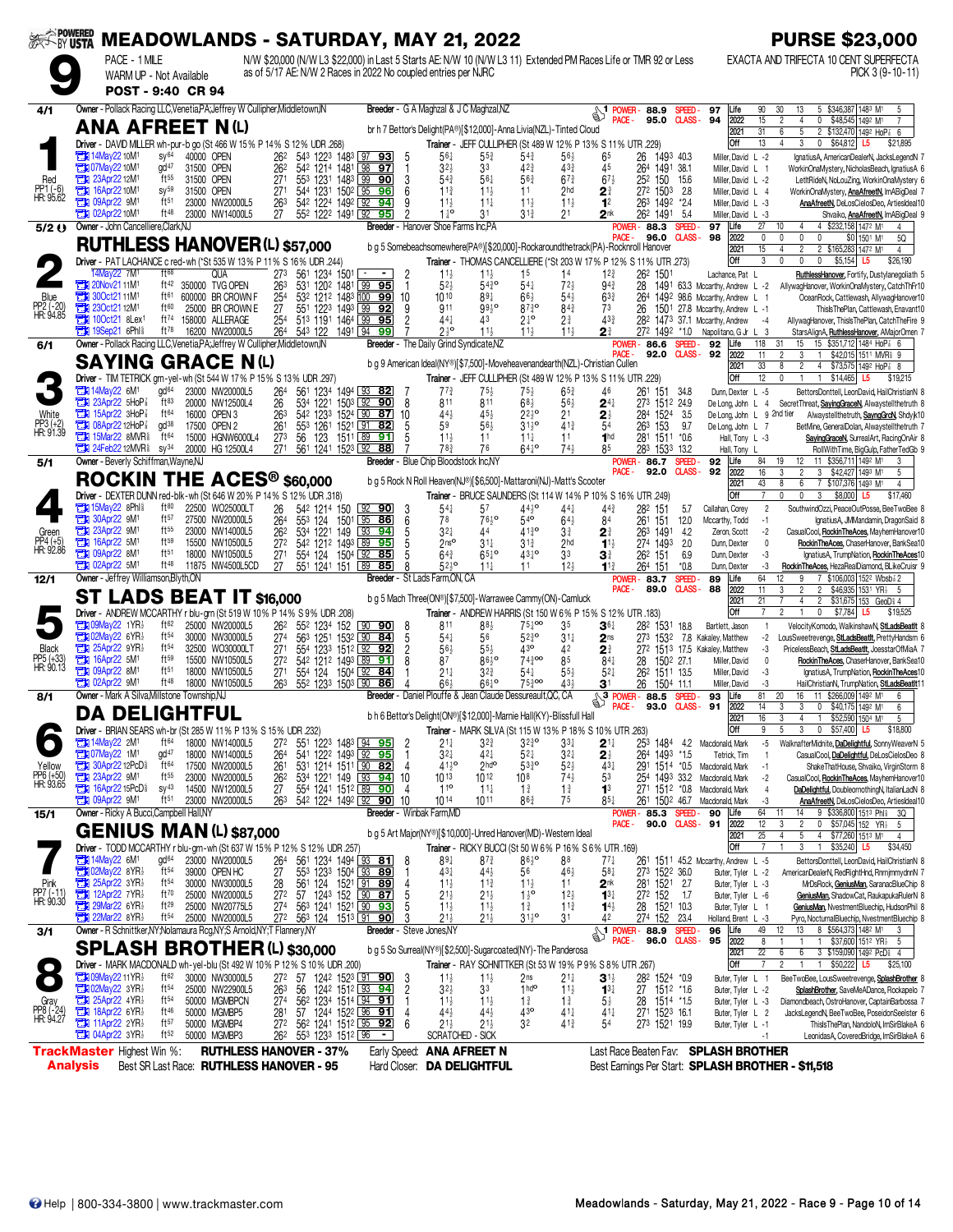|                                   |                 |                                                                                    |                                      |                                                                                              |                        |          |                                                       |                                                                                                        |                     |                                                                | ※< ivusta MEADOWLANDS - SATURDAY, MAY 21, 2022                       |                                               |                                      |                                                                                                                 |                                                                   |                          |                                                                 | <b>PURSE \$23,000</b>                                                                                                                                   |
|-----------------------------------|-----------------|------------------------------------------------------------------------------------|--------------------------------------|----------------------------------------------------------------------------------------------|------------------------|----------|-------------------------------------------------------|--------------------------------------------------------------------------------------------------------|---------------------|----------------------------------------------------------------|----------------------------------------------------------------------|-----------------------------------------------|--------------------------------------|-----------------------------------------------------------------------------------------------------------------|-------------------------------------------------------------------|--------------------------|-----------------------------------------------------------------|---------------------------------------------------------------------------------------------------------------------------------------------------------|
|                                   |                 | PACE - 1 MILE<br>WARM UP - Not Available                                           |                                      |                                                                                              |                        |          |                                                       |                                                                                                        |                     | as of 5/17 AE: N/W 2 Races in 2022 No coupled entries per NJRC |                                                                      |                                               |                                      | N/W \$20,000 (N/W L3 \$22,000) in Last 5 Starts AE: N/W 10 (N/W L3 11) Extended PM Races Life or TMR 92 or Less |                                                                   |                          |                                                                 | EXACTA AND TRIFECTA 10 CENT SUPERFECTA<br>PICK 3 (9-10-11)                                                                                              |
|                                   |                 | POST - 9:40 CR 94                                                                  |                                      |                                                                                              |                        |          |                                                       |                                                                                                        |                     |                                                                |                                                                      |                                               |                                      |                                                                                                                 |                                                                   |                          |                                                                 |                                                                                                                                                         |
| 4/1                               |                 |                                                                                    |                                      | Owner - Pollack Racing LLC, Venetia, PA; Jeffrey W Cullipher, Middletown, IN                 |                        |          |                                                       |                                                                                                        |                     | Breeder - G A Maghzal & J C Maghzal, NZ                        |                                                                      |                                               |                                      | <b>S1</b> POWER - 88.9                                                                                          |                                                                   | SPEED-                   | Life<br>97                                                      | 90<br>5 \$346,387 1483 M1<br>30<br>13<br>5                                                                                                              |
|                                   |                 |                                                                                    |                                      | <b>ANA AFREET N(L)</b>                                                                       |                        |          |                                                       |                                                                                                        |                     |                                                                | br h 7 Bettor's Delight(PA®)[\$12,000]-Anna Livia(NZL)-Tinted Cloud  |                                               |                                      | PACE -                                                                                                          | 95.0                                                              |                          | <b>CLASS-94</b><br>2022<br>2021                                 | 15<br>$\overline{4}$<br>0 \$48,545 1492 M1<br>$\overline{2}$<br>$\overline{5}$<br>31<br>2 \$132,470 1492 HoP & 6<br>6                                   |
|                                   |                 |                                                                                    |                                      | Driver - DAVID MILLER wh-pur-b go (St 466 W 15% P 14% S 12% UDR 268)                         |                        |          |                                                       |                                                                                                        |                     |                                                                |                                                                      |                                               |                                      | Trainer - JEFF CULLIPHER (St 489 W 12% P 13% S 11% UTR .229)                                                    |                                                                   |                          | Off                                                             | 13<br>3<br>0 \$64,812 L5<br>4<br>\$21,895                                                                                                               |
|                                   |                 | <b>EDI</b> 14May22 10M <sup>1</sup><br><b>THE O7May22 10M1</b>                     | sy <sup>64</sup><br>gd <sup>47</sup> | 40000 OPEN<br>31500 OPEN                                                                     | 262<br>262             |          | 542 1214 1481 98 97                                   | 543 1223 1483 97 93                                                                                    | -5<br>1             | $56\frac{1}{4}$<br>32 <sub>3</sub>                             | 55}<br>33                                                            | $5^{4}$<br>42 <sub>3</sub>                    | $56\frac{1}{2}$<br>$43\frac{3}{4}$   | 65<br>45                                                                                                        | 26<br>1493 40.3<br>264<br>1491 38.1                               |                          | Miller, David L -2<br>Miller, David L 1                         | IgnatiusA, AmericanDealerN, JacksLegendN 7<br>WorkinOnaMystery, NicholasBeach, IgnatiusA 6                                                              |
| Red                               | а<br>о          | 23Apr22 12M <sup>1</sup><br>16Apr22 10M <sup>1</sup>                               | $ft^{55}$<br>$SV^{59}$               | 31500 OPEN<br>31500 OPEN                                                                     | 271<br>27 <sup>1</sup> |          | 553 1231 1483 99 90<br>544 1231 1502 95 96            |                                                                                                        | 3<br>6              | $54\frac{3}{4}$<br>$11\frac{3}{4}$                             | $56\frac{1}{4}$<br>$11\frac{1}{2}$                                   | 563<br>11                                     | $67\frac{3}{4}$<br>2 <sub>hd</sub>   | $67\frac{1}{2}$<br>$2^{\frac{3}{4}}$                                                                            | 252 150 15.6<br>272 1503                                          | - 2.8                    | Miller, David L -2<br>Miller, David L 4                         | LetItRideN, NoLouZing, WorkinOnaMystery 6<br>WorkinOnaMystery, AnaAfreetN, ImABigDeal 7                                                                 |
| PP1 (-6)<br>HR: 95.62             | Ŧı              | 09Apr22 9M1                                                                        | ft <sub>51</sub>                     | 23000 NW20000L5                                                                              | 263                    |          | 542 1224 1492 92                                      | 94                                                                                                     |                     | $11\frac{1}{2}$                                                | $11\frac{1}{4}$                                                      | $11\frac{1}{2}$                               | $11\frac{1}{2}$                      | 1 <sup>2</sup>                                                                                                  | 263 1492 *2.4                                                     |                          | Miller, David L -3                                              | AnaAfreetN, DeLosCielosDeo, ArtiesIdeal10                                                                                                               |
| 5/2 ()                            |                 | <b>EN 02Apr22 10M<sup>1</sup></b><br>Owner - John Cancelliere, Clark, NJ           | ft 48                                | 23000 NW14000L5                                                                              | 27                     |          | 552 1222 1491 92 95                                   |                                                                                                        |                     | $1^{10}$<br><b>Breeder</b> - Hanover Shoe Farms Inc.PA         | 31                                                                   | $3^{13}$                                      |                                      |                                                                                                                 | 262 1491<br><b>POWER-88.3</b>                                     | -54<br>SPEED-            | Miller, David L -3<br>97<br>Life                                | Shvaiko, AnaAfreetN, ImABigDeal 9<br>27<br>4 \$232,158 1472 M1<br>10<br>4<br>4                                                                          |
|                                   |                 |                                                                                    |                                      | <b>RUTHLESS HANOVER (L) \$57,000</b>                                                         |                        |          |                                                       |                                                                                                        |                     |                                                                |                                                                      |                                               |                                      | PACE -<br>b g 5 Somebeachsomewhere(PA®)[\$20,000]-Rockaroundthetrack(PA)-Rocknroll Hanover                      | 96.0                                                              | <b>CLASS-</b>            | 98<br>2022<br>2021                                              | 0<br>0<br>$\Omega$<br>$\mathbf{0}$<br>\$0 1501 M1<br>5Q<br>15<br>$\overline{2}$<br>2 \$165,283 1472 M<br>$\overline{4}$                                 |
|                                   |                 |                                                                                    | ft68                                 | Driver - PAT LACHANCE c red-wh (*St 535 W 13% P 11% S 16% UDR .244)                          |                        |          |                                                       | $\overline{\phantom{a}}$                                                                               |                     |                                                                |                                                                      |                                               |                                      | Trainer - THOMAS CANCELLIERE (*St 203 W 17% P 12% S 11% UTR .273)                                               |                                                                   |                          | Off                                                             | 3<br>0<br>0<br>$\mathbf{0}$<br>$$5,154$ L5<br>\$26,190                                                                                                  |
|                                   |                 | 14May22 7M <sup>1</sup><br><b>20Nov2111M1</b>                                      | ft42                                 | <b>QUA</b><br>350000 TVG OPEN                                                                | 273<br>263             |          | 561 1234 1501<br>531 1202 1481 99                     | 95                                                                                                     |                     | $11\frac{1}{2}$<br>52 <sub>7</sub>                             | $11\frac{1}{2}$<br>$54\frac{3}{4}$ <sup>o</sup>                      | 1 <sup>5</sup><br>$54\frac{1}{4}$             | 14<br>$72\frac{1}{2}$                | $12\frac{3}{4}$<br>$94\frac{3}{4}$                                                                              | 262 1501<br>28                                                    |                          | Lachance, Pat L<br>1491 63.3 Mccarthy, Andrew L -2              | RuthlessHanover, Fortify, Dustylanegoliath 5<br>AllywagHanover, WorkinOnaMystery, CatchThFr10                                                           |
| Blue<br>PP2 (-20)<br>HR: 94.85    |                 | <b>THE 300ct2111M1</b><br><b>EX 230ct2112M1</b>                                    | ft61<br>ft60                         | 600000 BR CROWN F<br>25000 BR CROWN E                                                        | 254<br>27              |          | 551 1223 1493 99 92                                   | 532 1212 1483 100 99                                                                                   | 10                  | 1010<br>911                                                    | $89\frac{1}{4}$<br>$99\frac{1}{2}$                                   | $66\frac{1}{2}$<br>$87\frac{3}{4}$ o          | $54\frac{1}{2}$<br>843               | $63\frac{3}{4}$<br>73                                                                                           | 264<br>26                                                         |                          | 1492 98.6 Mccarthy, Andrew L<br>1501 27.8 Mccarthy, Andrew L -1 | OceanRock, Cattlewash, AllywagHanover10<br>ThislsThePlan, Cattlewash, Enavant10                                                                         |
|                                   |                 | $71$ 100ct21 8Lex <sup>1</sup><br><b>The 19Sep21 6Phls</b>                         | ft <sup>74</sup><br>$ft^{78}$        | 158000 ALLERAGE<br>16200 NW20000L5                                                           | 25 <sup>4</sup><br>264 | 543 122  | 513 1191 1464 99 95                                   | 1491 94 99                                                                                             |                     | 441<br>$2^{10}$                                                | 43<br>11 <sub>3</sub>                                                | $2^{10}$<br>$11\frac{1}{2}$                   | $2^{\frac{3}{4}}$<br>$11\frac{1}{2}$ | 433<br>21                                                                                                       | 272 1492 *1.0                                                     |                          | 282 1473 37.1 Mccarthy, Andrew<br>Napolitano, G Jr L 3          | AllywagHanover, ThislsThePlan, CatchTheFire 9<br>$-4$<br>StarsAlignA, RuthlessHanover, AMajorOmen 7                                                     |
| 6/1                               |                 |                                                                                    |                                      | Owner - Pollack Racing LLC, Venetia, PA; Jeffrey W Cullipher, Middletown, IN                 |                        |          |                                                       |                                                                                                        |                     | Breeder - The Daily Grind Syndicate, NZ                        |                                                                      |                                               |                                      | POWER-                                                                                                          | 86.6                                                              | SPEED-                   | 92<br>Life                                                      | 118<br>15 \$351,712 1484 HoP 3 6<br>31<br>15                                                                                                            |
|                                   |                 |                                                                                    |                                      | <b>SAYING GRACE N(L)</b>                                                                     |                        |          |                                                       |                                                                                                        |                     |                                                                |                                                                      |                                               |                                      | PACE -<br>b g 9 American Ideal(NY®)[\$7,500]-Moveheavenandearth(NZL)-Christian Cullen                           | 92.0                                                              | <b>CLASS -</b>           | 92<br>2022<br>2021                                              | $\sqrt{3}$<br>11<br>$\mathfrak{p}$<br>$\mathbf{1}$<br>\$42,015 1511 MVR <sup>§</sup> 9<br>33<br>$\overline{2}$<br>4<br>\$73,575 1492 HoP 3 8<br>8       |
|                                   |                 | <b>External 14May22 6M<sup>1</sup></b>                                             | gd <sup>64</sup>                     | Driver - TIM TETRICK grn-yel-wh (St 544 W 17% P 15% S 13% UDR 297)<br>23000 NW20000L5        | 264                    |          | 561 1234 1494 93 82                                   |                                                                                                        |                     | $7^{73}$                                                       | $75\frac{1}{2}$                                                      | $75\frac{1}{2}$                               | $65\frac{3}{4}$                      | Trainer - JEFF CULLIPHER (St 489 W 12% P 13% S 11% UTR .229)<br>46                                              | 261                                                               | 151 34.8                 | Off<br>Dunn, Dexter L -5                                        | 12<br>\$14,465 L5<br>0<br>$\mathbf{1}$<br>\$19,215<br>BettorsDonttell, LeonDavid, HailChristianN 8                                                      |
|                                   |                 | 23Apr22 5HoP                                                                       | $ft^{83}$                            | 20000 NW12500L4                                                                              | 26                     |          | 534 1221 1503 92 90                                   |                                                                                                        | 8                   | 811                                                            | 811                                                                  | $68\frac{1}{2}$                               | $56\frac{1}{2}$                      | $2^{4}$                                                                                                         | 273 1512 24.9                                                     |                          | De Long, John L 4                                               | SecretThreat, SayingGraceN, Alwaystellthetruth 8                                                                                                        |
| White<br>PP3 (+2)<br>HR: 91.39    | Ъ<br>О          | 15Apr22 3HoP<br>08Apr22 12HoP <sup>3</sup>                                         | $ft^{64}$<br>gd <sup>38</sup>        | 16000 OPEN 3<br>17500 OPEN 2                                                                 | 263<br>261             |          | 553 1261 1521 91 82                                   | 542 1233 1524 90 87                                                                                    | 10                  | 44}<br>59                                                      | 45 <sub>3</sub><br>$56\frac{1}{2}$                                   | $2^{210}$<br>$31^{10}_{2}$                    | 21<br>$41\frac{3}{4}$                | $2\frac{1}{2}$                                                                                                  | 1524<br>284<br>263<br>153                                         | -3.5<br>9.7              | De Long, John L 9 2nd tier<br>De Long, John L 7                 | Alwaystellthetruth, SayngGrcN, Shdyk10<br>BetMine, GeneralDolan, Alwaystellthetruth 7                                                                   |
|                                   | æ               | 15Mar22 8MVR <sup>§</sup><br><b>The 24Feb22 12MVR&amp;</b>                         | $ft^{64}$<br>$SV^{34}$               | 15000 HGNW6000L4<br>20000 HG 12500L4                                                         | 273<br>271             | 56       | 123 1511 89 91<br>561 1241 1523 92 88                 |                                                                                                        |                     | $11\frac{1}{2}$<br>78 <sub>4</sub>                             | 11<br>76                                                             | $11\frac{1}{4}$<br>$64^{10}$                  | 11<br>$74\frac{1}{2}$                | 1 <sub>hd</sub>                                                                                                 | 281 1511 *0.6<br>283 1533 13.2                                    |                          | Hall, Tony L -3<br>Hall, Tony L                                 | SayingGraceN, SurrealArt, RacingOnAir 8<br>RollWithTime, BigGulp, FatherTedGb 9                                                                         |
| 5/1                               |                 | Owner - Beverly Schiffman, Wayne, NJ                                               |                                      |                                                                                              |                        |          |                                                       |                                                                                                        |                     | Breeder - Blue Chip Bloodstock Inc,NY                          |                                                                      |                                               |                                      | PACE -                                                                                                          | <b>POWER-86.7</b><br>92.0                                         | SPEED-<br><b>CLASS</b> - | 92<br>Life<br>92<br>2022                                        | 11 \$356,711 1492 M1<br>84<br>19<br>12<br>3<br>$\overline{2}$<br>16<br>3<br>3 \$42,427 1493 M1<br>5                                                     |
|                                   |                 |                                                                                    |                                      | ROCKIN THE ACES <sup>®</sup> \$60,000                                                        |                        |          |                                                       |                                                                                                        |                     |                                                                | b q 5 Rock N Roll Heaven(NJ®)[\$6,500]-Mattaroni(NJ)-Matt's Scooter  |                                               |                                      |                                                                                                                 |                                                                   |                          | 2021                                                            | 43<br>8<br>6<br>7 \$107,376 1493 M1<br>$\overline{4}$                                                                                                   |
|                                   |                 | <b>The 15May22 8Phl&amp;</b>                                                       | ft80                                 | Driver - DEXTER DUNN red-blk-wh (St 646 W 20% P 14% S 12% UDR .318)<br>22500 WO25000LT       | 26                     |          | 542 1214 150                                          | $92$ 90                                                                                                | 3                   | $54\frac{1}{4}$                                                | 57                                                                   | $44\frac{1}{2}$ <sup>o</sup>                  | $44\frac{1}{4}$                      | Trainer - BRUCE SAUNDERS (St 114 W 14% P 10% S 16% UTR .249)<br>$44\frac{3}{4}$                                 | 282 151                                                           | 5.7                      | Off<br>Callahan, Corey                                          | $\overline{7}$<br>$\mathbf{0}$<br>$\mathbf{3}$<br>\$8,000 L5<br><sup>0</sup><br>\$17,460<br>$\overline{2}$<br>SouthwindOzzi, PeaceOutPosse, BeeTwoBee 8 |
|                                   | ъ<br>о          | 30Apr22 9M <sup>1</sup><br>23Apr22 9M1                                             | ft <sub>57</sub><br>ft55             | 27500 NW20000L5<br>23000 NW14000L5                                                           | 264<br>262             | 553 124  | 1501<br>534 1221 149                                  | 95<br>86<br>93 94                                                                                      | 6                   | 78<br>$3^{2+}$                                                 | $76\frac{1}{2}$ <sup>o</sup><br>44                                   | $54$ <sup>o</sup><br>4130                     | $64\frac{1}{2}$<br>3∛                | 84                                                                                                              | 261<br>151<br>263 1491                                            | 12.0<br>4.2              | Mccarthy, Todd                                                  | IgnatiusA, JMMandamin, DragonSaid 8<br>$-1$<br>$-2$<br>CasualCool, RockinTheAces, MayhemHanover10                                                       |
| Green<br>PP4 (+5)<br>HR: 92.86    | о               | 16Apr22 5M1                                                                        | ft <sub>59</sub>                     | 15500 NW10500L5                                                                              | 27 <sup>2</sup>        |          | 542 1212 1493 89 95                                   |                                                                                                        |                     | 2 <sup>nso</sup>                                               | $31\frac{1}{4}$                                                      | $3^{13}$                                      | 2hd                                  | $2^{\frac{3}{4}}$<br>$11\frac{1}{2}$                                                                            | 274 1493                                                          | 2.0                      | Zeron, Scott<br>Dunn, Dexter                                    | RockinTheAces, ChaserHanover, BankSea10<br>$\mathbf{0}$                                                                                                 |
|                                   | ъ               | 09Apr22 8M <sup>1</sup><br><b>EX 02Apr22 5M1</b>                                   | ft <sub>51</sub><br>ft <sup>48</sup> | 18000 NW10500L5<br>11875 NW4500L5CD                                                          | 271<br>27              |          | 554 124 1504 92<br>551 1241 151 89 85                 | 85                                                                                                     |                     | $64\frac{3}{4}$<br>$52\frac{1}{2}$ <sup>o</sup>                | $65^{10}$<br>$11\frac{1}{4}$                                         | $43^{10}$<br>11                               | 3 <sup>3</sup><br>12 <sub>3</sub>    | 31<br>$11\frac{3}{4}$                                                                                           | 262 151<br>264 151                                                | 6.9<br>$*0.8$            | Dunn, Dexter<br>Dunn, Dexter                                    | -3<br>IgnatiusA, TrumpNation, RockinTheAces10<br>RockinTheAces, HezaRealDiamond, BLikeCruisr 9<br>-3                                                    |
| 12/1                              |                 | Owner - Jeffrey Williamson, Blyth, ON                                              |                                      |                                                                                              |                        |          |                                                       |                                                                                                        |                     | Breeder - St Lads Farm, ON, CA                                 |                                                                      |                                               |                                      | POWER-<br>PACE -                                                                                                | 83.7<br>89.0                                                      | SPEED-<br><b>CLASS-</b>  | 89<br>Life<br>88<br>2022                                        | 64<br>7 \$106,003 1522 Wbsb 2<br>12<br>11<br>$\overline{2}$<br>$\overline{2}$<br>\$46,935 1531 YR <sub>2</sub><br>3<br>- 5                              |
|                                   |                 |                                                                                    |                                      | <b>ST LADS BEAT IT \$16,000</b>                                                              |                        |          |                                                       |                                                                                                        |                     |                                                                | b g 5 Mach Three(ON®)[\$7,500]-Warrawee Cammy(ON)-Camluck            |                                               |                                      | Trainer - ANDREW HARRIS (St 150 W 6% P 15% S 12% UTR .183)                                                      |                                                                   |                          | 2021<br>Off                                                     | 21<br>$\overline{4}$<br>$\overline{2}$<br>\$31,675 153 GeoDi 4<br>$\mathfrak{p}$<br>$\mathbf 0$<br>\$7,784 L5<br>$\overline{7}$<br>\$19,525             |
|                                   |                 | <b>THE O9May22 1YR</b>                                                             | ft62                                 | Driver - ANDREW MCCARTHY r blu-grn (St 519 W 10% P 14% S 9% UDR .208)<br>25000 NW20000L5     | 262                    |          | 552 1234 152                                          | $90$ 90                                                                                                | 8                   | 811                                                            | 883                                                                  | $75\frac{1}{4}$ <sup>00</sup>                 | 35                                   | 361                                                                                                             | 282                                                               | 1531 18.8                | Bartlett, Jason                                                 | VelocityKomodo, WalkinshawN, StLadsBeatlt 8<br>$\mathbf{1}$                                                                                             |
| <b>Black</b>                      |                 | <b>Extra 02May22 6YR</b><br>25Apr22 9YR                                            | $ft^{54}$<br>ft <sup>54</sup>        | 30000 NW30000L5<br>32500 WO30000LT                                                           | 274<br>27 <sup>1</sup> | 563 1251 | 554 1233 1512 92 92                                   | 1532 90 84                                                                                             | 5<br>$\overline{c}$ | $54\frac{1}{4}$<br>56}                                         | 56<br>$55\frac{1}{2}$                                                | $52^{30}_{4}$<br>43 <sup>o</sup>              | $31\frac{1}{4}$<br>42                | 2 <sub>ns</sub><br>$2^{\frac{3}{4}}$                                                                            | 273 1532                                                          |                          | 7.8 Kakaley, Matthew<br>272 1513 17.5 Kakaley, Matthew          | -2<br>LousSweetrevenge, StLadsBeatit, PrettyHandsm 6<br>PricelessBeach. StLadsBeatIt. JoesstarOfMiaA 7<br>-3                                            |
| PP5 (+33)<br>HR: 90.13            | о<br>П          | 16Apr22 5M <sup>1</sup><br>09Apr22 8M <sup>1</sup>                                 | ft59<br>ft51                         | 15500 NW10500L5<br>18000 NW10500L5                                                           | 272<br>271             |          | 542 1212 1493 89<br>554 124 1504 92 84                | 91                                                                                                     |                     | 87<br>$21\frac{1}{4}$                                          | $86^{10}$<br>$3^{2^{3}}$                                             | $74\frac{3}{4}$ 00<br>$54\frac{1}{4}$         | 85<br>$55\frac{1}{2}$                | $84\frac{1}{4}$<br>$5^{2}$                                                                                      | 28<br>26 <sup>2</sup> 151 <sup>1</sup> 13.5                       | 1502 27.1                | Miller, David<br>Miller, David                                  | RockinTheAces, ChaserHanover, BankSea10<br>$\mathbf{0}$<br>-3<br>IgnatiusA, TrumpNation, RockinTheAces10                                                |
|                                   |                 | <b>EX 02Apr22 9M1</b>                                                              | ft48                                 | 18000 NW10500L5                                                                              | 263                    |          | 552 1233 1503 90                                      | 86                                                                                                     |                     | $66\frac{1}{2}$                                                | $66^{10}$                                                            | $75\frac{3}{4}$ 00                            | $43+$                                | 3 <sup>1</sup>                                                                                                  | 26<br>1504 11.1                                                   |                          | Miller, David                                                   | HailChristianN, TrumpNation, StLadsBeatlt11<br>-3                                                                                                       |
| 8/1                               |                 | Owner - Mark A Silva, Millstone Township, NJ<br><b>DA DELIGHTFUL</b>               |                                      |                                                                                              |                        |          |                                                       |                                                                                                        |                     |                                                                | Breeder - Daniel Plouffe & Jean Claude Dessureault.QC. CA            |                                               |                                      | $\sqrt{3 \frac{1000 \text{ F}}{1000 \text{ F}}}$ 88.5<br>PACE -                                                 | 93.0                                                              | SPEED-<br><b>CLASS-</b>  | 93<br>Life<br>91<br>2022                                        | 81<br>20<br>16<br>11 \$266,009 1492 M1<br>6<br>14<br>3<br>3<br>0<br>\$40,175 1492 M1<br>6                                                               |
|                                   |                 |                                                                                    |                                      | Driver - BRIAN SEARS wh-br (St 285 W 11% P 13% S 15% UDR .232)                               |                        |          |                                                       |                                                                                                        |                     |                                                                | b h 6 Bettor's Delight(ON®)[\$12,000]-Marnie Hall(KY)-Blissfull Hall |                                               |                                      | Trainer - MARK SILVA (St 115 W 13% P 18% S 10% UTR .263)                                                        |                                                                   |                          | 2021<br>Off                                                     | $\overline{4}$<br>$\mathbf{1}$<br>\$52,590 1504 M1<br>16<br>3<br>5<br>3<br>$\mathbf{0}$<br>\$57,400 L5<br>\$18,800<br>9                                 |
|                                   |                 | 2M1 14May22 2M1<br><b>Extra 07May22 1M1</b>                                        | ft <sup>64</sup><br>$gd^{47}$        | 18000 NW14000L5<br>18000 NW14000L5                                                           | 272<br>264             |          | 551 1223 1483 94 95                                   | 541 1222 1493 92 95                                                                                    |                     | $21\frac{1}{4}$<br>$3^{2+}$                                    | 32}<br>421                                                           | $3^{230}$<br>$52\frac{1}{4}$                  | 33‡<br>32‡                           | $2^{11}$                                                                                                        | 1484<br>253                                                       | -42                      | Macdonald, Mark                                                 | WalknafterMidnite, DaDelightful, SonnyWeaverN 5<br>-5<br>CasualCool, DaDelightful, DeLosCielosDeo 8<br>$\mathbf{1}$                                     |
| Yellow                            |                 | 30Apr22 12PcD <sup>§</sup>                                                         | ft64                                 | 17500 NW20000L5                                                                              | 261                    |          | 531 1214 1511 90 82                                   |                                                                                                        | 4                   | $41^{10}_{2}$                                                  | $2$ <sub>hd</sub> o                                                  | $53\frac{3}{4}$ <sup>o</sup>                  | $52\frac{1}{2}$                      | $2\frac{1}{2}$<br>431                                                                                           | 264 1493 *1.5                                                     |                          | Tetrick, Tim<br>291 1514 *0.5 Macdonald, Mark                   | ShakeThatHouse, Shvaiko, VirginStorm 8<br>$-1$                                                                                                          |
| PP6 (+50)<br>HR: 93.65            |                 | <b>TEM 16Apr22 15PcD</b>                                                           | $ft^{55}$<br>$SV^{43}$               | 23000 NW20000L5<br>14500 NW12000L5                                                           | $\frac{26^2}{27}$      |          | 554 1241 1512 89 90                                   | 534 1221 149 93 94                                                                                     | 10<br>4             | 1013<br>11 <sup>o</sup>                                        | $10^{12}$<br>$11\frac{1}{4}$                                         | 108<br>$1\frac{3}{4}$                         | $74\frac{1}{2}$<br>$1\frac{3}{4}$    | 53<br>1 <sup>3</sup>                                                                                            | 254<br>271 1512 *0.8                                              | 1493 33.2                | Macdonald, Mark<br>Macdonald, Mark                              | CasualCool, RockinTheAces, MayhemHanover10<br>$-2$<br>DaDelightful, DoubleornothingN, ItalianLadN 8<br>4                                                |
| 15/1                              |                 | <b>External O9Apr22 9M<sup>1</sup></b><br>Owner - Ricky A Bucci, Campbell Hall, NY | ft <sub>51</sub>                     | 23000 NW20000L5                                                                              | 263                    |          | 542 1224 1492 92 90                                   |                                                                                                        | 10                  | 1014<br>Breeder - Winbak Farm, MD                              | 1011                                                                 | 86 <sub>4</sub>                               | 75                                   | $85\frac{1}{4}$                                                                                                 | POWER-85.3                                                        | SPEED-                   | 261 1502 46.7 Macdonald, Mark<br>90<br>.ife                     | -3<br>AnaAfreetN, DeLosCielosDeo, ArtiesIdeal10<br>64<br>9 \$336,800 1513 Phl<br>14<br>11<br>- 3Q                                                       |
|                                   |                 |                                                                                    |                                      | <b>GENIUS MAN (L) \$87,000</b>                                                               |                        |          |                                                       |                                                                                                        |                     |                                                                | b g 5 Art Major(NY®)[\$10,000]-Unred Hanover(MD)-Western Ideal       |                                               |                                      | PACE -                                                                                                          | 90.0                                                              | <b>CLASS-</b>            | 91<br>2022                                                      | 12<br>3<br>$\overline{\mathbf{c}}$<br>0<br>\$57,045 152 YR <sub>2</sub><br>- 5                                                                          |
|                                   |                 |                                                                                    |                                      | Driver - TODD MCCARTHY r blu-grn-wh (St 637 W 15% P 12% S 12% UDR .257)                      |                        |          |                                                       |                                                                                                        |                     |                                                                |                                                                      |                                               |                                      | Trainer - RICKY BUCCI (St 50 W 6% P 16% S 6% UTR .169)                                                          |                                                                   |                          | 2021<br>Off                                                     | 25<br>5<br>4<br>4<br>\$77,260 1513 M1<br>$\overline{4}$<br>$\overline{7}$<br>$\overline{1}$<br>3<br>$\overline{1}$<br>\$35,240<br>L5<br>\$34,450        |
|                                   |                 | <b>Ext</b> 14May22 6M <sup>1</sup><br>23 02May 22 8YR                              | gd <sup>64</sup><br>$ft^{54}$        | 23000 NW20000L5<br>39000 OPEN HC                                                             | 264<br>27              |          | 561 1234 1494 33 81<br>553 1233 1504 93 89            |                                                                                                        | 8                   | $89\frac{1}{4}$<br>431                                         | $8^{73}$<br>$44\frac{1}{2}$                                          | $86\frac{1}{2}$<br>56                         | 88<br>$46\frac{1}{2}$                | 74<br>$58\frac{1}{4}$                                                                                           | 261<br>273 1522 36.0                                              |                          | 1511 45.2 Mccarthy, Andrew L -5<br>Buter, Tyler L -2            | BettorsDonttell, LeonDavid, HailChristianN 8<br>AmericanDealerN, RedRightHnd, RnrnjmmydnnN 7                                                            |
| Pink<br>PP7 (-11)<br>HR: 90.30    |                 | 25Apr22 3YR1<br>21 12Apr22 7YR1                                                    | $ft^{54}$<br>ft70                    | 30000 NW30000L5                                                                              | 28<br>$\frac{1}{272}$  |          |                                                       | 561 124 1521 91 89<br>57 1243 152 90 87                                                                | $\overline{4}$      | $11\frac{1}{2}$                                                | $11\frac{3}{4}$                                                      | $11\frac{1}{2}$                               | 11                                   | 2 <sup>nk</sup>                                                                                                 | 281 1521 2.7<br>$27^2$ 152                                        |                          | Buter, Tyler L -3                                               | MrDsRock, GeniusMan, SaranacBlueChip 8                                                                                                                  |
|                                   |                 | 29Mar22 6YR                                                                        | $ft^{29}$                            | 25000 NW20000L5<br>25000 NW20775L5                                                           | 274                    |          | 563 1241 1521 90 93                                   |                                                                                                        |                     | $21\frac{1}{2}$<br>$11\frac{1}{2}$                             | $21\frac{1}{2}$<br>$11\frac{1}{2}$                                   | $1\frac{1}{2}$ <sup>o</sup><br>$1\frac{3}{4}$ | $12\frac{1}{2}$<br>$11\frac{3}{4}$   | $1^{3}$<br>$1^{4}\frac{1}{2}$                                                                                   | 28                                                                | 1.7<br>1521 10.3         | Buter, Tyler L -6<br>Buter, Tyler L 1                           | GeniusMan, ShadowCat, RaukapukaRulerN 8<br>GeniusMan, NvestmentBluechip, HudsonPhil 8                                                                   |
| 3/1                               |                 | $22$ Mar22 8YR $\frac{1}{2}$                                                       | ft <sup>54</sup>                     | 25000 NW20000L5<br>Owner - R Schnittker, NY; Nolamaura Rcg, NY; S Arnold, NY; T Flannery, NY | 272                    |          | 563 124 1513 91 90                                    |                                                                                                        |                     | $21\frac{1}{2}$<br>Breeder - Steve Jones, NY                   | $21\frac{1}{2}$                                                      | $31\frac{1}{2}$ <sup>o</sup>                  | 3 <sup>1</sup>                       | 42<br>$\frac{1}{2}$ POWER-88.9                                                                                  | 274 152                                                           | 23.4<br>SPEED-           | Holland, Brent L -3<br>96<br>Life                               | Pyro, NocturnalBluechip, NvestmentBluechip 8<br>49<br>13<br>8 \$564,373 1482 M1<br>12                                                                   |
|                                   |                 | <b>SPLASH</b>                                                                      |                                      | <b>BROTHER (L) \$30,000</b>                                                                  |                        |          |                                                       |                                                                                                        |                     |                                                                | b g 5 So Surreal(NY®)[\$2,500]-Sugarcoated(NY)-The Panderosa         |                                               |                                      | PACE -                                                                                                          | 96.0                                                              | CLASS-                   | 95<br>2022<br>2021                                              | 8<br>$$37,600$ 151 <sup>2</sup> YR <sub>2</sub> 5<br>$\mathbf{1}$<br>22<br>6<br>3 \$159,090 1492 PcD \$4<br>6                                           |
|                                   |                 |                                                                                    |                                      | Driver - MARK MACDONALD wh-yel-blu (St 492 W 10% P 12% S 10% UDR .200)                       |                        |          |                                                       |                                                                                                        |                     |                                                                |                                                                      |                                               |                                      | Trainer - RAY SCHNITTKER (St 53 W 19% P 9% S 8% UTR .267)                                                       |                                                                   |                          | Off                                                             | $\overline{7}$<br>$\overline{\mathbf{c}}$<br>$\mathbf{1}$<br>$$50,222$ L5<br>\$25,100                                                                   |
|                                   |                 | <b>THE 09May22 11 YR</b><br>23 02May22 3YR                                         | ft62<br>$ft^{54}$                    | 30000 NW30000L5<br>25000 NW22900L5                                                           | $\frac{272}{263}$      |          |                                                       | 57 124 <sup>2</sup> 152 <sup>3</sup> 91 <b>90</b><br>56 124 <sup>2</sup> 151 <sup>2</sup> 93 <b>94</b> | 3                   | $11\frac{1}{2}$<br>$32\frac{1}{2}$                             | $\frac{11}{3}$                                                       | 2 <sub>ns</sub><br>1 <sub>hd</sub> o          | $21\frac{1}{4}$<br>$11\frac{1}{2}$   | $3^{1}$<br>$1^{3}$                                                                                              | 28 <sup>2</sup> 152 <sup>4</sup> *0.9<br>27 151 <sup>2</sup> *1.6 |                          | Buter, Tyler L 1<br>Buter, Tyler L -2                           | BeeTwoBee, LousSweetrevenge, SplashBrother 8<br>SplashBrother, SaveMeADance, Rockapelo 7                                                                |
| Gray                              |                 | 25Apr22 4YR                                                                        | $ft^{54}$<br>ft 46                   | 50000 MGMBPCN<br>50000 MGMBP5                                                                | 27 <sup>4</sup><br>281 |          | 56 <sup>2</sup> 1234 1514 94 91<br>57 1244 1522 96 91 |                                                                                                        |                     | $11\frac{1}{2}$<br>$44\frac{1}{2}$                             | $11\frac{1}{2}$<br>$44\frac{1}{2}$                                   | $1\frac{3}{4}$<br>43 <sup>o</sup>             | $1\frac{3}{4}$<br>$41\frac{1}{4}$    | $5\frac{1}{2}$<br>41‡                                                                                           | 28<br>1514 *1.5<br>271 1523 16.1                                  |                          | Buter, Tyler L -3<br>Buter, Tyler L 2                           | Diamondbeach, OstroHanover, CaptainBarbossa 7<br>JacksLegendN, BeeTwoBee, PoseidonSeelster 6                                                            |
| PP8 (-24)<br>HR: 94.27            |                 | <b>EDI</b> 11Apr22 2YR                                                             | ft57                                 | 50000 MGMBP4                                                                                 | 272                    |          | 56 <sup>2</sup> 1241 151 <sup>2</sup> 95 92           |                                                                                                        |                     | $21\frac{1}{2}$                                                | $21\frac{1}{2}$                                                      | 32                                            | $41\frac{3}{4}$                      | 54                                                                                                              | 273 1521 199                                                      |                          | Buter, Tyler L -1                                               | ThislsThePlan, NandoloN, ImSirBlakeA 6                                                                                                                  |
| <b>TrackMaster Highest Win %:</b> |                 | <b>TEN 04Apr22 3YR</b>                                                             | ft <sup>52</sup>                     | 50000 MGMBP3<br><b>RUTHLESS HANOVER - 37%</b>                                                | 262                    |          | 553 1233 1512 96                                      | ٠<br>Early Speed:                                                                                      |                     | <b>SCRATCHED - SICK</b><br><b>ANA AFREET N</b>                 |                                                                      |                                               |                                      | Last Race Beaten Fav:                                                                                           |                                                                   |                          | <b>SPLASH BROTHER</b>                                           | LeonidasA, CoveredBridge, ImSirBlakeA 6<br>-1                                                                                                           |
|                                   | <b>Analysis</b> |                                                                                    |                                      | Best SR Last Race: RUTHLESS HANOVER - 95                                                     |                        |          |                                                       |                                                                                                        |                     | Hard Closer: DA DELIGHTFUL                                     |                                                                      |                                               |                                      |                                                                                                                 |                                                                   |                          |                                                                 | Best Earnings Per Start: <b>SPLASH BROTHER - \$11,518</b>                                                                                               |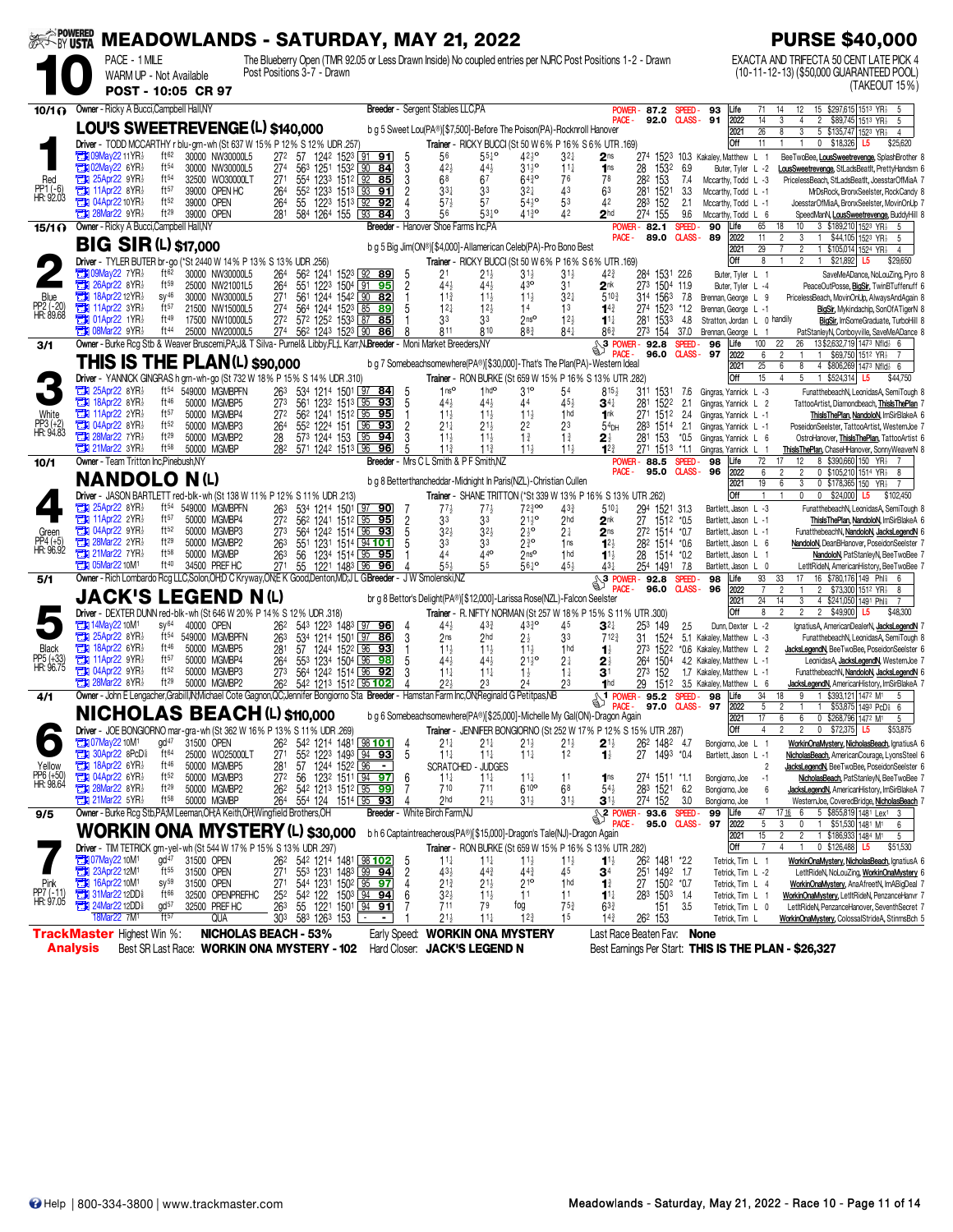| <b>SESSIN USTA</b>                     |                                                                                                                                                                                |               |                                               |      |                                             |                            |                                    |                                        |              |                                                                                |                     |                                            | <b>MEADOWLANDS - SATURDAY, MAY 21, 2022</b>                              |                                                              |                                   |                                                                                                                                      |                                        |                               |                                                      |                                              | <b>PURSE \$40,000</b>                                                                                                           |
|----------------------------------------|--------------------------------------------------------------------------------------------------------------------------------------------------------------------------------|---------------|-----------------------------------------------|------|---------------------------------------------|----------------------------|------------------------------------|----------------------------------------|--------------|--------------------------------------------------------------------------------|---------------------|--------------------------------------------|--------------------------------------------------------------------------|--------------------------------------------------------------|-----------------------------------|--------------------------------------------------------------------------------------------------------------------------------------|----------------------------------------|-------------------------------|------------------------------------------------------|----------------------------------------------|---------------------------------------------------------------------------------------------------------------------------------|
|                                        |                                                                                                                                                                                | PACE - 1 MILE | WARM UP - Not Available<br>POST - 10:05 CR 97 |      |                                             | Post Positions 3-7 - Drawn |                                    |                                        |              |                                                                                |                     |                                            |                                                                          |                                                              |                                   | The Blueberry Open (TMR 92.05 or Less Drawn Inside) No coupled entries per NJRC Post Positions 1-2 - Drawn                           |                                        |                               |                                                      |                                              | EXACTA AND TRIFECTA 50 CENT LATE PICK 4<br>(10-11-12-13) (\$50,000 GUARANTEED POOL)<br>(TAKEOUT 15%)                            |
| 10/1 <sub>0</sub>                      | Owner - Ricky A Bucci, Campbell Hall, NY                                                                                                                                       |               |                                               |      |                                             |                            |                                    |                                        |              |                                                                                |                     | Breeder - Sergent Stables LLC, PA          |                                                                          |                                                              |                                   | POWER-                                                                                                                               | 87.2 SPEED-                            |                               | 93                                                   | Life                                         | 15 \$297,615 1513 YR<br>71<br>14<br>12<br>5                                                                                     |
|                                        | LOU'S SWEETREVENGE (L) \$140,000                                                                                                                                               |               |                                               |      |                                             |                            |                                    |                                        |              |                                                                                |                     |                                            |                                                                          |                                                              |                                   | PACE-                                                                                                                                | 92.0                                   | $CLASS-91$                    |                                                      | 2022                                         | 14<br>2 \$89,745 1513 YR <sub>2</sub><br>4<br>-5                                                                                |
|                                        | Driver - TODD MCCARTHY r blu-grn-wh (St 637 W 15% P 12% S 12% UDR .257)                                                                                                        |               |                                               |      |                                             |                            |                                    |                                        |              |                                                                                |                     |                                            | b g 5 Sweet Lou(PA®)[\$7,500]-Before The Poison(PA)-Rocknroll Hanover    |                                                              |                                   | Trainer - RICKY BUCCI (St 50 W 6% P 16% S 6% UTR .169)                                                                               |                                        |                               |                                                      | 2021<br><b>Off</b>                           | $\overline{26}$<br>$\overline{3}$<br>5 \$135,747 1523 YR <sub>2</sub><br>$\overline{4}$<br>$0$ \$18,326<br>11<br>\$25,620<br>L5 |
|                                        | <b>THE 09May22 11 YR!</b>                                                                                                                                                      |               | ft <sup>62</sup>                              |      | 30000 NW30000L5                             |                            | 272                                |                                        |              | 57 1242 1523 91 91                                                             | 5                   | 56                                         | $55^{10}$                                                                | $42^{10}$                                                    | $3^{2}$                           | 2 <sub>ns</sub>                                                                                                                      | 274 1523 10.3 Kakaley, Matthew L       |                               |                                                      |                                              | BeeTwoBee, LousSweetrevenge, SplashBrother 8                                                                                    |
| Red                                    | <b>EN 02May22 6YR</b><br>$25$ Apr22 9YR $\frac{1}{2}$                                                                                                                          |               | ft <sup>54</sup><br>ft <sup>54</sup>          |      | 30000 NW30000L5<br>32500 WO30000LT          |                            | 274<br>271                         | 554 1233 1512 92 85                    |              | 563 1251 1532 90 84                                                            | 3<br>3              | 424<br>68                                  | 443<br>67                                                                | $31^{10}_{2}$<br>$64^{30}$                                   | $11\frac{1}{4}$<br>76             | 1 <sub>ns</sub><br>78                                                                                                                | 28<br>1532<br>282<br>153               | 6.9<br>7.4                    |                                                      | Buter, Tyler L -2<br>Mccarthy, Todd L -3     | LousSweetrevenge, StLadsBeatIt, PrettyHandsm 6<br>PricelessBeach, StLadsBeatIt, JoesstarOfMiaA 7                                |
| PP1 (-6)<br>HR: 92.03                  | $\frac{1}{2}$ 11Apr22 8YR                                                                                                                                                      |               | ft57                                          |      | 39000 OPEN HC                               |                            | 264                                | 552 1233 1513 93                       |              | 91                                                                             | 2                   | 334                                        | 33                                                                       | 32‡                                                          | 43                                | 63                                                                                                                                   | 281<br>1521                            | 3.3                           |                                                      | Mccarthy, Todd L -1                          | MrDsRock, BronxSeelster, RockCandy 8                                                                                            |
|                                        | <b>Fig. 04Apr22 10YR</b><br>$28$ Mar22 $9YR\frac{1}{2}$                                                                                                                        |               | ft52<br>$ft^{29}$                             |      | 39000 OPEN<br>39000 OPEN                    |                            | 264<br>281                         | 55 1223 1513 92 92<br>584 1264 155 193 |              | 84                                                                             |                     | $57\frac{1}{2}$<br>56                      | 5 <sup>7</sup><br>$53^{10}$                                              | $54\frac{1}{2}$ <sup>o</sup><br>$41\frac{3}{4}$ <sup>o</sup> | 53<br>42                          | 42<br>2 <sub>hd</sub>                                                                                                                | 283 152<br>274 155                     | 2.1<br>9.6                    |                                                      | Mccarthy, Todd L -1<br>Mccarthy, Todd L 6    | JoesstarOfMiaA, BronxSeelster, MovinOnUp 7<br>SpeedManN, LousSweetrevenge, BuddyHill 8                                          |
| $15/1$ $\Omega$                        | Owner - Ricky A Bucci, Campbell Hall, NY                                                                                                                                       |               |                                               |      |                                             |                            |                                    |                                        |              |                                                                                |                     | <b>Breeder</b> - Hanover Shoe Farms Inc.PA |                                                                          |                                                              |                                   |                                                                                                                                      | <b>POWER-82.1</b>                      | <b>SPEED</b>                  | 90                                                   | Life                                         | 65<br>18<br>3 \$189,210 1523 YR1<br>10<br>-5                                                                                    |
|                                        | <b>BIG SIR (L) \$17,000</b>                                                                                                                                                    |               |                                               |      |                                             |                            |                                    |                                        |              |                                                                                |                     |                                            | b g 5 Big Jim(ON®)[\$4,000]-Allamerican Celeb(PA)-Pro Bono Best          |                                                              |                                   | PACE -                                                                                                                               | 89.0                                   | CLASS-                        | -89                                                  | 2022<br>2021                                 | 1 \$44,105 1523 YR <sub>2</sub><br>11<br>2<br>3<br>-5<br>29<br>$\overline{c}$<br>1 \$105,014 1524 YR<br>$\overline{4}$          |
|                                        | <b>Driver</b> - TYLER BUTER br-go (*St 2440 W 14% P 13% S 13% UDR .256)                                                                                                        |               |                                               |      |                                             |                            |                                    |                                        |              |                                                                                |                     |                                            |                                                                          |                                                              |                                   | Trainer - RICKY BUCCI (St 50 W 6% P 16% S 6% UTR .169)                                                                               |                                        |                               |                                                      | Off                                          | $\overline{2}$<br>1 \$21,892<br>8<br>L <sub>5</sub><br>\$29,650                                                                 |
|                                        | <b>THE O9May22 7YR!</b><br>$26$ Apr22 8YR                                                                                                                                      |               | ft62<br>ft59                                  |      | 30000 NW30000L5<br>25000 NW21001L5          |                            | 264<br>264                         | 562 1241                               |              | 1523 92 89<br>551 1223 1504 91 95                                              | 5<br>$\overline{c}$ | 2 <sup>1</sup><br>445                      | $21\frac{1}{2}$<br>443                                                   | $31\frac{1}{2}$<br>430                                       | $31\frac{1}{2}$<br>3 <sup>1</sup> | 42}<br>2 <sup>nk</sup>                                                                                                               | 284 1531 22.6<br>273 1504 11.9         |                               |                                                      | Buter, Tyler L 1<br>Buter, Tyler L -4        | SaveMeADance, NoLouZing, Pyro 8<br>PeaceOutPosse, BigSir, TwinBTuffenuff 6                                                      |
| Blue                                   | $18$ Apr22 12YR                                                                                                                                                                |               | $SY^{46}$<br>ft57                             |      | 30000 NW30000L5                             |                            | 271                                |                                        |              | 561 1244 1542 90 82                                                            |                     | 11 <sub>3</sub>                            | $11\frac{1}{2}$                                                          | $11\frac{1}{2}$                                              | $3^{2}$                           | $5^{10}$                                                                                                                             | 314 1563                               | 7.8                           | Brennan, George L 9                                  |                                              | PricelessBeach, MovinOnUp, AlwaysAndAgain 8                                                                                     |
| PP2 (-20)<br>HR: 89.68                 | <b>TEM</b> 11Apr22 3YR<br><b>The O1Apr22 1YR!</b>                                                                                                                              |               | ft49                                          |      | 21500 NW15000L5<br>17500 NW10000L5          |                            | 274<br>272                         | 572 1252 1533 87 85                    |              | 564 1244 1523 85 89                                                            | 5                   | $12\frac{1}{4}$<br>33                      | 12 <sup>1</sup><br>33                                                    | 14<br>2 <sub>ns</sub>                                        | 1 <sup>3</sup><br>12 <sub>3</sub> | $14\frac{3}{4}$<br>$11\frac{1}{4}$                                                                                                   | 274<br>152 <sup>3</sup><br>281<br>1533 | *1.2<br>4.8                   | Brennan, George L -1                                 |                                              | BigSir, Mykindachip, SonOfATigerN 8<br>Stratton, Jordan L 0 handily<br>BigSir, ImSomeGraduate, TurboHill 8                      |
|                                        | <b>THE O8Mar22 9YR</b>                                                                                                                                                         |               | ft44                                          |      | 25000 NW20000L5                             |                            | 274                                | 562 1243 1523 90                       |              | 86                                                                             | R                   | 811                                        | 810                                                                      | 88 <sup>3</sup>                                              | $84\frac{1}{4}$                   | 863                                                                                                                                  | 273 154                                | 37.0                          | Brennan, George L                                    |                                              | PatStanlevN. Conbovville, SaveMeADance 8                                                                                        |
| 3/1                                    | Owner - Burke Rcq Stb & Weaver Bruscemi, PA: J& T Silva - Purnel& Libby, FL:L Karr, N.Breeder - Moni Market Breeders, NY                                                       |               |                                               |      |                                             |                            |                                    |                                        |              |                                                                                |                     |                                            |                                                                          |                                                              |                                   | $\mathbb{S}^3$<br><b>POWER-</b>                                                                                                      | 92.8<br>96.0                           | <b>SPEED</b><br>CLASS-        | 96<br>97                                             | Life<br>2022                                 | 13 \$2,632,719 1473 Nfld <sub>2</sub> 6<br>100<br>22<br>26<br>\$69,750 1512 YR}<br>6<br>$\mathbf{1}$                            |
|                                        | <b>THIS IS THE PLAN(L) \$90,000</b><br>Driver - YANNICK GINGRAS h grn-wh-go (St 732 W 18% P 15% S 14% UDR 310)                                                                 |               |                                               |      |                                             |                            |                                    |                                        |              |                                                                                |                     |                                            |                                                                          |                                                              |                                   | b g 7 Somebeachsomewhere(PA®)[\$30,000]-That's The Plan(PA)-Western Ideal<br>Trainer - RON BURKE (St 659 W 15% P 16% S 13% UTR .282) |                                        |                               |                                                      | 2021<br><b>Off</b>                           | 25<br>8<br>4 \$806,269 1473 Nfld<br>6<br>6<br>15<br>5<br>1 \$524,314 L5<br>$\overline{4}$<br>\$44,750                           |
|                                        | 25Apr22 8YR}                                                                                                                                                                   |               | $ft^{54}$                                     |      | 549000 MGMBPFN                              |                            | 263                                |                                        |              | 534 1214 1501 97 84                                                            | 5                   | 1 <sup>0</sup>                             | 1 <sup>h</sup>                                                           | $3^{10}$                                                     | 54                                | $815\frac{1}{2}$                                                                                                                     | 311 1531                               | 7.6                           | Gingras, Yannick L -3                                |                                              | FunatthebeachN, LeonidasA, SemiTough 8                                                                                          |
|                                        | <b>EN 18Apr22 8YR</b><br>$\frac{1}{2}$ 11Apr22 2YR                                                                                                                             |               | $ft^{46}$<br>ft57                             |      | 50000 MGMBP5<br>50000 MGMBP4                |                            | 273                                |                                        |              | 561 1232 1513 95 93                                                            | 5                   | $44\frac{1}{2}$                            | 443                                                                      | 44                                                           | $45\frac{1}{2}$                   | $\mathbf{3}$ 4 $\ddagger$                                                                                                            | 281 1522                               | 2.1                           | Gingras, Yannick L 2                                 |                                              | TattooArtist, Diamondbeach, ThislsThePlan 7                                                                                     |
| White<br>PP3 (+2)<br>HR: 94.83         | <b>THE 04Apr22 8YR3</b>                                                                                                                                                        |               | ft52                                          |      | 50000 MGMBP3                                |                            | 272<br>264                         | 562 1241 1512 95<br>552 1224 151       |              | 95<br>96<br>93                                                                 | $\overline{c}$      | $11\frac{1}{2}$<br>$21\frac{1}{4}$         | $11\frac{1}{2}$<br>$21\frac{1}{2}$                                       | $11\frac{1}{2}$<br>2 <sup>2</sup>                            | 1 <sub>hd</sub><br>23             | 1 <sup>nk</sup><br>54 <sub>DH</sub>                                                                                                  | 271 1512<br>283 1514                   | 2.4<br>2.1                    | Gingras, Yannick L -1<br>Gingras, Yannick L -1       |                                              | ThislsThePlan, NandoloN, ImSirBlakeA 6<br>PoseidonSeelster, TattooArtist, WesternJoe 7                                          |
|                                        | <b>The 28Mar22 7YR}</b><br>$21$ Mar22 3YR $\frac{1}{2}$                                                                                                                        |               | ft29<br>$ft^{58}$                             |      | 50000 MGMBP2<br>50000 MGMBP                 |                            | 28<br>282                          | 573 1244 153<br>571 1242 1513 96       |              | 95<br>94<br>96                                                                 | 3<br>5              | $11\frac{1}{2}$<br>$11\frac{3}{4}$         | 11<br>$11\frac{3}{4}$                                                    | $1\frac{3}{4}$<br>$11\frac{1}{2}$                            | $1\frac{3}{4}$<br>$11\frac{1}{2}$ | $12^{3}$                                                                                                                             | 281<br>153<br>271 1513                 | $*0.5$<br>$*11$               | Gingras, Yannick L 6<br>Gingras, Yannick L           |                                              | OstroHanover, Thisls ThePlan, TattooArtist 6<br>ThislsThePlan, ChaseHHanover, SonnyWeaverN 8<br>$\overline{1}$                  |
| 10/1                                   | Owner - Team Tritton Inc.Pinebush.NY                                                                                                                                           |               |                                               |      |                                             |                            |                                    |                                        |              | <b>Breeder</b> - Mrs C L                                                       |                     |                                            | Smith & P F Smith.NZ                                                     |                                                              |                                   | POWER-                                                                                                                               | 88.5                                   | <b>SPEED</b>                  | 98                                                   | Life                                         | 72<br>12<br>8 \$390,660 150 YR <sub>2</sub>                                                                                     |
|                                        | <b>NANDOLO</b>                                                                                                                                                                 |               |                                               | N(1) |                                             |                            |                                    |                                        |              |                                                                                |                     |                                            | b q 8 Betterthancheddar-Midnight In Paris(NZL)-Christian Cullen          |                                                              |                                   | PACE -                                                                                                                               | 95.0                                   | CLASS-                        | 96                                                   | 2022<br>2021                                 | $\overline{2}$<br>0 \$105,210 1514 YR <sub>2</sub> 8<br>6<br>2<br>3<br>19<br>0 \$178,365 150 YR<br>6                            |
|                                        | Driver - JASON BARTLETT red-blk-wh (St 138 W 11% P 12% S 11% UDR .213)                                                                                                         |               |                                               |      |                                             |                            |                                    |                                        |              |                                                                                |                     |                                            |                                                                          |                                                              |                                   | Trainer - SHANE TRITTON (*St 339 W 13% P 16% S 13% UTR .262)                                                                         |                                        |                               |                                                      | Off                                          | 0<br>\$24,000 L5<br>$\mathbf{1}$<br>0<br>\$102,450                                                                              |
|                                        | $25$ Apr22 8YR<br><b>EN 11Apr22 2YR</b>                                                                                                                                        |               | ft <sup>54</sup><br>ft57                      |      | 549000 MGMBPFN<br>50000 MGMBP4              |                            | 263<br>272                         |                                        |              | 534 1214 1501 97 90<br>56 <sup>2</sup> 1241 151 <sup>2</sup> 95 95             | 7                   | 773<br>33                                  | 33                                                                       | 72300<br>$21\frac{1}{2}$ <sup>o</sup>                        | 433<br>2 <sub>hd</sub>            | $5^{10}$<br>2 <sup>nk</sup>                                                                                                          | 294<br>1521 31.3<br>27<br>1512 *0.5    |                               |                                                      | Bartlett, Jason L -3<br>Bartlett, Jason L -1 | FunatthebeachN, LeonidasA, SemiTough 8<br>ThislsThePlan, NandoloN, ImSirBlakeA 6                                                |
| Green                                  | $29$ 04Apr22 $9$ YR $\frac{1}{2}$                                                                                                                                              |               | ft <sub>52</sub>                              |      | 50000 MGMBP3                                |                            | 273                                |                                        |              | 564 1242 1514 96 93<br>551 1231 1514 94 101                                    | $\overline{2}$<br>5 | $3^{2}$                                    | $3^{2}$                                                                  | $2\frac{1}{2}$ <sup>o</sup>                                  | 21                                | 2 <sub>ns</sub>                                                                                                                      | 272 1514 *0.7                          |                               |                                                      | Bartlett, Jason L -1                         | FunatthebeachN, NandoloN, JacksLegendN 6                                                                                        |
| PP4 (+5)<br>HR: 96.92                  | <b>The 28Mar22 2YR3</b><br><b>The 21Mar22 7YR</b>                                                                                                                              |               | $ft^{29}$<br>ft58                             |      | 50000 MGMBP2<br>50000 MGMBP                 |                            | 263<br>263                         | 56                                     |              | 1234 1514 95 95                                                                | 5                   | 33                                         | 33<br>$44^{\circ}$                                                       | $2\overline{3}$ o<br>2 <sup>nso</sup>                        | 1ns<br>1 <sub>hd</sub>            | $12\frac{1}{2}$<br>$1^{1}$                                                                                                           | 282 1514 *0.6<br>1514 *0.2<br>28       |                               |                                                      | Bartlett, Jason L 6<br>Bartlett, Jason L 1   | NandoloN, DeanBHanover, PoseidonSeelster 7<br>NandoloN, PatStanleyN, BeeTwoBee 7                                                |
|                                        | <b>EN 05Mar22 10M1</b>                                                                                                                                                         |               | ft40                                          |      | 34500 PREF HC                               |                            | 271                                | 55 1221 1483 96 96                     |              |                                                                                |                     | 55,                                        | 55                                                                       | 5610                                                         | 454                               | 43)                                                                                                                                  | 254 1491                               | 7.8                           |                                                      | Bartlett, Jason L 0                          | LetItRideN, AmericanHistory, BeeTwoBee 7                                                                                        |
| 5/1                                    | Owner - Rich Lombardo Rcg LLC, Solon, OH; D C Kryway, ON; E K Good, Denton, MD; J L G Breeder - J W Smolenski, NZ                                                              |               |                                               |      |                                             |                            |                                    |                                        |              |                                                                                |                     |                                            |                                                                          |                                                              |                                   | $\mathbb{S}^3$<br><b>POWER-</b>                                                                                                      | 92.8<br>96.0                           | <b>SPEED</b><br><b>CLASS-</b> | 98<br>96                                             | Life<br>2022                                 | 93<br>16 \$780,176 149 Phis<br>33<br>17<br>6<br>\$73,300 1512 YR <sub>2</sub><br>7<br>2<br>$\overline{2}$<br>8                  |
|                                        | <b>JACK'S LEGEND N(L)</b>                                                                                                                                                      |               |                                               |      |                                             |                            |                                    |                                        |              |                                                                                |                     |                                            | br g 8 Bettor's Delight(PA®)[\$12,000]-Larissa Rose(NZL)-Falcon Seelster |                                                              |                                   |                                                                                                                                      |                                        |                               |                                                      | 2021                                         | 24<br>4 \$241,050 1491 Phl<br>14<br>3                                                                                           |
|                                        | Driver - DEXTER DUNN red-blk-wh (St 646 W 20% P 14% S 12% UDR .318)<br><b>TEM</b> 14May22 10M <sup>1</sup>                                                                     |               | $SV^{64}$                                     |      | 40000 OPEN                                  |                            | 262                                |                                        |              | 543 1223 1483 97 96                                                            | 4                   | $44\frac{1}{2}$                            | $43\frac{3}{4}$                                                          | $43^{30}_{4}$                                                | 45                                | Trainer - R. NIFTY NORMAN (St 257 W 18% P 15% S 11% UTR .300)<br>$\mathbf{3}$ l $\ddagger$                                           | 253 149                                | 2.5                           |                                                      | Off<br>Dunn, Dexter L -2                     | $\overline{2}$<br>2 \$49,900 L5<br>8<br>$\overline{2}$<br>\$48,300<br>IgnatiusA, AmericanDealerN, JacksLegendN 7                |
|                                        | $25$ Apr22 8YR $\frac{1}{2}$                                                                                                                                                   |               | ft54                                          |      | 549000 MGMBPFN                              |                            | 263                                |                                        |              | 534 1214 1501 97 86                                                            | 3                   | 2 <sub>ns</sub>                            | 2 <sub>hd</sub>                                                          | $2\frac{1}{2}$                                               | 33                                | $712\frac{3}{4}$                                                                                                                     | 1524<br>31.                            |                               | 5.1 Kakalev. Matthew L -3                            |                                              | FunatthebeachN, LeonidasA, SemiTough 8                                                                                          |
| <b>Black</b><br>PP5 (+33)<br>HR: 96.75 | $\mathbb{Z}$ 18Apr22 6YR<br><b>THE 11Apr22 9YR3</b>                                                                                                                            |               | ft46<br>ft57                                  |      | 50000 MGMBP5<br>50000 MGMBP4                |                            | 281<br>264                         | 57<br>553 1234 1504 96 98              |              | 1244 1522 96 93                                                                | 5                   | $11\frac{1}{2}$<br>44}                     | 11<br>443                                                                | $11\frac{1}{2}$<br>$21\frac{1}{2}$ <sup>o</sup>              | 1 <sub>hd</sub><br>2 <sup>1</sup> | $\mathbf{1}$<br>2∤                                                                                                                   | 273 1522<br>264<br>1504                |                               | *0.6 Kakaley, Matthew L<br>4.2 Kakaley, Matthew L -1 |                                              | JacksLegendN, BeeTwoBee, PoseidonSeelster 6<br>$\overline{2}$<br>LeonidasA, JacksLegendN, WesternJoe 7                          |
|                                        | $2$ 04Apr22 9YR                                                                                                                                                                |               | ft <sub>52</sub>                              |      | 50000 MGMBP3                                |                            | 273                                | 564 1242 1514 96                       |              | 92                                                                             | 3                   | $11\frac{1}{4}$                            | $11\frac{1}{4}$                                                          | $1\frac{1}{2}$                                               | $1\frac{1}{4}$                    | 3 <sup>1</sup>                                                                                                                       | 273<br>152                             |                               | 1.7 Kakaley, Matthew L -1                            |                                              | FunatthebeachN, NandoloN, JacksLegendN 6                                                                                        |
| 4/1                                    | $28$ Mar22 8YR $\frac{1}{2}$<br>Owner - John E Lengacher, Grabill, IN, Michael Cote Gagnon, QC; Jennifer Bongiorno Sta Breeder - Hamstan Farm Inc, ON; Reginald G Petitpas, NB |               | $ft^{29}$                                     |      | 50000 MGMBP2                                |                            | 262                                | 542 1213 1512 95 102                   |              |                                                                                | $\Lambda$           | 223                                        | 23                                                                       | 24                                                           | 23                                | 1 <sub>hd</sub><br>POWER-                                                                                                            | 29<br>1512<br>95.2                     | SPEED.                        | 3.5 Kakaley, Matthew L 6<br>98                       | Life                                         | JacksLegendN, AmericanHistory, ImSirBlakeA 7<br>34<br>1 \$393,121 1472 M1<br>18<br>9                                            |
|                                        | <b>NICHOLAS BEACH (L) \$110,000</b>                                                                                                                                            |               |                                               |      |                                             |                            |                                    |                                        |              |                                                                                |                     |                                            |                                                                          |                                                              |                                   | b g 6 Somebeachsomewhere(PA®)[\$25,000]-Michelle My Gal(ON)-Dragon Again                                                             | 97.0                                   | CLASS-97                      |                                                      | 2022<br>2021                                 | 5<br>\$53,875 1493 PcD 6<br>$\mathbf{1}$<br>17<br>6<br>0 \$268,796 1472 M1                                                      |
|                                        | <b>Driver</b> - JOE BONGIORNO mar-                                                                                                                                             |               |                                               |      | -gra-wn (St 362 W 16% P 13% S 11% UDR .269) |                            |                                    |                                        |              |                                                                                |                     | Trainer                                    |                                                                          |                                                              |                                   | JENNIFER BONGIORNO (St 252 W 17% P 12% S 15% UTR .287)                                                                               |                                        |                               |                                                      | Off                                          | U \$72,375 L5<br>\$53,875                                                                                                       |
|                                        | <b>THE O7May22 10M1</b>                                                                                                                                                        |               | $gd^{47}$<br>ft64                             |      | 31500 OPEN                                  |                            | 262                                |                                        |              | 542 1214 1481 98 101                                                           | 4                   | 21‡                                        | $21\frac{1}{4}$                                                          | 21}                                                          | $21\frac{1}{2}$                   | $2^{1\frac{1}{2}}$                                                                                                                   | 26 <sup>2</sup> 148 <sup>2</sup> 4.7   |                               |                                                      | Bongiorno, Joe L                             | WorkinOnaMystery, NicholasBeach, IgnatiusA 6<br>-1                                                                              |
| Yellow                                 | <b>TEM 30Apr22 8PcD</b><br><b>EN 18Apr22 6YR</b>                                                                                                                               |               | ft <sup>46</sup>                              |      | 25000 WO25000LT<br>50000 MGMBP5             |                            | 271<br>281                         | 57                                     | 1244 1522 96 | 552 1223 1493 94 93                                                            | 5                   | $11\frac{1}{4}$                            | $11\frac{1}{4}$<br>SCRATCHED - JUDGES                                    | $11\frac{1}{4}$                                              | 1 <sup>2</sup>                    | $\mathbf{1}_{2}^{1}$                                                                                                                 | 27<br>1493 *0.4                        |                               |                                                      | Bartlett, Jason L -1                         | NicholasBeach, AmericanCourage, LyonsSteel 6<br>JacksLegendN, BeeTwoBee, PoseidonSeelster 6<br>$\overline{2}$                   |
| PP6 (+50)<br>HR: 98.64                 | <b>The 04Apr22 6YR</b><br><b>TEM</b> 28Mar22 8YR                                                                                                                               |               | ft <sub>52</sub><br>ft29                      |      | 50000 MGMBP3<br>50000 MGMBP2                |                            | 27 <sup>2</sup><br>26 <sup>2</sup> | 56                                     |              | 123 <sup>2</sup> 1511 94 97<br>542 1213 1512 95 99                             | 6<br>7              | $11\frac{1}{4}$<br>710                     | $11\frac{1}{4}$<br>711                                                   | $11\frac{1}{4}$<br>$610$ <sup>o</sup>                        | 11<br>68                          | 1 <sub>ns</sub><br>$54\frac{1}{2}$                                                                                                   | 274 1511 *1.1<br>283<br>1521           | 6.2                           | Bongiorno, Joe<br>Bongiorno, Joe                     |                                              | NicholasBeach, PatStanleyN, BeeTwoBee 7<br>$-1$<br>JacksLegendN, AmericanHistory, ImSirBlakeA 7<br>6                            |
|                                        | $21$ Mar22 5YR $\frac{1}{2}$                                                                                                                                                   |               | $ft^{58}$                                     |      | 50000 MGMBP                                 |                            | 264                                |                                        |              | 554 124 1514 95 93                                                             | 4                   | 2 <sub>hd</sub>                            | $21\frac{1}{2}$                                                          | $31\frac{1}{2}$                                              | $31\frac{1}{2}$                   | $\mathbf{3}^{1\frac{1}{2}}$                                                                                                          | 274 152                                | 3.0                           | Bongiorno, Joe                                       |                                              | WesternJoe, CoveredBridge, NicholasBeach 7                                                                                      |
| 9/5                                    | Owner - Burke Rcg Stb, PA, M Leeman, OH; A Keith, OH; Wingfield Brothers, OH                                                                                                   |               |                                               |      |                                             |                            |                                    |                                        |              |                                                                                |                     | Breeder - White Birch Farm,NJ              |                                                                          |                                                              |                                   | $$^{2}$ POWER-93.6<br>PACF-                                                                                                          | 95.0                                   | <b>SPEED</b><br><b>CLASS-</b> | 99<br>97                                             | Life<br>2022                                 | 5 \$855,819 1481 Lex1 3<br>47<br>1716 6<br>$\mathbb O$<br>\$51,530 1481 M1<br>5<br>3<br>$\overline{1}$<br>6                     |
|                                        | <b>WORKIN ONA MYSTERY (L) \$30,000</b>                                                                                                                                         |               |                                               |      |                                             |                            |                                    |                                        |              |                                                                                |                     |                                            | b h 6 Captaintreacherous(PA®)[\$15,000]-Dragon's Tale(NJ)-Dragon Again   |                                                              |                                   |                                                                                                                                      |                                        |                               |                                                      | 2021                                         | 15<br>$\overline{c}$<br>$\overline{c}$<br>1 \$186,933 1484 M1<br>5                                                              |
|                                        | Driver - TIM TETRICK grn-yel-wh (St 544 W 17% P 15% S 13% UDR .297)<br><b>T30 07May22 10M1</b>                                                                                 |               | $gd^{47}$                                     |      | 31500 OPEN                                  |                            | 262                                |                                        |              | 542 1214 1481 98 102                                                           | 5                   | $11\frac{1}{4}$                            | $11\frac{1}{4}$                                                          | $11\frac{1}{2}$                                              | $11\frac{1}{2}$                   | Trainer - RON BURKE (St 659 W 15% P 16% S 13% UTR .282)<br>$11\frac{1}{2}$                                                           | 262 1481 *2.2                          |                               |                                                      | <b>Off</b>                                   | 0 \$126,488 L5<br>\$51,530<br>7<br>4<br>WorkinOnaMystery, NicholasBeach, IgnatiusA 6                                            |
|                                        | 23Apr22 12M1                                                                                                                                                                   |               | ft <sup>55</sup>                              |      | 31500 OPEN                                  |                            | 271                                |                                        |              | 553 1231 1483 99 94<br>544 1231 1502 95 97                                     | $\overline{c}$      | $43\frac{1}{2}$                            | $44\frac{3}{4}$                                                          | $44\frac{3}{4}$                                              | 45                                | 34                                                                                                                                   | 251 1492 1.7<br>27 1502 *0.7           |                               |                                                      | Tetrick, Tim L 1<br>Tetrick, Tim L -2        | LetItRideN, NoLouZing, WorkinOnaMystery 6                                                                                       |
| Pink<br>PP7 (-11)<br>HR: 97.05         | 16Apr22 10M <sup>1</sup><br>31Mar22 12DD                                                                                                                                       |               | $SV^{59}$<br>ft <sup>66</sup>                 |      | 31500 OPEN<br>32500 OPENPREFHC              |                            | 271                                |                                        |              |                                                                                |                     | 21}<br>$3^{2}\frac{1}{2}$                  | $21\frac{1}{2}$<br>$11\frac{1}{2}$                                       | $21^{\circ}$<br>11                                           | 1 <sub>hd</sub><br>11             | $\mathbf{1}^3$<br>$1^{11}$                                                                                                           | 283 1503 1.4                           |                               |                                                      | Tetrick, Tim L 4<br>Tetrick, Tim L 1         | WorkinOnaMystery, AnaAfreetN, ImABigDeal 7<br>WorkinOnaMystery, LetItRideN, PenzanceHanvr 7                                     |
|                                        | 24Mar22 12DD                                                                                                                                                                   |               | gd <sup>57</sup>                              |      | 32500 PREF HC                               |                            | $\frac{25^2}{26^3}$                |                                        |              | 54 <sup>2</sup> 122 150 <sup>3</sup> 94 <b>94</b><br>55 1221 1501 94 <b>91</b> |                     | 711                                        | 79                                                                       | fog                                                          | $75\frac{3}{4}$                   | $63\frac{3}{4}$                                                                                                                      | 151                                    | 3.5                           |                                                      | Tetrick, Tim L 0                             | LetItRideN, PenzanceHanover, SeventhSecret 7                                                                                    |
|                                        | 18Mar22 7M <sup>1</sup><br><b>TrackMaster Highest Win %:</b>                                                                                                                   |               | ft57                                          |      | <b>QUA</b><br><b>NICHOLAS BEACH - 53%</b>   |                            | 303                                | 583 1263 153                           |              |                                                                                |                     | $21\frac{1}{2}$                            | $11\frac{1}{4}$<br>Early Speed: WORKIN ONA MYSTERY                       | 12 <sup>3</sup>                                              | 1 <sub>5</sub>                    | $14\frac{3}{4}$<br>Last Race Beaten Fav: None                                                                                        | 26 <sup>2</sup> 153                    |                               |                                                      | Tetrick, Tim L                               | WorkinOnaMystery, ColossalStrideA, StinmsBch 5                                                                                  |
|                                        | <b>Analysis</b>                                                                                                                                                                |               |                                               |      |                                             |                            |                                    |                                        |              |                                                                                |                     |                                            | Best SR Last Race: WORKIN ONA MYSTERY - 102 Hard Closer: JACK'S LEGEND N |                                                              |                                   |                                                                                                                                      |                                        |                               |                                                      |                                              | Best Earnings Per Start: THIS IS THE PLAN - \$26,327                                                                            |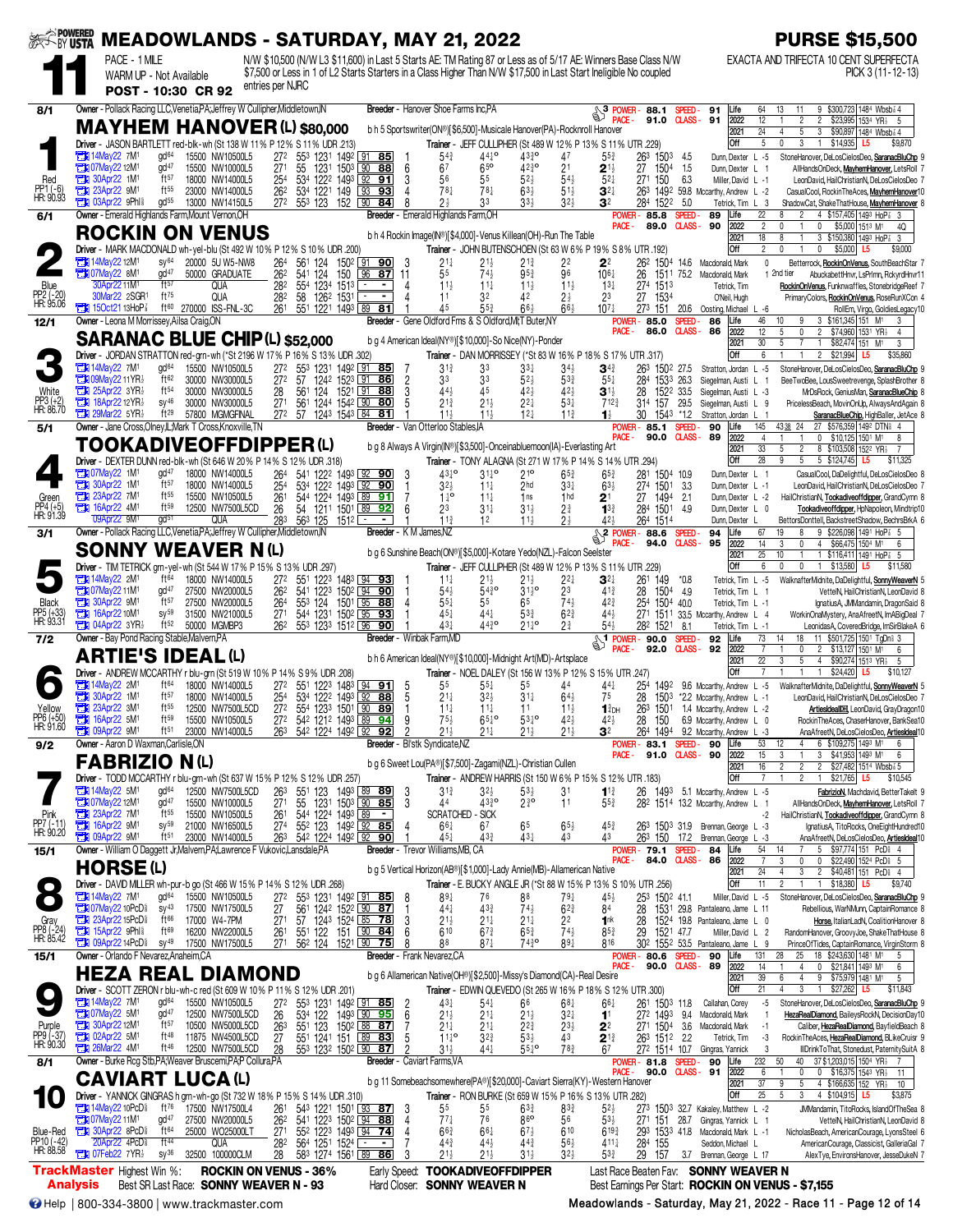| <b>AREL BY USTA</b>                 | PACE - 1 MILE                                                          |                                                                                                                    | <b>MEADOWLANDS - SATURDAY, MAY 21, 2022</b><br>N/W \$10,500 (N/W L3 \$11,600) in Last 5 Starts AE: TM Rating 87 or Less as of 5/17 AE: Winners Base Class N/W |                                                      |                                                       |                                                                                                                                        |                                    |                                      |                                                |                                                                          | <b>PURSE \$15,500</b><br>EXACTA AND TRIFECTA 10 CENT SUPERFECTA                                                                                           |
|-------------------------------------|------------------------------------------------------------------------|--------------------------------------------------------------------------------------------------------------------|---------------------------------------------------------------------------------------------------------------------------------------------------------------|------------------------------------------------------|-------------------------------------------------------|----------------------------------------------------------------------------------------------------------------------------------------|------------------------------------|--------------------------------------|------------------------------------------------|--------------------------------------------------------------------------|-----------------------------------------------------------------------------------------------------------------------------------------------------------|
|                                     |                                                                        | WARM UP - Not Available<br>POST - 10:30 CR 92                                                                      | \$7,500 or Less in 1 of L2 Starts Starters in a Class Higher Than N/W \$17,500 in Last Start Ineligible No coupled<br>entries per NJRC                        |                                                      |                                                       |                                                                                                                                        |                                    |                                      |                                                |                                                                          | PICK 3 (11-12-13)                                                                                                                                         |
| 8/1                                 |                                                                        | Owner - Pollack Racing LLC, Venetia, PA; Jeffrey W Cullipher, Middletown, IN                                       |                                                                                                                                                               |                                                      | Breeder - Hanover Shoe Farms Inc.PA                   |                                                                                                                                        |                                    | 3 POWER-                             | 88.1                                           | Life<br>SPEED-<br>91                                                     | 9 \$300,723 1484 Wbsb 3 4<br>64<br>13<br>11                                                                                                               |
|                                     |                                                                        |                                                                                                                    | <b>MAYHEM HANOVER (L) \$80,000</b>                                                                                                                            |                                                      |                                                       | b h 5 Sportswriter(ON®)[\$6,500]-Musicale Hanover(PA)-Rocknroll Hanover                                                                |                                    |                                      | 91.0                                           | <b>CLASS-</b><br>91<br>2022<br>2021                                      | 12<br>$\overline{2}$<br>\$23,995 1534 YR3<br>2<br>-5<br>24<br>5<br>3<br>\$90,897 1484 Wbsb <sup>2</sup> 4<br>4                                            |
|                                     | 7M1 14May22 7M1                                                        | gd <sup>64</sup><br>15500 NW10500L5                                                                                | Driver - JASON BARTLETT red-blk-wh (St 138 W 11% P 12% S 11% UDR .213)<br>272<br>553 1231 1492 91 85                                                          |                                                      | 54                                                    | Trainer - JEFF CULLIPHER (St 489 W 12% P 13% S 11% UTR .229)<br>$44^{10}$<br>$43\frac{3}{4}$ <sup>o</sup>                              | 47                                 | $55\frac{3}{4}$                      | 263<br>1503                                    | Off<br>Dunn, Dexter L -5<br>- 4.5                                        | 5<br>\$14,935<br>0<br>3<br>L5<br>\$9,870<br>StoneHanover, DeLosCielosDeo, SaranacBluChp                                                                   |
| Red                                 | <b>THI 07May22 12M1</b><br>30Apr22 1M1                                 | $\mathsf{qd}^{47}$<br>15500 NW10000L5<br>ft57<br>18000 NW14000L5<br>$ft^{55}$                                      | 27 <sup>1</sup><br>55<br>1231 1503 L90<br>534 1222 1493 92<br>25 <sup>4</sup>                                                                                 | 88<br>6<br>91                                        | 67<br>56                                              | 65 <sup>o</sup><br>$42^{30}_{4}$<br>$52\frac{1}{2}$<br>55                                                                              | 2 <sup>1</sup><br>$54\frac{1}{2}$  | $2^{11}$<br>$5^{2}$                  | 27<br>1504<br>27 <sup>1</sup><br>150           | 1.5<br>Dunn, Dexter<br>6.3<br>Miller, David L -1                         | AllHandsOnDeck, MayhemHanover, LetsRoll<br>L<br>LeonDavid, HailChristianN, DeLosCielosDeo                                                                 |
| PP1 (-6)<br>HR: 90.93               | <b>Extra 23Apr22 9M1</b><br><b>THE O3Apr22 9Phl?</b>                   | 23000 NW14000L5<br>gd <sup>55</sup><br>13000 NW14150L5                                                             | 262<br>534 1221 149<br>553 123 152 90<br>272                                                                                                                  | 93<br>93<br>84                                       | $78\frac{1}{4}$<br>2 <sup>1</sup>                     | 78 <sup>1</sup><br>$63\frac{1}{2}$<br>3 <sup>3</sup><br>$33\frac{1}{2}$                                                                | $51\frac{1}{2}$<br>32 <sub>7</sub> | $\mathbf{3}^{2+}$<br>32              | 263<br>1522<br>284                             | 1492 59.8 Mccarthy, Andrew L -2<br>5.0<br>Tetrick, Tim L                 | CasualCool, RockinTheAces, MayhemHanover10<br>-3<br>ShadowCat, ShakeThatHouse, MayhemHanover                                                              |
| 6/1                                 |                                                                        | Owner - Emerald Highlands Farm, Mount Vernon, OH<br><b>ROCKIN ON VENUS</b>                                         |                                                                                                                                                               | Breeder                                              | - Emerald Highlands Farm,OH                           | b h 4 Rockin Image(IN®)[\$4,000]-Venus Killean(OH)-Run The Table                                                                       |                                    | POWER-<br>PACE -                     | 85.8<br>89.0                                   | 89<br>Life<br><b>SPEED</b><br>CLASS-<br>90<br>2022<br>2021               | 22<br>8<br>4 \$157,405 1493 HoP<br>$\overline{c}$<br>\$5,000 1513 M1<br>$\theta$<br>$\mathbf{0}$<br>4Q<br>18<br>8<br>3 \$150,380 1493 HoP<br>-3           |
|                                     | <b>FEE</b> 14May 22 12M                                                | SV <sup>64</sup><br>20000 5U W5-NW8                                                                                | Driver - MARK MACDONALD wh-yel-blu (St 492 W 10% P 12% S 10% UDR .200)<br>264<br>561 124                                                                      | 150 <sup>2</sup> 91 90                               | $21\frac{1}{4}$                                       | Trainer - JOHN BUTENSCHOEN (St 63 W 6% P 19% S 8% UTR .192)<br>$21\frac{1}{2}$<br>$21\frac{3}{4}$                                      | 22                                 | 22                                   |                                                | Off<br>262 1504 14.6 Macdonald, Mark                                     | 2<br>$\Omega$<br>0<br>\$5,000<br>L5<br>\$9,000<br>$\mathbf 0$<br>Betterrock, RockinOnVenus, SouthBeachStar                                                |
| Blue                                | <b>EX 07May22 8M</b><br>30Apr22 11M <sup>1</sup>                       | gd <sup>47</sup><br>50000 GRADUATE<br>ft57<br>qua                                                                  | 262<br>124<br>150<br>541<br>282<br>554 1234 1513                                                                                                              | $\sqrt{96}$<br>87<br>-11<br>$\blacksquare$           | 55<br>$11\frac{1}{2}$                                 | $74\frac{1}{2}$<br>95 <sub>3</sub><br>$11\frac{1}{4}$<br>$11\frac{1}{2}$                                                               | 96<br>$11\frac{1}{2}$              | $10^{6}$<br>$13\frac{1}{4}$          | 26<br>1513<br>274                              | 1511 75.2 Macdonald, Mark<br>Tetrick, Tim                                | 1 2nd tier<br>AbuckabettHnvr, LsPrImn, RckyrdHnvr1<br>RockinOnVenus, Funknwaffles, StonebridgeReef 7                                                      |
| PP2 (-20)<br>HR: 95.06              | 30Mar22 2SGR1<br><b>TEM</b> 150ct21 13HoP <sup>7</sup>                 | ft75<br>QUA<br>ft <sup>60</sup> 270000 ISS-FNL-3C                                                                  | 1262 1531<br>282<br>58<br>261<br>551 1221 1493 89                                                                                                             | $\overline{81}$                                      | 11<br>45                                              | 32<br>42<br>$55\frac{3}{4}$<br>$66\frac{1}{2}$                                                                                         | $2\frac{1}{2}$<br>$66\frac{1}{2}$  | 23<br>10 <sup>7</sup>                | 27<br>1534<br>273 151                          | O'Neil, Hugh<br>20.6<br>Oosting, Michael L -6                            | PrimaryColors, RockinOnVenus, RoseRunXCon 4<br>RollEm, Virgo, GoldiesLegacy10                                                                             |
| 12/1                                |                                                                        | Owner - Leona M Morrissey, Ailsa Craig, ON                                                                         |                                                                                                                                                               |                                                      |                                                       | Breeder - Gene Oldford Fms & S Oldford, MI; T Buter, NY                                                                                |                                    | POWER-<br>PACE-                      | 85.0<br>86.0                                   | SPEED-<br>86<br>Life<br><b>CLASS-</b><br>86<br>2022                      | 46<br>3 \$161,345 151 M1<br>10<br>3<br>12<br>5<br>0<br>$\overline{2}$<br>\$74,960 1531 YR<br>$\overline{4}$                                               |
|                                     |                                                                        | <b>SARANAC BLUE CHIP (L) \$52,000</b>                                                                              | Driver - JORDAN STRATTON red-grn-wh (*St 2196 W 17% P 16% S 13% UDR .302)                                                                                     |                                                      |                                                       | b g 4 American Ideal(NY®)[\$10,000]-So Nice(NY)-Ponder<br>Trainer - DAN MORRISSEY (*St 83 W 16% P 18% S 17% UTR .317)                  |                                    |                                      |                                                | 2021<br>Off                                                              | 30<br>5<br>$\mathbf{1}$<br>\$82,474 151 M1<br>3<br>6<br>$\overline{2}$<br>\$21,994<br>\$35,860<br>L5                                                      |
|                                     | $\Box$ 14May22 7M<br><b>THI 09May22 11 YR3</b>                         | gd <sup>64</sup><br>15500 NW10500L5<br>ft62<br>30000 NW30000L5                                                     | 553<br>272<br>57                                                                                                                                              | 1231 1492 91 85<br>$\overline{2}$<br>1242 1523 91 86 | 31<br>33                                              | 33<br>33‡<br>33<br>52}                                                                                                                 | $34\frac{1}{2}$<br>$5^{3}$         | $\mathbf{3}^{43}$<br>$55\frac{1}{4}$ | 263<br>1502 27.5<br>284<br>1533                | Stratton, Jordan<br>26.3<br>Siegelman, Austi L                           | StoneHanover, DeLosCielosDeo, SaranacBluChp<br>$L - 5$<br>BeeTwoBee, LousSweetrevenge, SplashBrother &                                                    |
| White<br>PP3 (+2)<br>HR: 86.70      | $25$ Apr22 3YR<br><b>TEM 18Apr2212YR</b>                               | $ft^{54}$<br>30000 NW30000L5<br>$SV^{46}$<br>30000 NW30000L5                                                       | 28<br>561<br>27 <sup>1</sup><br>561<br>1244 1542 90                                                                                                           | 124 1521 91 88<br>80                                 | 44}<br>$21\frac{3}{4}$                                | 45<br>$42\frac{1}{2}$<br>$21\frac{1}{2}$<br>$2^{2}$                                                                                    | $42\frac{1}{2}$<br>$53\frac{1}{4}$ | 31,<br>$712\frac{3}{4}$              | 28<br>1522 33.5<br>157<br>31 <sup>4</sup>      | Siegelman, Austi L -3<br>29.5<br>Siegelman, Austi L                      | MrDsRock, GeniusMan, SaranacBlueChip<br>PricelessBeach, MovinOnUp, AlwaysAndAgain 8<br>- g                                                                |
| 5/1                                 | <b>Fig. 29Mar22 5YR3</b>                                               | ft29<br>57800 MGMGFINAL<br>Owner - Jane Cross, Olney, IL; Mark T Cross, Knoxville, TN                              | 272 57<br>1243 1543 84 81                                                                                                                                     |                                                      | 11 <sub>3</sub><br>Breeder - Van Otterloo Stables, IA | 11 <sub>3</sub><br>12 <sub>7</sub>                                                                                                     | 11 <sub>3</sub>                    | 11<br>POWER -                        | 30<br>1543 *1.2<br>85.1                        | Stratton, Jordan<br><b>SPEED</b><br>90<br>Life                           | SaranacBlueChip, HighBaller, JetAce {<br>145<br>4338 24<br>27 \$576,359 1492 DTN \$ 4                                                                     |
|                                     |                                                                        | TOOKADIVEOFFDIPPER(L)                                                                                              |                                                                                                                                                               |                                                      |                                                       | b g 8 Always A Virgin(IN®)[\$3,500]-Onceinabluemoon(IA)-Everlasting Art                                                                |                                    | PACE -                               | 90.0                                           | <b>CLASS-</b><br>89<br>2022<br>2021<br>Off                               | $\overline{4}$<br>$0$ \$10,125 1501 M1<br>8<br>33<br>5<br>2<br>8 \$103,508 1522 YR1<br>$\overline{7}$<br>28<br>9<br>5 \$124,745 L5                        |
|                                     | <b>EN 07May22 1M1</b>                                                  | Driver - DEXTER DUNN red-blk-wh (St 646 W 20% P 14% S 12% UDR .318)<br>$gd^{47}$<br>18000 NW14000L5<br>ft57        | 264<br>541 122 <sup>2</sup> 1493 92 90                                                                                                                        | -3                                                   | 43 <sup>10</sup>                                      | Trainer - TONY ALAGNA (St 271 W 17% P 14% S 14% UTR .294)<br>$21^{\circ}$<br>$3^{11}$ <sup>o</sup>                                     | $65\frac{3}{4}$                    | $65\frac{3}{4}$                      | 281 1504 10.9                                  | Dunn Dexter L 1                                                          | 5<br>\$11,325<br>CasualCool, DaDelightful, DeLosCielosDeo 8                                                                                               |
| Green                               | <b>EN 30Apr22 1M1</b><br>23Apr22 7M1<br><b>EX 16Apr22 4M</b>           | 18000 NW14000L5<br>$ft^{55}$<br>15500 NW10500L5<br>ft59<br>12500 NW7500L5CD                                        | 534 1222 1493 92 90<br>25 <sup>4</sup><br>544 1224 1493 89 91<br>261<br>26<br>54                                                                              | 92                                                   | $3^{2}$<br>$1^{10}$                                   | $11\frac{1}{4}$<br>2hd<br>$11\frac{1}{4}$<br>1 <sub>ns</sub>                                                                           | $3^{3+}$<br>1 <sub>hd</sub>        | $63\frac{1}{2}$<br>$2^1$             | 274 1501<br>27<br>1494                         | -3.3<br>Dunn, Dexter L -1<br>2.1<br>Dunn, Dexter L -2<br>4.9             | LeonDavid, HailChristianN, DeLosCielosDeo 7<br>HailChristianN, Tookadiveoffdipper, GrandCymn 8                                                            |
| PP4 (+5)<br>HR: 91.39               | 09Apr22 9M                                                             | gd <sup>51</sup><br>qua<br>Owner - Pollack Racing LLC, Venetia, PA; Jeffrey W Cullipher, Middletown, IN            | 1211 1501 89<br>283<br>125<br>563<br>$151^2$ $\Box$                                                                                                           |                                                      | 23<br>11 <sup>3</sup><br>Breeder - K M James, NZ      | $31\frac{1}{4}$<br>$31\frac{1}{2}$<br>12<br>$11\frac{1}{2}$                                                                            | $2\frac{3}{4}$                     | $1^{3}$<br>424                       | 284 1501<br>264 1514                           | Dunn, Dexter L 0<br>Dunn, Dexter<br>94<br>Life                           | Tookadiveoffdipper, HpNapoleon, Mindtrip10<br>BettorsDonttell, BackstreetShadow, BechrsBrkA 6<br>19<br>9 \$226,098 1491 HoP 3 5<br>67                     |
| 3/1                                 |                                                                        | <b>SONNY WEAVER N(L)</b>                                                                                           |                                                                                                                                                               |                                                      |                                                       | b g 6 Sunshine Beach(ON®)[\$5,000]-Kotare Yedo(NZL)-Falcon Seelster                                                                    |                                    | <sup>2</sup> POWER-<br>ACF-          | 88.6<br>94.0                                   | SPEED-<br><b>CLASS-</b><br>95<br>2022<br>2021                            | 14<br>3<br>4 \$66,475 1504 M1<br>0<br>6<br>25<br>10<br>1 \$116,411 1491 HoP<br>-5                                                                         |
|                                     | <b>TEM</b> 14May22 2M                                                  | Driver - TIM TETRICK grn-yel-wh (St 544 W 17% P 15% S 13% UDR 297)<br>ft <sup>64</sup><br>18000 NW14000L5          | 272<br>551 1223 1483 94 93                                                                                                                                    |                                                      | $11\frac{1}{4}$                                       | Trainer - JEFF CULLIPHER (St 489 W 12% P 13% S 11% UTR .229)<br>$21\frac{1}{2}$<br>$21\frac{1}{2}$                                     | $2^{2}$                            | $\mathbf{3}^{2\ddagger}$             | 261<br>149                                     | Off<br>$*0.8$<br>Tetrick, Tim L -5                                       | 6<br>$\mathbf{0}$<br>0<br>1 \$13,580 L5<br>\$11,580<br>WalknafterMidnite, DaDelightful, SonnyWeaverN                                                      |
| Black                               | <b>TEN 07May22 11M1</b><br><b>Ext. 30Apr22 9M1</b>                     | gd <sup>47</sup><br>27500 NW20000L5<br>ft57<br>27500 NW20000L5                                                     | 262<br>541<br>553 124<br>264                                                                                                                                  | 1223 1502 94 90<br>1501 L95<br>88                    | 54}<br>$5^{51}$                                       | $54^{30}_{4}$<br>$31\frac{1}{2}$ <sup>o</sup><br>55<br>65                                                                              | 23<br>$74\frac{1}{2}$              | $41\frac{3}{4}$<br>$42\frac{3}{4}$   | 28<br>1504 4.9<br>25 <sup>4</sup><br>1504 40.0 | Tetrick, Tim L 1<br>Tetrick, Tim L -1                                    | VettelN, HailChristianN, LeonDavid &<br>IgnatiusA, JMMandamin, DragonSaid 8                                                                               |
| PP5 (+33)<br>HR: 93.31              | 16Apr22 10M <sup>1</sup><br><b>THE 04Apr22 3YR3</b>                    | $SV^{59}$<br>31500 NW21000L5<br>ft52<br>50000 MGMBP3                                                               | 544 1231 1502 95 93<br>271<br>262<br>553 1233 1512 96                                                                                                         | 90                                                   | $45\frac{1}{4}$<br>431                                | $44\frac{1}{4}$<br>53}<br>$44^{30}_{4}$<br>$21\frac{1}{4}$ <sup>o</sup>                                                                | $62\frac{3}{4}$<br>$2\frac{3}{4}$  | 441<br>54}                           | 271<br>282 1521                                | 1511 33.5 Mccarthy, Andrew L 4<br>8.1<br>Tetrick, Tim L -1               | WorkinOnaMystery, AnaAfreetN, ImABigDeal 7<br>LeonidasA, CoveredBridge, ImSirBlakeA 6                                                                     |
| 7/2                                 |                                                                        | Owner - Bay Pond Racing Stable, Malvern, PA                                                                        |                                                                                                                                                               |                                                      | Breeder - Winbak Farm, MD                             |                                                                                                                                        |                                    | $\frac{1}{2}$ POWER - 90.0<br>PACE-  | 92.0                                           | <b>SPEED</b><br>92<br>Life<br><b>CLASS-</b><br>92<br>2022                | 73<br>11 \$501,725 1501 TgDni 3<br>14<br>18<br>$\overline{c}$<br>\$13,127 1501 M1<br>6                                                                    |
|                                     |                                                                        | <b>ARTIE'S IDEAL(L)</b>                                                                                            | Driver - ANDREW MCCARTHY r blu-grn (St 519 W 10% P 14% S 9% UDR .208)                                                                                         |                                                      |                                                       | b h 6 American Ideal(NY®)[\$10,000]-Midnight Art(MD)-Artsplace<br>Trainer - NOEL DALEY (St 156 W 13% P 12% S 15% UTR .247)             |                                    |                                      |                                                | 2021<br>Off                                                              | $\overline{22}$<br>3<br>5<br>$\overline{4}$<br>\$90,274 1513 YR <sub>2</sub><br>-5<br>$\overline{7}$<br>\$24,420<br>\$10,127<br>L5                        |
|                                     | $\Box$ 14May22 2M<br><b>EM</b> 30Apr22 1M                              | ft <sup>64</sup><br>18000 NW14000L5<br>ft57<br>18000 NW14000L5                                                     | 272<br>551<br>1223<br>254<br>534<br>1222 1493 92                                                                                                              | 1483 94<br>91<br>5<br>88                             | 55<br>$21\frac{1}{4}$                                 | $55\frac{1}{4}$<br>55<br>$32\frac{1}{2}$<br>$31\frac{1}{4}$                                                                            | 44<br>$64\frac{1}{2}$              | 44‡<br>75                            | 254<br>1492<br>28<br>1503                      | 9.6 Mccarthy, Andrew<br>*2.2 Mccarthy, Andrew                            | $L - 5$<br>WalknafterMidnite, DaDelightful, SonnyWeaverN &<br>LeonDavid, HailChristianN, DeLosCielosDeo<br>$L - 1$                                        |
| Yellow<br>PP6 (+50)<br>HR: 91.60    | <b>Extra 23Apr22 3M1</b><br><b>EX 16Apr22 5M1</b>                      | ft55<br>12500 NW7500L5CD<br>ft59<br>15500 NW10500L5                                                                | 272<br>554 1233 1501 90 89<br>542 1212 1493 89 94<br>272                                                                                                      |                                                      | $11\frac{1}{4}$<br>75}                                | $11\frac{1}{4}$<br>11<br>$65^{10}$<br>$53^{10}$                                                                                        | $11\frac{1}{2}$<br>42 <sub>7</sub> | $13$ DH<br>423                       | 263<br>1501<br>28<br>150                       | 1.4 Mccarthy, Andrew L -2<br>6.9 Mccarthy, Andrew L 0                    | ArtiesIdeal <sup>DH</sup> , LeonDavid, GrayDragon10<br>RockinTheAces, ChaserHanover, BankSea10                                                            |
| 9/2                                 | $\Box$ 09Apr22 9M <sup>1</sup><br>Owner - Aaron D Waxman, Carlisle, ON | ft $51$<br>23000 NW14000L5                                                                                         | 26 <sup>3</sup><br>54 <sup>2</sup> 1224 1492 92 92                                                                                                            |                                                      | Breeder - Bl'stk Syndicate, NZ                        |                                                                                                                                        |                                    | POWER -                              | 1494<br>83.1                                   | 9.2 Mccarthy, Andrew<br><b>SPEED-90</b><br>Life                          | AnaAfreetN, DeLosCielosDeo, <u>Arti<b>esIdeal</b></u> 10<br>53<br>12<br>6 \$109,275 1493 M1<br>6                                                          |
|                                     | <b>FABRIZIO N(L)</b>                                                   |                                                                                                                    |                                                                                                                                                               |                                                      |                                                       | b g 6 Sweet Lou(PA®)[\$7,500]-Zagami(NZL)-Christian Cullen                                                                             |                                    | PACE -                               |                                                | 91.0 CLASS-90<br>2022<br>2021<br>Off                                     | 15<br>3<br>3<br>\$41,953 1493 M1<br>6<br>16<br>$\overline{2}$<br>$\overline{c}$<br>\$27,482 1514 Wbsb 3 5<br>2<br>\$10,545                                |
|                                     | <b>EN 14May22 5M1</b>                                                  | 12500 NW7500L5CD<br>gd <sup>64</sup><br>gd <sup>47</sup>                                                           | Driver - TODD MCCARTHY r blu-grn-wh (St 637 W 15% P 12% S 12% UDR .257)<br>263<br>551 123 1493 89 89                                                          | - 3                                                  | $3^{13}$                                              | Trainer - ANDREW HARRIS (St 150 W 6% P 15% S 12% UTR 183)<br>$3^{2}\frac{1}{2}$<br>$53\frac{1}{2}$                                     | 31                                 | $11\frac{3}{4}$                      | 26                                             | 1493 5.1 Mccarthy, Andrew L-5                                            | $$21,765$ L5<br>FabrizioN, Machdavid, BetterTakelt 9                                                                                                      |
| Pink<br>PP7 (-11)<br>HR: 90.20      | 23Apr22 12M1<br><b>EDI</b> 16Apr22 9M <sup>1</sup>                     | 15500 NW10000L5<br>ft <sup>55</sup><br>15500 NW10500L5<br>$sy^{59}$<br>21000 NW16500L5                             | 27 <sup>1</sup><br>55 1231 1503 90 85<br>544 1224 1493 89 -<br>261<br>274<br>552 123                                                                          | 149 <sup>2</sup> 92 85                               | 44<br><b>SCRATCHED - SICK</b><br>$66\frac{1}{4}$      | $43^{30}_{4}$<br>$2\frac{3}{4}$ <sup>o</sup><br>65<br>67                                                                               | 11<br>$65\frac{1}{2}$              | 55}<br>453                           |                                                | 282 1514 13.2 Mccarthy, Andrew<br>263 1503 31.9 Brennan, George L -3     | AllHandsOnDeck, MayhemHanover, LetsRoll 7<br>L.<br>-1<br>-2<br>HailChristianN, Tookadiveoffdipper, GrandCymn 8<br>IgnatiusA, TitoRocks, OneEightHundred10 |
| 15/1                                | <b>THE 09Apr22 9M1</b>                                                 | ft <sup>51</sup><br>23000 NW14000L5<br>Owner - William O Daggett Jr, Malvern, PA; Lawrence F Vukovic, Lansdale, PA | 542 1224 1492 92 90<br>26 <sup>3</sup>                                                                                                                        |                                                      | $45\frac{1}{4}$<br>Breeder - Trevor Williams, MB, CA  | $43\frac{3}{4}$<br>43}                                                                                                                 | 43                                 | 43                                   | POWER- 79.1 SPEED-                             | 263 150 17.2 Brennan, George L -3<br>84<br>Life                          | AnaAfreetN, DeLosCielosDeo, <b>ArtiesIdeal</b> 10<br>54<br>5 \$97,774 151 PcD 4<br>14                                                                     |
|                                     | HORSE(L)                                                               |                                                                                                                    |                                                                                                                                                               |                                                      |                                                       | b g 5 Vertical Horizon(AB®)[\$1,000]-Lady Annie(MB)-Allamerican Native                                                                 |                                    | PACE -                               | 84.0 CLASS-                                    | 86<br>2022<br>2021                                                       | $\overline{7}$<br>3<br>0<br>0 \$22,490 1524 PcD \$ 5<br>24<br>2 \$40,481 151 PcD 4                                                                        |
| $\bullet$                           | <b>THE 14May22 7M<sup>1</sup></b>                                      | gd <sup>64</sup><br>15500 NW10500L5                                                                                | Driver - DAVID MILLER wh-pur-b go (St 466 W 15% P 14% S 12% UDR .268)<br>272<br>553 1231 1492 91 85                                                           | 8                                                    | $89\frac{1}{4}$                                       | Trainer - E. BUCKY ANGLE JR (*St 88 W 15% P 13% S 10% UTR .256)<br>88<br>76                                                            | $79\frac{1}{4}$                    | $45\frac{1}{2}$                      | 25 <sup>3</sup><br>1502 41.1                   | Off<br>Miller, David L -5                                                | 11<br>$\overline{2}$<br>1 \$18,380 L5<br>\$9,740<br>StoneHanover, DeLosCielosDeo, SaranacBluChp 9                                                         |
|                                     | <b>TEM 07May22 10PcD</b><br><b>EN 23Apr22 15PcD</b>                    | $SV^{43}$<br>17500 NW17500L5<br>$ft^{66}$<br>17000 W4-7PM                                                          | 27<br>561 1242 1522 90 87<br>27 <sup>1</sup>                                                                                                                  | 3                                                    | $44\frac{1}{4}$<br>$21\frac{1}{2}$                    | $43\frac{3}{4}$<br>$74\frac{1}{2}$<br>$21\frac{1}{4}$<br>$21\frac{1}{4}$                                                               | $6^{23}$<br>2 <sup>2</sup>         | 84<br>1nk                            | 28<br>28                                       | 1531 29.8 Pantaleano, Jame L 11<br>1524 19.8 Pantaleano, Jame L 0        | Rebellious, WarNMunn, CaptainRomance 8<br>Horse, ItalianLadN, CoalitionHanover 8                                                                          |
| Gray<br>PP8 (-24)<br>HR: 85.42      | 15Apr22 9Phl <sup>§</sup><br>14PCD                                     | ft69<br>16200 NW22000L5<br>$sy^{49}$<br>17500 NW17500L5                                                            | 57 1243 1524 85 78<br>261<br>27 <sup>1</sup><br>56 <sup>2</sup> 124 1521 90                                                                                   | 75                                                   | 610<br>88                                             | $67\frac{3}{4}$<br>$65\frac{3}{4}$<br>$87\frac{1}{4}$<br>7430                                                                          | $74\frac{1}{2}$<br>$89\frac{1}{4}$ | $85\frac{3}{4}$<br>816               | 29<br>1521 47.7                                | Miller, David L 2<br>302 1552 53.5 Pantaleano, Jame L 9                  | RandomHanover, GroovyJoe, ShakeThatHouse 8<br>PrinceOfTides, CaptainRomance, VirginStorm 8                                                                |
| 15/1                                | Owner - Orlando F Nevarez, Anaheim, CA                                 | <b>HEZA REAL DIAMOND</b>                                                                                           |                                                                                                                                                               |                                                      | Breeder - Frank Nevarez, CA                           | b g 6 Allamerican Native(OH®)[\$2,500]-Missy's Diamond(CA)-Real Desire                                                                 |                                    | PACE -                               | <b>POWER-80.6</b><br>90.0                      | 90<br>Life<br>SPEED-<br><b>CLASS-89</b><br>2022                          | 131<br>25<br>18 \$243,630 1481 M1<br>28<br>5<br>14<br>0 \$21,841 1493 M1<br>4<br>6                                                                        |
|                                     |                                                                        |                                                                                                                    | Driver - SCOTT ZERON r blu-wh-c red (St 609 W 10% P 11% S 12% UDR 201)                                                                                        |                                                      |                                                       | Trainer - EDWIN QUEVEDO (St 265 W 16% P 18% S 12% UTR .300)                                                                            |                                    |                                      |                                                | 2021<br>Off                                                              | 39<br>9 \$75,979 1481 M1<br>6<br>4<br>5<br>21<br>$$27,262$ L5<br>\$11,843<br>$\mathbf{1}$                                                                 |
|                                     | <b>EN 14May22 7M1</b><br><b>23 07May 22 5M1</b>                        | $gd^{64}$<br>15500 NW10500L5<br>gd <sup>47</sup><br>12500 NW7500L5CD                                               | 272<br>553 1231 1492 91 85<br>26<br>534 122                                                                                                                   | $\frac{2}{6}$<br>1493 90 95                          | 431<br>$21\frac{1}{2}$                                | $54\over 21\over 4$<br>66<br>$21\frac{1}{2}$                                                                                           | $68\frac{1}{4}$<br>$3^{2}$         | $66\frac{1}{4}$<br>1 <sup>1</sup>    | 261 1503 11.8<br>272 1493                      | Callahan, Corey<br>9.4<br>Macdonald, Mark                                | -5<br>StoneHanover, DeLosCielosDeo, SaranacBluChp 9<br>HezaRealDiamond, BaileysRockN, DecisionDay10                                                       |
| Purple<br>PP9 (-37)<br>HR: 90.30    | <b>Et 30Apr22 12M1</b><br><b>EN 02Apr22 5M1</b>                        | ft57<br>10500 NW5000L5CD<br>ft 48<br>11875 NW4500L5CD                                                              | 263<br>551 123 1502 88 87<br>27<br>551 1241 151 89 83                                                                                                         | 5                                                    | $21\frac{1}{4}$<br>$11^{10}_{4}$                      | $2^{2^{3}}$<br>$21\frac{1}{4}$<br>$53\frac{1}{2}$<br>$3^{2^{3}}$                                                                       | $2^{3}\frac{1}{2}$<br>43           | 22<br>$2^{13}$                       | 271 1504 3.6<br>263 1512 2.2                   | Macdonald, Mark<br>Tetrick, Tim                                          | Caliber, HezaRealDiamond, BayfieldBeach 8<br>RockinTheAces, HezaRealDiamond, BLikeCruisr 9<br>-3                                                          |
| 8/1                                 | <b>26Mar22 4M1</b>                                                     | ft 46<br>12500 NW7500L5CD<br>Owner - Burke Rcg Stb, PA; Weaver Bruscemi, PA; P Collura, PA                         | 28<br>553 1232 1502 90 87                                                                                                                                     |                                                      | $31\frac{1}{7}$<br>Breeder - Caviart Farms, VA        | 441<br>$55\frac{1}{4}$ °                                                                                                               | $78\frac{3}{4}$                    | 67<br>PACE -                         | 272 1514 10.7<br>POWER-81.8 SPEED-             | Gingras, Yannick<br>Life<br>90<br>90.0 CLASS- 91<br>2022                 | 3<br>IIIDrinkToThat, Stonedust, PaternitySuitA 8<br>232<br>50<br>37 \$1,203,015 1504 YR}<br>40<br>6<br>0<br>0 $$16,375$ 1543 YR <sub>2</sub><br>11        |
|                                     |                                                                        | <b>CAVIART LUCA (L)</b>                                                                                            | Driver - YANNICK GINGRAS h grn-wh-go (St 732 W 18% P 15% S 14% UDR 310)                                                                                       |                                                      |                                                       | b g 11 Somebeachsomewhere(PA®)[\$20,000]-Caviart Sierra(KY)-Western Hanover<br>Trainer - RON BURKE (St 659 W 15% P 16% S 13% UTR .282) |                                    |                                      |                                                | 2021<br>Off                                                              | $\overline{37}$<br>9<br>5<br>4 \$166,635 152 YR <sub>2</sub><br>10<br>25<br>5<br>3<br>4 \$104,915 L5<br>\$3,875                                           |
|                                     | <b>TEX 14May22 10PcD</b><br><b>EX 07May22 11M1</b>                     | ft76<br>17500 NW17500L4<br>gd <sup>47</sup><br>27500 NW20000L5                                                     | 543 1221 1501 93 87<br>261<br>262                                                                                                                             | - 3<br>$\overline{4}$                                | 55<br>$77\frac{1}{4}$                                 | 55<br>$63\frac{3}{4}$<br>76<br>86 <sup>o</sup>                                                                                         | $8^{3\frac{3}{4}}$<br>56           | $5^{2}$<br>$53\frac{1}{2}$           |                                                | 273 1503 32.7 Kakaley, Matthew L -2<br>271 151 28.7 Gingras, Yannick L 1 | JMMandamin, TitoRocks, IslandOfTheSea 8<br>VettelN, HailChristianN, LeonDavid 8                                                                           |
| Blue-Red<br>PP10 (-42)<br>HR: 88.58 | 30Apr22 8PcD<br>$20$ Apr22 $4$ PcD $\frac{5}{8}$                       | ft <sup>64</sup><br>25000 WO25000LT<br>ft44<br><b>QUA</b>                                                          | 541 1223 1502 94 88<br>552 1223 1493 94 74<br>271<br>282<br>564 1251 1524                                                                                     | 4<br>$\sim$                                          | $66\frac{3}{4}$<br>443                                | $67\frac{1}{2}$<br>$66\frac{1}{4}$<br>$44\frac{1}{2}$<br>$44\frac{3}{4}$                                                               | 610<br>$56\frac{1}{2}$             | $6^{19\frac{3}{4}}$<br>411‡          | 284 155                                        | 293 1533 41.8 Macdonald, Mark L -1<br>Seddon, Michael L                  | NicholasBeach, AmericanCourage, LyonsSteel 6<br>AmericanCourage, Classicist, GalleriaGal 7                                                                |
|                                     | <b>TEN O7Feb22 7YR</b><br><b>TrackMaster</b> Highest Win %:            | $sy^{36}$<br>32500 100000CLM                                                                                       | 583 1274 1561 89 86<br>28<br><b>ROCKIN ON VENUS - 36%</b>                                                                                                     | Early Speed:                                         | $21\frac{1}{2}$                                       | $21\frac{1}{2}$<br>$31\frac{1}{2}$<br><b>TOOKADIVEOFFDIPPER</b>                                                                        | $3^{2}$                            | 53}                                  | 29 157                                         | 3.7 Brennan, George L 17<br>Last Race Beaten Fav: SONNY WEAVER N         | AlexTye, EnvironsHanover, JesseDukeN 7                                                                                                                    |
|                                     | Analysis                                                               | Best SR Last Race: SONNY WEAVER N - 93                                                                             |                                                                                                                                                               |                                                      | Hard Closer: SONNY WEAVER N                           |                                                                                                                                        |                                    |                                      |                                                |                                                                          | Best Earnings Per Start: ROCKIN ON VENUS - \$7,155                                                                                                        |
|                                     |                                                                        | $\bullet$ Help   800-334-3800   www.trackmaster.com                                                                |                                                                                                                                                               |                                                      |                                                       |                                                                                                                                        |                                    |                                      |                                                |                                                                          | Meadowlands - Saturday, May 21, 2022 - Race 11 - Page 12 of 14                                                                                            |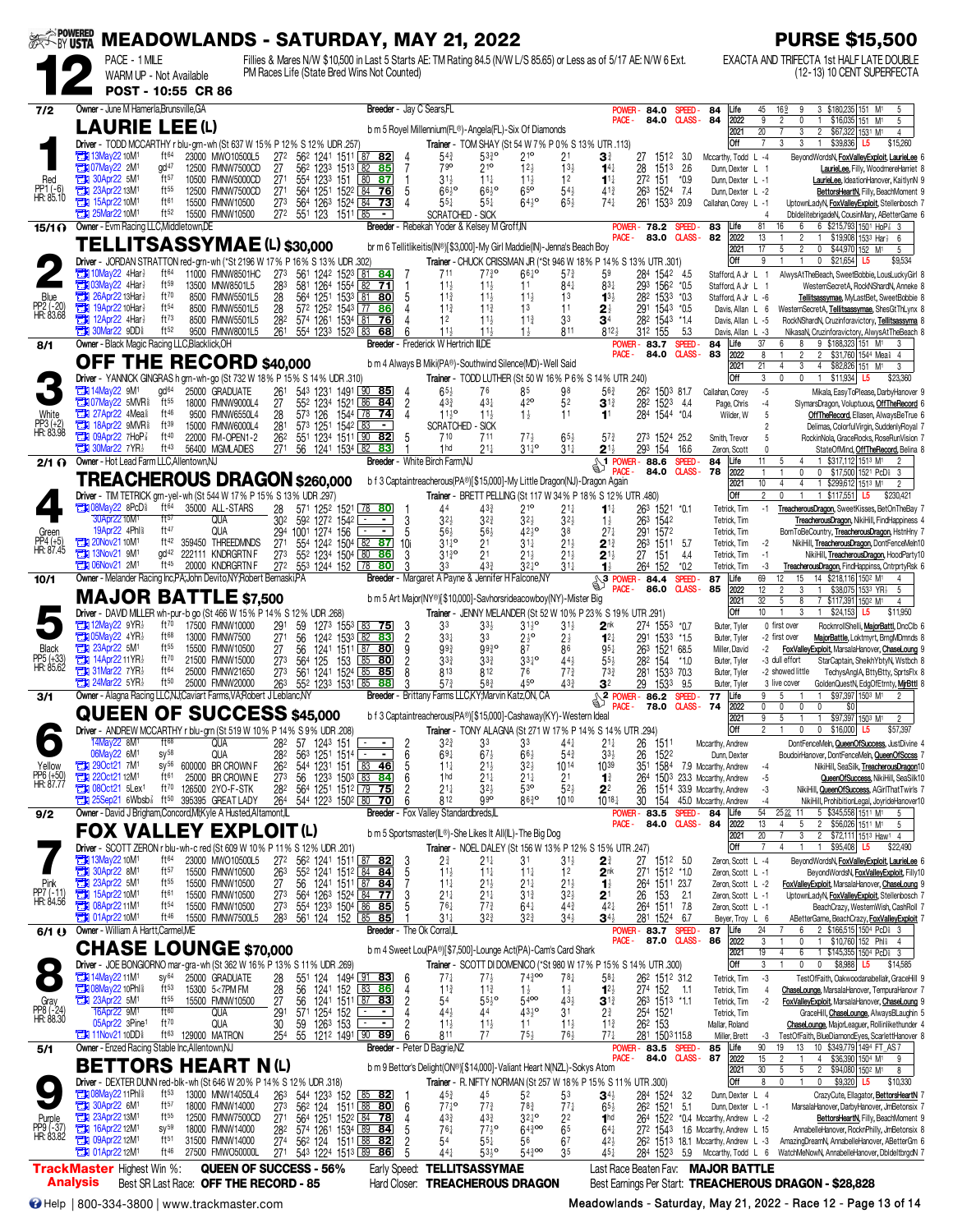|                                  |                 |                                                                          |                                      | <b>MEADOWLANDS - SATURDAY, MAY 21, 2022</b>                                                         |                                    |                 |                                     |                                                                                         |                                           |                                                 |                                                                                                                                          |                                                 |                                      |                                                              |                                                  |                                  |                                                                                   | <b>PURSE \$15,500</b>                                                                                                                   |
|----------------------------------|-----------------|--------------------------------------------------------------------------|--------------------------------------|-----------------------------------------------------------------------------------------------------|------------------------------------|-----------------|-------------------------------------|-----------------------------------------------------------------------------------------|-------------------------------------------|-------------------------------------------------|------------------------------------------------------------------------------------------------------------------------------------------|-------------------------------------------------|--------------------------------------|--------------------------------------------------------------|--------------------------------------------------|----------------------------------|-----------------------------------------------------------------------------------|-----------------------------------------------------------------------------------------------------------------------------------------|
|                                  |                 | PACE - 1 MILE<br>WARM UP - Not Available<br>POST - 10:55 CR 86           |                                      |                                                                                                     |                                    |                 |                                     | PM Races Life (State Bred Wins Not Counted)                                             |                                           |                                                 | Fillies & Mares N/W \$10,500 in Last 5 Starts AE: TM Rating 84.5 (N/W L/S 85.65) or Less as of 5/17 AE: N/W 6 Ext.                       |                                                 |                                      |                                                              |                                                  |                                  |                                                                                   | EXACTA AND TRIFECTA 1st HALF LATE DOUBLE<br>(12-13) 10 CENT SUPERFECTA                                                                  |
| 7/2                              |                 | Owner - June M Hamerla.Brunsville.GA                                     |                                      |                                                                                                     |                                    |                 |                                     | Breeder - Jay C Sears, FL                                                               |                                           |                                                 |                                                                                                                                          |                                                 |                                      | <b>POWEF</b>                                                 | 84.0                                             | SPEED-                           | 84<br>Life                                                                        | 3 \$180,235 151 M <sup>1</sup><br>45<br>169<br>9<br>5                                                                                   |
|                                  |                 | <b>LAURIE LEE(L)</b>                                                     |                                      |                                                                                                     |                                    |                 |                                     |                                                                                         |                                           |                                                 | b m 5 Royel Millennium (FL®) - Angela (FL) - Six Of Diamonds                                                                             |                                                 |                                      | PACE -                                                       | 84.0                                             | <b>CLASS-</b>                    | 84<br>2022<br>2021                                                                | 9<br>\$16,035 151 M1<br>$\overline{2}$<br>0<br>5<br>20<br>3<br>$\overline{c}$<br>\$67,322 1531 M1<br>$\overline{4}$                     |
|                                  |                 | <b>TEM 13May22 10M1</b>                                                  | ft <sup>64</sup>                     | Driver - TODD MCCARTHY r blu-grn-wh (St 637 W 15% P 12% S 12% UDR .257)<br>23000 MWO10500L5         | 27 <sup>2</sup>                    |                 |                                     | 56 <sup>2</sup> 1241 1511 87 82                                                         |                                           | $54\frac{3}{4}$                                 | Trainer - TOM SHAY (St 54 W 7% P 0% S 13% UTR .113)<br>$53^{30}_{4}$                                                                     | 21 <sup>o</sup>                                 | 21                                   | 31                                                           | 27<br>1512                                       | 3.0                              | Off<br>Mccarthy, Todd L -4                                                        | 3<br>\$39,836<br>7<br>3<br>$\mathbf{1}$<br>\$15,260<br>L5<br>BeyondWordsN, FoxValleyExploit, LaurieLee 6                                |
| Red                              |                 | <b>EM 07May22 2M1</b><br>$30$ Apr22 5M <sup>1</sup>                      | gd <sup>47</sup><br>$ft^{57}$        | 12500 FMNW7500CD<br>10500 FMNW5000CD                                                                | 27<br>271                          | 554 1233        | 562 1233 1513 82<br>151             | 85<br>80 87                                                                             | $\overline{7}$                            | 790<br>$31\frac{1}{2}$                          | $21^{\circ}$<br>$11\frac{1}{2}$                                                                                                          | 12 <sub>3</sub><br>$11\frac{1}{2}$              | $13\frac{1}{2}$<br>12                | $14\frac{1}{4}$<br>$1^{11}$                                  | 28<br>151 <sup>3</sup><br>272 151                | 2.6<br>$*0.9$                    | Dunn, Dexter L 1<br>Dunn, Dexter L -1                                             | LaurieLee, Filly, WoodmereHarriet 8<br>LaurieLee, IdeationHanover, KaitlynN 9                                                           |
| PP1 (-6)<br>HR: 85.10            |                 | 23Apr22 13M1<br>15Apr22 10M1                                             | ft55<br>ft61                         | 12500 FMNW7500CD<br>15500 FMNW10500                                                                 | 271<br>273                         |                 | 564 1263 1524 84                    | 564 1251 1522 84 76<br>-73                                                              | 5<br>Δ                                    | $66^{10}$<br>$55\frac{1}{4}$                    | $66^{10}$<br>$55\frac{1}{4}$                                                                                                             | 65 <sup>o</sup><br>$64\frac{1}{2}$ <sup>o</sup> | $54\frac{1}{2}$<br>$65\frac{1}{2}$   | $41\frac{3}{4}$<br>$74\frac{1}{4}$                           | 263<br>1524<br>261 1533 20.9                     | -7.4                             | Dunn, Dexter L -2<br>Callahan, Corey L -1                                         | BettorsHeartN, Filly, BeachMoment 9<br>UptownLadyN, FoxValleyExploit, Stellenbosch 7                                                    |
| 15/1 ()                          |                 | 25Mar22 10M1<br>Owner - Evm Racing LLC, Middletown, DE                   | ft52                                 | 15500 FMNW10500                                                                                     | 272                                |                 | 551 123 1511 85                     | $\blacksquare$                                                                          |                                           | SCRATCHED - SICK                                | Breeder - Rebekah Yoder & Kelsey M Groff.IN                                                                                              |                                                 |                                      | <b>POWER</b>                                                 | 78.2                                             | SPEED-                           | 83<br>Life                                                                        | DbldelitebrigadeN, CousinMary, ABetterGame 6<br>4<br>81<br>6 \$215,793 1501 HoP 3 3<br>16<br>6                                          |
|                                  |                 |                                                                          |                                      | <b>TELLITSASSYMAE(L) \$30,000</b>                                                                   |                                    |                 |                                     |                                                                                         |                                           |                                                 | br m 6 Tellitlikeitis(IN®)[\$3,000]-My Girl Maddie(IN)-Jenna's Beach Boy                                                                 |                                                 |                                      | PACE -                                                       | 83.0                                             | <b>CLASS-</b>                    | 82<br>2022<br>2021                                                                | 13<br>$\overline{2}$<br>\$19,908 1533 Har<br>6<br>17<br>2<br>0<br>\$44,970 152 M <sup>1</sup><br>5<br>5                                 |
|                                  |                 | 10May22 4Har?                                                            | ft64                                 | Driver - JORDAN STRATTON red-grn-wh (*St 2196 W 17% P 16% S 13% UDR .302)<br>11000 FMNW8501HC       | 273                                |                 |                                     | 561 1242 1523 81 84                                                                     |                                           | 711                                             | Trainer - CHUCK CRISSMAN JR (*St 946 W 18% P 14% S 13% UTR .301)<br>$77\frac{3}{4}$ <sup>o</sup>                                         | $66^{10}$                                       | $5^{7}$                              | 59                                                           | 28 <sup>4</sup> 154 <sup>2</sup> 4.5             |                                  | Off<br>Stafford, A Jr L                                                           | 9<br>$\mathbf{0}$<br>\$21,654 L5<br>\$9,534<br>AlwysAtTheBeach, SweetBobbie, LousLuckyGirl 8<br>$\overline{1}$                          |
| Blue                             |                 | <b>EN 03May22 4Har</b><br>26Apr22 13Har                                  | ft59<br>ft70                         | 13500 MNW8501L5<br>8500 FMNW5501L5                                                                  | 283                                |                 |                                     | 581 1264 1554 82 71<br>564 1251 1533 81 80                                              | 5                                         | $11\frac{1}{2}$<br>$11\frac{3}{4}$              | $11\frac{1}{2}$<br>$11\frac{1}{2}$                                                                                                       | 11                                              | $84\frac{1}{4}$<br>13                | $83\frac{1}{4}$                                              | 293 1562 *0.5                                    |                                  | Stafford, A Jr L 1                                                                | WesternSecretA, RockNShardN, Anneke 8                                                                                                   |
| PP2 (-20)<br>HR: 83.68           |                 | $19$ Apr22 10Har $\frac{1}{2}$<br>$T$ 12Apr22 4Har $\frac{1}{2}$         | ft54<br>ft73                         | 8500 FMNW5501L5                                                                                     | 28<br>28                           |                 | 572 1252 1543 77                    | 86                                                                                      |                                           | $11\frac{3}{4}$                                 | $11\frac{3}{4}$                                                                                                                          | $11\frac{1}{2}$<br>13                           | 11                                   | $1^{3}$<br>$2\frac{1}{2}$                                    | 282 1533 *0.3<br>291 1543 *0.5                   |                                  | Stafford, A Jr L -6<br>Davis, Allan L 6                                           | Tellitsassymae, MyLastBet, SweetBobbie 8<br>WesternSecretA, Tellitsassymae, ShesGtThLynx 8                                              |
|                                  |                 | <b>THE 30Mar22 9DD</b>                                                   | ft52                                 | 8500 FMNW5501L5<br>9500 FMNW8001L5                                                                  | 282<br>261                         |                 | 554 1233 1523 83                    | 574 1261 1534 81 76<br>68                                                               |                                           | 12<br>$11\frac{1}{2}$                           | $11\frac{1}{2}$<br>$11+$                                                                                                                 | $11\frac{3}{4}$<br>$1\frac{1}{2}$               | 33<br>811                            | 34<br>812 <sub>3</sub>                                       | 282 1543 *1.4<br>312 155                         | 5.3                              | Davis, Allan L -5<br>Davis, Allan L -3                                            | RockNShardN, Cruzinforavictory, Tellitsassyma 8<br>NikasaN, Cruzinforavictory, AlwysAtTheBeach 8                                        |
| 8/1                              |                 | Owner - Black Magic Racing LLC, Blacklick, OH                            |                                      | OFF THE RECORD \$40,000                                                                             |                                    |                 |                                     |                                                                                         |                                           | Breeder - Frederick W Hertrich III,DE           | b m 4 Always B Miki(PA®)-Southwind Silence(MD)-Well Said                                                                                 |                                                 |                                      | POWER-<br>PACE -                                             | 83.7<br>84.0                                     | SPEED-<br><b>CLASS-</b>          | Life<br>84<br>83<br>2022                                                          | 37<br>9 \$188,323 151 M <sup>1</sup><br>6<br>8<br>3<br>8<br>$\overline{2}$<br>2 \$31,760 1544 Meal 4                                    |
|                                  |                 |                                                                          |                                      | Driver - YANNICK GINGRAS h grn-wh-go (St 732 W 18% P 15% S 14% UDR .310)                            |                                    |                 |                                     |                                                                                         |                                           |                                                 | Trainer - TODD LUTHER (St 50 W 16% P 6% S 14% UTR .240)                                                                                  |                                                 |                                      |                                                              |                                                  |                                  | 2021<br>Off                                                                       | 21<br>4 \$82,826 151 M1<br>3<br>4<br>3<br>\$11,934 L5<br>3<br>$\Omega$<br>$\mathbf{0}$<br>$\mathbf{1}$<br>\$23,360                      |
|                                  |                 | <b>EN 14May22 9M1</b><br><b>THI 07May22 5MVRS</b>                        | gd <sup>64</sup><br>ft <sub>55</sub> | 25000 GRADUATE<br>18000 FMNW9000L4                                                                  | 261<br>27                          | 552 1234        | 1521 86                             | 543 1231 1491 90 85<br>84                                                               | $\overline{2}$                            | $65\frac{1}{2}$<br>$43\frac{3}{4}$              | 76<br>431                                                                                                                                | 85<br>42 <sup>o</sup>                           | 98<br>52                             | $56\frac{3}{4}$<br>$3^{13}$                                  | 262 1503 81.7<br>282 1523 4.4                    |                                  | Callahan, Corey<br>Page, Chris                                                    | $-5$<br>Mikala, EasyToPlease, DarbyHanover 9<br>SlymarsDragon, Voluptuous, OffTheRecord 6<br>$-4$                                       |
| White<br>PP3 (+2)<br>HR: 83.98   |                 | 27Apr22 4Mea <sup>§</sup><br><b>The 18Apr22 9MVR&amp;</b>                | ft46<br>ft39                         | 9500 FMNW6550L4<br>15000 FMNW6000L4                                                                 | 28<br>281                          | 573 126         | 1544 78<br>573 1251 1542 83         | -74<br>$\blacksquare$                                                                   | 4                                         | $11^{19}$<br><b>SCRATCHED - SICK</b>            | $11\frac{1}{2}$                                                                                                                          | $1\frac{1}{2}$                                  | 11                                   | 1 <sup>1</sup>                                               | 284 1544 *0.4                                    |                                  | Wilder, W                                                                         | OffTheRecord, Ellasen, AlwaysBeTrue 6<br>5<br>Delimas, ColorfulVirgin, SuddenlyRoyal 7                                                  |
|                                  |                 | <b>THE 09Apr22 7HoP</b><br>$\Box$ 30Mar22 7YR}                           | ft40<br>ft43                         | 22000 FM-OPEN1-2<br>56400 MGMLADIES                                                                 | 262<br>27 <sup>1</sup>             |                 |                                     | 551 1234 1511 90 82<br>56 1241 1534 82 83                                               | 5                                         | 710<br>1 <sub>hd</sub>                          | 711<br>$21\frac{1}{4}$                                                                                                                   | $77\frac{1}{2}$<br>$31^{10}_{4}$                | $65\frac{1}{2}$<br>$31\frac{1}{4}$   | $5^{7}$<br>$2^{1}$                                           | 27 <sup>3</sup> 1524 25.2<br>293 154             | 16.6                             | Smith, Trevor<br>Zeron, Scott                                                     | RockinNola, GraceRocks, RoseRunVision 7<br>StateOfMind, OffTheRecord, Belina 8                                                          |
| $2/1$ $\Omega$                   |                 | Owner - Hot Lead Farm LLC.Allentown.NJ                                   |                                      |                                                                                                     |                                    |                 |                                     |                                                                                         |                                           | Breeder - White Birch Farm, NJ                  |                                                                                                                                          |                                                 |                                      | <b>SALE</b> POWER-                                           | 88.6<br>84.0                                     | SPEED-<br><b>CLASS</b>           | 84<br>Life<br>78<br>2022                                                          | \$317,112 1513 M1<br>11<br>5<br>4<br>$\overline{2}$<br>0<br>0 \$17,500 1521 PcD 3                                                       |
|                                  |                 |                                                                          |                                      | TREACHEROUS DRAGON \$260,000<br>Driver - TIM TETRICK grn-yel-wh (St 544 W 17% P 15% S 13% UDR .297) |                                    |                 |                                     |                                                                                         |                                           |                                                 | b f 3 Captaintreacherous(PA®)[\$15,000]-My Little Dragon(NJ)-Dragon Again<br>Trainer - BRETT PELLING (St 117 W 34% P 18% S 12% UTR .480) |                                                 |                                      |                                                              |                                                  |                                  | 2021<br>Off                                                                       | 10<br>1 \$299,612 1513 M1<br>4<br>4<br>$\overline{2}$<br>$\overline{c}$<br>$\mathbf{0}$<br>1 \$117,551<br>\$230,421<br>L5               |
|                                  |                 | <b>Extra 08May22 8PcD</b><br>30Apr22 10M <sup>1</sup>                    | ft64<br>ft57                         | 35000 ALL-STARS<br>QUA                                                                              | 28<br>30 <sup>2</sup>              |                 | 592 1272 1542                       | 571 1252 1521 78 80                                                                     | 3                                         | 44<br>$3^{2}$                                   | 433<br>32}                                                                                                                               | $21^{\circ}$<br>32 <sub>7</sub>                 | $21\frac{1}{4}$<br>$3^{2}$           | $1^{11}$<br>$1\frac{1}{2}$                                   | 263 1521 *0.1<br>263 1542                        |                                  | Tetrick, Tim<br>Tetrick, Tim                                                      | TreacherousDragon, SweetKisses, BetOnTheBay 7<br>$-1$<br>TreacherousDragon, NikiHill, FindHappiness 4                                   |
| Green                            |                 | 19Apr22 4Phl<br>20Nov21 10M1                                             | ft47<br>ft42                         | QUA<br>359450 THREEDMNDS                                                                            | 294<br>27 <sup>1</sup>             | 1001 1274 156   | 554 1242 1504 82                    | 87                                                                                      | 5<br>10i                                  | $56\frac{1}{2}$<br>$31^{10}_{4}$                | $56\frac{1}{2}$<br>21                                                                                                                    | $42^{10}$<br>$31\frac{1}{4}$                    | 38<br>$21\frac{1}{2}$                | $27\frac{1}{4}$<br>$2^{13}$                                  | 291 1572<br>263                                  | 1511 5.7                         | Tetrick, Tim<br>Tetrick, Tim                                                      | BornToBeCountry, TreacherousDragon, HstnHny 7<br>NikiHill, TreacherousDragon, DontFenceMeIn10                                           |
| PP4 (+5)<br>HR: 87.45            |                 | <b>THE 13Nov21 9M1</b><br><b>EX 06Nov21 2M1</b>                          | $\alpha$ d <sup>42</sup><br>ft45     | 222111 KNDRGRTN F<br>20000 KNDRGRTN F                                                               | 27 <sup>3</sup><br>27 <sup>2</sup> |                 | 552 1234 1504 80<br>553 1244 152 78 | 86<br>80                                                                                | 3<br>3                                    | $31\frac{3}{4}$ <sup>o</sup><br>33              | 21<br>43 <sup>3</sup>                                                                                                                    | $21\frac{1}{2}$<br>$32^{10}$                    | $21\frac{1}{2}$<br>$31\frac{1}{4}$   | $2^{1\frac{1}{2}}$                                           | 27<br>151                                        | 4.4                              | Tetrick, Tim                                                                      | -2<br>NikiHill, TreacherousDragon, HoodParty10<br>$-1$                                                                                  |
| 10/1                             |                 |                                                                          |                                      | Owner - Melander Racing Inc, PA; John Devito, NY; Robert Bernaski, PA                               |                                    |                 |                                     |                                                                                         |                                           |                                                 | Breeder - Margaret A Payne & Jennifer H Falcone, NY                                                                                      |                                                 |                                      | $\mathbf{1}$<br>$\sqrt{\frac{3 \text{ POWER}}{n}}$<br>PACE - | 264 152<br>84.4<br>86.0                          | $*0.2$<br>SPEED-<br><b>CLASS</b> | Tetrick, Tim<br>87<br>Life<br>85                                                  | TreacherousDragon, FindHappinss, CntrprtyRsk 6<br>-3<br>69<br>15<br>14 \$218,116 1502 M1<br>12<br>4<br>$\mathfrak{p}$<br>$\overline{1}$ |
|                                  |                 |                                                                          |                                      | <b>MAJOR BATTLE \$7,500</b>                                                                         |                                    |                 |                                     |                                                                                         |                                           |                                                 | b m 5 Art Major(NY®)[\$10,000]-Savhorsrideacowboy(NY)-Mister Big                                                                         |                                                 |                                      |                                                              |                                                  |                                  | 2022<br>2021                                                                      | 12<br>3<br>\$38,075 1533 YR}<br>5<br>32<br>5<br>8<br>7 \$117,391 1502 M1<br>$\overline{4}$<br>$\mathbf{1}$<br>3                         |
|                                  |                 | $\Box$ 12May22 9YR}                                                      | ft70                                 | Driver - DAVID MILLER wh-pur-b go (St 466 W 15% P 14% S 12% UDR .268)<br>17500 FMNW10000            | 291                                | 59              | 1273                                | $155^3$ 83 75                                                                           | 3                                         | 3 <sup>3</sup>                                  | Trainer - JENNY MELANDER (St 52 W 10 % P 23 % S 19 % UTR 291)<br>$33\frac{1}{2}$                                                         | $3^{11}2^{\circ}$                               | $31\frac{1}{2}$                      | 2 <sup>nk</sup>                                              | 274 1553 *0.7                                    |                                  | Off<br>Buter, Tyler                                                               | 10<br>\$24,153<br>L5<br>\$11,950<br>0 first over<br>RocknrollShelli, MajorBattl, DncClb 6                                               |
| <b>Black</b>                     |                 | <b>THE O5May22 4YR</b><br><b>EN 23Apr22 5M1</b>                          | ft68<br>ft55                         | 13000 FMNW7500<br>15500 FMNW10500                                                                   | 27 <sup>1</sup><br>27              | 56<br>56        |                                     | 1242 1533 82 83<br>1241 1511 87 80                                                      | $\overline{2}$<br>9                       | $33\frac{1}{4}$<br>$99\frac{3}{4}$              | 33<br>9930                                                                                                                               | $2\frac{1}{2}$ <sup>o</sup><br>87               | $2\frac{1}{2}$<br>86                 | $12\frac{1}{4}$<br>$95\frac{1}{4}$                           | 291 1533 *1.5<br>263 1521 68.5                   |                                  | Buter, Tyler<br>Miller, David                                                     | -2 first over<br>MajorBattle, Loktmyrt, BrngMDmnds 8<br>-2<br>FoxValleyExploit, MarsalaHanover, ChaseLoung 9                            |
| PP5 (+33)<br>HR: 85.62           |                 | <b>TEM</b> 14Apr22 11YR3<br>$\mathbb{Z}$ 31 Mar22 7 YR                   | ft70<br>ft64                         | 21500 FMNW15000<br>25000 FMNW21650                                                                  | 273<br>273                         | 564 125         | 561 1241 1524 85                    | 153 85 80<br>85                                                                         | $\overline{c}$                            | $3^{3}$<br>813                                  | $3^{3}_{4}$<br>812                                                                                                                       | $33\frac{1}{4}$ <sup>o</sup><br>76              | 443<br>$77\frac{3}{4}$               | $55\frac{1}{2}$<br>$73\frac{3}{4}$                           | 282 154<br>281                                   | $*1.0$<br>1533 70.3              | Buter, Tyler<br>Buter, Tyler                                                      | -3 dull effort<br>StarCaptain, SheikhYbtyN, Wstbch 8<br>-2 showed little<br>TechysAngIA, BttyBtty, SprtsFlx 8                           |
| 3/1                              |                 | $24$ Mar22 5YR                                                           | ft50                                 | 25000 FMNW20000<br>Owner - Alagna Racing LLC, NJ; Caviart Farms, VA; Robert J Leblanc, NY           | 263                                |                 | 552 1233 1531 85                    | 88<br><b>Breeder</b>                                                                    | 3                                         | $57\frac{3}{4}$                                 | 583<br>Brittany Farms LLC, KY, Marvin Katz, ON, CA                                                                                       | 45 <sup>o</sup>                                 | 433                                  | 32<br>$\mathbb{S}^2$<br>POWER-                               | 1533<br>29<br>86.2                               | 9.5<br><b>SPEED</b>              | Buter, Tyler<br>Life<br>77                                                        | 3 live cover<br>GoldenQuestN, EdgOfEtrnty, MirBttl 8<br>9<br>\$97,397 1503 M1<br>5<br>$\overline{2}$                                    |
|                                  |                 |                                                                          |                                      | QUEEN OF SUCCESS \$45,000                                                                           |                                    |                 |                                     |                                                                                         |                                           |                                                 | b f 3 Captaintreacherous(PA®)[\$15,000]-Cashaway(KY)-Western Ideal                                                                       |                                                 |                                      | PACE -                                                       | 78.0                                             | <b>CLASS-</b>                    | 74<br>2022<br>2021                                                                | 0<br>0<br>$\mathbf{0}$<br>0<br>\$0<br>9<br>\$97,397 1503 M1<br>5<br>$\overline{2}$                                                      |
|                                  |                 | 14May22 8M <sup>1</sup>                                                  | $ft^{68}$                            | Driver - ANDREW MCCARTHY r blu-grn (St 519 W 10% P 14% S 9% UDR .208)<br><b>QUA</b>                 | 282                                |                 | 57 1243 151                         |                                                                                         | 2                                         | $3^{2^{3}}$                                     | Trainer - TONY ALAGNA (St 271 W 17% P 14% S 14% UTR .294)<br>33                                                                          | 3 <sup>3</sup>                                  | $44\frac{1}{4}$                      | $21\frac{1}{4}$                                              | 26<br>1511                                       |                                  | <b>Off</b><br>Mccarthy, Andrew                                                    | $\mathbf 0$<br>0 \$16,000<br>L <sub>5</sub><br>\$57,397<br>DontFenceMeln, QueenOfSuccess, JustDivine 4                                  |
| Yellow                           |                 | 06May22 6M1<br><b>EN 290ct21 7M1</b>                                     | $sy^{58}$<br>$SV^{56}$               | QUA<br>600000 BR CROWN F                                                                            | 282<br>262                         |                 | 563 1251 1514                       | l.                                                                                      | 6<br>5                                    | $69\frac{1}{4}$<br>$11\frac{1}{4}$              | $67\frac{1}{2}$<br>21                                                                                                                    | $66\frac{1}{2}$<br>$3^{21}$                     | $54\frac{3}{4}$<br>1014              | $3^{3}\frac{1}{2}$<br>1039                                   | 1522<br>26<br>351                                |                                  | Dunn, Dexter<br>1584 7.9 Mccarthy, Andrew                                         | BoudoirHanover, DontFenceMeln, QueenOfSccss 7<br>NikiHill, SeaSilk, TreacherousDragon10<br>-4                                           |
| PP6 (+50)<br>HR: 87.77           |                 | 22Oct21 12M1<br><b>EN 080ct21 5Lex1</b>                                  | ft61<br>ft70                         | 25000 BR CROWN E<br>126500 2YO-F-STK                                                                | 273<br>282                         |                 |                                     | 544 1231 151 83 46<br>56 123 <sup>3</sup> 150 <sup>3</sup> 83 84<br>564 1251 1512 79 75 | 6                                         | 1 <sub>hd</sub><br>$21\frac{1}{4}$              | 21‡<br>$3^{2}\frac{1}{2}$                                                                                                                | $21\frac{1}{4}$<br>53 <sup>o</sup>              | 2 <sup>1</sup><br>$52\frac{1}{2}$    | $1\frac{3}{4}$<br>$2^2$                                      | 264<br>26                                        |                                  | 1503 23.3 Mccarthy, Andrew<br>1514 33.9 Mccarthy, Andrew                          | QueenOfSuccess, NikiHill, SeaSilk10<br>-5<br>-3<br>NikiHill, QueenOfSuccess, AGirlThatTwirls 7                                          |
| 9/2                              |                 | $25$ Sep21 6Wbsb $\frac{7}{8}$                                           | ft <sup>50</sup>                     | 395395 GREAT LADY<br>Owner - David J Brigham, Concord, MI; Kyle A Husted, Altamont, IL              | 264                                |                 | 544 1223 1502 80                    | <u>70</u>                                                                               | 6                                         | 812<br>Breeder - Fox Valley Standardbreds,IL    | $9^{90}$                                                                                                                                 | 8630                                            | 1010                                 | $10^{18}$<br>POWER-                                          | 30<br>83.5                                       | SPEED-                           | 154 45.0 Mccarthy, Andrew<br>Life<br>84                                           | NikiHill, ProhibitionLegal, JoyrideHanover10<br>$-4$<br>54<br>5 \$345,558 1511 M1<br>2522<br>11<br>5                                    |
|                                  |                 |                                                                          |                                      | <b>FOX VALLEY EXPLOIT(L)</b>                                                                        |                                    |                 |                                     |                                                                                         |                                           |                                                 | b m 5 Sportsmaster(IL®)-She Likes It All(IL)-The Big Dog                                                                                 |                                                 |                                      | PACE -                                                       |                                                  | 84.0 CLASS-84                    | 2022<br>2021                                                                      | 13<br>2 \$56,026 1511 M1<br>5<br>4<br>5<br>20<br>3<br>2 \$72,111 1513 Haw1 4                                                            |
|                                  |                 | <b>EN 13May22 10M1</b>                                                   | ft <sup>64</sup>                     | Driver - SCOTT ZERON r blu-wh-c red (St 609 W 10% P 11%                                             |                                    |                 | S 12% UDR .201)                     |                                                                                         |                                           |                                                 | Trainer - NOEL DALEY (St 156 W 13% P 12% S 15% UTR 247)                                                                                  |                                                 |                                      |                                                              |                                                  |                                  | Off                                                                               | $\overline{7}$<br>\$95,408 L5<br>\$22,490<br>$\overline{1}$                                                                             |
|                                  |                 |                                                                          | $ft^{57}$                            | 23000 MWO10500L5<br>15500 FMNW10500                                                                 | 272<br>263                         |                 |                                     | 562 1241 1511 87 82<br>552 1241 1512 84 84                                              | -3<br>5                                   | $2\frac{3}{4}$<br>$11\frac{1}{2}$               | 21‡<br>$11\frac{1}{4}$                                                                                                                   | 31<br>$11\frac{1}{4}$                           | $3^{1}\frac{1}{2}$<br>1 <sup>2</sup> | $2^{\frac{3}{4}}$<br>2 <sup>nk</sup>                         | 27<br>271 1512 *1.0                              | 1512 5.0                         | Zeron, Scott L -4<br>Zeron, Scott L -1                                            | BeyondWordsN, FoxValleyExploit, LaurieLee 6<br>BeyondWordsN, FoxValleyExploit, Filly10                                                  |
| Pink<br>PP7 (-11)<br>HR: 84.56   |                 | <b>EX 30Apr22 8M1</b><br><b>EX 23Apr22 5M1</b><br><b>EX 15Apr22 10M1</b> | $ft^{55}$<br>ft61                    | 15500 FMNW10500<br>15500 FMNW10500                                                                  | 27<br>273                          |                 |                                     | 56 1241 1511 87 84                                                                      | $\frac{3}{5}$                             | $11\frac{1}{4}$<br>$2^{11}_{61}$                | $21\frac{1}{2}$<br>$21\frac{1}{4}$                                                                                                       | $21\frac{1}{4}$<br>$3^{13}$                     | $21\frac{1}{2}$<br>$3^{2}$           | $\mathbf{1}_{2}^{1}$<br>2 <sup>1</sup>                       | 264 1511 23.7<br>26 153 21<br>264 1511 7.8       |                                  | Zeron, Scott L -2<br>Zeron, Scott L -1                                            | FoxValleyExploit, MarsalaHanover, ChaseLoung 9<br>UptownLadyN, FoxValleyExploit, Stellenbosch 7                                         |
|                                  |                 | <b>EX 08Apr22 11M1</b><br><b>EX 01Apr22 10M1</b>                         | ft <sup>54</sup><br>ft <sup>46</sup> | 15500 FMNW10500<br>15500 FMNW7500L5                                                                 | 27 <sup>3</sup><br>283             |                 |                                     | 554 1233 1504 86 85<br>561 124 152 85 85                                                |                                           | $31\frac{1}{4}$                                 | $7^{73}$<br>$3^{2^{3}}$                                                                                                                  | $64\frac{1}{4}$<br>$3^{2^{3}}$                  | $44\frac{3}{4}$<br>$34\frac{1}{2}$   | $42\frac{1}{4}$<br>$34\frac{1}{2}$                           | 281 1524 6.7                                     |                                  | Zeron, Scott L -1<br>Beyer, Troy L 6                                              | BeachCrazy, WesternWish, CashRoll 7<br>ABetterGame, BeachCrazy, FoxValleyExploit 7                                                      |
| 6/1()                            |                 | Owner - William A Hartt, Carmel, ME                                      |                                      | <b>CHASE LOUNGE \$70,000</b>                                                                        |                                    |                 |                                     |                                                                                         |                                           | <b>Breeder</b> - The Ok Corral,IL               | b m 4 Sweet Lou(PA®)[\$7,500]-Lounge Act(PA)-Cam's Card Shark                                                                            |                                                 |                                      | POWER-<br>PACE -                                             | 87.0                                             | 83.7 SPEED-<br><b>CLASS-</b>     | 87<br>Life<br>86<br>2022                                                          | 2 \$166,515 1504 PcD \$ 3<br>24<br>6<br>3<br>1 \$10,760 152 Phili<br>0<br>$\overline{4}$                                                |
|                                  |                 |                                                                          |                                      | Driver - JOE BONGIORNO mar-gra-wh (St 362 W 16% P 13% S 11% UDR .269)                               |                                    |                 |                                     |                                                                                         |                                           |                                                 | Trainer - SCOTT DI DOMENICO (*St 980 W 17% P 15% S 14% UTR .300)                                                                         |                                                 |                                      |                                                              |                                                  |                                  | 2021<br>Off                                                                       | 19<br>6<br>1 \$145,355 1504 PcD \$3<br>0 \$8,988 L5<br>3<br>$\mathbf{1}$<br>$\mathbf{0}$<br>\$14,585                                    |
|                                  |                 | <b>Et 14May 22 11M<sup>1</sup></b><br><b>TEX 08May22 10Phl</b>           | $SV^{64}$<br>$ft^{53}$               | 25000 GRADUATE<br>15300 5<7PM FM                                                                    | $\substack{28 \\ 28}$              | $\frac{55}{56}$ |                                     | 124 1494 91 83<br>1241 152 83 86                                                        | 6<br>4                                    | $77\frac{1}{4}$<br>$11\frac{3}{4}$              | 77½<br>$11\frac{3}{4}$                                                                                                                   | 74300<br>$1\frac{1}{2}$                         | $78\frac{1}{4}$<br>$1\frac{1}{2}$    | $58\frac{1}{4}$<br>$12\frac{1}{2}$                           | 26 <sup>2</sup> 151 <sup>2</sup> 31.2<br>274 152 | $-1.1$                           | Tetrick, Tim<br>Tetrick, Tim                                                      | $-3$<br>TestOfFaith, Oakwoodanabellalr, GraceHill 9<br>ChaseLounge, MarsalaHanover, TempuraHanovr 7<br>$\overline{4}$                   |
| Gray<br>PP8 (-24)<br>HR: 88.30   |                 | 23Apr22 5M1<br>16Apr22 9M <sup>1</sup>                                   | $ft^{55}$<br>ft60                    | 15500 FMNW10500<br>QUA                                                                              | $\overline{27}$<br>291             | 56              | 571 1254 152                        | 1241 1511 87 83<br>$\sim$ $\sim$                                                        | $\overline{\mathbf{c}}$<br>$\overline{4}$ | 54<br>$44\frac{1}{2}$                           | $55\frac{1}{2}$ <sup>o</sup><br>44                                                                                                       | 5400<br>$43\frac{1}{2}$ <sup>o</sup>            | 43}<br>31                            | $3^{13}$<br>$2\frac{3}{4}$                                   | 263 1513 *1.1<br>254 1521                        |                                  | Tetrick, Tim<br>Tetrick, Tim                                                      | FoxValleyExploit, MarsalaHanover, ChaseLoung 9<br>$-2$<br>GraceHill, ChaseLounge, AlwaysBLaughin 5                                      |
|                                  |                 | 05Apr22 3Pine1<br><b>TEM 11Nov2110DD</b>                                 | ft70<br>ft63                         | QUA<br>129000 MATRON                                                                                | 30<br>25 <sup>4</sup>              | 59<br>55        | 1263 153                            | Ξ<br>1212 1491 90 89                                                                    | 6                                         | $11\frac{1}{2}$<br>811                          | $11\frac{1}{2}$<br>77                                                                                                                    | 11<br>$75\frac{1}{2}$                           | $11\frac{1}{2}$<br>76}               | $11\frac{3}{4}$<br>$77\frac{1}{4}$                           | 262 153<br>281 1503115.8                         |                                  | Mallar, Roland<br>Miller, Brett                                                   | ChaseLounge, MajorLeaguer, Rollinlikethunder 4<br>TestOfFaith, BlueDiamondEyes, ScarlettHanover 8<br>-3                                 |
| 5/1                              |                 | Owner - Enzed Racing Stable Inc, Allentown, NJ                           |                                      |                                                                                                     |                                    |                 |                                     |                                                                                         |                                           | Breeder - Peter D Bagrie, NZ                    |                                                                                                                                          |                                                 |                                      | POWER-<br>PACE -                                             | 83.5<br>84.0                                     | SPEED-<br><b>CLASS -</b>         | 85<br>Life<br>87<br>2022                                                          | 90<br>10 \$349,779 1494 FT_AS 7<br>19<br>13<br>15<br>$\overline{2}$<br>\$36,390 1504 M1<br>$\overline{4}$<br>9                          |
|                                  |                 |                                                                          |                                      | <b>BETTORS HEART N</b> (L)<br>Driver - DEXTER DUNN red-blk-wh (St 646 W 20% P 14% S 12% UDR .318)   |                                    |                 |                                     |                                                                                         |                                           |                                                 | b m 9 Bettor's Delight(ON®)[\$14,000]-Valiant Heart N(NZL)-Sokys Atom<br>Trainer - R. NIFTY NORMAN (St 257 W 18% P 15% S 11% UTR .300)   |                                                 |                                      |                                                              |                                                  |                                  | 2021<br>Off                                                                       | 30<br>5<br>5<br>$\overline{\mathbf{c}}$<br>\$94,080 1502 M1<br>8<br>8<br>0<br>0<br>\$9,320 L5<br>\$10,330                               |
|                                  |                 | <b>The O8May22 11Phl</b><br>30Apr22 6M1                                  | $ft^{53}$<br>ft57                    | 13000 MNW14050L4<br>18000 FMNW14000                                                                 | 26 <sup>3</sup><br>27 <sup>3</sup> |                 |                                     | 544 1233 152 85 82<br>562 124 1511 88 80                                                | 6                                         | $45\frac{3}{4}$<br>$77\frac{1}{4}$ <sup>o</sup> | 45<br>$77\frac{3}{4}$                                                                                                                    | 52<br>$78\frac{3}{4}$                           | 53<br>$77\frac{1}{4}$                | $34\frac{1}{2}$<br>$65\frac{1}{2}$                           | 284 1524 3.2<br>262 1521                         | 5.1                              | Dunn, Dexter L 4<br>Dunn, Dexter L -1                                             | CrazyCute, Ellagator, BettorsHeartN 7<br>MarsalaHanover, DarbyHanover, JmBetonsix 7                                                     |
| Purple<br>PP9 (-37)<br>HR: 83.82 |                 | 23Apr22 13M1<br><b>EM</b> 16Apr22 12M1                                   | ft <sup>55</sup><br>$SV^{59}$        | 12500 FMNW7500CD<br>18000 FMNW14000                                                                 | 271<br>282                         |                 |                                     | 564 1251 1522 84 78<br>574 1261 1534 89 84                                              | 4<br>5                                    | $43\frac{3}{4}$<br>$76\frac{1}{4}$              | 433<br>$77\frac{1}{2}$ <sup>o</sup>                                                                                                      | $3^{24}$ °<br>$64\frac{3}{4}$ 00                | 2 <sup>2</sup><br>65                 | 1 <sup>hd</sup><br>$64\frac{1}{4}$                           | 272 1543                                         |                                  | 264 1522 *0.4 Mccarthy, Andrew L -2<br>1.6 Mccarthy, Andrew L 15                  | BettorsHeartN, Filly, BeachMoment 9<br>AnnabelleHanover, RocknPhilly, JmBetonsix 8                                                      |
|                                  |                 | <b>EN 09Apr22 12M1</b><br><b>Ext 01Apr22 12M1</b>                        | ft <sup>51</sup><br>ft 46            | 31500 FMNW14000<br>27500 FMWO50000L                                                                 | 274<br>27 <sup>1</sup>             | 562 124         |                                     | 1511 88 82<br>543 1224 1513 89 86                                                       | $\frac{2}{5}$                             | 54<br>$44\frac{1}{4}$                           | $55\frac{1}{4}$<br>$53\frac{1}{2}$ <sup>o</sup>                                                                                          | 56<br>$54\frac{3}{4}$ 00                        | 67<br>35                             | $42\frac{1}{2}$<br>45}                                       | 284 1523                                         | 5.9                              | 26 <sup>2</sup> 151 <sup>3</sup> 18.1 Mccarthy, Andrew L -3<br>Mccarthy, Todd L 6 | AmazingDreamN, AnnabelleHanover, ABetterGm 6<br>WatchMeNowN, AnnabelleHanover, DbldeltbrgdN 7                                           |
|                                  |                 | <b>TrackMaster</b> Highest Win %:                                        |                                      | <b>QUEEN OF SUCCESS - 56%</b>                                                                       |                                    |                 |                                     | Early Speed:                                                                            |                                           |                                                 | <b>TELLITSASSYMAE</b>                                                                                                                    |                                                 |                                      | Last Race Beaten Fav:                                        |                                                  |                                  | MAJOR BATTLE                                                                      |                                                                                                                                         |
|                                  | <b>Analysis</b> |                                                                          |                                      | Best SR Last Race: OFF THE RECORD - 85                                                              |                                    |                 |                                     |                                                                                         |                                           |                                                 | Hard Closer: <b>TREACHEROUS DRAGON</b>                                                                                                   |                                                 |                                      |                                                              |                                                  |                                  |                                                                                   | Best Earnings Per Start: TREACHEROUS DRAGON - \$28,828                                                                                  |

[Help](http://info.trackmaster.com/harness/hpl.pdf) | 800-334-3800 | www.trackmaster.com **Meadowlands - Saturday, May 21, 2022 - Race 12 - Page 13 of 14**